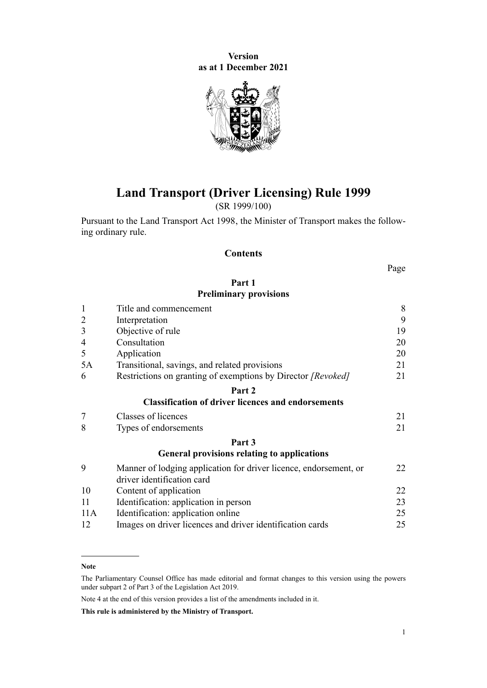**Version as at 1 December 2021**



# **Land Transport (Driver Licensing) Rule 1999**

(SR 1999/100)

Pursuant to the [Land Transport Act 1998,](http://legislation.govt.nz/pdflink.aspx?id=DLM433612) the Minister of Transport makes the follow‐ ing ordinary rule.

### **Contents**

Page

# **[Part 1](#page-7-0) [Preliminary provisions](#page-7-0)**

| $\mathbf{1}$   | Title and commencement                                                                          |    |  |  |
|----------------|-------------------------------------------------------------------------------------------------|----|--|--|
| $\overline{2}$ | Interpretation                                                                                  |    |  |  |
| 3              | Objective of rule                                                                               |    |  |  |
| $\overline{4}$ | Consultation                                                                                    | 20 |  |  |
| 5              | Application                                                                                     | 20 |  |  |
| 5A             | Transitional, savings, and related provisions                                                   | 21 |  |  |
| 6              | Restrictions on granting of exemptions by Director [Revoked]                                    | 21 |  |  |
|                | Part 2                                                                                          |    |  |  |
|                | <b>Classification of driver licences and endorsements</b>                                       |    |  |  |
| 7              | Classes of licences                                                                             | 21 |  |  |
| 8              | Types of endorsements                                                                           | 21 |  |  |
|                | Part 3                                                                                          |    |  |  |
|                | <b>General provisions relating to applications</b>                                              |    |  |  |
| 9              | Manner of lodging application for driver licence, endorsement, or<br>driver identification card | 22 |  |  |
| 10             | Content of application                                                                          | 22 |  |  |
| 11             | Identification: application in person                                                           | 23 |  |  |
| 11A            | Identification: application online                                                              | 25 |  |  |
| 12             | Images on driver licences and driver identification cards                                       | 25 |  |  |

Note 4 at the end of this version provides a list of the amendments included in it.

**This rule is administered by the Ministry of Transport.**

**Note**

The Parliamentary Counsel Office has made editorial and format changes to this version using the powers under [subpart 2](http://legislation.govt.nz/pdflink.aspx?id=DLM7298371) of Part 3 of the Legislation Act 2019.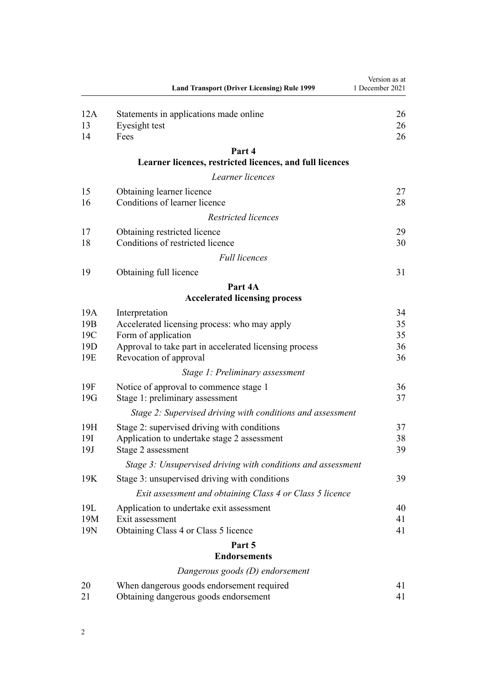|                        | <b>Land Transport (Driver Licensing) Rule 1999</b>                  | Version as at<br>1 December 2021 |
|------------------------|---------------------------------------------------------------------|----------------------------------|
| 12A<br>13<br>14        | Statements in applications made online<br>Eyesight test<br>Fees     | 26<br>26<br>26                   |
|                        | Part 4                                                              |                                  |
|                        | Learner licences, restricted licences, and full licences            |                                  |
|                        | Learner licences                                                    |                                  |
| 15                     | Obtaining learner licence                                           | 27                               |
| 16                     | Conditions of learner licence                                       | 28                               |
|                        | Restricted licences                                                 |                                  |
| 17                     | Obtaining restricted licence                                        | 29                               |
| 18                     | Conditions of restricted licence                                    | 30                               |
|                        | <b>Full licences</b>                                                |                                  |
| 19                     | Obtaining full licence                                              | 31                               |
|                        | Part 4A                                                             |                                  |
|                        | <b>Accelerated licensing process</b>                                |                                  |
| 19A                    | Interpretation                                                      | 34                               |
| 19 <sub>B</sub><br>19C | Accelerated licensing process: who may apply<br>Form of application | 35<br>35                         |
| 19 <sub>D</sub>        | Approval to take part in accelerated licensing process              | 36                               |
| 19E                    | Revocation of approval                                              | 36                               |
|                        | Stage 1: Preliminary assessment                                     |                                  |
| 19F                    | Notice of approval to commence stage 1                              | 36                               |
| 19G                    | Stage 1: preliminary assessment                                     | 37                               |
|                        | Stage 2: Supervised driving with conditions and assessment          |                                  |
| 19H                    | Stage 2: supervised driving with conditions                         | 37                               |
| 19I                    | Application to undertake stage 2 assessment                         | 38                               |
| 19J                    | Stage 2 assessment                                                  | 39                               |
|                        | Stage 3: Unsupervised driving with conditions and assessment        |                                  |
| 19K                    | Stage 3: unsupervised driving with conditions                       | 39                               |
|                        | Exit assessment and obtaining Class 4 or Class 5 licence            |                                  |
| 19L                    | Application to undertake exit assessment                            | 40                               |
| 19M<br>19N             | Exit assessment                                                     | 41<br>41                         |
|                        | Obtaining Class 4 or Class 5 licence<br>Part 5                      |                                  |
|                        | <b>Endorsements</b>                                                 |                                  |
|                        | Dangerous goods (D) endorsement                                     |                                  |
| 20                     | When dangerous goods endorsement required                           | 41                               |
| 21                     | Obtaining dangerous goods endorsement                               | 41                               |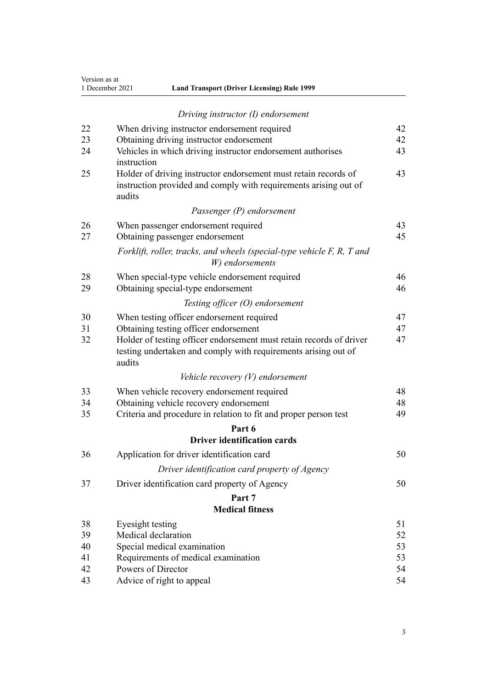| Version as at   |
|-----------------|
| 1 December 2021 |

| 1 December 2021 | <b>Land Transport (Driver Licensing) Rule 1999</b> |  |
|-----------------|----------------------------------------------------|--|
|-----------------|----------------------------------------------------|--|

|          | Driving instructor (I) endorsement                                                                                                              |          |  |  |  |  |
|----------|-------------------------------------------------------------------------------------------------------------------------------------------------|----------|--|--|--|--|
| 22       | When driving instructor endorsement required                                                                                                    | 42       |  |  |  |  |
| 23       | Obtaining driving instructor endorsement<br>42                                                                                                  |          |  |  |  |  |
| 24       | Vehicles in which driving instructor endorsement authorises<br>instruction                                                                      | 43       |  |  |  |  |
| 25       | Holder of driving instructor endorsement must retain records of<br>instruction provided and comply with requirements arising out of<br>audits   | 43       |  |  |  |  |
|          | Passenger (P) endorsement                                                                                                                       |          |  |  |  |  |
| 26       | When passenger endorsement required                                                                                                             | 43       |  |  |  |  |
| 27       | Obtaining passenger endorsement                                                                                                                 | 45       |  |  |  |  |
|          | Forklift, roller, tracks, and wheels (special-type vehicle F, R, T and<br>W) endorsements                                                       |          |  |  |  |  |
| 28<br>29 | When special-type vehicle endorsement required<br>Obtaining special-type endorsement                                                            | 46<br>46 |  |  |  |  |
|          | Testing officer $(O)$ endorsement                                                                                                               |          |  |  |  |  |
| 30       | When testing officer endorsement required                                                                                                       | 47       |  |  |  |  |
| 31       | Obtaining testing officer endorsement                                                                                                           | 47       |  |  |  |  |
| 32       | Holder of testing officer endorsement must retain records of driver<br>testing undertaken and comply with requirements arising out of<br>audits | 47       |  |  |  |  |
|          | Vehicle recovery $(V)$ endorsement                                                                                                              |          |  |  |  |  |
| 33       | When vehicle recovery endorsement required                                                                                                      | 48       |  |  |  |  |
| 34       | Obtaining vehicle recovery endorsement                                                                                                          | 48       |  |  |  |  |
| 35       | Criteria and procedure in relation to fit and proper person test                                                                                | 49       |  |  |  |  |
|          | Part 6                                                                                                                                          |          |  |  |  |  |
|          | <b>Driver identification cards</b>                                                                                                              |          |  |  |  |  |
| 36       | Application for driver identification card                                                                                                      | 50       |  |  |  |  |
|          | Driver identification card property of Agency                                                                                                   |          |  |  |  |  |
| 37       | Driver identification card property of Agency                                                                                                   | 50       |  |  |  |  |
|          | Part 7                                                                                                                                          |          |  |  |  |  |
|          | <b>Medical fitness</b>                                                                                                                          |          |  |  |  |  |
| 38       | Eyesight testing                                                                                                                                | 51       |  |  |  |  |
| 39       | Medical declaration                                                                                                                             | 52       |  |  |  |  |
| 40       | Special medical examination                                                                                                                     | 53       |  |  |  |  |
| 41       | Requirements of medical examination                                                                                                             | 53       |  |  |  |  |
| 42       | Powers of Director                                                                                                                              | 54       |  |  |  |  |
| 43       | Advice of right to appeal                                                                                                                       | 54       |  |  |  |  |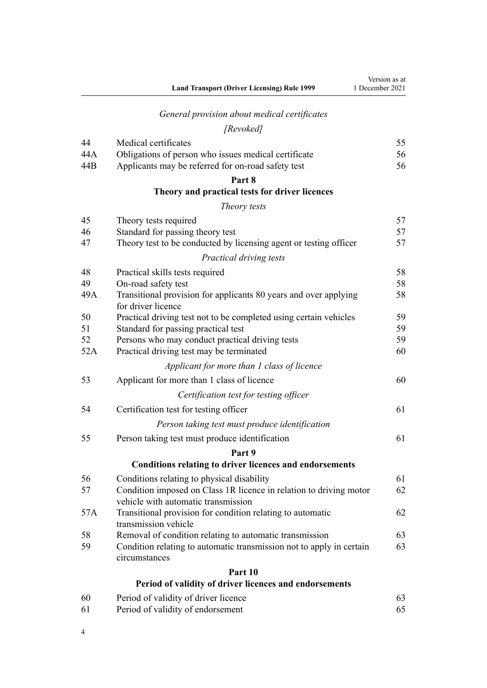|     | <b>Land Transport (Driver Licensing) Rule 1999</b>                                                        | Version as at<br>1 December 2021 |
|-----|-----------------------------------------------------------------------------------------------------------|----------------------------------|
|     | General provision about medical certificates                                                              |                                  |
|     | [Revoked]                                                                                                 |                                  |
| 44  | Medical certificates                                                                                      | 55                               |
| 44A | Obligations of person who issues medical certificate                                                      | 56                               |
| 44B | Applicants may be referred for on-road safety test                                                        | 56                               |
|     | Part 8                                                                                                    |                                  |
|     | Theory and practical tests for driver licences                                                            |                                  |
|     | Theory tests                                                                                              |                                  |
| 45  | Theory tests required                                                                                     | 57                               |
| 46  | Standard for passing theory test                                                                          | 57                               |
| 47  | Theory test to be conducted by licensing agent or testing officer                                         | 57                               |
|     | Practical driving tests                                                                                   |                                  |
| 48  | Practical skills tests required                                                                           | 58                               |
| 49  | On-road safety test                                                                                       | 58                               |
| 49A | Transitional provision for applicants 80 years and over applying<br>for driver licence                    | 58                               |
| 50  | Practical driving test not to be completed using certain vehicles                                         | 59                               |
| 51  | Standard for passing practical test                                                                       | 59                               |
| 52  | Persons who may conduct practical driving tests                                                           | 59                               |
| 52A | Practical driving test may be terminated                                                                  | 60                               |
|     | Applicant for more than 1 class of licence                                                                |                                  |
| 53  | Applicant for more than 1 class of licence                                                                | 60                               |
|     | Certification test for testing officer                                                                    |                                  |
| 54  | Certification test for testing officer                                                                    | 61                               |
|     | Person taking test must produce identification                                                            |                                  |
| 55  | Person taking test must produce identification                                                            | 61                               |
|     | Part 9                                                                                                    |                                  |
|     | <b>Conditions relating to driver licences and endorsements</b>                                            |                                  |
| 56  | Conditions relating to physical disability                                                                | 61                               |
| 57  | Condition imposed on Class 1R licence in relation to driving motor<br>vehicle with automatic transmission | 62                               |
| 57A | Transitional provision for condition relating to automatic<br>transmission vehicle                        | 62                               |
| 58  | Removal of condition relating to automatic transmission                                                   | 63                               |
| 59  | Condition relating to automatic transmission not to apply in certain<br>circumstances                     | 63                               |
|     | Part 10                                                                                                   |                                  |
|     | Period of validity of driver licences and endorsements                                                    |                                  |
| 60  | Period of validity of driver licence                                                                      | 63                               |
| 61  | Period of validity of endorsement                                                                         | 65                               |

4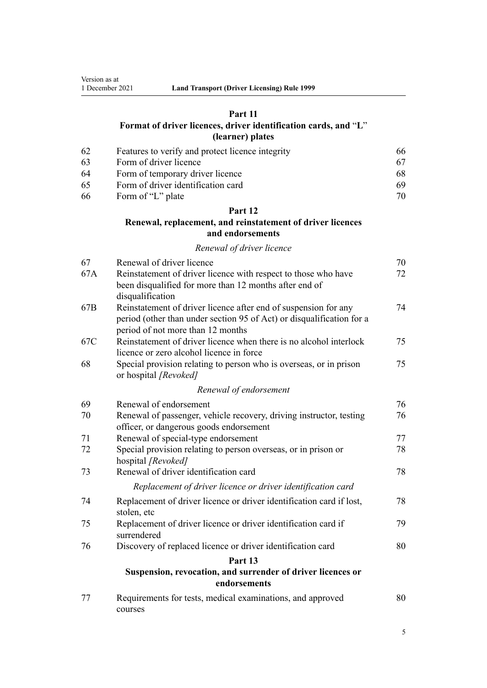# **[Part 11](#page-65-0)**

# **[Format of driver licences, driver identification cards, and](#page-65-0)** "**[L](#page-65-0)**" **[\(learner\) plates](#page-65-0)**

| -62 | Features to verify and protect licence integrity | 66 |
|-----|--------------------------------------------------|----|
| -63 | Form of driver licence                           |    |
| -64 | Form of temporary driver licence                 | 68 |
| -65 | Form of driver identification card               | 69 |
| -66 | Form of "L" plate                                | 70 |

# **[Part 12](#page-69-0)**

# **[Renewal, replacement, and reinstatement of driver licences](#page-69-0) [and endorsements](#page-69-0)**

#### *[Renewal of driver licence](#page-69-0)*

| 67  | Renewal of driver licence                                                                                                | 70 |
|-----|--------------------------------------------------------------------------------------------------------------------------|----|
| 67A | Reinstatement of driver licence with respect to those who have<br>been disqualified for more than 12 months after end of | 72 |
|     | disqualification                                                                                                         |    |
| 67B | Reinstatement of driver licence after end of suspension for any                                                          | 74 |
|     | period (other than under section 95 of Act) or disqualification for a<br>period of not more than 12 months               |    |
| 67C | Reinstatement of driver licence when there is no alcohol interlock                                                       | 75 |
|     | licence or zero alcohol licence in force                                                                                 |    |
| 68  | Special provision relating to person who is overseas, or in prison<br>or hospital [Revoked]                              | 75 |
|     | Renewal of endorsement                                                                                                   |    |
| 69  | Renewal of endorsement                                                                                                   | 76 |
| 70  | Renewal of passenger, vehicle recovery, driving instructor, testing                                                      | 76 |
|     | officer, or dangerous goods endorsement                                                                                  |    |
| 71  | Renewal of special-type endorsement                                                                                      | 77 |
| 72  | Special provision relating to person overseas, or in prison or<br>hospital [Revoked]                                     | 78 |
| 73  | Renewal of driver identification card                                                                                    | 78 |
|     | Replacement of driver licence or driver identification card                                                              |    |
| 74  | Replacement of driver licence or driver identification card if lost,<br>stolen, etc                                      | 78 |
| 75  | Replacement of driver licence or driver identification card if<br>surrendered                                            | 79 |
| 76  | Discovery of replaced licence or driver identification card                                                              | 80 |
|     | Part 13                                                                                                                  |    |
|     | Suspension, revocation, and surrender of driver licences or<br>endorsements                                              |    |
| 77  | Requirements for tests, medical examinations, and approved<br>courses                                                    | 80 |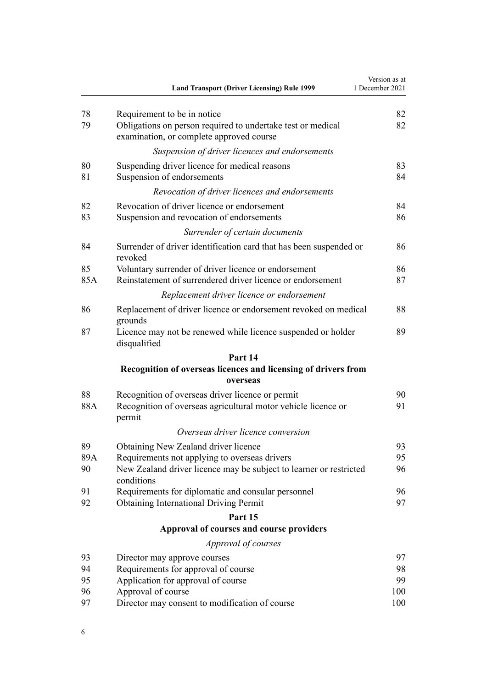|           | <b>Land Transport (Driver Licensing) Rule 1999</b>                                                                                     | Version as at<br>1 December 2021 |
|-----------|----------------------------------------------------------------------------------------------------------------------------------------|----------------------------------|
| 78<br>79  | Requirement to be in notice<br>Obligations on person required to undertake test or medical<br>examination, or complete approved course | 82<br>82                         |
|           | Suspension of driver licences and endorsements                                                                                         |                                  |
| 80<br>81  | Suspending driver licence for medical reasons<br>Suspension of endorsements                                                            | 83<br>84                         |
|           | Revocation of driver licences and endorsements                                                                                         |                                  |
| 82<br>83  | Revocation of driver licence or endorsement<br>Suspension and revocation of endorsements                                               | 84<br>86                         |
|           | Surrender of certain documents                                                                                                         |                                  |
| 84        | Surrender of driver identification card that has been suspended or<br>revoked                                                          | 86                               |
| 85<br>85A | Voluntary surrender of driver licence or endorsement<br>Reinstatement of surrendered driver licence or endorsement                     | 86<br>87                         |
|           | Replacement driver licence or endorsement                                                                                              |                                  |
| 86        | Replacement of driver licence or endorsement revoked on medical<br>grounds                                                             | 88                               |
| 87        | Licence may not be renewed while licence suspended or holder<br>disqualified                                                           | 89                               |
|           | Part 14                                                                                                                                |                                  |
|           | Recognition of overseas licences and licensing of drivers from<br>overseas                                                             |                                  |
| 88<br>88A | Recognition of overseas driver licence or permit<br>Recognition of overseas agricultural motor vehicle licence or<br>permit            | 90<br>91                         |
|           | Overseas driver licence conversion                                                                                                     |                                  |
| 89        | Obtaining New Zealand driver licence                                                                                                   | 93                               |
| 89A<br>90 | Requirements not applying to overseas drivers<br>New Zealand driver licence may be subject to learner or restricted<br>conditions      | 95<br>96                         |
| 91<br>92  | Requirements for diplomatic and consular personnel                                                                                     | 96<br>97                         |
|           | <b>Obtaining International Driving Permit</b>                                                                                          |                                  |
|           | Part 15<br>Approval of courses and course providers                                                                                    |                                  |
|           | Approval of courses                                                                                                                    |                                  |
| 93        | Director may approve courses                                                                                                           | 97                               |
| 94        | Requirements for approval of course                                                                                                    | 98                               |
| 95        | Application for approval of course                                                                                                     | 99                               |
| 96        | Approval of course                                                                                                                     | 100                              |
| 97        | Director may consent to modification of course                                                                                         | 100                              |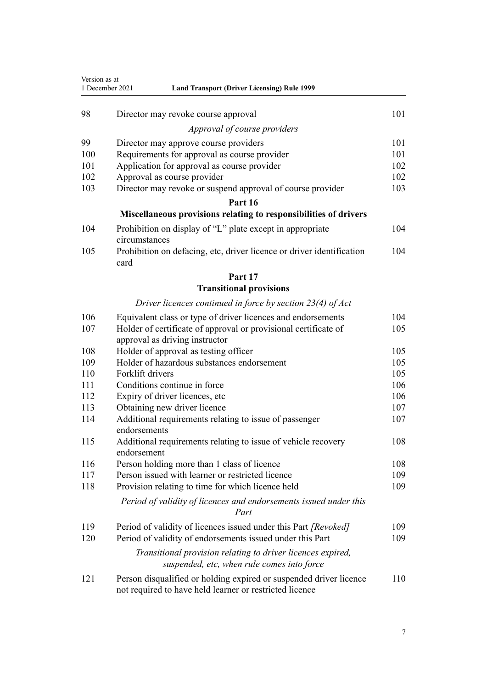| Version as at<br>1 December 2021<br><b>Land Transport (Driver Licensing) Rule 1999</b> |                                                                                                                               |     |
|----------------------------------------------------------------------------------------|-------------------------------------------------------------------------------------------------------------------------------|-----|
| 98                                                                                     | Director may revoke course approval                                                                                           | 101 |
|                                                                                        | Approval of course providers                                                                                                  |     |
| 99                                                                                     | Director may approve course providers                                                                                         | 101 |
| 100                                                                                    | Requirements for approval as course provider                                                                                  | 101 |
| 101                                                                                    | Application for approval as course provider                                                                                   | 102 |
| 102                                                                                    | Approval as course provider                                                                                                   | 102 |
| 103                                                                                    | Director may revoke or suspend approval of course provider                                                                    | 103 |
|                                                                                        | Part 16                                                                                                                       |     |
|                                                                                        | Miscellaneous provisions relating to responsibilities of drivers                                                              |     |
| 104                                                                                    | Prohibition on display of "L" plate except in appropriate<br>circumstances                                                    | 104 |
| 105                                                                                    | Prohibition on defacing, etc, driver licence or driver identification<br>card                                                 | 104 |
|                                                                                        | Part 17                                                                                                                       |     |
|                                                                                        | <b>Transitional provisions</b>                                                                                                |     |
|                                                                                        | Driver licences continued in force by section $23(4)$ of Act                                                                  |     |
| 106                                                                                    | Equivalent class or type of driver licences and endorsements                                                                  | 104 |
| 107                                                                                    | Holder of certificate of approval or provisional certificate of<br>approval as driving instructor                             | 105 |
| 108                                                                                    | Holder of approval as testing officer                                                                                         | 105 |
| 109                                                                                    | Holder of hazardous substances endorsement                                                                                    | 105 |
| 110                                                                                    | Forklift drivers                                                                                                              | 105 |
| 111                                                                                    | Conditions continue in force                                                                                                  | 106 |
| 112                                                                                    | Expiry of driver licences, etc                                                                                                | 106 |
| 113                                                                                    | Obtaining new driver licence                                                                                                  | 107 |
| 114                                                                                    | Additional requirements relating to issue of passenger<br>endorsements                                                        | 107 |
| 115                                                                                    | Additional requirements relating to issue of vehicle recovery<br>endorsement                                                  | 108 |
| 116                                                                                    | Person holding more than 1 class of licence                                                                                   | 108 |
| 117                                                                                    | Person issued with learner or restricted licence                                                                              | 109 |
| 118                                                                                    | Provision relating to time for which licence held                                                                             | 109 |
|                                                                                        | Period of validity of licences and endorsements issued under this<br>Part                                                     |     |
| 119                                                                                    | Period of validity of licences issued under this Part [Revoked]                                                               | 109 |
| 120                                                                                    | Period of validity of endorsements issued under this Part                                                                     | 109 |
|                                                                                        | Transitional provision relating to driver licences expired,<br>suspended, etc, when rule comes into force                     |     |
| 121                                                                                    | Person disqualified or holding expired or suspended driver licence<br>not required to have held learner or restricted licence | 110 |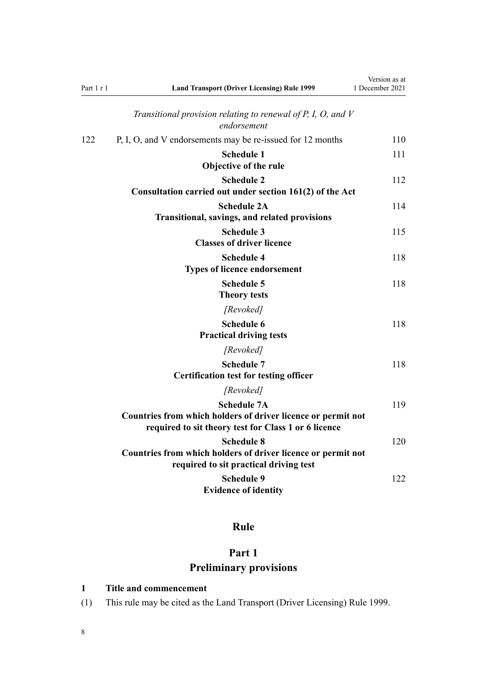<span id="page-7-0"></span>

| Part 1 r 1 | <b>Land Transport (Driver Licensing) Rule 1999</b>                                                                                         | Version as at<br>1 December 2021 |
|------------|--------------------------------------------------------------------------------------------------------------------------------------------|----------------------------------|
|            | Transitional provision relating to renewal of $P$ , $I$ , $O$ , and $V$<br>endorsement                                                     |                                  |
| 122        | P, I, O, and V endorsements may be re-issued for 12 months                                                                                 | 110                              |
|            | <b>Schedule 1</b><br>Objective of the rule                                                                                                 | 111                              |
|            | <b>Schedule 2</b><br>Consultation carried out under section 161(2) of the Act                                                              | 112                              |
|            | <b>Schedule 2A</b><br>Transitional, savings, and related provisions                                                                        | 114                              |
|            | <b>Schedule 3</b><br><b>Classes of driver licence</b>                                                                                      | 115                              |
|            | <b>Schedule 4</b><br><b>Types of licence endorsement</b>                                                                                   | 118                              |
|            | <b>Schedule 5</b><br><b>Theory tests</b>                                                                                                   | 118                              |
|            | [Revoked]                                                                                                                                  |                                  |
|            | <b>Schedule 6</b><br><b>Practical driving tests</b>                                                                                        | 118                              |
|            | [Revoked]                                                                                                                                  |                                  |
|            | <b>Schedule 7</b><br><b>Certification test for testing officer</b>                                                                         | 118                              |
|            | [Revoked]                                                                                                                                  |                                  |
|            | <b>Schedule 7A</b><br>Countries from which holders of driver licence or permit not<br>required to sit theory test for Class 1 or 6 licence | 119                              |
|            | <b>Schedule 8</b><br>Countries from which holders of driver licence or permit not<br>required to sit practical driving test                | 120                              |
|            | <b>Schedule 9</b><br><b>Evidence of identity</b>                                                                                           | 122                              |

# **Rule**

# **Part 1 Preliminary provisions**

# **1 Title and commencement**

(1) This rule may be cited as the Land Transport (Driver Licensing) Rule 1999.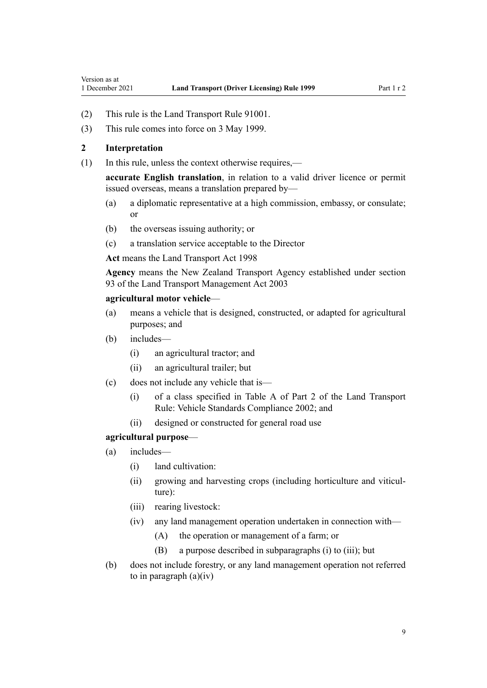- <span id="page-8-0"></span>(2) This rule is the Land Transport Rule 91001.
- (3) This rule comes into force on 3 May 1999.

#### **2 Interpretation**

(1) In this rule, unless the context otherwise requires,—

**accurate English translation**, in relation to a valid driver licence or permit issued overseas, means a translation prepared by—

- (a) a diplomatic representative at a high commission, embassy, or consulate; or
- (b) the overseas issuing authority; or
- (c) a translation service acceptable to the Director

**Act** means the [Land Transport Act 1998](http://legislation.govt.nz/pdflink.aspx?id=DLM433612)

**Agency** means the New Zealand Transport Agency established under [section](http://legislation.govt.nz/pdflink.aspx?id=DLM228044) [93](http://legislation.govt.nz/pdflink.aspx?id=DLM228044) of the Land Transport Management Act 2003

#### **agricultural motor vehicle**—

- (a) means a vehicle that is designed, constructed, or adapted for agricultural purposes; and
- (b) includes—
	- (i) an agricultural tractor; and
	- (ii) an agricultural trailer; but
- (c) does not include any vehicle that is—
	- (i) of a class specified in Table A of Part 2 of the Land Transport Rule: Vehicle Standards Compliance 2002; and
	- (ii) designed or constructed for general road use

#### **agricultural purpose**—

- (a) includes—
	- (i) land cultivation:
	- (ii) growing and harvesting crops (including horticulture and viticulture):
	- (iii) rearing livestock:
	- (iv) any land management operation undertaken in connection with—
		- (A) the operation or management of a farm; or
		- (B) a purpose described in subparagraphs (i) to (iii); but
- (b) does not include forestry, or any land management operation not referred to in paragraph  $(a)(iv)$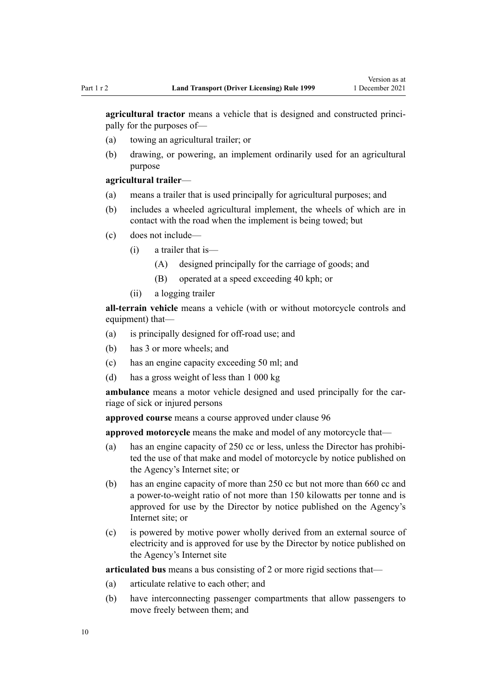**agricultural tractor** means a vehicle that is designed and constructed principally for the purposes of—

- (a) towing an agricultural trailer; or
- (b) drawing, or powering, an implement ordinarily used for an agricultural purpose

#### **agricultural trailer**—

- (a) means a trailer that is used principally for agricultural purposes; and
- (b) includes a wheeled agricultural implement, the wheels of which are in contact with the road when the implement is being towed; but
- (c) does not include—
	- (i) a trailer that is—
		- (A) designed principally for the carriage of goods; and
		- (B) operated at a speed exceeding 40 kph; or
	- (ii) a logging trailer

**all-terrain vehicle** means a vehicle (with or without motorcycle controls and equipment) that—

- (a) is principally designed for off-road use; and
- (b) has 3 or more wheels; and
- (c) has an engine capacity exceeding 50 ml; and
- (d) has a gross weight of less than 1 000 kg

ambulance means a motor vehicle designed and used principally for the carriage of sick or injured persons

**approved course** means a course approved under [clause 96](#page-99-0)

**approved motorcycle** means the make and model of any motorcycle that—

- (a) has an engine capacity of 250 cc or less, unless the Director has prohibited the use of that make and model of motorcycle by notice published on the Agency's Internet site; or
- (b) has an engine capacity of more than 250 cc but not more than 660 cc and a power-to-weight ratio of not more than 150 kilowatts per tonne and is approved for use by the Director by notice published on the Agency's Internet site; or
- (c) is powered by motive power wholly derived from an external source of electricity and is approved for use by the Director by notice published on the Agency's Internet site

**articulated bus** means a bus consisting of 2 or more rigid sections that—

- (a) articulate relative to each other; and
- (b) have interconnecting passenger compartments that allow passengers to move freely between them; and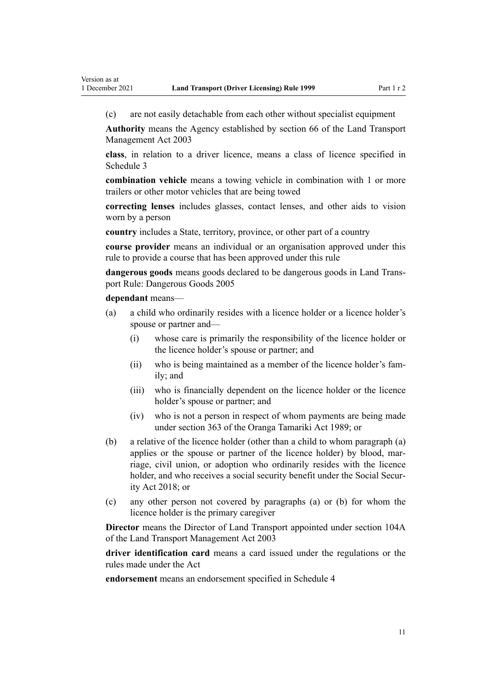(c) are not easily detachable from each other without specialist equipment

**Authority** means the Agency established by [section 66](http://legislation.govt.nz/pdflink.aspx?id=DLM227581) of the Land Transport Management Act 2003

**class**, in relation to a driver licence, means a class of licence specified in [Schedule 3](#page-114-0)

**combination vehicle** means a towing vehicle in combination with 1 or more trailers or other motor vehicles that are being towed

**correcting lenses** includes glasses, contact lenses, and other aids to vision worn by a person

**country** includes a State, territory, province, or other part of a country

**course provider** means an individual or an organisation approved under this rule to provide a course that has been approved under this rule

**dangerous goods** means goods declared to be dangerous goods in Land Trans‐ port Rule: Dangerous Goods 2005

**dependant** means—

- (a) a child who ordinarily resides with a licence holder or a licence holder's spouse or partner and—
	- (i) whose care is primarily the responsibility of the licence holder or the licence holder's spouse or partner; and
	- (ii) who is being maintained as a member of the licence holder's fam‐ ily; and
	- (iii) who is financially dependent on the licence holder or the licence holder's spouse or partner; and
	- (iv) who is not a person in respect of whom payments are being made under [section 363](http://legislation.govt.nz/pdflink.aspx?id=DLM154316) of the Oranga Tamariki Act 1989; or
- (b) a relative of the licence holder (other than a child to whom paragraph (a) applies or the spouse or partner of the licence holder) by blood, marriage, civil union, or adoption who ordinarily resides with the licence holder, and who receives a social security benefit under the Social Secur[ity Act 2018;](http://legislation.govt.nz/pdflink.aspx?id=DLM6783102) or
- (c) any other person not covered by paragraphs (a) or (b) for whom the licence holder is the primary caregiver

**Director** means the Director of Land Transport appointed under [section 104A](http://legislation.govt.nz/pdflink.aspx?id=LMS475458) of the Land Transport Management Act 2003

**driver identification card** means a card issued under the regulations or the rules made under the Act

**endorsement** means an endorsement specified in [Schedule 4](#page-117-0)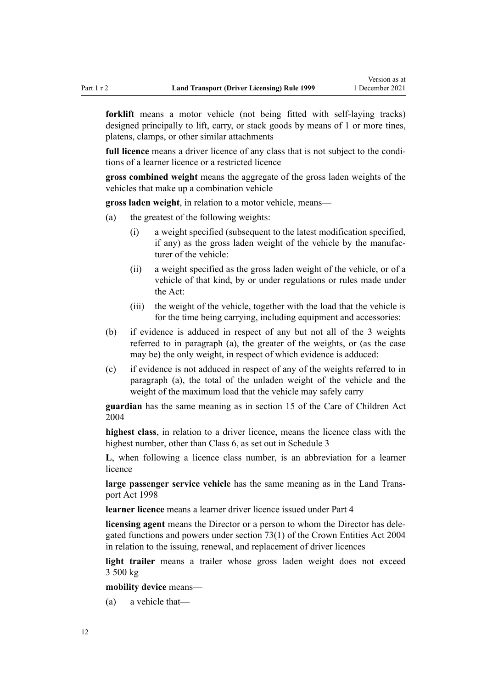**forklift** means a motor vehicle (not being fitted with self-laying tracks) designed principally to lift, carry, or stack goods by means of 1 or more tines, platens, clamps, or other similar attachments

full licence means a driver licence of any class that is not subject to the conditions of a learner licence or a restricted licence

**gross combined weight** means the aggregate of the gross laden weights of the vehicles that make up a combination vehicle

**gross laden weight**, in relation to a motor vehicle, means—

- (a) the greatest of the following weights:
	- (i) a weight specified (subsequent to the latest modification specified, if any) as the gross laden weight of the vehicle by the manufac‐ turer of the vehicle:
	- (ii) a weight specified as the gross laden weight of the vehicle, or of a vehicle of that kind, by or under regulations or rules made under the Act:
	- (iii) the weight of the vehicle, together with the load that the vehicle is for the time being carrying, including equipment and accessories:
- (b) if evidence is adduced in respect of any but not all of the 3 weights referred to in paragraph (a), the greater of the weights, or (as the case may be) the only weight, in respect of which evidence is adduced:
- (c) if evidence is not adduced in respect of any of the weights referred to in paragraph (a), the total of the unladen weight of the vehicle and the weight of the maximum load that the vehicle may safely carry

**guardian** has the same meaning as in [section 15](http://legislation.govt.nz/pdflink.aspx?id=DLM317411) of the Care of Children Act 2004

**highest class**, in relation to a driver licence, means the licence class with the highest number, other than Class 6, as set out in [Schedule 3](#page-114-0)

**L**, when following a licence class number, is an abbreviation for a learner licence

large passenger service vehicle has the same meaning as in the Land Trans[port Act 1998](http://legislation.govt.nz/pdflink.aspx?id=DLM433612)

**learner licence** means a learner driver licence issued under [Part 4](#page-26-0)

**licensing agent** means the Director or a person to whom the Director has dele‐ gated functions and powers under [section 73\(1\)](http://legislation.govt.nz/pdflink.aspx?id=DLM330308) of the Crown Entities Act 2004 in relation to the issuing, renewal, and replacement of driver licences

**light trailer** means a trailer whose gross laden weight does not exceed 3 500 kg

**mobility device** means—

(a) a vehicle that—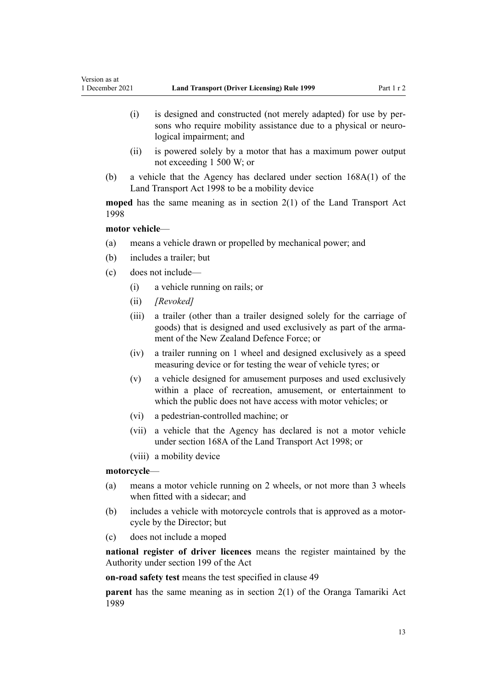- (i) is designed and constructed (not merely adapted) for use by per‐ sons who require mobility assistance due to a physical or neurological impairment; and
- (ii) is powered solely by a motor that has a maximum power output not exceeding 1 500 W; or
- (b) a vehicle that the Agency has declared under [section 168A\(1\)](http://legislation.govt.nz/pdflink.aspx?id=DLM435415) of the Land Transport Act 1998 to be a mobility device

**moped** has the same meaning as in [section 2\(1\)](http://legislation.govt.nz/pdflink.aspx?id=DLM433619) of the Land Transport Act 1998

#### **motor vehicle**—

Version as at

- (a) means a vehicle drawn or propelled by mechanical power; and
- (b) includes a trailer; but
- (c) does not include—
	- (i) a vehicle running on rails; or
	- (ii) *[Revoked]*
	- (iii) a trailer (other than a trailer designed solely for the carriage of goods) that is designed and used exclusively as part of the arma‐ ment of the New Zealand Defence Force; or
	- (iv) a trailer running on 1 wheel and designed exclusively as a speed measuring device or for testing the wear of vehicle tyres; or
	- (v) a vehicle designed for amusement purposes and used exclusively within a place of recreation, amusement, or entertainment to which the public does not have access with motor vehicles; or
	- (vi) a pedestrian-controlled machine; or
	- (vii) a vehicle that the Agency has declared is not a motor vehicle under [section 168A](http://legislation.govt.nz/pdflink.aspx?id=DLM435415) of the Land Transport Act 1998; or
	- (viii) a mobility device

#### **motorcycle**—

- (a) means a motor vehicle running on 2 wheels, or not more than 3 wheels when fitted with a sidecar; and
- (b) includes a vehicle with motorcycle controls that is approved as a motor‐ cycle by the Director; but
- (c) does not include a moped

**national register of driver licences** means the register maintained by the Authority under [section 199](http://legislation.govt.nz/pdflink.aspx?id=DLM435603) of the Act

**on-road safety test** means the test specified in [clause 49](#page-57-0)

**parent** has the same meaning as in [section 2\(1\)](http://legislation.govt.nz/pdflink.aspx?id=DLM147094) of the Oranga Tamariki Act 1989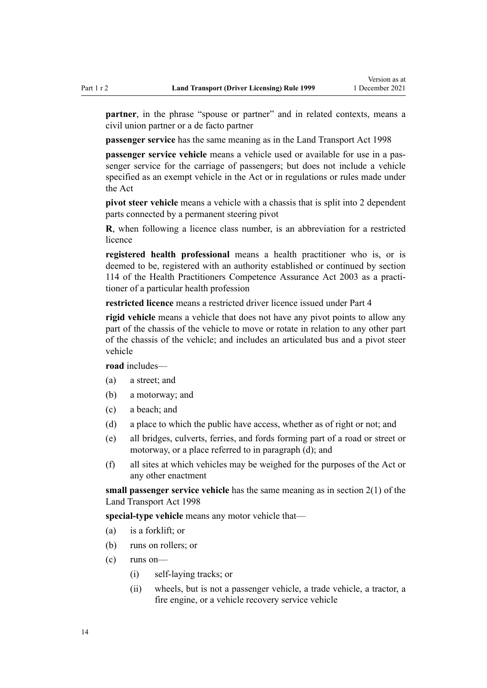**partner**, in the phrase "spouse or partner" and in related contexts, means a civil union partner or a de facto partner

**passenger service** has the same meaning as in the [Land Transport Act 1998](http://legislation.govt.nz/pdflink.aspx?id=DLM433612)

**passenger service vehicle** means a vehicle used or available for use in a passenger service for the carriage of passengers; but does not include a vehicle specified as an exempt vehicle in the Act or in regulations or rules made under the Act

**pivot steer vehicle** means a vehicle with a chassis that is split into 2 dependent parts connected by a permanent steering pivot

**R**, when following a licence class number, is an abbreviation for a restricted licence

**registered health professional** means a health practitioner who is, or is deemed to be, registered with an authority established or continued by [section](http://legislation.govt.nz/pdflink.aspx?id=DLM204329) [114](http://legislation.govt.nz/pdflink.aspx?id=DLM204329) of the Health Practitioners Competence Assurance Act 2003 as a practi‐ tioner of a particular health profession

**restricted licence** means a restricted driver licence issued under [Part 4](#page-26-0)

**rigid vehicle** means a vehicle that does not have any pivot points to allow any part of the chassis of the vehicle to move or rotate in relation to any other part of the chassis of the vehicle; and includes an articulated bus and a pivot steer vehicle

**road** includes—

- (a) a street; and
- (b) a motorway; and
- (c) a beach; and
- (d) a place to which the public have access, whether as of right or not; and
- (e) all bridges, culverts, ferries, and fords forming part of a road or street or motorway, or a place referred to in paragraph (d); and
- (f) all sites at which vehicles may be weighed for the purposes of the Act or any other enactment

**small passenger service vehicle** has the same meaning as in [section 2\(1\)](http://legislation.govt.nz/pdflink.aspx?id=DLM433619) of the Land Transport Act 1998

**special-type vehicle** means any motor vehicle that—

- (a) is a forklift; or
- (b) runs on rollers; or
- (c) runs on—
	- (i) self-laying tracks; or
	- (ii) wheels, but is not a passenger vehicle, a trade vehicle, a tractor, a fire engine, or a vehicle recovery service vehicle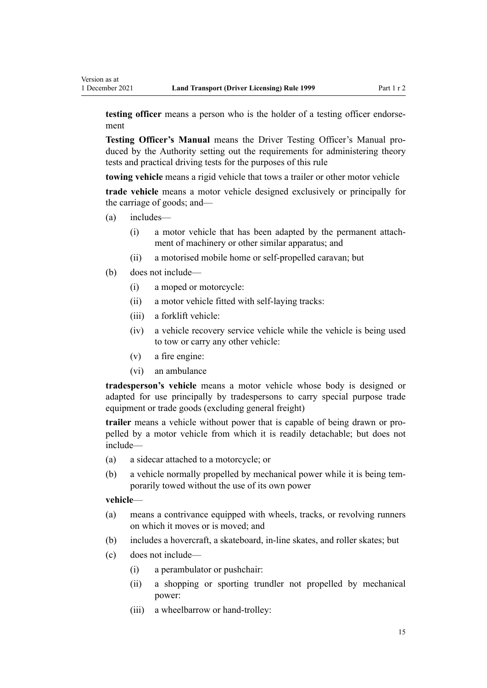**testing officer** means a person who is the holder of a testing officer endorsement

**Testing Officer's Manual** means the Driver Testing Officer's Manual pro‐ duced by the Authority setting out the requirements for administering theory tests and practical driving tests for the purposes of this rule

**towing vehicle** means a rigid vehicle that tows a trailer or other motor vehicle

**trade vehicle** means a motor vehicle designed exclusively or principally for the carriage of goods; and—

- (a) includes—
	- (i) a motor vehicle that has been adapted by the permanent attach‐ ment of machinery or other similar apparatus; and
	- (ii) a motorised mobile home or self-propelled caravan; but
- (b) does not include—
	- (i) a moped or motorcycle:
	- (ii) a motor vehicle fitted with self-laying tracks:
	- (iii) a forklift vehicle:
	- (iv) a vehicle recovery service vehicle while the vehicle is being used to tow or carry any other vehicle:
	- (v) a fire engine:
	- (vi) an ambulance

**tradesperson's vehicle** means a motor vehicle whose body is designed or adapted for use principally by tradespersons to carry special purpose trade equipment or trade goods (excluding general freight)

**trailer** means a vehicle without power that is capable of being drawn or pro‐ pelled by a motor vehicle from which it is readily detachable; but does not include—

- (a) a sidecar attached to a motorcycle; or
- (b) a vehicle normally propelled by mechanical power while it is being temporarily towed without the use of its own power

#### **vehicle**—

- (a) means a contrivance equipped with wheels, tracks, or revolving runners on which it moves or is moved; and
- (b) includes a hovercraft, a skateboard, in-line skates, and roller skates; but
- (c) does not include—
	- (i) a perambulator or pushchair:
	- (ii) a shopping or sporting trundler not propelled by mechanical power:
	- (iii) a wheelbarrow or hand-trolley: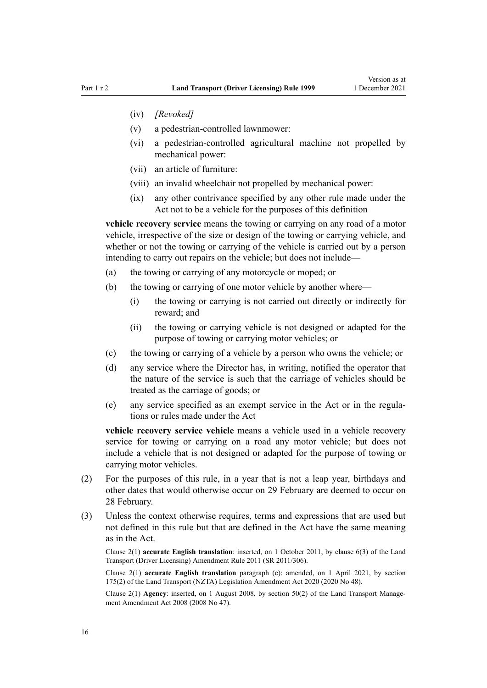- (iv) *[Revoked]*
- (v) a pedestrian-controlled lawnmower:
- (vi) a pedestrian-controlled agricultural machine not propelled by mechanical power:
- (vii) an article of furniture:
- (viii) an invalid wheelchair not propelled by mechanical power:
- (ix) any other contrivance specified by any other rule made under the Act not to be a vehicle for the purposes of this definition

**vehicle recovery service** means the towing or carrying on any road of a motor vehicle, irrespective of the size or design of the towing or carrying vehicle, and whether or not the towing or carrying of the vehicle is carried out by a person intending to carry out repairs on the vehicle; but does not include—

- (a) the towing or carrying of any motorcycle or moped; or
- (b) the towing or carrying of one motor vehicle by another where—
	- (i) the towing or carrying is not carried out directly or indirectly for reward; and
	- (ii) the towing or carrying vehicle is not designed or adapted for the purpose of towing or carrying motor vehicles; or
- (c) the towing or carrying of a vehicle by a person who owns the vehicle; or
- (d) any service where the Director has, in writing, notified the operator that the nature of the service is such that the carriage of vehicles should be treated as the carriage of goods; or
- (e) any service specified as an exempt service in the Act or in the regula‐ tions or rules made under the Act

**vehicle recovery service vehicle** means a vehicle used in a vehicle recovery service for towing or carrying on a road any motor vehicle; but does not include a vehicle that is not designed or adapted for the purpose of towing or carrying motor vehicles.

- (2) For the purposes of this rule, in a year that is not a leap year, birthdays and other dates that would otherwise occur on 29 February are deemed to occur on 28 February.
- (3) Unless the context otherwise requires, terms and expressions that are used but not defined in this rule but that are defined in the Act have the same meaning as in the Act.

Clause 2(1) **accurate English translation**: inserted, on 1 October 2011, by [clause 6\(3\)](http://legislation.govt.nz/pdflink.aspx?id=DLM3956501) of the Land Transport (Driver Licensing) Amendment Rule 2011 (SR 2011/306).

Clause 2(1) **accurate English translation** paragraph (c): amended, on 1 April 2021, by [section](http://legislation.govt.nz/pdflink.aspx?id=LMS286883) [175\(2\)](http://legislation.govt.nz/pdflink.aspx?id=LMS286883) of the Land Transport (NZTA) Legislation Amendment Act 2020 (2020 No 48).

Clause 2(1) **Agency**: inserted, on 1 August 2008, by [section 50\(2\)](http://legislation.govt.nz/pdflink.aspx?id=DLM1313622) of the Land Transport Management Amendment Act 2008 (2008 No 47).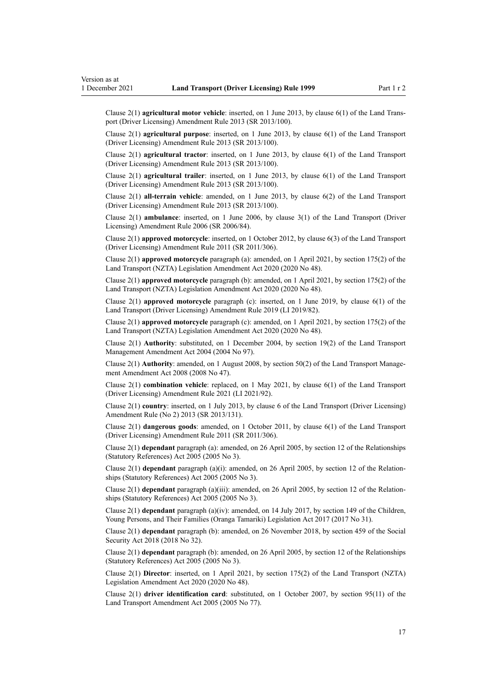Clause 2(1) **agricultural motor vehicle**: inserted, on 1 June 2013, by [clause 6\(1\)](http://legislation.govt.nz/pdflink.aspx?id=DLM5102233) of the Land Trans‐ port (Driver Licensing) Amendment Rule 2013 (SR 2013/100).

Clause 2(1) **agricultural purpose**: inserted, on 1 June 2013, by [clause 6\(1\)](http://legislation.govt.nz/pdflink.aspx?id=DLM5102233) of the Land Transport (Driver Licensing) Amendment Rule 2013 (SR 2013/100).

Clause 2(1) **agricultural tractor**: inserted, on 1 June 2013, by [clause 6\(1\)](http://legislation.govt.nz/pdflink.aspx?id=DLM5102233) of the Land Transport (Driver Licensing) Amendment Rule 2013 (SR 2013/100).

Clause 2(1) **agricultural trailer**: inserted, on 1 June 2013, by [clause 6\(1\)](http://legislation.govt.nz/pdflink.aspx?id=DLM5102233) of the Land Transport (Driver Licensing) Amendment Rule 2013 (SR 2013/100).

Clause 2(1) **all-terrain vehicle**: amended, on 1 June 2013, by [clause 6\(2\)](http://legislation.govt.nz/pdflink.aspx?id=DLM5102233) of the Land Transport (Driver Licensing) Amendment Rule 2013 (SR 2013/100).

Clause 2(1) **ambulance**: inserted, on 1 June 2006, by [clause 3\(1\)](http://legislation.govt.nz/pdflink.aspx?id=DLM375678) of the Land Transport (Driver Licensing) Amendment Rule 2006 (SR 2006/84).

Clause 2(1) **approved motorcycle**: inserted, on 1 October 2012, by [clause 6\(3\)](http://legislation.govt.nz/pdflink.aspx?id=DLM3956501) of the Land Transport (Driver Licensing) Amendment Rule 2011 (SR 2011/306).

Clause 2(1) **approved motorcycle** paragraph (a): amended, on 1 April 2021, by [section 175\(2\)](http://legislation.govt.nz/pdflink.aspx?id=LMS286883) of the Land Transport (NZTA) Legislation Amendment Act 2020 (2020 No 48).

Clause 2(1) **approved motorcycle** paragraph (b): amended, on 1 April 2021, by [section 175\(2\)](http://legislation.govt.nz/pdflink.aspx?id=LMS286883) of the Land Transport (NZTA) Legislation Amendment Act 2020 (2020 No 48).

Clause 2(1) **approved motorcycle** paragraph (c): inserted, on 1 June 2019, by [clause 6\(1\)](http://legislation.govt.nz/pdflink.aspx?id=LMS136011) of the Land Transport (Driver Licensing) Amendment Rule 2019 (LI 2019/82).

Clause 2(1) **approved motorcycle** paragraph (c): amended, on 1 April 2021, by [section 175\(2\)](http://legislation.govt.nz/pdflink.aspx?id=LMS286883) of the Land Transport (NZTA) Legislation Amendment Act 2020 (2020 No 48).

Clause 2(1) **Authority**: substituted, on 1 December 2004, by [section 19\(2\)](http://legislation.govt.nz/pdflink.aspx?id=DLM321838) of the Land Transport Management Amendment Act 2004 (2004 No 97).

Clause 2(1) **Authority**: amended, on 1 August 2008, by [section 50\(2\)](http://legislation.govt.nz/pdflink.aspx?id=DLM1313622) of the Land Transport Management Amendment Act 2008 (2008 No 47).

Clause 2(1) **combination vehicle**: replaced, on 1 May 2021, by [clause 6\(1\)](http://legislation.govt.nz/pdflink.aspx?id=LMS453277) of the Land Transport (Driver Licensing) Amendment Rule 2021 (LI 2021/92).

Clause 2(1) **country**: inserted, on 1 July 2013, by [clause 6](http://legislation.govt.nz/pdflink.aspx?id=DLM5159809) of the Land Transport (Driver Licensing) Amendment Rule (No 2) 2013 (SR 2013/131).

Clause 2(1) **dangerous goods**: amended, on 1 October 2011, by [clause 6\(1\)](http://legislation.govt.nz/pdflink.aspx?id=DLM3956501) of the Land Transport (Driver Licensing) Amendment Rule 2011 (SR 2011/306).

Clause 2(1) **dependant** paragraph (a): amended, on 26 April 2005, by [section 12](http://legislation.govt.nz/pdflink.aspx?id=DLM334004) of the Relationships (Statutory References) Act 2005 (2005 No 3).

Clause 2(1) **dependant** paragraph (a)(i): amended, on 26 April 2005, by [section 12](http://legislation.govt.nz/pdflink.aspx?id=DLM334004) of the Relation‐ ships (Statutory References) Act 2005 (2005 No 3).

Clause 2(1) **dependant** paragraph (a)(iii): amended, on 26 April 2005, by [section 12](http://legislation.govt.nz/pdflink.aspx?id=DLM334004) of the Relation‐ ships (Statutory References) Act 2005 (2005 No 3).

Clause 2(1) **dependant** paragraph (a)(iv): amended, on 14 July 2017, by [section 149](http://legislation.govt.nz/pdflink.aspx?id=DLM7287401) of the Children, Young Persons, and Their Families (Oranga Tamariki) Legislation Act 2017 (2017 No 31).

Clause 2(1) **dependant** paragraph (b): amended, on 26 November 2018, by [section 459](http://legislation.govt.nz/pdflink.aspx?id=DLM6784038) of the Social Security Act 2018 (2018 No 32).

Clause 2(1) **dependant** paragraph (b): amended, on 26 April 2005, by [section 12](http://legislation.govt.nz/pdflink.aspx?id=DLM334004) of the Relationships (Statutory References) Act 2005 (2005 No 3).

Clause 2(1) **Director**: inserted, on 1 April 2021, by [section 175\(2\)](http://legislation.govt.nz/pdflink.aspx?id=LMS286883) of the Land Transport (NZTA) Legislation Amendment Act 2020 (2020 No 48).

Clause 2(1) **driver identification card**: substituted, on 1 October 2007, by [section 95\(11\)](http://legislation.govt.nz/pdflink.aspx?id=DLM353501) of the Land Transport Amendment Act 2005 (2005 No 77).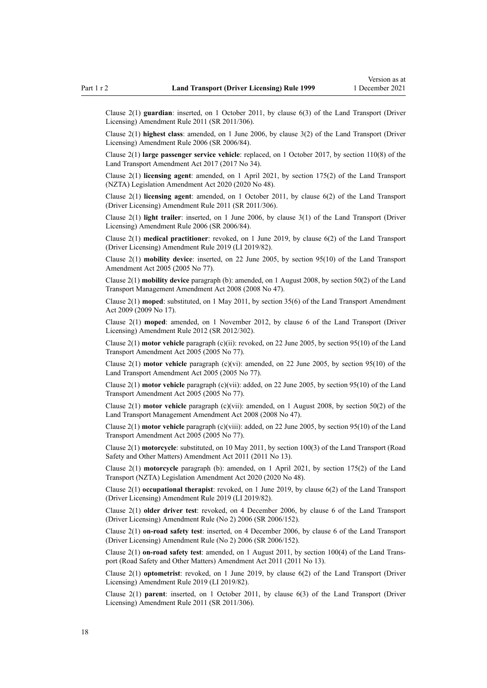Clause 2(1) **guardian**: inserted, on 1 October 2011, by [clause 6\(3\)](http://legislation.govt.nz/pdflink.aspx?id=DLM3956501) of the Land Transport (Driver Licensing) Amendment Rule 2011 (SR 2011/306).

Clause 2(1) **highest class**: amended, on 1 June 2006, by [clause 3\(2\)](http://legislation.govt.nz/pdflink.aspx?id=DLM375678) of the Land Transport (Driver Licensing) Amendment Rule 2006 (SR 2006/84).

Clause 2(1) **large passenger service vehicle**: replaced, on 1 October 2017, by [section 110\(8\)](http://legislation.govt.nz/pdflink.aspx?id=DLM6960929) of the Land Transport Amendment Act 2017 (2017 No 34).

Clause 2(1) **licensing agent**: amended, on 1 April 2021, by [section 175\(2\)](http://legislation.govt.nz/pdflink.aspx?id=LMS286883) of the Land Transport (NZTA) Legislation Amendment Act 2020 (2020 No 48).

Clause 2(1) **licensing agent**: amended, on 1 October 2011, by [clause 6\(2\)](http://legislation.govt.nz/pdflink.aspx?id=DLM3956501) of the Land Transport (Driver Licensing) Amendment Rule 2011 (SR 2011/306).

Clause 2(1) **light trailer**: inserted, on 1 June 2006, by [clause 3\(1\)](http://legislation.govt.nz/pdflink.aspx?id=DLM375678) of the Land Transport (Driver Licensing) Amendment Rule 2006 (SR 2006/84).

Clause 2(1) **medical practitioner**: revoked, on 1 June 2019, by [clause 6\(2\)](http://legislation.govt.nz/pdflink.aspx?id=LMS136011) of the Land Transport (Driver Licensing) Amendment Rule 2019 (LI 2019/82).

Clause 2(1) **mobility device**: inserted, on 22 June 2005, by [section 95\(10\)](http://legislation.govt.nz/pdflink.aspx?id=DLM353501) of the Land Transport Amendment Act 2005 (2005 No 77).

Clause 2(1) **mobility device** paragraph (b): amended, on 1 August 2008, by [section 50\(2\)](http://legislation.govt.nz/pdflink.aspx?id=DLM1313622) of the Land Transport Management Amendment Act 2008 (2008 No 47).

Clause 2(1) **moped**: substituted, on 1 May 2011, by [section 35\(6\)](http://legislation.govt.nz/pdflink.aspx?id=DLM2015063) of the Land Transport Amendment Act 2009 (2009 No 17).

Clause 2(1) **moped**: amended, on 1 November 2012, by [clause 6](http://legislation.govt.nz/pdflink.aspx?id=DLM4773435) of the Land Transport (Driver Licensing) Amendment Rule 2012 (SR 2012/302).

Clause 2(1) **motor vehicle** paragraph (c)(ii): revoked, on 22 June 2005, by [section 95\(10\)](http://legislation.govt.nz/pdflink.aspx?id=DLM353501) of the Land Transport Amendment Act 2005 (2005 No 77).

Clause 2(1) **motor vehicle** paragraph (c)(vi): amended, on 22 June 2005, by [section 95\(10\)](http://legislation.govt.nz/pdflink.aspx?id=DLM353501) of the Land Transport Amendment Act 2005 (2005 No 77).

Clause 2(1) **motor vehicle** paragraph (c)(vii): added, on 22 June 2005, by [section 95\(10\)](http://legislation.govt.nz/pdflink.aspx?id=DLM353501) of the Land Transport Amendment Act 2005 (2005 No 77).

Clause 2(1) **motor vehicle** paragraph (c)(vii): amended, on 1 August 2008, by [section 50\(2\)](http://legislation.govt.nz/pdflink.aspx?id=DLM1313622) of the Land Transport Management Amendment Act 2008 (2008 No 47).

Clause 2(1) **motor vehicle** paragraph (c)(viii): added, on 22 June 2005, by [section 95\(10\)](http://legislation.govt.nz/pdflink.aspx?id=DLM353501) of the Land Transport Amendment Act 2005 (2005 No 77).

Clause 2(1) **motorcycle**: substituted, on 10 May 2011, by [section 100\(3\)](http://legislation.govt.nz/pdflink.aspx?id=DLM3231293) of the Land Transport (Road Safety and Other Matters) Amendment Act 2011 (2011 No 13).

Clause 2(1) **motorcycle** paragraph (b): amended, on 1 April 2021, by [section 175\(2\)](http://legislation.govt.nz/pdflink.aspx?id=LMS286883) of the Land Transport (NZTA) Legislation Amendment Act 2020 (2020 No 48).

Clause 2(1) **occupational therapist**: revoked, on 1 June 2019, by [clause 6\(2\)](http://legislation.govt.nz/pdflink.aspx?id=LMS136011) of the Land Transport (Driver Licensing) Amendment Rule 2019 (LI 2019/82).

Clause 2(1) **older driver test**: revoked, on 4 December 2006, by [clause 6](http://legislation.govt.nz/pdflink.aspx?id=DLM386141) of the Land Transport (Driver Licensing) Amendment Rule (No 2) 2006 (SR 2006/152).

Clause 2(1) **on-road safety test**: inserted, on 4 December 2006, by [clause 6](http://legislation.govt.nz/pdflink.aspx?id=DLM386141) of the Land Transport (Driver Licensing) Amendment Rule (No 2) 2006 (SR 2006/152).

Clause 2(1) **on-road safety test**: amended, on 1 August 2011, by [section 100\(4\)](http://legislation.govt.nz/pdflink.aspx?id=DLM3231293) of the Land Trans‐ port (Road Safety and Other Matters) Amendment Act 2011 (2011 No 13).

Clause 2(1) **optometrist**: revoked, on 1 June 2019, by [clause 6\(2\)](http://legislation.govt.nz/pdflink.aspx?id=LMS136011) of the Land Transport (Driver Licensing) Amendment Rule 2019 (LI 2019/82).

Clause 2(1) **parent**: inserted, on 1 October 2011, by [clause 6\(3\)](http://legislation.govt.nz/pdflink.aspx?id=DLM3956501) of the Land Transport (Driver Licensing) Amendment Rule 2011 (SR 2011/306).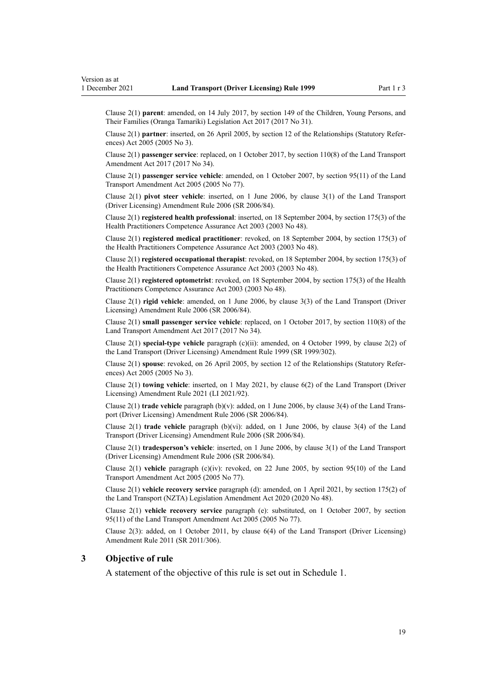<span id="page-18-0"></span>Clause 2(1) **parent**: amended, on 14 July 2017, by [section 149](http://legislation.govt.nz/pdflink.aspx?id=DLM7287401) of the Children, Young Persons, and Their Families (Oranga Tamariki) Legislation Act 2017 (2017 No 31).

Clause 2(1) **partner**: inserted, on 26 April 2005, by [section 12](http://legislation.govt.nz/pdflink.aspx?id=DLM334004) of the Relationships (Statutory Refer‐ ences) Act 2005 (2005 No 3).

Clause 2(1) **passenger service**: replaced, on 1 October 2017, by [section 110\(8\)](http://legislation.govt.nz/pdflink.aspx?id=DLM6960929) of the Land Transport Amendment Act 2017 (2017 No 34).

Clause 2(1) **passenger service vehicle**: amended, on 1 October 2007, by [section 95\(11\)](http://legislation.govt.nz/pdflink.aspx?id=DLM353501) of the Land Transport Amendment Act 2005 (2005 No 77).

Clause 2(1) **pivot steer vehicle**: inserted, on 1 June 2006, by [clause 3\(1\)](http://legislation.govt.nz/pdflink.aspx?id=DLM375678) of the Land Transport (Driver Licensing) Amendment Rule 2006 (SR 2006/84).

Clause 2(1) **registered health professional**: inserted, on 18 September 2004, by [section 175\(3\)](http://legislation.govt.nz/pdflink.aspx?id=DLM205009) of the Health Practitioners Competence Assurance Act 2003 (2003 No 48).

Clause 2(1) **registered medical practitioner**: revoked, on 18 September 2004, by [section 175\(3\)](http://legislation.govt.nz/pdflink.aspx?id=DLM205009) of the Health Practitioners Competence Assurance Act 2003 (2003 No 48).

Clause 2(1) **registered occupational therapist**: revoked, on 18 September 2004, by [section 175\(3\)](http://legislation.govt.nz/pdflink.aspx?id=DLM205009) of the Health Practitioners Competence Assurance Act 2003 (2003 No 48).

Clause 2(1) **registered optometrist**: revoked, on 18 September 2004, by [section 175\(3\)](http://legislation.govt.nz/pdflink.aspx?id=DLM205009) of the Health Practitioners Competence Assurance Act 2003 (2003 No 48).

Clause 2(1) **rigid vehicle**: amended, on 1 June 2006, by [clause 3\(3\)](http://legislation.govt.nz/pdflink.aspx?id=DLM375678) of the Land Transport (Driver Licensing) Amendment Rule 2006 (SR 2006/84).

Clause 2(1) **small passenger service vehicle**: replaced, on 1 October 2017, by [section 110\(8\)](http://legislation.govt.nz/pdflink.aspx?id=DLM6960929) of the Land Transport Amendment Act 2017 (2017 No 34).

Clause 2(1) **special-type vehicle** paragraph (c)(ii): amended, on 4 October 1999, by [clause 2\(2\)](http://legislation.govt.nz/pdflink.aspx?id=DLM293670) of the Land Transport (Driver Licensing) Amendment Rule 1999 (SR 1999/302).

Clause 2(1) **spouse**: revoked, on 26 April 2005, by [section 12](http://legislation.govt.nz/pdflink.aspx?id=DLM334004) of the Relationships (Statutory Refer‐ ences) Act 2005 (2005 No 3).

Clause 2(1) **towing vehicle**: inserted, on 1 May 2021, by [clause 6\(2\)](http://legislation.govt.nz/pdflink.aspx?id=LMS453277) of the Land Transport (Driver Licensing) Amendment Rule 2021 (LI 2021/92).

Clause 2(1) **trade vehicle** paragraph (b)(v): added, on 1 June 2006, by [clause 3\(4\)](http://legislation.govt.nz/pdflink.aspx?id=DLM375678) of the Land Trans‐ port (Driver Licensing) Amendment Rule 2006 (SR 2006/84).

Clause 2(1) **trade vehicle** paragraph (b)(vi): added, on 1 June 2006, by [clause 3\(4\)](http://legislation.govt.nz/pdflink.aspx?id=DLM375678) of the Land Transport (Driver Licensing) Amendment Rule 2006 (SR 2006/84).

Clause 2(1) **tradesperson's vehicle**: inserted, on 1 June 2006, by [clause 3\(1\)](http://legislation.govt.nz/pdflink.aspx?id=DLM375678) of the Land Transport (Driver Licensing) Amendment Rule 2006 (SR 2006/84).

Clause 2(1) **vehicle** paragraph (c)(iv): revoked, on 22 June 2005, by [section 95\(10\)](http://legislation.govt.nz/pdflink.aspx?id=DLM353501) of the Land Transport Amendment Act 2005 (2005 No 77).

Clause 2(1) **vehicle recovery service** paragraph (d): amended, on 1 April 2021, by [section 175\(2\)](http://legislation.govt.nz/pdflink.aspx?id=LMS286883) of the Land Transport (NZTA) Legislation Amendment Act 2020 (2020 No 48).

Clause 2(1) **vehicle recovery service** paragraph (e): substituted, on 1 October 2007, by [section](http://legislation.govt.nz/pdflink.aspx?id=DLM353501) [95\(11\)](http://legislation.govt.nz/pdflink.aspx?id=DLM353501) of the Land Transport Amendment Act 2005 (2005 No 77).

Clause 2(3): added, on 1 October 2011, by [clause 6\(4\)](http://legislation.govt.nz/pdflink.aspx?id=DLM3956501) of the Land Transport (Driver Licensing) Amendment Rule 2011 (SR 2011/306).

#### **3 Objective of rule**

A statement of the objective of this rule is set out in [Schedule 1.](#page-110-0)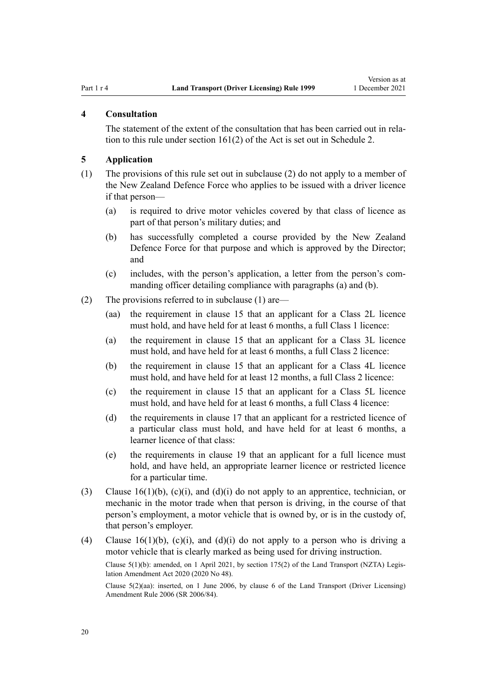#### <span id="page-19-0"></span>**4 Consultation**

The statement of the extent of the consultation that has been carried out in relation to this rule under [section 161\(2\)](http://legislation.govt.nz/pdflink.aspx?id=DLM435195) of the Act is set out in [Schedule 2](#page-111-0).

#### **5 Application**

- (1) The provisions of this rule set out in subclause (2) do not apply to a member of the New Zealand Defence Force who applies to be issued with a driver licence if that person—
	- (a) is required to drive motor vehicles covered by that class of licence as part of that person's military duties; and
	- (b) has successfully completed a course provided by the New Zealand Defence Force for that purpose and which is approved by the Director; and
	- (c) includes, with the person's application, a letter from the person's com‐ manding officer detailing compliance with paragraphs (a) and (b).
- (2) The provisions referred to in subclause (1) are—
	- (aa) the requirement in [clause 15](#page-26-0) that an applicant for a Class 2L licence must hold, and have held for at least 6 months, a full Class 1 licence:
	- (a) the requirement in [clause 15](#page-26-0) that an applicant for a Class 3L licence must hold, and have held for at least 6 months, a full Class 2 licence:
	- (b) the requirement in [clause 15](#page-26-0) that an applicant for a Class 4L licence must hold, and have held for at least 12 months, a full Class 2 licence:
	- (c) the requirement in [clause 15](#page-26-0) that an applicant for a Class 5L licence must hold, and have held for at least 6 months, a full Class 4 licence:
	- (d) the requirements in [clause 17](#page-28-0) that an applicant for a restricted licence of a particular class must hold, and have held for at least 6 months, a learner licence of that class:
	- (e) the requirements in [clause 19](#page-30-0) that an applicant for a full licence must hold, and have held, an appropriate learner licence or restricted licence for a particular time.
- (3) Clause  $16(1)(b)$ , (c)(i), and (d)(i) do not apply to an apprentice, technician, or mechanic in the motor trade when that person is driving, in the course of that person's employment, a motor vehicle that is owned by, or is in the custody of, that person's employer.
- (4) [Clause 16\(1\)\(b\), \(c\)\(i\), and \(d\)\(i\)](#page-27-0) do not apply to a person who is driving a motor vehicle that is clearly marked as being used for driving instruction.

Clause 5(1)(b): amended, on 1 April 2021, by [section 175\(2\)](http://legislation.govt.nz/pdflink.aspx?id=LMS286883) of the Land Transport (NZTA) Legis‐ lation Amendment Act 2020 (2020 No 48).

Clause 5(2)(aa): inserted, on 1 June 2006, by [clause 6](http://legislation.govt.nz/pdflink.aspx?id=DLM375691) of the Land Transport (Driver Licensing) Amendment Rule 2006 (SR 2006/84).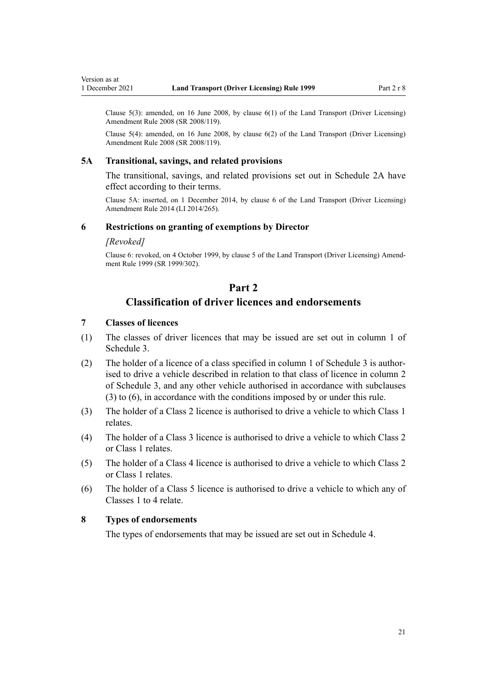<span id="page-20-0"></span>Clause  $5(3)$ : amended, on 16 June 2008, by clause  $6(1)$  of the Land Transport (Driver Licensing) Amendment Rule 2008 (SR 2008/119).

Clause 5(4): amended, on 16 June 2008, by [clause 6\(2\)](http://legislation.govt.nz/pdflink.aspx?id=DLM1317909) of the Land Transport (Driver Licensing) Amendment Rule 2008 (SR 2008/119).

#### **5A Transitional, savings, and related provisions**

The transitional, savings, and related provisions set out in [Schedule 2A](#page-113-0) have effect according to their terms.

Clause 5A: inserted, on 1 December 2014, by [clause 6](http://legislation.govt.nz/pdflink.aspx?id=DLM6216910) of the Land Transport (Driver Licensing) Amendment Rule 2014 (LI 2014/265).

#### **6 Restrictions on granting of exemptions by Director**

#### *[Revoked]*

Clause 6: revoked, on 4 October 1999, by [clause 5](http://legislation.govt.nz/pdflink.aspx?id=DLM293673) of the Land Transport (Driver Licensing) Amend‐ ment Rule 1999 (SR 1999/302).

# **Part 2**

# **Classification of driver licences and endorsements**

# **7 Classes of licences**

- (1) The classes of driver licences that may be issued are set out in column 1 of [Schedule 3.](#page-114-0)
- (2) The holder of a licence of a class specified in column 1 of [Schedule 3](#page-114-0) is author‐ ised to drive a vehicle described in relation to that class of licence in column 2 of Schedule 3, and any other vehicle authorised in accordance with subclauses (3) to (6), in accordance with the conditions imposed by or under this rule.
- (3) The holder of a Class 2 licence is authorised to drive a vehicle to which Class 1 relates.
- (4) The holder of a Class 3 licence is authorised to drive a vehicle to which Class 2 or Class 1 relates.
- (5) The holder of a Class 4 licence is authorised to drive a vehicle to which Class 2 or Class 1 relates.
- (6) The holder of a Class 5 licence is authorised to drive a vehicle to which any of Classes 1 to 4 relate.

#### **8 Types of endorsements**

The types of endorsements that may be issued are set out in [Schedule 4.](#page-117-0)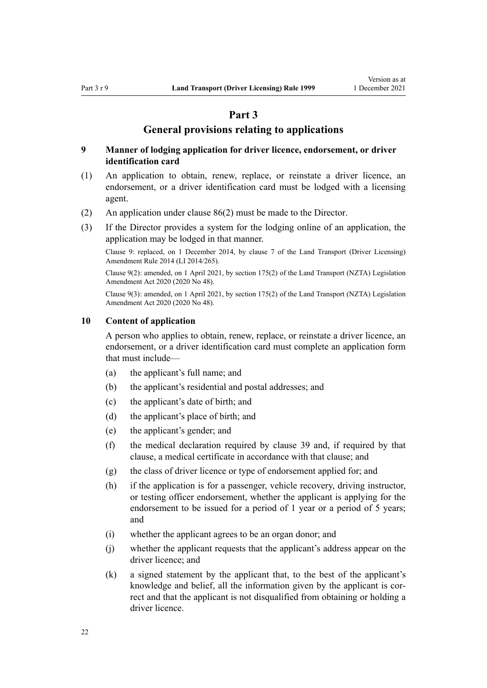# **Part 3**

#### **General provisions relating to applications**

#### <span id="page-21-0"></span>**9 Manner of lodging application for driver licence, endorsement, or driver identification card**

- (1) An application to obtain, renew, replace, or reinstate a driver licence, an endorsement, or a driver identification card must be lodged with a licensing agent.
- (2) An application under [clause 86\(2\)](#page-87-0) must be made to the Director.
- (3) If the Director provides a system for the lodging online of an application, the application may be lodged in that manner.

Clause 9: replaced, on 1 December 2014, by [clause 7](http://legislation.govt.nz/pdflink.aspx?id=DLM6216912) of the Land Transport (Driver Licensing) Amendment Rule 2014 (LI 2014/265).

Clause 9(2): amended, on 1 April 2021, by [section 175\(2\)](http://legislation.govt.nz/pdflink.aspx?id=LMS286883) of the Land Transport (NZTA) Legislation Amendment Act 2020 (2020 No 48).

Clause 9(3): amended, on 1 April 2021, by [section 175\(2\)](http://legislation.govt.nz/pdflink.aspx?id=LMS286883) of the Land Transport (NZTA) Legislation Amendment Act 2020 (2020 No 48).

#### **10 Content of application**

A person who applies to obtain, renew, replace, or reinstate a driver licence, an endorsement, or a driver identification card must complete an application form that must include—

- (a) the applicant's full name; and
- (b) the applicant's residential and postal addresses; and
- (c) the applicant's date of birth; and
- (d) the applicant's place of birth; and
- (e) the applicant's gender; and
- (f) the medical declaration required by [clause 39](#page-51-0) and, if required by that clause, a medical certificate in accordance with that clause; and
- (g) the class of driver licence or type of endorsement applied for; and
- (h) if the application is for a passenger, vehicle recovery, driving instructor, or testing officer endorsement, whether the applicant is applying for the endorsement to be issued for a period of 1 year or a period of 5 years; and
- (i) whether the applicant agrees to be an organ donor; and
- (j) whether the applicant requests that the applicant's address appear on the driver licence; and
- (k) a signed statement by the applicant that, to the best of the applicant's knowledge and belief, all the information given by the applicant is correct and that the applicant is not disqualified from obtaining or holding a driver licence.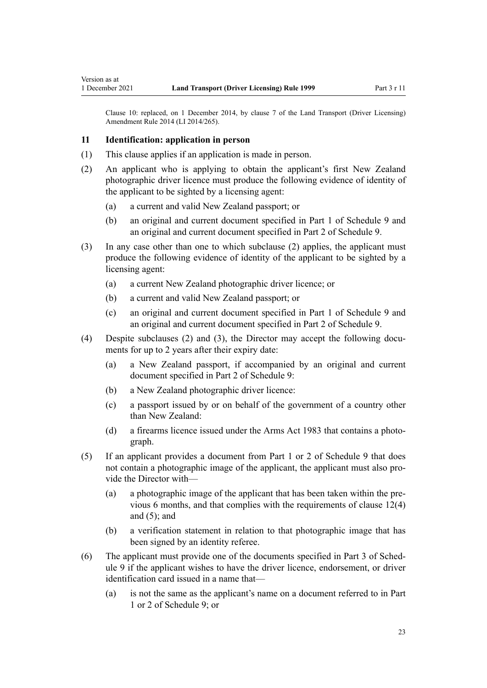Clause 10: replaced, on 1 December 2014, by [clause 7](http://legislation.govt.nz/pdflink.aspx?id=DLM6216912) of the Land Transport (Driver Licensing) Amendment Rule 2014 (LI 2014/265).

#### **11 Identification: application in person**

<span id="page-22-0"></span>Version as at

- (1) This clause applies if an application is made in person.
- (2) An applicant who is applying to obtain the applicant's first New Zealand photographic driver licence must produce the following evidence of identity of the applicant to be sighted by a licensing agent:
	- (a) a current and valid New Zealand passport; or
	- (b) an original and current document specified in [Part 1](#page-121-0) of Schedule 9 and an original and current document specified in [Part 2](#page-121-0) of Schedule 9.
- (3) In any case other than one to which subclause (2) applies, the applicant must produce the following evidence of identity of the applicant to be sighted by a licensing agent:
	- (a) a current New Zealand photographic driver licence; or
	- (b) a current and valid New Zealand passport; or
	- (c) an original and current document specified in [Part 1](#page-121-0) of Schedule 9 and an original and current document specified in [Part 2](#page-121-0) of Schedule 9.
- (4) Despite subclauses (2) and (3), the Director may accept the following documents for up to 2 years after their expiry date:
	- (a) a New Zealand passport, if accompanied by an original and current document specified in [Part 2](#page-121-0) of Schedule 9:
	- (b) a New Zealand photographic driver licence:
	- (c) a passport issued by or on behalf of the government of a country other than New Zealand:
	- (d) a firearms licence issued under the [Arms Act 1983](http://legislation.govt.nz/pdflink.aspx?id=DLM72621) that contains a photograph.
- (5) If an applicant provides a document from [Part 1](#page-121-0) or [2](#page-121-0) of Schedule 9 that does not contain a photographic image of the applicant, the applicant must also provide the Director with—
	- (a) a photographic image of the applicant that has been taken within the pre‐ vious 6 months, and that complies with the requirements of [clause 12\(4\)](#page-24-0) and  $(5)$ ; and
	- (b) a verification statement in relation to that photographic image that has been signed by an identity referee.
- (6) The applicant must provide one of the documents specified in [Part 3](#page-122-0) of Sched‐ ule 9 if the applicant wishes to have the driver licence, endorsement, or driver identification card issued in a name that—
	- (a) is not the same as the applicant's name on a document referred to in [Part](#page-121-0) [1](#page-121-0) or [2](#page-121-0) of Schedule 9; or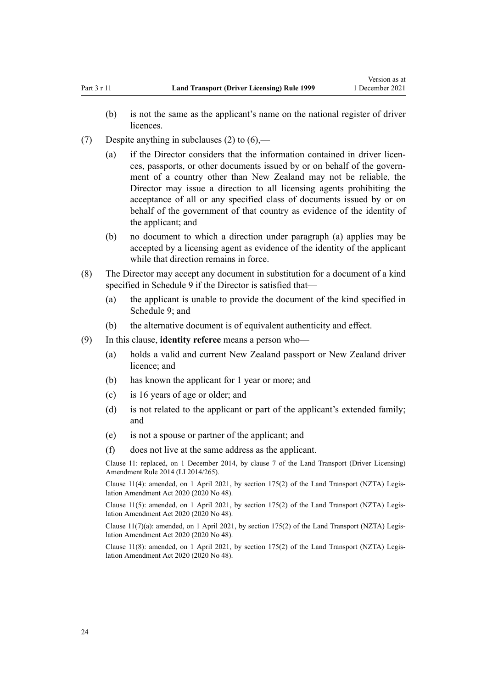- (7) Despite anything in subclauses (2) to  $(6)$ ,—
	- (a) if the Director considers that the information contained in driver licences, passports, or other documents issued by or on behalf of the govern‐ ment of a country other than New Zealand may not be reliable, the Director may issue a direction to all licensing agents prohibiting the acceptance of all or any specified class of documents issued by or on behalf of the government of that country as evidence of the identity of the applicant; and
	- (b) no document to which a direction under paragraph (a) applies may be accepted by a licensing agent as evidence of the identity of the applicant while that direction remains in force.
- (8) The Director may accept any document in substitution for a document of a kind specified in [Schedule 9](#page-121-0) if the Director is satisfied that—
	- (a) the applicant is unable to provide the document of the kind specified in [Schedule 9;](#page-121-0) and
	- (b) the alternative document is of equivalent authenticity and effect.
- (9) In this clause, **identity referee** means a person who—
	- (a) holds a valid and current New Zealand passport or New Zealand driver licence; and
	- (b) has known the applicant for 1 year or more; and
	- (c) is 16 years of age or older; and
	- (d) is not related to the applicant or part of the applicant's extended family; and
	- (e) is not a spouse or partner of the applicant; and
	- (f) does not live at the same address as the applicant.

Clause 11: replaced, on 1 December 2014, by [clause 7](http://legislation.govt.nz/pdflink.aspx?id=DLM6216912) of the Land Transport (Driver Licensing) Amendment Rule 2014 (LI 2014/265).

Clause 11(4): amended, on 1 April 2021, by [section 175\(2\)](http://legislation.govt.nz/pdflink.aspx?id=LMS286883) of the Land Transport (NZTA) Legis‐ lation Amendment Act 2020 (2020 No 48).

Clause 11(5): amended, on 1 April 2021, by [section 175\(2\)](http://legislation.govt.nz/pdflink.aspx?id=LMS286883) of the Land Transport (NZTA) Legis‐ lation Amendment Act 2020 (2020 No 48).

Clause  $11(7)(a)$ : amended, on 1 April 2021, by [section 175\(2\)](http://legislation.govt.nz/pdflink.aspx?id=LMS286883) of the Land Transport (NZTA) Legislation Amendment Act 2020 (2020 No 48).

Clause 11(8): amended, on 1 April 2021, by [section 175\(2\)](http://legislation.govt.nz/pdflink.aspx?id=LMS286883) of the Land Transport (NZTA) Legis‐ lation Amendment Act 2020 (2020 No 48).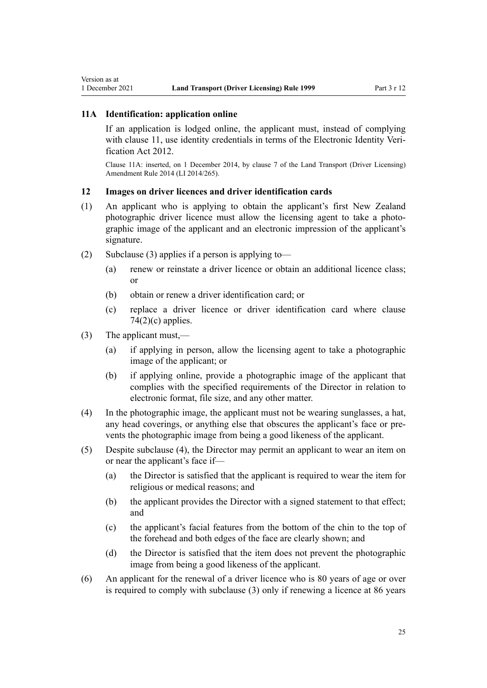# <span id="page-24-0"></span>**11A Identification: application online**

If an application is lodged online, the applicant must, instead of complying with [clause 11](#page-22-0), use identity credentials in terms of the Electronic Identity Veri[fication Act 2012.](http://legislation.govt.nz/pdflink.aspx?id=DLM1777800)

Clause 11A: inserted, on 1 December 2014, by [clause 7](http://legislation.govt.nz/pdflink.aspx?id=DLM6216912) of the Land Transport (Driver Licensing) Amendment Rule 2014 (LI 2014/265).

#### **12 Images on driver licences and driver identification cards**

- (1) An applicant who is applying to obtain the applicant's first New Zealand photographic driver licence must allow the licensing agent to take a photographic image of the applicant and an electronic impression of the applicant's signature.
- (2) Subclause (3) applies if a person is applying to-
	- (a) renew or reinstate a driver licence or obtain an additional licence class; or
	- (b) obtain or renew a driver identification card; or
	- (c) replace a driver licence or driver identification card where [clause](#page-77-0)  $74(2)(c)$  applies.
- (3) The applicant must,—
	- (a) if applying in person, allow the licensing agent to take a photographic image of the applicant; or
	- (b) if applying online, provide a photographic image of the applicant that complies with the specified requirements of the Director in relation to electronic format, file size, and any other matter.
- (4) In the photographic image, the applicant must not be wearing sunglasses, a hat, any head coverings, or anything else that obscures the applicant's face or pre‐ vents the photographic image from being a good likeness of the applicant.
- (5) Despite subclause (4), the Director may permit an applicant to wear an item on or near the applicant's face if—
	- (a) the Director is satisfied that the applicant is required to wear the item for religious or medical reasons; and
	- (b) the applicant provides the Director with a signed statement to that effect; and
	- (c) the applicant's facial features from the bottom of the chin to the top of the forehead and both edges of the face are clearly shown; and
	- (d) the Director is satisfied that the item does not prevent the photographic image from being a good likeness of the applicant.
- (6) An applicant for the renewal of a driver licence who is 80 years of age or over is required to comply with subclause (3) only if renewing a licence at 86 years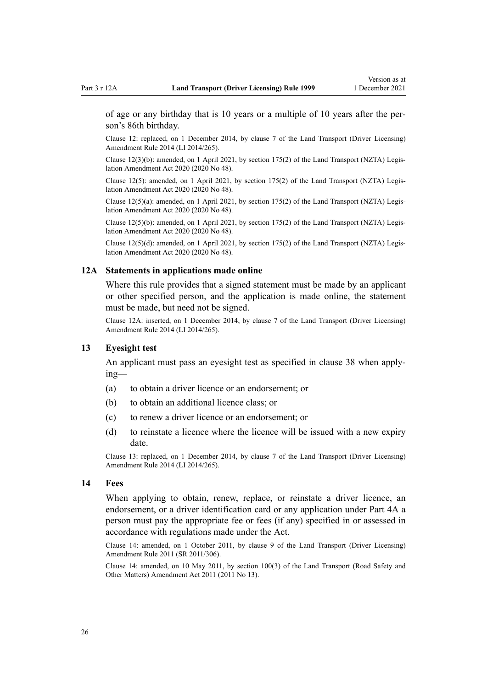<span id="page-25-0"></span>of age or any birthday that is 10 years or a multiple of 10 years after the per‐ son's 86th birthday.

Clause 12: replaced, on 1 December 2014, by [clause 7](http://legislation.govt.nz/pdflink.aspx?id=DLM6216912) of the Land Transport (Driver Licensing) Amendment Rule 2014 (LI 2014/265).

Clause 12(3)(b): amended, on 1 April 2021, by [section 175\(2\)](http://legislation.govt.nz/pdflink.aspx?id=LMS286883) of the Land Transport (NZTA) Legis‐ lation Amendment Act 2020 (2020 No 48).

Clause 12(5): amended, on 1 April 2021, by [section 175\(2\)](http://legislation.govt.nz/pdflink.aspx?id=LMS286883) of the Land Transport (NZTA) Legislation Amendment Act 2020 (2020 No 48).

Clause 12(5)(a): amended, on 1 April 2021, by [section 175\(2\)](http://legislation.govt.nz/pdflink.aspx?id=LMS286883) of the Land Transport (NZTA) Legis‐ lation Amendment Act 2020 (2020 No 48).

Clause 12(5)(b): amended, on 1 April 2021, by [section 175\(2\)](http://legislation.govt.nz/pdflink.aspx?id=LMS286883) of the Land Transport (NZTA) Legis‐ lation Amendment Act 2020 (2020 No 48).

Clause  $12(5)(d)$ : amended, on 1 April 2021, by [section 175\(2\)](http://legislation.govt.nz/pdflink.aspx?id=LMS286883) of the Land Transport (NZTA) Legislation Amendment Act 2020 (2020 No 48).

#### **12A Statements in applications made online**

Where this rule provides that a signed statement must be made by an applicant or other specified person, and the application is made online, the statement must be made, but need not be signed.

Clause 12A: inserted, on 1 December 2014, by [clause 7](http://legislation.govt.nz/pdflink.aspx?id=DLM6216912) of the Land Transport (Driver Licensing) Amendment Rule 2014 (LI 2014/265).

#### **13 Eyesight test**

An applicant must pass an eyesight test as specified in [clause 38](#page-50-0) when apply‐ ing—

- (a) to obtain a driver licence or an endorsement; or
- (b) to obtain an additional licence class; or
- (c) to renew a driver licence or an endorsement; or
- (d) to reinstate a licence where the licence will be issued with a new expiry date.

Clause 13: replaced, on 1 December 2014, by [clause 7](http://legislation.govt.nz/pdflink.aspx?id=DLM6216912) of the Land Transport (Driver Licensing) Amendment Rule 2014 (LI 2014/265).

#### **14 Fees**

When applying to obtain, renew, replace, or reinstate a driver licence, an endorsement, or a driver identification card or any application under [Part 4A](#page-33-0) a person must pay the appropriate fee or fees (if any) specified in or assessed in accordance with regulations made under the Act.

Clause 14: amended, on 1 October 2011, by [clause 9](http://legislation.govt.nz/pdflink.aspx?id=DLM3956593) of the Land Transport (Driver Licensing) Amendment Rule 2011 (SR 2011/306).

Clause 14: amended, on 10 May 2011, by [section 100\(3\)](http://legislation.govt.nz/pdflink.aspx?id=DLM3231293) of the Land Transport (Road Safety and Other Matters) Amendment Act 2011 (2011 No 13).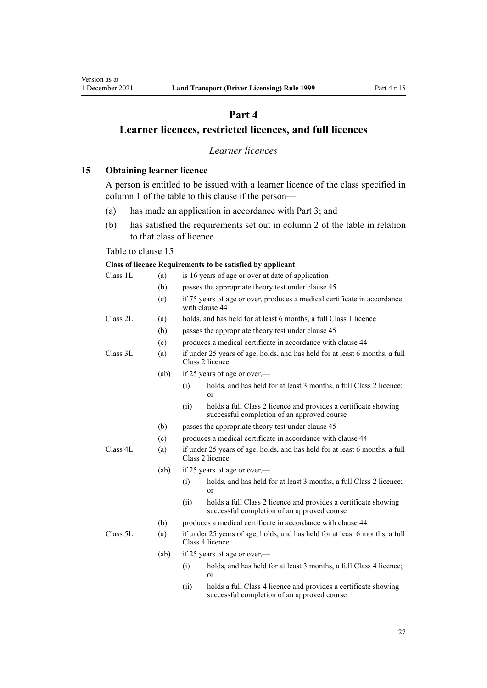# **Part 4**

# <span id="page-26-0"></span>**Learner licences, restricted licences, and full licences**

# *Learner licences*

**15 Obtaining learner licence**

A person is entitled to be issued with a learner licence of the class specified in column 1 of the table to this clause if the person—

- (a) has made an application in accordance with [Part 3;](#page-21-0) and
- (b) has satisfied the requirements set out in column 2 of the table in relation to that class of licence.

#### Table to clause 15

#### **Class of licence Requirements to be satisfied by applicant**

| Class 1L | (a)  |      | is 16 years of age or over at date of application                                                              |
|----------|------|------|----------------------------------------------------------------------------------------------------------------|
|          | (b)  |      | passes the appropriate theory test under clause 45                                                             |
|          | (c)  |      | if 75 years of age or over, produces a medical certificate in accordance<br>with clause 44                     |
| Class 2L | (a)  |      | holds, and has held for at least 6 months, a full Class 1 licence                                              |
|          | (b)  |      | passes the appropriate theory test under clause 45                                                             |
|          | (c)  |      | produces a medical certificate in accordance with clause 44                                                    |
| Class 3L | (a)  |      | if under 25 years of age, holds, and has held for at least 6 months, a full<br>Class 2 licence                 |
|          | (ab) |      | if 25 years of age or over,—                                                                                   |
|          |      | (i)  | holds, and has held for at least 3 months, a full Class 2 licence;<br><sub>or</sub>                            |
|          |      | (ii) | holds a full Class 2 licence and provides a certificate showing<br>successful completion of an approved course |
|          | (b)  |      | passes the appropriate theory test under clause 45                                                             |
|          | (c)  |      | produces a medical certificate in accordance with clause 44                                                    |
| Class 4L | (a)  |      | if under 25 years of age, holds, and has held for at least 6 months, a full<br>Class 2 licence                 |
|          | (ab) |      | if 25 years of age or over,—                                                                                   |
|          |      | (i)  | holds, and has held for at least 3 months, a full Class 2 licence;<br>or                                       |
|          |      | (ii) | holds a full Class 2 licence and provides a certificate showing<br>successful completion of an approved course |
|          | (b)  |      | produces a medical certificate in accordance with clause 44                                                    |
| Class 5L | (a)  |      | if under 25 years of age, holds, and has held for at least 6 months, a full<br>Class 4 licence                 |
|          | (ab) |      | if 25 years of age or over,—                                                                                   |
|          |      | (i)  | holds, and has held for at least 3 months, a full Class 4 licence;<br>or                                       |
|          |      |      |                                                                                                                |

(ii) holds a full Class 4 licence and provides a certificate showing successful completion of an approved course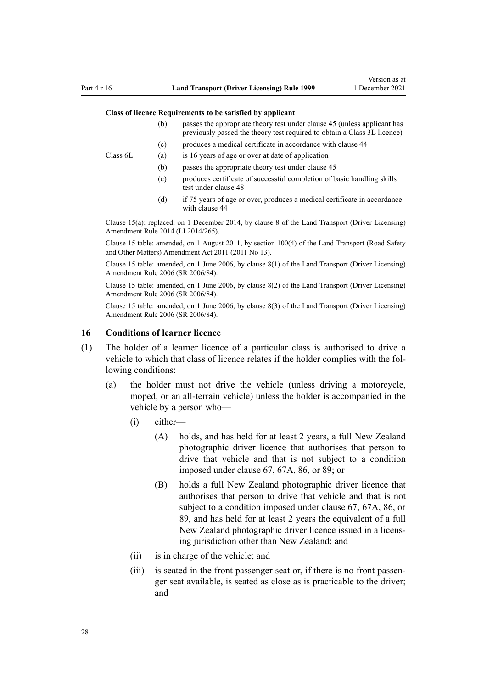#### <span id="page-27-0"></span>**Class of licence Requirements to be satisfied by applicant**

- (b) passes the appropriate theory test under [clause 45](#page-56-0) (unless applicant has previously passed the theory test required to obtain a Class 3L licence)
- (c) produces a medical certificate in accordance with [clause 44](#page-54-0)

Class 6L (a) is 16 years of age or over at date of application

- (b) passes the appropriate theory test under [clause 45](#page-56-0)
- (c) produces certificate of successful completion of basic handling skills test under [clause 48](#page-57-0)
- (d) if 75 years of age or over, produces a medical certificate in accordance with [clause 44](#page-54-0)

Clause 15(a): replaced, on 1 December 2014, by [clause 8](http://legislation.govt.nz/pdflink.aspx?id=DLM6216921) of the Land Transport (Driver Licensing) Amendment Rule 2014 (LI 2014/265).

Clause 15 table: amended, on 1 August 2011, by [section 100\(4\)](http://legislation.govt.nz/pdflink.aspx?id=DLM3231293) of the Land Transport (Road Safety and Other Matters) Amendment Act 2011 (2011 No 13).

Clause 15 table: amended, on 1 June 2006, by [clause 8\(1\)](http://legislation.govt.nz/pdflink.aspx?id=DLM375693) of the Land Transport (Driver Licensing) Amendment Rule 2006 (SR 2006/84).

Clause 15 table: amended, on 1 June 2006, by [clause 8\(2\)](http://legislation.govt.nz/pdflink.aspx?id=DLM375693) of the Land Transport (Driver Licensing) Amendment Rule 2006 (SR 2006/84).

Clause 15 table: amended, on 1 June 2006, by [clause 8\(3\)](http://legislation.govt.nz/pdflink.aspx?id=DLM375693) of the Land Transport (Driver Licensing) Amendment Rule 2006 (SR 2006/84).

#### **16 Conditions of learner licence**

- (1) The holder of a learner licence of a particular class is authorised to drive a vehicle to which that class of licence relates if the holder complies with the following conditions:
	- (a) the holder must not drive the vehicle (unless driving a motorcycle, moped, or an all-terrain vehicle) unless the holder is accompanied in the vehicle by a person who—
		- (i) either—
			- (A) holds, and has held for at least 2 years, a full New Zealand photographic driver licence that authorises that person to drive that vehicle and that is not subject to a condition imposed under [clause 67](#page-69-0), [67A,](#page-71-0) [86](#page-87-0), or [89;](#page-92-0) or
			- (B) holds a full New Zealand photographic driver licence that authorises that person to drive that vehicle and that is not subject to a condition imposed under [clause 67,](#page-69-0) [67A,](#page-71-0) [86](#page-87-0), or [89,](#page-92-0) and has held for at least 2 years the equivalent of a full New Zealand photographic driver licence issued in a licens‐ ing jurisdiction other than New Zealand; and
		- (ii) is in charge of the vehicle; and
		- (iii) is seated in the front passenger seat or, if there is no front passenger seat available, is seated as close as is practicable to the driver; and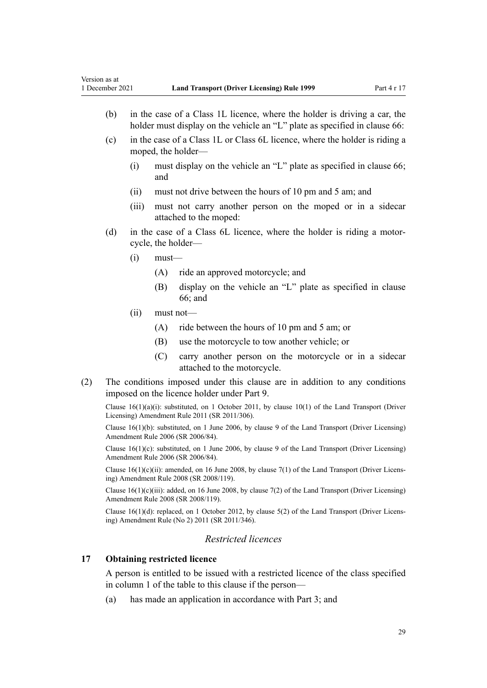- <span id="page-28-0"></span>(b) in the case of a Class 1L licence, where the holder is driving a car, the holder must display on the vehicle an "L" plate as specified in [clause 66](#page-69-0):
- (c) in the case of a Class 1L or Class 6L licence, where the holder is riding a moped, the holder—
	- (i) must display on the vehicle an "L" plate as specified in [clause 66;](#page-69-0) and
	- (ii) must not drive between the hours of 10 pm and 5 am; and
	- (iii) must not carry another person on the moped or in a sidecar attached to the moped:
- (d) in the case of a Class 6L licence, where the holder is riding a motor‐ cycle, the holder—
	- $(i)$  must—
		- (A) ride an approved motorcycle; and
		- (B) display on the vehicle an "L" plate as specified in [clause](#page-69-0) [66;](#page-69-0) and
	- (ii) must not—
		- (A) ride between the hours of 10 pm and 5 am; or
		- (B) use the motorcycle to tow another vehicle; or
		- (C) carry another person on the motorcycle or in a sidecar attached to the motorcycle.
- (2) The conditions imposed under this clause are in addition to any conditions imposed on the licence holder under [Part 9](#page-60-0).

Clause 16(1)(a)(i): substituted, on 1 October 2011, by [clause 10\(1\)](http://legislation.govt.nz/pdflink.aspx?id=DLM3956503) of the Land Transport (Driver Licensing) Amendment Rule 2011 (SR 2011/306).

Clause 16(1)(b): substituted, on 1 June 2006, by [clause 9](http://legislation.govt.nz/pdflink.aspx?id=DLM375694) of the Land Transport (Driver Licensing) Amendment Rule 2006 (SR 2006/84).

Clause  $16(1)(c)$ : substituted, on 1 June 2006, by [clause 9](http://legislation.govt.nz/pdflink.aspx?id=DLM375694) of the Land Transport (Driver Licensing) Amendment Rule 2006 (SR 2006/84).

Clause  $16(1)(c)(ii)$ : amended, on 16 June 2008, by [clause 7\(1\)](http://legislation.govt.nz/pdflink.aspx?id=DLM1317910) of the Land Transport (Driver Licensing) Amendment Rule 2008 (SR 2008/119).

Clause  $16(1)(c)(iii)$ : added, on 16 June 2008, by [clause 7\(2\)](http://legislation.govt.nz/pdflink.aspx?id=DLM1317910) of the Land Transport (Driver Licensing) Amendment Rule 2008 (SR 2008/119).

Clause 16(1)(d): replaced, on 1 October 2012, by [clause 5\(2\)](http://legislation.govt.nz/pdflink.aspx?id=DLM4064302) of the Land Transport (Driver Licens‐ ing) Amendment Rule (No 2) 2011 (SR 2011/346).

### *Restricted licences*

#### **17 Obtaining restricted licence**

A person is entitled to be issued with a restricted licence of the class specified in column 1 of the table to this clause if the person—

(a) has made an application in accordance with [Part 3;](#page-21-0) and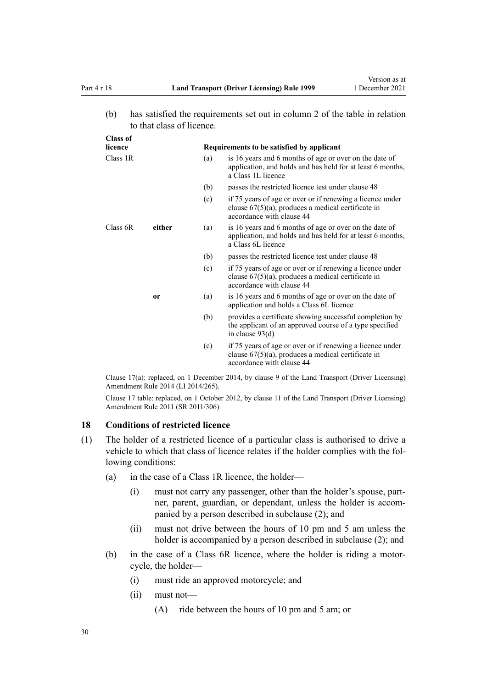<span id="page-29-0"></span>(b) has satisfied the requirements set out in column 2 of the table in relation to that class of licence.

| <b>Class of</b> |        |                                           |                                                                                                                                                 |  |
|-----------------|--------|-------------------------------------------|-------------------------------------------------------------------------------------------------------------------------------------------------|--|
| licence         |        | Requirements to be satisfied by applicant |                                                                                                                                                 |  |
| Class 1R        |        | (a)                                       | is 16 years and 6 months of age or over on the date of<br>application, and holds and has held for at least 6 months,<br>a Class 1L licence      |  |
|                 |        | (b)                                       | passes the restricted licence test under clause 48                                                                                              |  |
|                 |        | (c)                                       | if 75 years of age or over or if renewing a licence under<br>clause $67(5)(a)$ , produces a medical certificate in<br>accordance with clause 44 |  |
| Class 6R        | either | (a)                                       | is 16 years and 6 months of age or over on the date of<br>application, and holds and has held for at least 6 months,<br>a Class 6L licence      |  |
|                 |        | (b)                                       | passes the restricted licence test under clause 48                                                                                              |  |
|                 |        | (c)                                       | if 75 years of age or over or if renewing a licence under<br>clause $67(5)(a)$ , produces a medical certificate in<br>accordance with clause 44 |  |
|                 | or     | (a)                                       | is 16 years and 6 months of age or over on the date of<br>application and holds a Class 6L licence                                              |  |
|                 |        | (b)                                       | provides a certificate showing successful completion by<br>the applicant of an approved course of a type specified<br>in clause $93(d)$         |  |
|                 |        | (c)                                       | if 75 years of age or over or if renewing a licence under<br>clause $67(5)(a)$ , produces a medical certificate in<br>accordance with clause 44 |  |

Clause 17(a): replaced, on 1 December 2014, by [clause 9](http://legislation.govt.nz/pdflink.aspx?id=DLM6216922) of the Land Transport (Driver Licensing) Amendment Rule 2014 (LI 2014/265).

Clause 17 table: replaced, on 1 October 2012, by [clause 11](http://legislation.govt.nz/pdflink.aspx?id=DLM3956505) of the Land Transport (Driver Licensing) Amendment Rule 2011 (SR 2011/306).

#### **18 Conditions of restricted licence**

- (1) The holder of a restricted licence of a particular class is authorised to drive a vehicle to which that class of licence relates if the holder complies with the following conditions:
	- (a) in the case of a Class 1R licence, the holder—
		- (i) must not carry any passenger, other than the holder's spouse, part‐ ner, parent, guardian, or dependant, unless the holder is accompanied by a person described in subclause (2); and
		- (ii) must not drive between the hours of 10 pm and 5 am unless the holder is accompanied by a person described in subclause (2); and
	- (b) in the case of a Class 6R licence, where the holder is riding a motor‐ cycle, the holder—
		- (i) must ride an approved motorcycle; and
		- (ii) must not—
			- (A) ride between the hours of 10 pm and 5 am; or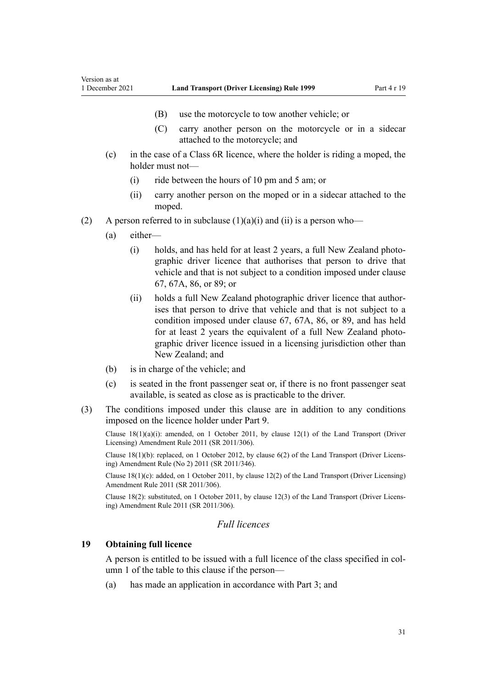- (B) use the motorcycle to tow another vehicle; or
- (C) carry another person on the motorcycle or in a sidecar attached to the motorcycle; and
- <span id="page-30-0"></span>(c) in the case of a Class 6R licence, where the holder is riding a moped, the holder must not—
	- (i) ride between the hours of 10 pm and 5 am; or
	- (ii) carry another person on the moped or in a sidecar attached to the moped.
- (2) A person referred to in subclause  $(1)(a)(i)$  and  $(ii)$  is a person who—
	- (a) either—
		- (i) holds, and has held for at least 2 years, a full New Zealand photo‐ graphic driver licence that authorises that person to drive that vehicle and that is not subject to a condition imposed under [clause](#page-69-0) [67,](#page-69-0) [67A](#page-71-0), [86,](#page-87-0) or [89](#page-92-0); or
		- (ii) holds a full New Zealand photographic driver licence that author‐ ises that person to drive that vehicle and that is not subject to a condition imposed under [clause 67](#page-69-0), [67A,](#page-71-0) [86](#page-87-0), or [89,](#page-92-0) and has held for at least 2 years the equivalent of a full New Zealand photographic driver licence issued in a licensing jurisdiction other than New Zealand; and
	- (b) is in charge of the vehicle; and
	- (c) is seated in the front passenger seat or, if there is no front passenger seat available, is seated as close as is practicable to the driver.
- (3) The conditions imposed under this clause are in addition to any conditions imposed on the licence holder under [Part 9](#page-60-0).

Clause  $18(1)(a)(i)$ : amended, on 1 October 2011, by [clause 12\(1\)](http://legislation.govt.nz/pdflink.aspx?id=DLM3956507) of the Land Transport (Driver Licensing) Amendment Rule 2011 (SR 2011/306).

Clause 18(1)(b): replaced, on 1 October 2012, by [clause 6\(2\)](http://legislation.govt.nz/pdflink.aspx?id=DLM4064304) of the Land Transport (Driver Licens‐ ing) Amendment Rule (No 2) 2011 (SR 2011/346).

Clause 18(1)(c): added, on 1 October 2011, by [clause 12\(2\)](http://legislation.govt.nz/pdflink.aspx?id=DLM3956507) of the Land Transport (Driver Licensing) Amendment Rule 2011 (SR 2011/306).

Clause 18(2): substituted, on 1 October 2011, by [clause 12\(3\)](http://legislation.govt.nz/pdflink.aspx?id=DLM3956507) of the Land Transport (Driver Licens‐ ing) Amendment Rule 2011 (SR 2011/306).

# *Full licences*

#### **19 Obtaining full licence**

A person is entitled to be issued with a full licence of the class specified in col‐ umn 1 of the table to this clause if the person—

(a) has made an application in accordance with [Part 3;](#page-21-0) and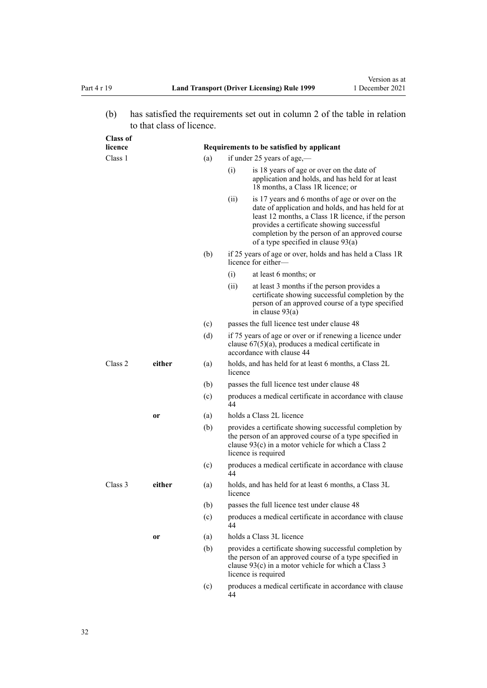(b) has satisfied the requirements set out in column 2 of the table in relation to that class of licence.

| <b>Class of</b><br>licence |        |     | Requirements to be satisfied by applicant                                                                                                                                                                                                                                                                  |
|----------------------------|--------|-----|------------------------------------------------------------------------------------------------------------------------------------------------------------------------------------------------------------------------------------------------------------------------------------------------------------|
| Class 1                    |        | (a) | if under 25 years of age,—                                                                                                                                                                                                                                                                                 |
|                            |        |     | is 18 years of age or over on the date of<br>(i)<br>application and holds, and has held for at least<br>18 months, a Class 1R licence; or                                                                                                                                                                  |
|                            |        |     | (ii)<br>is 17 years and 6 months of age or over on the<br>date of application and holds, and has held for at<br>least 12 months, a Class 1R licence, if the person<br>provides a certificate showing successful<br>completion by the person of an approved course<br>of a type specified in clause $93(a)$ |
|                            |        | (b) | if 25 years of age or over, holds and has held a Class 1R<br>licence for either—                                                                                                                                                                                                                           |
|                            |        |     | at least 6 months; or<br>(i)                                                                                                                                                                                                                                                                               |
|                            |        |     | (ii)<br>at least 3 months if the person provides a<br>certificate showing successful completion by the<br>person of an approved course of a type specified<br>in clause $93(a)$                                                                                                                            |
|                            |        | (c) | passes the full licence test under clause 48                                                                                                                                                                                                                                                               |
|                            |        | (d) | if 75 years of age or over or if renewing a licence under<br>clause $67(5)(a)$ , produces a medical certificate in<br>accordance with clause 44                                                                                                                                                            |
| Class 2                    | either | (a) | holds, and has held for at least 6 months, a Class 2L<br>licence                                                                                                                                                                                                                                           |
|                            |        | (b) | passes the full licence test under clause 48                                                                                                                                                                                                                                                               |
|                            |        | (c) | produces a medical certificate in accordance with clause<br>44                                                                                                                                                                                                                                             |
|                            | or     | (a) | holds a Class 2L licence                                                                                                                                                                                                                                                                                   |
|                            |        | (b) | provides a certificate showing successful completion by<br>the person of an approved course of a type specified in<br>clause $93(c)$ in a motor vehicle for which a Class 2<br>licence is required                                                                                                         |
|                            |        | (c) | produces a medical certificate in accordance with clause<br>44                                                                                                                                                                                                                                             |
| Class 3                    | either | (a) | holds, and has held for at least 6 months, a Class 3L<br>licence                                                                                                                                                                                                                                           |
|                            |        | (b) | passes the full licence test under clause 48                                                                                                                                                                                                                                                               |
|                            |        | (c) | produces a medical certificate in accordance with clause<br>44                                                                                                                                                                                                                                             |
|                            | or     | (a) | holds a Class 3L licence                                                                                                                                                                                                                                                                                   |
|                            |        | (b) | provides a certificate showing successful completion by<br>the person of an approved course of a type specified in<br>clause $93(c)$ in a motor vehicle for which a Class 3<br>licence is required                                                                                                         |
|                            |        | (c) | produces a medical certificate in accordance with clause<br>44                                                                                                                                                                                                                                             |
|                            |        |     |                                                                                                                                                                                                                                                                                                            |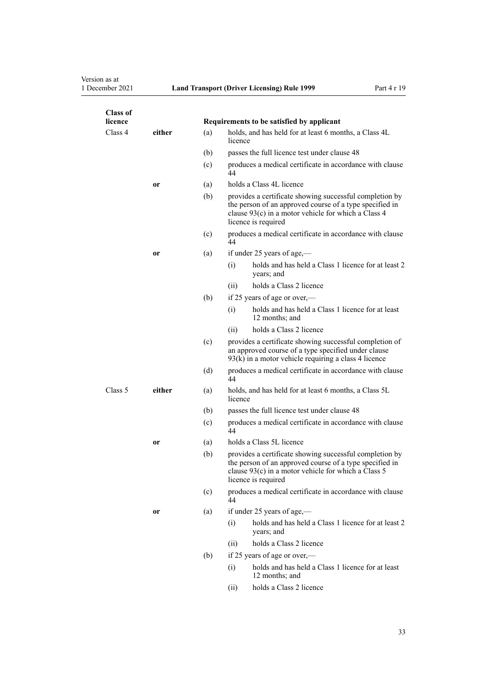# Version as at<br>1 December 2021

| <b>Class of</b><br>licence |           |     | Requirements to be satisfied by applicant                                                                                                                                                        |
|----------------------------|-----------|-----|--------------------------------------------------------------------------------------------------------------------------------------------------------------------------------------------------|
| Class 4                    | either    | (a) | holds, and has held for at least 6 months, a Class 4L<br>licence                                                                                                                                 |
|                            |           | (b) | passes the full licence test under clause 48                                                                                                                                                     |
|                            |           | (c) | produces a medical certificate in accordance with clause<br>44                                                                                                                                   |
|                            | or        | (a) | holds a Class 4L licence                                                                                                                                                                         |
|                            |           | (b) | provides a certificate showing successful completion by<br>the person of an approved course of a type specified in<br>clause 93(c) in a motor vehicle for which a Class 4<br>licence is required |
|                            |           | (c) | produces a medical certificate in accordance with clause<br>44                                                                                                                                   |
|                            | or        | (a) | if under 25 years of age,-                                                                                                                                                                       |
|                            |           |     | holds and has held a Class 1 licence for at least 2<br>(i)<br>years; and                                                                                                                         |
|                            |           |     | holds a Class 2 licence<br>(ii)                                                                                                                                                                  |
|                            |           | (b) | if 25 years of age or over,—                                                                                                                                                                     |
|                            |           |     | holds and has held a Class 1 licence for at least<br>(i)<br>12 months; and                                                                                                                       |
|                            |           |     | holds a Class 2 licence<br>(ii)                                                                                                                                                                  |
|                            |           | (c) | provides a certificate showing successful completion of<br>an approved course of a type specified under clause<br>$93(k)$ in a motor vehicle requiring a class 4 licence                         |
|                            |           | (d) | produces a medical certificate in accordance with clause<br>44                                                                                                                                   |
| Class 5                    | either    | (a) | holds, and has held for at least 6 months, a Class 5L<br>licence                                                                                                                                 |
|                            |           | (b) | passes the full licence test under clause 48                                                                                                                                                     |
|                            |           | (c) | produces a medical certificate in accordance with clause<br>44                                                                                                                                   |
|                            | <b>or</b> | (a) | holds a Class 5L licence                                                                                                                                                                         |
|                            |           | (b) | provides a certificate showing successful completion by<br>the person of an approved course of a type specified in<br>clause 93(c) in a motor vehicle for which a Class 5<br>licence is required |
|                            |           | (c) | produces a medical certificate in accordance with clause<br>44                                                                                                                                   |
|                            | or        | (a) | if under 25 years of age,—                                                                                                                                                                       |
|                            |           |     | holds and has held a Class 1 licence for at least 2<br>(i)<br>years; and                                                                                                                         |
|                            |           |     | holds a Class 2 licence<br>(ii)                                                                                                                                                                  |
|                            |           | (b) | if 25 years of age or over,—                                                                                                                                                                     |
|                            |           |     | holds and has held a Class 1 licence for at least<br>(i)<br>12 months; and                                                                                                                       |
|                            |           |     | holds a Class 2 licence<br>(ii)                                                                                                                                                                  |
|                            |           |     |                                                                                                                                                                                                  |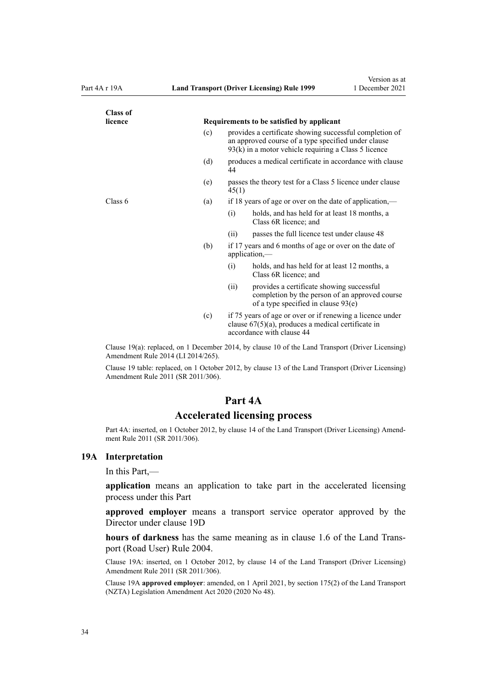<span id="page-33-0"></span>

| <b>Class of</b> |     |                                                                                                                                                                          |
|-----------------|-----|--------------------------------------------------------------------------------------------------------------------------------------------------------------------------|
| licence         |     | Requirements to be satisfied by applicant                                                                                                                                |
|                 | (c) | provides a certificate showing successful completion of<br>an approved course of a type specified under clause<br>$93(k)$ in a motor vehicle requiring a Class 5 licence |
|                 | (d) | produces a medical certificate in accordance with clause<br>44                                                                                                           |
|                 | (e) | passes the theory test for a Class 5 licence under clause<br>45(1)                                                                                                       |
| Class 6         | (a) | if 18 years of age or over on the date of application,—                                                                                                                  |
|                 |     | (i)<br>holds, and has held for at least 18 months, a<br>Class 6R licence; and                                                                                            |
|                 |     | passes the full licence test under clause 48<br>(ii)                                                                                                                     |
|                 | (b) | if 17 years and 6 months of age or over on the date of<br>application, $-$                                                                                               |
|                 |     | (i)<br>holds, and has held for at least 12 months, a<br>Class 6R licence; and                                                                                            |
|                 |     | provides a certificate showing successful<br>(ii)<br>completion by the person of an approved course<br>of a type specified in clause 93(e)                               |
|                 | (c) | if 75 years of age or over or if renewing a licence under<br>clause $67(5)(a)$ , produces a medical certificate in<br>accordance with clause 44                          |

Clause 19(a): replaced, on 1 December 2014, by [clause 10](http://legislation.govt.nz/pdflink.aspx?id=DLM6216923) of the Land Transport (Driver Licensing) Amendment Rule 2014 (LI 2014/265).

Clause 19 table: replaced, on 1 October 2012, by [clause 13](http://legislation.govt.nz/pdflink.aspx?id=DLM3956509) of the Land Transport (Driver Licensing) Amendment Rule 2011 (SR 2011/306).

#### **Part 4A**

#### **Accelerated licensing process**

Part 4A: inserted, on 1 October 2012, by [clause 14](http://legislation.govt.nz/pdflink.aspx?id=DLM3956511) of the Land Transport (Driver Licensing) Amendment Rule 2011 (SR 2011/306).

#### **19A Interpretation**

In this Part,—

**application** means an application to take part in the accelerated licensing process under this Part

**approved employer** means a transport service operator approved by the Director under [clause 19D](#page-35-0)

**hours of darkness** has the same meaning as in [clause 1.6](http://legislation.govt.nz/pdflink.aspx?id=DLM302197) of the Land Trans‐ port (Road User) Rule 2004.

Clause 19A: inserted, on 1 October 2012, by [clause 14](http://legislation.govt.nz/pdflink.aspx?id=DLM3956511) of the Land Transport (Driver Licensing) Amendment Rule 2011 (SR 2011/306).

Clause 19A **approved employer**: amended, on 1 April 2021, by [section 175\(2\)](http://legislation.govt.nz/pdflink.aspx?id=LMS286883) of the Land Transport (NZTA) Legislation Amendment Act 2020 (2020 No 48).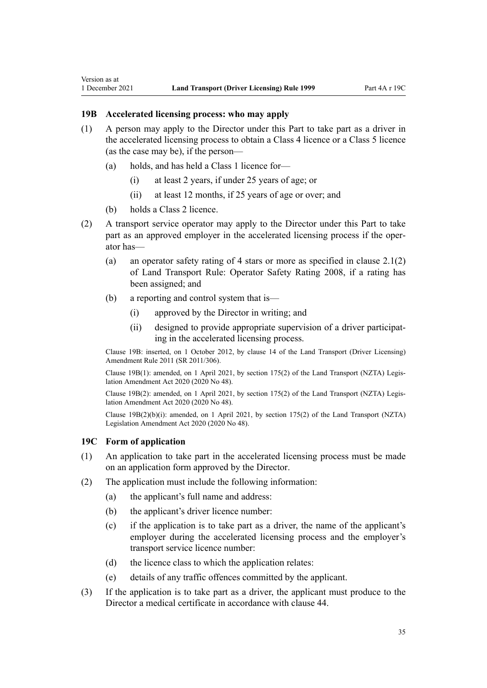- (1) A person may apply to the Director under this Part to take part as a driver in the accelerated licensing process to obtain a Class 4 licence or a Class 5 licence (as the case may be), if the person—
	- (a) holds, and has held a Class 1 licence for—
		- (i) at least 2 years, if under 25 years of age; or
		- (ii) at least 12 months, if 25 years of age or over; and
	- (b) holds a Class 2 licence.

<span id="page-34-0"></span>Version as at

- (2) A transport service operator may apply to the Director under this Part to take part as an approved employer in the accelerated licensing process if the operator has—
	- (a) an operator safety rating of 4 stars or more as specified in clause 2.1(2) of Land Transport Rule: Operator Safety Rating 2008, if a rating has been assigned; and
	- (b) a reporting and control system that is—
		- (i) approved by the Director in writing; and
		- (ii) designed to provide appropriate supervision of a driver participat‐ ing in the accelerated licensing process.

Clause 19B: inserted, on 1 October 2012, by [clause 14](http://legislation.govt.nz/pdflink.aspx?id=DLM3956511) of the Land Transport (Driver Licensing) Amendment Rule 2011 (SR 2011/306).

Clause 19B(1): amended, on 1 April 2021, by [section 175\(2\)](http://legislation.govt.nz/pdflink.aspx?id=LMS286883) of the Land Transport (NZTA) Legis‐ lation Amendment Act 2020 (2020 No 48).

Clause 19B(2): amended, on 1 April 2021, by [section 175\(2\)](http://legislation.govt.nz/pdflink.aspx?id=LMS286883) of the Land Transport (NZTA) Legis‐ lation Amendment Act 2020 (2020 No 48).

Clause 19B(2)(b)(i): amended, on 1 April 2021, by [section 175\(2\)](http://legislation.govt.nz/pdflink.aspx?id=LMS286883) of the Land Transport (NZTA) Legislation Amendment Act 2020 (2020 No 48).

#### **19C Form of application**

- (1) An application to take part in the accelerated licensing process must be made on an application form approved by the Director.
- (2) The application must include the following information:
	- (a) the applicant's full name and address:
	- (b) the applicant's driver licence number:
	- (c) if the application is to take part as a driver, the name of the applicant's employer during the accelerated licensing process and the employer's transport service licence number:
	- (d) the licence class to which the application relates:
	- (e) details of any traffic offences committed by the applicant.
- (3) If the application is to take part as a driver, the applicant must produce to the Director a medical certificate in accordance with [clause 44](#page-54-0).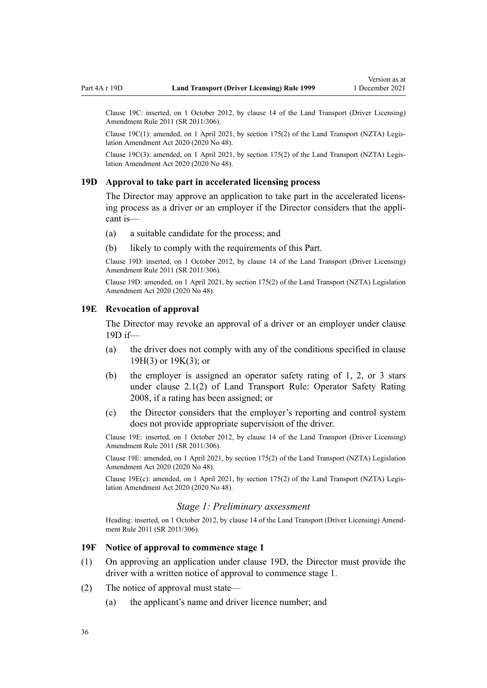<span id="page-35-0"></span>Clause 19C: inserted, on 1 October 2012, by [clause 14](http://legislation.govt.nz/pdflink.aspx?id=DLM3956511) of the Land Transport (Driver Licensing) Amendment Rule 2011 (SR 2011/306).

Clause 19C(1): amended, on 1 April 2021, by [section 175\(2\)](http://legislation.govt.nz/pdflink.aspx?id=LMS286883) of the Land Transport (NZTA) Legis‐ lation Amendment Act 2020 (2020 No 48).

Clause 19C(3): amended, on 1 April 2021, by [section 175\(2\)](http://legislation.govt.nz/pdflink.aspx?id=LMS286883) of the Land Transport (NZTA) Legis‐ lation Amendment Act 2020 (2020 No 48).

#### **19D Approval to take part in accelerated licensing process**

The Director may approve an application to take part in the accelerated licensing process as a driver or an employer if the Director considers that the appli‐ cant is—

- (a) a suitable candidate for the process; and
- (b) likely to comply with the requirements of this Part.

Clause 19D: inserted, on 1 October 2012, by [clause 14](http://legislation.govt.nz/pdflink.aspx?id=DLM3956511) of the Land Transport (Driver Licensing) Amendment Rule 2011 (SR 2011/306).

Clause 19D: amended, on 1 April 2021, by [section 175\(2\)](http://legislation.govt.nz/pdflink.aspx?id=LMS286883) of the Land Transport (NZTA) Legislation Amendment Act 2020 (2020 No 48).

#### **19E Revocation of approval**

The Director may revoke an approval of a driver or an employer under clause 19D if—

- (a) the driver does not comply with any of the conditions specified in [clause](#page-36-0) [19H\(3\)](#page-36-0) or [19K\(3\);](#page-38-0) or
- (b) the employer is assigned an operator safety rating of 1, 2, or 3 stars under clause 2.1(2) of Land Transport Rule: Operator Safety Rating 2008, if a rating has been assigned; or
- (c) the Director considers that the employer's reporting and control system does not provide appropriate supervision of the driver.

Clause 19E: inserted, on 1 October 2012, by [clause 14](http://legislation.govt.nz/pdflink.aspx?id=DLM3956511) of the Land Transport (Driver Licensing) Amendment Rule 2011 (SR 2011/306).

Clause 19E: amended, on 1 April 2021, by [section 175\(2\)](http://legislation.govt.nz/pdflink.aspx?id=LMS286883) of the Land Transport (NZTA) Legislation Amendment Act 2020 (2020 No 48).

Clause 19E(c): amended, on 1 April 2021, by [section 175\(2\)](http://legislation.govt.nz/pdflink.aspx?id=LMS286883) of the Land Transport (NZTA) Legis‐ lation Amendment Act 2020 (2020 No 48).

#### *Stage 1: Preliminary assessment*

Heading: inserted, on 1 October 2012, by [clause 14](http://legislation.govt.nz/pdflink.aspx?id=DLM3956511) of the Land Transport (Driver Licensing) Amendment Rule 2011 (SR 2011/306).

#### **19F Notice of approval to commence stage 1**

- (1) On approving an application under clause 19D, the Director must provide the driver with a written notice of approval to commence stage 1.
- (2) The notice of approval must state—
	- (a) the applicant's name and driver licence number; and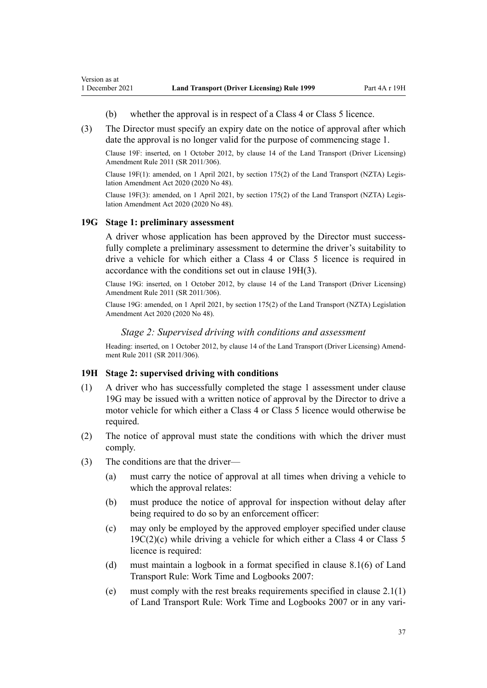- (b) whether the approval is in respect of a Class 4 or Class 5 licence.
- (3) The Director must specify an expiry date on the notice of approval after which date the approval is no longer valid for the purpose of commencing stage 1.

Clause 19F: inserted, on 1 October 2012, by [clause 14](http://legislation.govt.nz/pdflink.aspx?id=DLM3956511) of the Land Transport (Driver Licensing) Amendment Rule 2011 (SR 2011/306).

Clause 19F(1): amended, on 1 April 2021, by [section 175\(2\)](http://legislation.govt.nz/pdflink.aspx?id=LMS286883) of the Land Transport (NZTA) Legis‐ lation Amendment Act 2020 (2020 No 48).

Clause 19F(3): amended, on 1 April 2021, by [section 175\(2\)](http://legislation.govt.nz/pdflink.aspx?id=LMS286883) of the Land Transport (NZTA) Legis‐ lation Amendment Act 2020 (2020 No 48).

### **19G Stage 1: preliminary assessment**

<span id="page-36-0"></span>Version as at

A driver whose application has been approved by the Director must successfully complete a preliminary assessment to determine the driver's suitability to drive a vehicle for which either a Class 4 or Class 5 licence is required in accordance with the conditions set out in clause 19H(3).

Clause 19G: inserted, on 1 October 2012, by [clause 14](http://legislation.govt.nz/pdflink.aspx?id=DLM3956511) of the Land Transport (Driver Licensing) Amendment Rule 2011 (SR 2011/306).

Clause 19G: amended, on 1 April 2021, by [section 175\(2\)](http://legislation.govt.nz/pdflink.aspx?id=LMS286883) of the Land Transport (NZTA) Legislation Amendment Act 2020 (2020 No 48).

### *Stage 2: Supervised driving with conditions and assessment*

Heading: inserted, on 1 October 2012, by [clause 14](http://legislation.govt.nz/pdflink.aspx?id=DLM3956511) of the Land Transport (Driver Licensing) Amendment Rule 2011 (SR 2011/306).

#### **19H Stage 2: supervised driving with conditions**

- (1) A driver who has successfully completed the stage 1 assessment under clause 19G may be issued with a written notice of approval by the Director to drive a motor vehicle for which either a Class 4 or Class 5 licence would otherwise be required.
- (2) The notice of approval must state the conditions with which the driver must comply.
- (3) The conditions are that the driver—
	- (a) must carry the notice of approval at all times when driving a vehicle to which the approval relates:
	- (b) must produce the notice of approval for inspection without delay after being required to do so by an enforcement officer:
	- (c) may only be employed by the approved employer specified under [clause](#page-34-0)  $19C(2)(c)$  while driving a vehicle for which either a Class 4 or Class 5 licence is required:
	- (d) must maintain a logbook in a format specified in clause 8.1(6) of Land Transport Rule: Work Time and Logbooks 2007:
	- (e) must comply with the rest breaks requirements specified in clause 2.1(1) of Land Transport Rule: Work Time and Logbooks 2007 or in any vari‐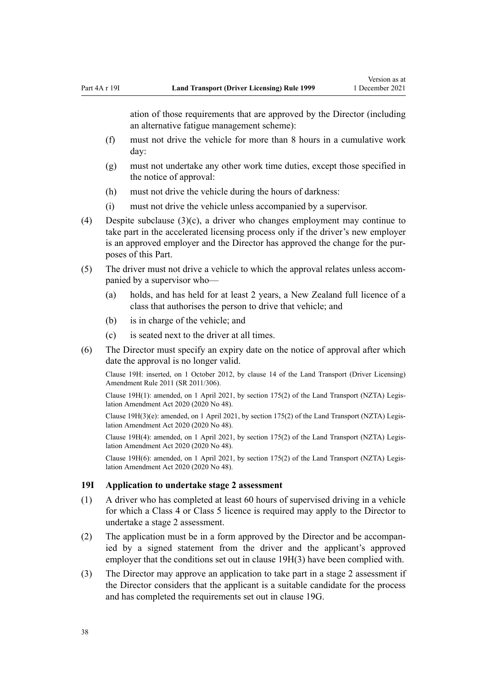<span id="page-37-0"></span>ation of those requirements that are approved by the Director (including an alternative fatigue management scheme):

- (f) must not drive the vehicle for more than 8 hours in a cumulative work day:
- (g) must not undertake any other work time duties, except those specified in the notice of approval:
- (h) must not drive the vehicle during the hours of darkness:
- (i) must not drive the vehicle unless accompanied by a supervisor.
- (4) Despite subclause (3)(c), a driver who changes employment may continue to take part in the accelerated licensing process only if the driver's new employer is an approved employer and the Director has approved the change for the pur‐ poses of this Part.
- (5) The driver must not drive a vehicle to which the approval relates unless accom‐ panied by a supervisor who—
	- (a) holds, and has held for at least 2 years, a New Zealand full licence of a class that authorises the person to drive that vehicle; and
	- (b) is in charge of the vehicle; and
	- (c) is seated next to the driver at all times.
- (6) The Director must specify an expiry date on the notice of approval after which date the approval is no longer valid.

Clause 19H: inserted, on 1 October 2012, by [clause 14](http://legislation.govt.nz/pdflink.aspx?id=DLM3956511) of the Land Transport (Driver Licensing) Amendment Rule 2011 (SR 2011/306).

Clause 19H(1): amended, on 1 April 2021, by [section 175\(2\)](http://legislation.govt.nz/pdflink.aspx?id=LMS286883) of the Land Transport (NZTA) Legis‐ lation Amendment Act 2020 (2020 No 48).

Clause 19H(3)(e): amended, on 1 April 2021, by [section 175\(2\)](http://legislation.govt.nz/pdflink.aspx?id=LMS286883) of the Land Transport (NZTA) Legis‐ lation Amendment Act 2020 (2020 No 48).

Clause 19H(4): amended, on 1 April 2021, by [section 175\(2\)](http://legislation.govt.nz/pdflink.aspx?id=LMS286883) of the Land Transport (NZTA) Legis‐ lation Amendment Act 2020 (2020 No 48).

Clause 19H(6): amended, on 1 April 2021, by [section 175\(2\)](http://legislation.govt.nz/pdflink.aspx?id=LMS286883) of the Land Transport (NZTA) Legis‐ lation Amendment Act 2020 (2020 No 48).

#### **19I Application to undertake stage 2 assessment**

- (1) A driver who has completed at least 60 hours of supervised driving in a vehicle for which a Class 4 or Class 5 licence is required may apply to the Director to undertake a stage 2 assessment.
- (2) The application must be in a form approved by the Director and be accompan‐ ied by a signed statement from the driver and the applicant's approved employer that the conditions set out in [clause 19H\(3\)](#page-36-0) have been complied with.
- (3) The Director may approve an application to take part in a stage 2 assessment if the Director considers that the applicant is a suitable candidate for the process and has completed the requirements set out in [clause 19G.](#page-36-0)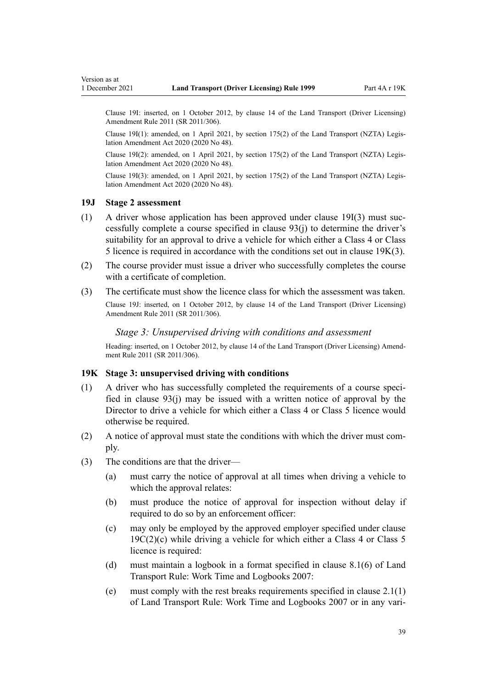<span id="page-38-0"></span>Version as at

Clause 19I: inserted, on 1 October 2012, by [clause 14](http://legislation.govt.nz/pdflink.aspx?id=DLM3956511) of the Land Transport (Driver Licensing) Amendment Rule 2011 (SR 2011/306).

Clause 19I(1): amended, on 1 April 2021, by [section 175\(2\)](http://legislation.govt.nz/pdflink.aspx?id=LMS286883) of the Land Transport (NZTA) Legis‐ lation Amendment Act 2020 (2020 No 48).

Clause 19I(2): amended, on 1 April 2021, by [section 175\(2\)](http://legislation.govt.nz/pdflink.aspx?id=LMS286883) of the Land Transport (NZTA) Legis‐ lation Amendment Act 2020 (2020 No 48).

Clause 19I(3): amended, on 1 April 2021, by [section 175\(2\)](http://legislation.govt.nz/pdflink.aspx?id=LMS286883) of the Land Transport (NZTA) Legis‐ lation Amendment Act 2020 (2020 No 48).

### **19J Stage 2 assessment**

- $(1)$  A driver whose application has been approved under [clause 19I\(3\)](#page-37-0) must successfully complete a course specified in [clause 93\(j\)](#page-96-0) to determine the driver's suitability for an approval to drive a vehicle for which either a Class 4 or Class 5 licence is required in accordance with the conditions set out in clause 19K(3).
- (2) The course provider must issue a driver who successfully completes the course with a certificate of completion.
- (3) The certificate must show the licence class for which the assessment was taken.

Clause 19J: inserted, on 1 October 2012, by [clause 14](http://legislation.govt.nz/pdflink.aspx?id=DLM3956511) of the Land Transport (Driver Licensing) Amendment Rule 2011 (SR 2011/306).

### *Stage 3: Unsupervised driving with conditions and assessment*

Heading: inserted, on 1 October 2012, by [clause 14](http://legislation.govt.nz/pdflink.aspx?id=DLM3956511) of the Land Transport (Driver Licensing) Amendment Rule 2011 (SR 2011/306).

### **19K Stage 3: unsupervised driving with conditions**

- $(1)$  A driver who has successfully completed the requirements of a course specified in [clause 93\(j\)](#page-96-0) may be issued with a written notice of approval by the Director to drive a vehicle for which either a Class 4 or Class 5 licence would otherwise be required.
- (2) A notice of approval must state the conditions with which the driver must com‐ ply.
- (3) The conditions are that the driver—
	- (a) must carry the notice of approval at all times when driving a vehicle to which the approval relates:
	- (b) must produce the notice of approval for inspection without delay if required to do so by an enforcement officer:
	- (c) may only be employed by the approved employer specified under [clause](#page-34-0)  $19C(2)(c)$  while driving a vehicle for which either a Class 4 or Class 5 licence is required:
	- (d) must maintain a logbook in a format specified in clause 8.1(6) of Land Transport Rule: Work Time and Logbooks 2007:
	- (e) must comply with the rest breaks requirements specified in clause 2.1(1) of Land Transport Rule: Work Time and Logbooks 2007 or in any vari‐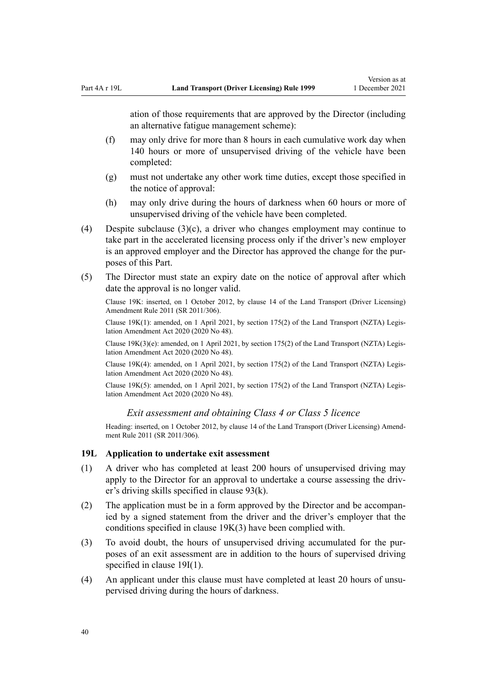ation of those requirements that are approved by the Director (including an alternative fatigue management scheme):

- (f) may only drive for more than 8 hours in each cumulative work day when 140 hours or more of unsupervised driving of the vehicle have been completed:
- (g) must not undertake any other work time duties, except those specified in the notice of approval:
- (h) may only drive during the hours of darkness when 60 hours or more of unsupervised driving of the vehicle have been completed.
- (4) Despite subclause  $(3)(c)$ , a driver who changes employment may continue to take part in the accelerated licensing process only if the driver's new employer is an approved employer and the Director has approved the change for the purposes of this Part.
- (5) The Director must state an expiry date on the notice of approval after which date the approval is no longer valid.

Clause 19K: inserted, on 1 October 2012, by [clause 14](http://legislation.govt.nz/pdflink.aspx?id=DLM3956511) of the Land Transport (Driver Licensing) Amendment Rule 2011 (SR 2011/306).

Clause 19K(1): amended, on 1 April 2021, by [section 175\(2\)](http://legislation.govt.nz/pdflink.aspx?id=LMS286883) of the Land Transport (NZTA) Legis‐ lation Amendment Act 2020 (2020 No 48).

Clause 19K(3)(e): amended, on 1 April 2021, by [section 175\(2\)](http://legislation.govt.nz/pdflink.aspx?id=LMS286883) of the Land Transport (NZTA) Legis‐ lation Amendment Act 2020 (2020 No 48).

Clause 19K(4): amended, on 1 April 2021, by [section 175\(2\)](http://legislation.govt.nz/pdflink.aspx?id=LMS286883) of the Land Transport (NZTA) Legis‐ lation Amendment Act 2020 (2020 No 48).

Clause 19K(5): amended, on 1 April 2021, by [section 175\(2\)](http://legislation.govt.nz/pdflink.aspx?id=LMS286883) of the Land Transport (NZTA) Legis‐ lation Amendment Act 2020 (2020 No 48).

*Exit assessment and obtaining Class 4 or Class 5 licence*

Heading: inserted, on 1 October 2012, by [clause 14](http://legislation.govt.nz/pdflink.aspx?id=DLM3956511) of the Land Transport (Driver Licensing) Amendment Rule 2011 (SR 2011/306).

### **19L Application to undertake exit assessment**

- (1) A driver who has completed at least 200 hours of unsupervised driving may apply to the Director for an approval to undertake a course assessing the driver's driving skills specified in [clause 93\(k\)](#page-96-0).
- (2) The application must be in a form approved by the Director and be accompan‐ ied by a signed statement from the driver and the driver's employer that the conditions specified in [clause 19K\(3\)](#page-38-0) have been complied with.
- (3) To avoid doubt, the hours of unsupervised driving accumulated for the pur‐ poses of an exit assessment are in addition to the hours of supervised driving specified in [clause 19I\(1\).](#page-37-0)
- (4) An applicant under this clause must have completed at least 20 hours of unsupervised driving during the hours of darkness.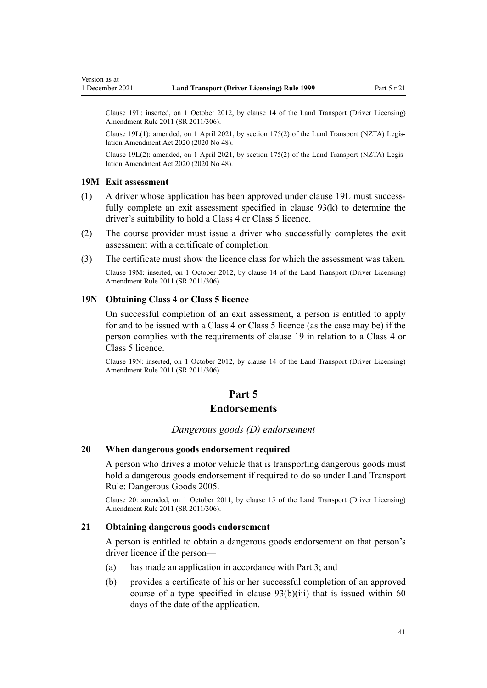Clause 19L: inserted, on 1 October 2012, by [clause 14](http://legislation.govt.nz/pdflink.aspx?id=DLM3956511) of the Land Transport (Driver Licensing) Amendment Rule 2011 (SR 2011/306).

Clause 19L(1): amended, on 1 April 2021, by [section 175\(2\)](http://legislation.govt.nz/pdflink.aspx?id=LMS286883) of the Land Transport (NZTA) Legis‐ lation Amendment Act 2020 (2020 No 48).

Clause 19L(2): amended, on 1 April 2021, by [section 175\(2\)](http://legislation.govt.nz/pdflink.aspx?id=LMS286883) of the Land Transport (NZTA) Legis‐ lation Amendment Act 2020 (2020 No 48).

### **19M Exit assessment**

- (1) A driver whose application has been approved under clause 19L must success‐ fully complete an exit assessment specified in [clause 93\(k\)](#page-96-0) to determine the driver's suitability to hold a Class 4 or Class 5 licence.
- (2) The course provider must issue a driver who successfully completes the exit assessment with a certificate of completion.
- (3) The certificate must show the licence class for which the assessment was taken.

Clause 19M: inserted, on 1 October 2012, by [clause 14](http://legislation.govt.nz/pdflink.aspx?id=DLM3956511) of the Land Transport (Driver Licensing) Amendment Rule 2011 (SR 2011/306).

# **19N Obtaining Class 4 or Class 5 licence**

On successful completion of an exit assessment, a person is entitled to apply for and to be issued with a Class 4 or Class 5 licence (as the case may be) if the person complies with the requirements of [clause 19](#page-30-0) in relation to a Class 4 or Class 5 licence.

Clause 19N: inserted, on 1 October 2012, by [clause 14](http://legislation.govt.nz/pdflink.aspx?id=DLM3956511) of the Land Transport (Driver Licensing) Amendment Rule 2011 (SR 2011/306).

# **Part 5**

# **Endorsements**

### *Dangerous goods (D) endorsement*

### **20 When dangerous goods endorsement required**

A person who drives a motor vehicle that is transporting dangerous goods must hold a dangerous goods endorsement if required to do so under Land Transport Rule: Dangerous Goods 2005.

Clause 20: amended, on 1 October 2011, by [clause 15](http://legislation.govt.nz/pdflink.aspx?id=DLM3956721) of the Land Transport (Driver Licensing) Amendment Rule 2011 (SR 2011/306).

# **21 Obtaining dangerous goods endorsement**

A person is entitled to obtain a dangerous goods endorsement on that person's driver licence if the person—

- (a) has made an application in accordance with [Part 3;](#page-21-0) and
- (b) provides a certificate of his or her successful completion of an approved course of a type specified in clause  $93(b)(iii)$  that is issued within 60 days of the date of the application.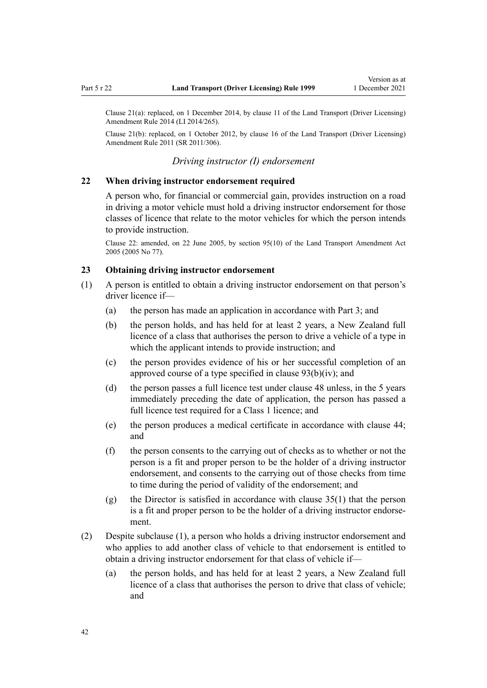Clause 21(a): replaced, on 1 December 2014, by [clause 11](http://legislation.govt.nz/pdflink.aspx?id=DLM6216924) of the Land Transport (Driver Licensing) Amendment Rule 2014 (LI 2014/265).

Clause 21(b): replaced, on 1 October 2012, by [clause 16](http://legislation.govt.nz/pdflink.aspx?id=DLM3956513) of the Land Transport (Driver Licensing) Amendment Rule 2011 (SR 2011/306).

# *Driving instructor (I) endorsement*

### **22 When driving instructor endorsement required**

A person who, for financial or commercial gain, provides instruction on a road in driving a motor vehicle must hold a driving instructor endorsement for those classes of licence that relate to the motor vehicles for which the person intends to provide instruction.

Clause 22: amended, on 22 June 2005, by [section 95\(10\)](http://legislation.govt.nz/pdflink.aspx?id=DLM353501) of the Land Transport Amendment Act 2005 (2005 No 77).

### **23 Obtaining driving instructor endorsement**

- (1) A person is entitled to obtain a driving instructor endorsement on that person's driver licence if—
	- (a) the person has made an application in accordance with [Part 3](#page-21-0); and
	- (b) the person holds, and has held for at least 2 years, a New Zealand full licence of a class that authorises the person to drive a vehicle of a type in which the applicant intends to provide instruction; and
	- (c) the person provides evidence of his or her successful completion of an approved course of a type specified in [clause 93\(b\)\(iv\)](#page-96-0); and
	- (d) the person passes a full licence test under [clause 48](#page-57-0) unless, in the 5 years immediately preceding the date of application, the person has passed a full licence test required for a Class 1 licence; and
	- (e) the person produces a medical certificate in accordance with [clause 44;](#page-54-0) and
	- (f) the person consents to the carrying out of checks as to whether or not the person is a fit and proper person to be the holder of a driving instructor endorsement, and consents to the carrying out of those checks from time to time during the period of validity of the endorsement; and
	- (g) the Director is satisfied in accordance with [clause 35\(1\)](#page-48-0) that the person is a fit and proper person to be the holder of a driving instructor endorse‐ ment.
- (2) Despite subclause (1), a person who holds a driving instructor endorsement and who applies to add another class of vehicle to that endorsement is entitled to obtain a driving instructor endorsement for that class of vehicle if—
	- (a) the person holds, and has held for at least 2 years, a New Zealand full licence of a class that authorises the person to drive that class of vehicle; and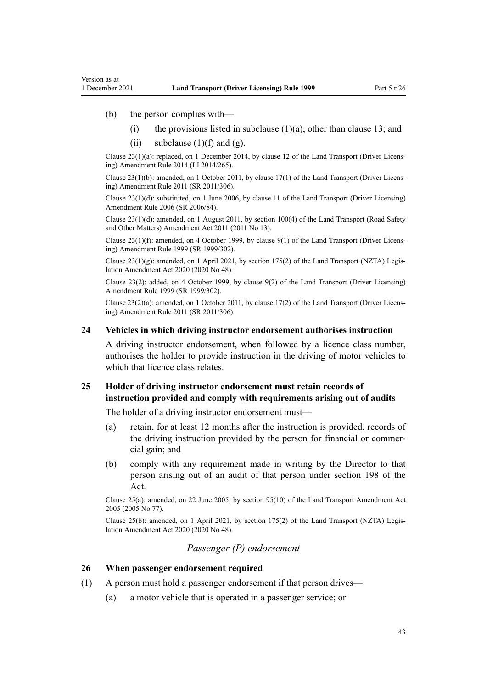(b) the person complies with—

Version as at

- (i) the provisions listed in subclause  $(1)(a)$ , other than [clause 13](#page-25-0); and
- (ii) subclause  $(1)(f)$  and  $(g)$ .

Clause 23(1)(a): replaced, on 1 December 2014, by [clause 12](http://legislation.govt.nz/pdflink.aspx?id=DLM6216925) of the Land Transport (Driver Licens‐ ing) Amendment Rule 2014 (LI 2014/265).

Clause 23(1)(b): amended, on 1 October 2011, by [clause 17\(1\)](http://legislation.govt.nz/pdflink.aspx?id=DLM3956722) of the Land Transport (Driver Licens‐ ing) Amendment Rule 2011 (SR 2011/306).

Clause 23(1)(d): substituted, on 1 June 2006, by [clause 11](http://legislation.govt.nz/pdflink.aspx?id=DLM375696) of the Land Transport (Driver Licensing) Amendment Rule 2006 (SR 2006/84).

Clause 23(1)(d): amended, on 1 August 2011, by [section 100\(4\)](http://legislation.govt.nz/pdflink.aspx?id=DLM3231293) of the Land Transport (Road Safety and Other Matters) Amendment Act 2011 (2011 No 13).

Clause 23(1)(f): amended, on 4 October 1999, by [clause 9\(1\)](http://legislation.govt.nz/pdflink.aspx?id=DLM293677) of the Land Transport (Driver Licens‐ ing) Amendment Rule 1999 (SR 1999/302).

Clause  $23(1)(g)$ : amended, on 1 April 2021, by [section 175\(2\)](http://legislation.govt.nz/pdflink.aspx?id=LMS286883) of the Land Transport (NZTA) Legislation Amendment Act 2020 (2020 No 48).

Clause 23(2): added, on 4 October 1999, by [clause 9\(2\)](http://legislation.govt.nz/pdflink.aspx?id=DLM293677) of the Land Transport (Driver Licensing) Amendment Rule 1999 (SR 1999/302).

Clause 23(2)(a): amended, on 1 October 2011, by [clause 17\(2\)](http://legislation.govt.nz/pdflink.aspx?id=DLM3956722) of the Land Transport (Driver Licens‐ ing) Amendment Rule 2011 (SR 2011/306).

#### **24 Vehicles in which driving instructor endorsement authorises instruction**

A driving instructor endorsement, when followed by a licence class number, authorises the holder to provide instruction in the driving of motor vehicles to which that licence class relates.

## **25 Holder of driving instructor endorsement must retain records of instruction provided and comply with requirements arising out of audits**

The holder of a driving instructor endorsement must—

- (a) retain, for at least 12 months after the instruction is provided, records of the driving instruction provided by the person for financial or commer‐ cial gain; and
- (b) comply with any requirement made in writing by the Director to that person arising out of an audit of that person under [section 198](http://legislation.govt.nz/pdflink.aspx?id=DLM435602) of the Act.

Clause 25(a): amended, on 22 June 2005, by [section 95\(10\)](http://legislation.govt.nz/pdflink.aspx?id=DLM353501) of the Land Transport Amendment Act 2005 (2005 No 77).

Clause 25(b): amended, on 1 April 2021, by [section 175\(2\)](http://legislation.govt.nz/pdflink.aspx?id=LMS286883) of the Land Transport (NZTA) Legis‐ lation Amendment Act 2020 (2020 No 48).

## *Passenger (P) endorsement*

### **26 When passenger endorsement required**

- (1) A person must hold a passenger endorsement if that person drives—
	- (a) a motor vehicle that is operated in a passenger service; or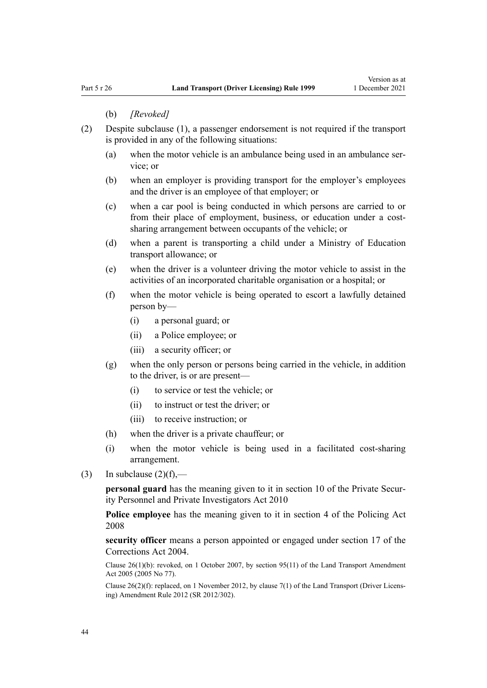#### (b) *[Revoked]*

- (2) Despite subclause (1), a passenger endorsement is not required if the transport is provided in any of the following situations:
	- (a) when the motor vehicle is an ambulance being used in an ambulance ser‐ vice; or
	- (b) when an employer is providing transport for the employer's employees and the driver is an employee of that employer; or
	- (c) when a car pool is being conducted in which persons are carried to or from their place of employment, business, or education under a costsharing arrangement between occupants of the vehicle; or
	- (d) when a parent is transporting a child under a Ministry of Education transport allowance; or
	- (e) when the driver is a volunteer driving the motor vehicle to assist in the activities of an incorporated charitable organisation or a hospital; or
	- (f) when the motor vehicle is being operated to escort a lawfully detained person by—
		- (i) a personal guard; or
		- (ii) a Police employee; or
		- (iii) a security officer; or
	- (g) when the only person or persons being carried in the vehicle, in addition to the driver, is or are present—
		- (i) to service or test the vehicle; or
		- (ii) to instruct or test the driver; or
		- (iii) to receive instruction; or
	- (h) when the driver is a private chauffeur; or
	- (i) when the motor vehicle is being used in a facilitated cost-sharing arrangement.
- (3) In subclause  $(2)(f)$ ,—

**personal guard** has the meaning given to it in [section 10](http://legislation.govt.nz/pdflink.aspx?id=DLM1594507) of the Private Security Personnel and Private Investigators Act 2010

**Police employee** has the meaning given to it in [section 4](http://legislation.govt.nz/pdflink.aspx?id=DLM1102132) of the Policing Act 2008

**security officer** means a person appointed or engaged under [section 17](http://legislation.govt.nz/pdflink.aspx?id=DLM295415) of the Corrections Act 2004.

Clause 26(1)(b): revoked, on 1 October 2007, by [section 95\(11\)](http://legislation.govt.nz/pdflink.aspx?id=DLM353501) of the Land Transport Amendment Act 2005 (2005 No 77).

Clause 26(2)(f): replaced, on 1 November 2012, by [clause 7\(1\)](http://legislation.govt.nz/pdflink.aspx?id=DLM4773437) of the Land Transport (Driver Licens‐ ing) Amendment Rule 2012 (SR 2012/302).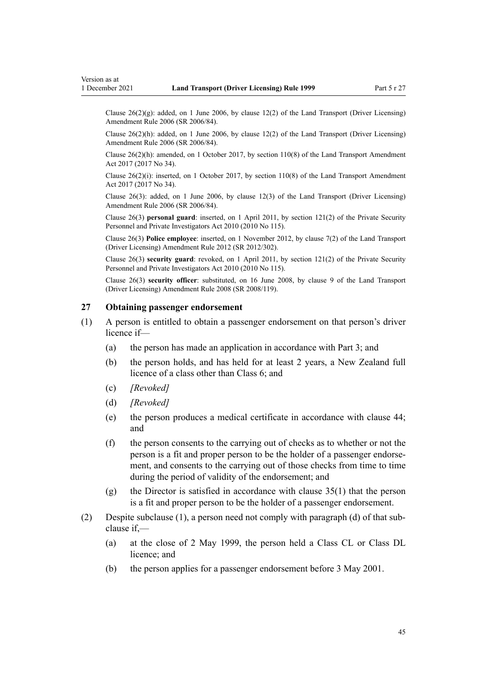Clause  $26(2)(g)$ : added, on 1 June 2006, by [clause 12\(2\)](http://legislation.govt.nz/pdflink.aspx?id=DLM375697) of the Land Transport (Driver Licensing) Amendment Rule 2006 (SR 2006/84).

Clause 26(2)(h): added, on 1 June 2006, by [clause 12\(2\)](http://legislation.govt.nz/pdflink.aspx?id=DLM375697) of the Land Transport (Driver Licensing) Amendment Rule 2006 (SR 2006/84).

Clause 26(2)(h): amended, on 1 October 2017, by [section 110\(8\)](http://legislation.govt.nz/pdflink.aspx?id=DLM6960929) of the Land Transport Amendment Act 2017 (2017 No 34).

Clause  $26(2)(i)$ : inserted, on 1 October 2017, by [section 110\(8\)](http://legislation.govt.nz/pdflink.aspx?id=DLM6960929) of the Land Transport Amendment Act 2017 (2017 No 34).

Clause 26(3): added, on 1 June 2006, by [clause 12\(3\)](http://legislation.govt.nz/pdflink.aspx?id=DLM375697) of the Land Transport (Driver Licensing) Amendment Rule 2006 (SR 2006/84).

Clause 26(3) **personal guard**: inserted, on 1 April 2011, by [section 121\(2\)](http://legislation.govt.nz/pdflink.aspx?id=DLM1594656) of the Private Security Personnel and Private Investigators Act 2010 (2010 No 115).

Clause 26(3) **Police employee**: inserted, on 1 November 2012, by [clause 7\(2\)](http://legislation.govt.nz/pdflink.aspx?id=DLM4773437) of the Land Transport (Driver Licensing) Amendment Rule 2012 (SR 2012/302).

Clause 26(3) **security guard**: revoked, on 1 April 2011, by [section 121\(2\)](http://legislation.govt.nz/pdflink.aspx?id=DLM1594656) of the Private Security Personnel and Private Investigators Act 2010 (2010 No 115).

Clause 26(3) **security officer**: substituted, on 16 June 2008, by [clause 9](http://legislation.govt.nz/pdflink.aspx?id=DLM1317912) of the Land Transport (Driver Licensing) Amendment Rule 2008 (SR 2008/119).

# **27 Obtaining passenger endorsement**

- (1) A person is entitled to obtain a passenger endorsement on that person's driver licence if—
	- (a) the person has made an application in accordance with [Part 3](#page-21-0); and
	- (b) the person holds, and has held for at least 2 years, a New Zealand full licence of a class other than Class 6; and
	- (c) *[Revoked]*
	- (d) *[Revoked]*
	- (e) the person produces a medical certificate in accordance with [clause 44;](#page-54-0) and
	- (f) the person consents to the carrying out of checks as to whether or not the person is a fit and proper person to be the holder of a passenger endorse‐ ment, and consents to the carrying out of those checks from time to time during the period of validity of the endorsement; and
	- (g) the Director is satisfied in accordance with [clause 35\(1\)](#page-48-0) that the person is a fit and proper person to be the holder of a passenger endorsement.
- (2) Despite subclause (1), a person need not comply with paragraph (d) of that sub‐ clause if,—
	- (a) at the close of 2 May 1999, the person held a Class CL or Class DL licence; and
	- (b) the person applies for a passenger endorsement before 3 May 2001.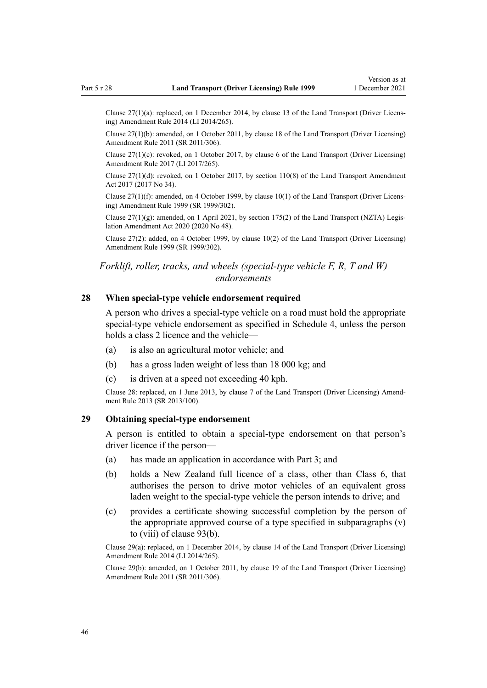Clause 27(1)(a): replaced, on 1 December 2014, by [clause 13](http://legislation.govt.nz/pdflink.aspx?id=DLM6216926) of the Land Transport (Driver Licens‐ ing) Amendment Rule 2014 (LI 2014/265).

Clause 27(1)(b): amended, on 1 October 2011, by [clause 18](http://legislation.govt.nz/pdflink.aspx?id=DLM3956723) of the Land Transport (Driver Licensing) Amendment Rule 2011 (SR 2011/306).

Clause 27(1)(c): revoked, on 1 October 2017, by [clause 6](http://legislation.govt.nz/pdflink.aspx?id=DLM7420930) of the Land Transport (Driver Licensing) Amendment Rule 2017 (LI 2017/265).

Clause  $27(1)(d)$ : revoked, on 1 October 2017, by section  $110(8)$  of the Land Transport Amendment Act 2017 (2017 No 34).

Clause 27(1)(f): amended, on 4 October 1999, by [clause 10\(1\)](http://legislation.govt.nz/pdflink.aspx?id=DLM293678) of the Land Transport (Driver Licens‐ ing) Amendment Rule 1999 (SR 1999/302).

Clause 27(1)(g): amended, on 1 April 2021, by [section 175\(2\)](http://legislation.govt.nz/pdflink.aspx?id=LMS286883) of the Land Transport (NZTA) Legis‐ lation Amendment Act 2020 (2020 No 48).

Clause 27(2): added, on 4 October 1999, by [clause 10\(2\)](http://legislation.govt.nz/pdflink.aspx?id=DLM293678) of the Land Transport (Driver Licensing) Amendment Rule 1999 (SR 1999/302).

# *Forklift, roller, tracks, and wheels (special-type vehicle F, R, T and W) endorsements*

### **28 When special-type vehicle endorsement required**

A person who drives a special-type vehicle on a road must hold the appropriate special-type vehicle endorsement as specified in [Schedule 4](#page-117-0), unless the person holds a class 2 licence and the vehicle—

- (a) is also an agricultural motor vehicle; and
- (b) has a gross laden weight of less than 18 000 kg; and
- (c) is driven at a speed not exceeding 40 kph.

Clause 28: replaced, on 1 June 2013, by [clause 7](http://legislation.govt.nz/pdflink.aspx?id=DLM5102242) of the Land Transport (Driver Licensing) Amend‐ ment Rule 2013 (SR 2013/100).

# **29 Obtaining special-type endorsement**

A person is entitled to obtain a special-type endorsement on that person's driver licence if the person—

- (a) has made an application in accordance with [Part 3;](#page-21-0) and
- (b) holds a New Zealand full licence of a class, other than Class 6, that authorises the person to drive motor vehicles of an equivalent gross laden weight to the special-type vehicle the person intends to drive; and
- (c) provides a certificate showing successful completion by the person of the appropriate approved course of a type specified in subparagraphs (v) to (viii) of [clause 93\(b\).](#page-96-0)

Clause 29(a): replaced, on 1 December 2014, by [clause 14](http://legislation.govt.nz/pdflink.aspx?id=DLM6216927) of the Land Transport (Driver Licensing) Amendment Rule 2014 (LI 2014/265).

Clause 29(b): amended, on 1 October 2011, by [clause 19](http://legislation.govt.nz/pdflink.aspx?id=DLM3956724) of the Land Transport (Driver Licensing) Amendment Rule 2011 (SR 2011/306).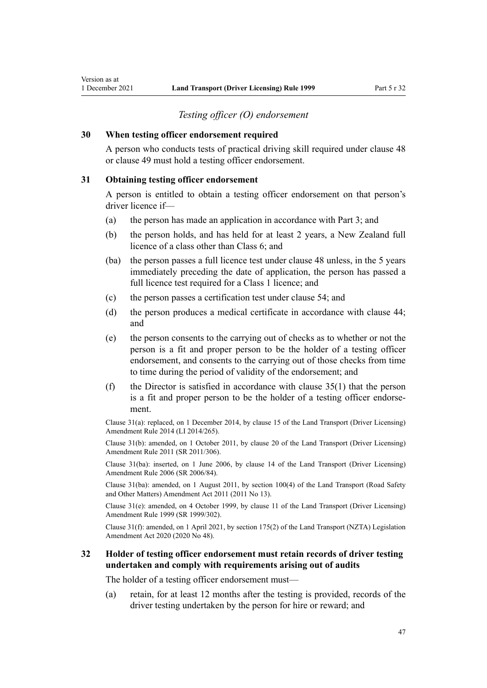# *Testing officer (O) endorsement*

## **30 When testing officer endorsement required**

A person who conducts tests of practical driving skill required under [clause 48](#page-57-0) or [clause 49](#page-57-0) must hold a testing officer endorsement.

# **31 Obtaining testing officer endorsement**

A person is entitled to obtain a testing officer endorsement on that person's driver licence if—

- (a) the person has made an application in accordance with [Part 3](#page-21-0); and
- (b) the person holds, and has held for at least 2 years, a New Zealand full licence of a class other than Class 6; and
- (ba) the person passes a full licence test under [clause 48](#page-57-0) unless, in the 5 years immediately preceding the date of application, the person has passed a full licence test required for a Class 1 licence; and
- (c) the person passes a certification test under [clause 54](#page-60-0); and
- (d) the person produces a medical certificate in accordance with [clause 44;](#page-54-0) and
- (e) the person consents to the carrying out of checks as to whether or not the person is a fit and proper person to be the holder of a testing officer endorsement, and consents to the carrying out of those checks from time to time during the period of validity of the endorsement; and
- (f) the Director is satisfied in accordance with clause  $35(1)$  that the person is a fit and proper person to be the holder of a testing officer endorse‐ ment.

Clause 31(a): replaced, on 1 December 2014, by [clause 15](http://legislation.govt.nz/pdflink.aspx?id=DLM6216928) of the Land Transport (Driver Licensing) Amendment Rule 2014 (LI 2014/265).

Clause 31(b): amended, on 1 October 2011, by [clause 20](http://legislation.govt.nz/pdflink.aspx?id=DLM3956725) of the Land Transport (Driver Licensing) Amendment Rule 2011 (SR 2011/306).

Clause 31(ba): inserted, on 1 June 2006, by [clause 14](http://legislation.govt.nz/pdflink.aspx?id=DLM376103) of the Land Transport (Driver Licensing) Amendment Rule 2006 (SR 2006/84).

Clause 31(ba): amended, on 1 August 2011, by [section 100\(4\)](http://legislation.govt.nz/pdflink.aspx?id=DLM3231293) of the Land Transport (Road Safety and Other Matters) Amendment Act 2011 (2011 No 13).

Clause 31(e): amended, on 4 October 1999, by [clause 11](http://legislation.govt.nz/pdflink.aspx?id=DLM293679) of the Land Transport (Driver Licensing) Amendment Rule 1999 (SR 1999/302).

Clause 31(f): amended, on 1 April 2021, by [section 175\(2\)](http://legislation.govt.nz/pdflink.aspx?id=LMS286883) of the Land Transport (NZTA) Legislation Amendment Act 2020 (2020 No 48).

# **32 Holder of testing officer endorsement must retain records of driver testing undertaken and comply with requirements arising out of audits**

The holder of a testing officer endorsement must—

(a) retain, for at least 12 months after the testing is provided, records of the driver testing undertaken by the person for hire or reward; and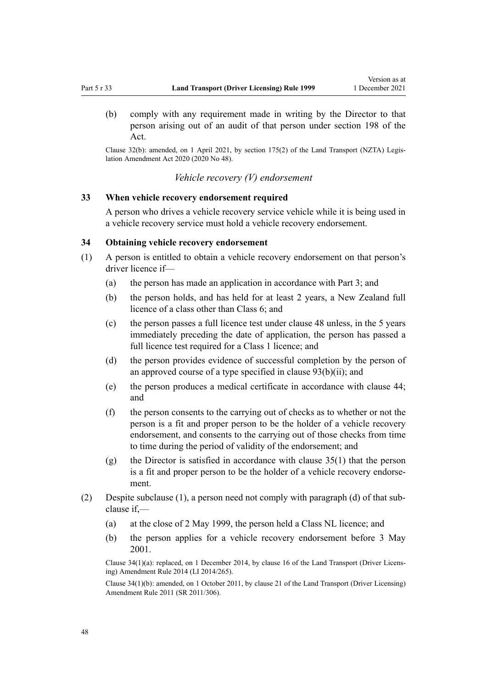(b) comply with any requirement made in writing by the Director to that person arising out of an audit of that person under [section 198](http://legislation.govt.nz/pdflink.aspx?id=DLM435602) of the Act.

Clause 32(b): amended, on 1 April 2021, by [section 175\(2\)](http://legislation.govt.nz/pdflink.aspx?id=LMS286883) of the Land Transport (NZTA) Legis‐ lation Amendment Act 2020 (2020 No 48).

*Vehicle recovery (V) endorsement*

# **33 When vehicle recovery endorsement required**

A person who drives a vehicle recovery service vehicle while it is being used in a vehicle recovery service must hold a vehicle recovery endorsement.

# **34 Obtaining vehicle recovery endorsement**

- (1) A person is entitled to obtain a vehicle recovery endorsement on that person's driver licence if—
	- (a) the person has made an application in accordance with [Part 3](#page-21-0); and
	- (b) the person holds, and has held for at least 2 years, a New Zealand full licence of a class other than Class 6; and
	- (c) the person passes a full licence test under [clause 48](#page-57-0) unless, in the 5 years immediately preceding the date of application, the person has passed a full licence test required for a Class 1 licence; and
	- (d) the person provides evidence of successful completion by the person of an approved course of a type specified in clause  $93(b)(ii)$ ; and
	- (e) the person produces a medical certificate in accordance with [clause 44;](#page-54-0) and
	- (f) the person consents to the carrying out of checks as to whether or not the person is a fit and proper person to be the holder of a vehicle recovery endorsement, and consents to the carrying out of those checks from time to time during the period of validity of the endorsement; and
	- (g) the Director is satisfied in accordance with [clause 35\(1\)](#page-48-0) that the person is a fit and proper person to be the holder of a vehicle recovery endorsement.
- (2) Despite subclause (1), a person need not comply with paragraph (d) of that sub‐ clause if,—
	- (a) at the close of 2 May 1999, the person held a Class NL licence; and
	- (b) the person applies for a vehicle recovery endorsement before 3 May 2001.

Clause 34(1)(a): replaced, on 1 December 2014, by [clause 16](http://legislation.govt.nz/pdflink.aspx?id=DLM6216929) of the Land Transport (Driver Licens‐ ing) Amendment Rule 2014 (LI 2014/265).

Clause 34(1)(b): amended, on 1 October 2011, by [clause 21](http://legislation.govt.nz/pdflink.aspx?id=DLM3956726) of the Land Transport (Driver Licensing) Amendment Rule 2011 (SR 2011/306).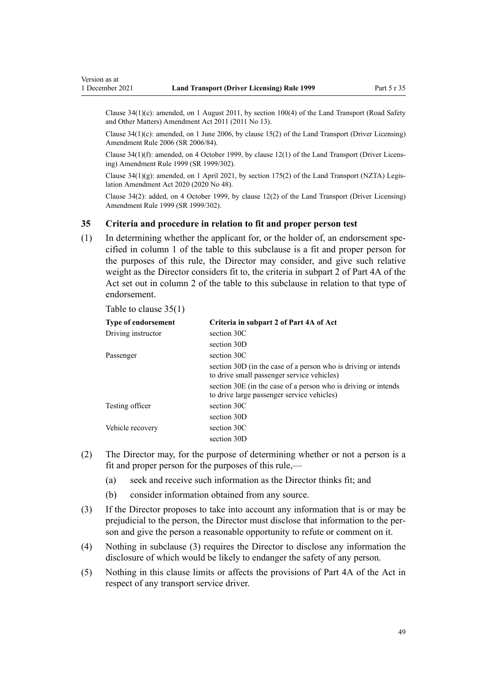<span id="page-48-0"></span>Clause  $34(1)(c)$ : amended, on 1 August 2011, by [section 100\(4\)](http://legislation.govt.nz/pdflink.aspx?id=DLM3231293) of the Land Transport (Road Safety and Other Matters) Amendment Act 2011 (2011 No 13).

Clause 34(1)(c): amended, on 1 June 2006, by [clause 15\(2\)](http://legislation.govt.nz/pdflink.aspx?id=DLM376104) of the Land Transport (Driver Licensing) Amendment Rule 2006 (SR 2006/84).

Clause 34(1)(f): amended, on 4 October 1999, by [clause 12\(1\)](http://legislation.govt.nz/pdflink.aspx?id=DLM293680) of the Land Transport (Driver Licens‐ ing) Amendment Rule 1999 (SR 1999/302).

Clause  $34(1)(g)$ : amended, on 1 April 2021, by [section 175\(2\)](http://legislation.govt.nz/pdflink.aspx?id=LMS286883) of the Land Transport (NZTA) Legislation Amendment Act 2020 (2020 No 48).

Clause 34(2): added, on 4 October 1999, by [clause 12\(2\)](http://legislation.govt.nz/pdflink.aspx?id=DLM293680) of the Land Transport (Driver Licensing) Amendment Rule 1999 (SR 1999/302).

# **35 Criteria and procedure in relation to fit and proper person test**

(1) In determining whether the applicant for, or the holder of, an endorsement specified in column 1 of the table to this subclause is a fit and proper person for the purposes of this rule, the Director may consider, and give such relative weight as the Director considers fit to, the criteria in subpart 2 of [Part 4A](http://legislation.govt.nz/pdflink.aspx?id=DLM434587) of the Act set out in column 2 of the table to this subclause in relation to that type of endorsement.

Table to clause 35(1)

| <b>Type of endorsement</b> | Criteria in subpart 2 of Part 4A of Act                                                                      |
|----------------------------|--------------------------------------------------------------------------------------------------------------|
| Driving instructor         | section 30C                                                                                                  |
|                            | section 30D                                                                                                  |
| Passenger                  | section 30C                                                                                                  |
|                            | section 30D (in the case of a person who is driving or intends<br>to drive small passenger service vehicles) |
|                            | section 30E (in the case of a person who is driving or intends<br>to drive large passenger service vehicles) |
| Testing officer            | section 30C                                                                                                  |
|                            | section 30D                                                                                                  |
| Vehicle recovery           | section 30C                                                                                                  |
|                            | section 30D                                                                                                  |

- (2) The Director may, for the purpose of determining whether or not a person is a fit and proper person for the purposes of this rule,—
	- (a) seek and receive such information as the Director thinks fit; and
	- (b) consider information obtained from any source.
- (3) If the Director proposes to take into account any information that is or may be prejudicial to the person, the Director must disclose that information to the person and give the person a reasonable opportunity to refute or comment on it.
- (4) Nothing in subclause (3) requires the Director to disclose any information the disclosure of which would be likely to endanger the safety of any person.
- (5) Nothing in this clause limits or affects the provisions of [Part 4A](http://legislation.govt.nz/pdflink.aspx?id=DLM434587) of the Act in respect of any transport service driver.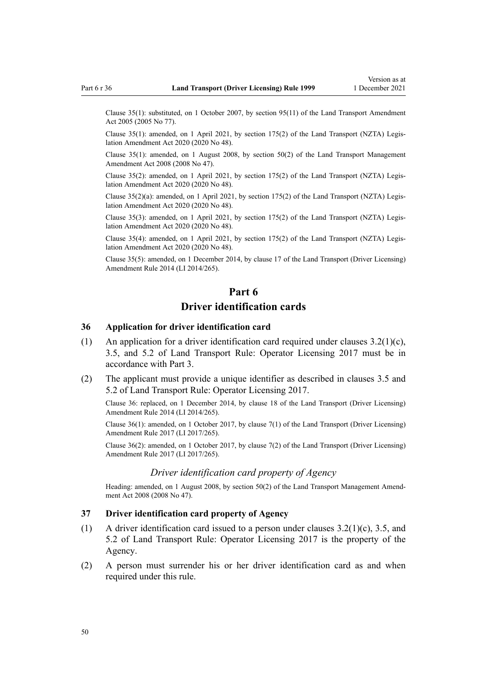Clause 35(1): substituted, on 1 October 2007, by [section 95\(11\)](http://legislation.govt.nz/pdflink.aspx?id=DLM353501) of the Land Transport Amendment Act 2005 (2005 No 77).

Clause 35(1): amended, on 1 April 2021, by [section 175\(2\)](http://legislation.govt.nz/pdflink.aspx?id=LMS286883) of the Land Transport (NZTA) Legis‐ lation Amendment Act 2020 (2020 No 48).

Clause 35(1): amended, on 1 August 2008, by [section 50\(2\)](http://legislation.govt.nz/pdflink.aspx?id=DLM1313622) of the Land Transport Management Amendment Act 2008 (2008 No 47).

Clause 35(2): amended, on 1 April 2021, by [section 175\(2\)](http://legislation.govt.nz/pdflink.aspx?id=LMS286883) of the Land Transport (NZTA) Legis‐ lation Amendment Act 2020 (2020 No 48).

Clause 35(2)(a): amended, on 1 April 2021, by [section 175\(2\)](http://legislation.govt.nz/pdflink.aspx?id=LMS286883) of the Land Transport (NZTA) Legis‐ lation Amendment Act 2020 (2020 No 48).

Clause 35(3): amended, on 1 April 2021, by [section 175\(2\)](http://legislation.govt.nz/pdflink.aspx?id=LMS286883) of the Land Transport (NZTA) Legis‐ lation Amendment Act 2020 (2020 No 48).

Clause 35(4): amended, on 1 April 2021, by [section 175\(2\)](http://legislation.govt.nz/pdflink.aspx?id=LMS286883) of the Land Transport (NZTA) Legis‐ lation Amendment Act 2020 (2020 No 48).

Clause 35(5): amended, on 1 December 2014, by [clause 17](http://legislation.govt.nz/pdflink.aspx?id=DLM6216930) of the Land Transport (Driver Licensing) Amendment Rule 2014 (LI 2014/265).

# **Part 6 Driver identification cards**

# **36 Application for driver identification card**

- (1) An application for a driver identification card required under clauses  $3.2(1)(c)$ , 3.5, and 5.2 of Land Transport Rule: Operator Licensing 2017 must be in accordance with [Part 3](#page-21-0).
- (2) The applicant must provide a unique identifier as described in clauses 3.5 and 5.2 of Land Transport Rule: Operator Licensing 2017.

Clause 36: replaced, on 1 December 2014, by [clause 18](http://legislation.govt.nz/pdflink.aspx?id=DLM6216931) of the Land Transport (Driver Licensing) Amendment Rule 2014 (LI 2014/265).

Clause 36(1): amended, on 1 October 2017, by [clause 7\(1\)](http://legislation.govt.nz/pdflink.aspx?id=DLM7420931) of the Land Transport (Driver Licensing) Amendment Rule 2017 (LI 2017/265).

Clause 36(2): amended, on 1 October 2017, by [clause 7\(2\)](http://legislation.govt.nz/pdflink.aspx?id=DLM7420931) of the Land Transport (Driver Licensing) Amendment Rule 2017 (LI 2017/265).

### *Driver identification card property of Agency*

Heading: amended, on 1 August 2008, by [section 50\(2\)](http://legislation.govt.nz/pdflink.aspx?id=DLM1313622) of the Land Transport Management Amendment Act 2008 (2008 No 47).

### **37 Driver identification card property of Agency**

- (1) A driver identification card issued to a person under clauses  $3.2(1)(c)$ ,  $3.5$ , and 5.2 of Land Transport Rule: Operator Licensing 2017 is the property of the Agency.
- (2) A person must surrender his or her driver identification card as and when required under this rule.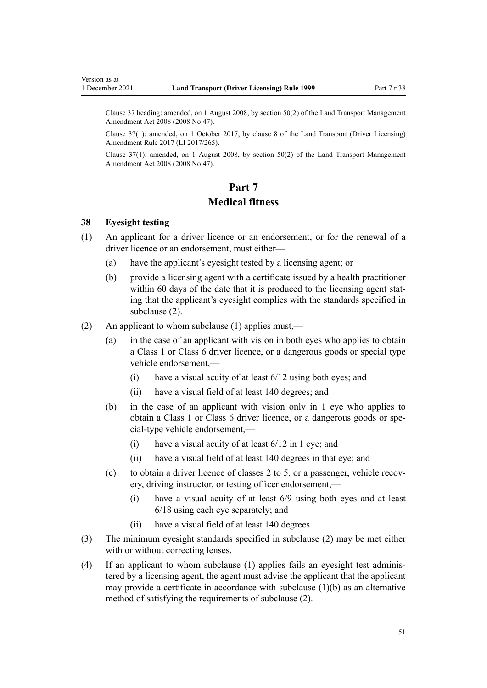<span id="page-50-0"></span>Clause 37 heading: amended, on 1 August 2008, by [section 50\(2\)](http://legislation.govt.nz/pdflink.aspx?id=DLM1313622) of the Land Transport Management Amendment Act 2008 (2008 No 47).

Clause 37(1): amended, on 1 October 2017, by [clause 8](http://legislation.govt.nz/pdflink.aspx?id=DLM7420932) of the Land Transport (Driver Licensing) Amendment Rule 2017 (LI 2017/265).

Clause 37(1): amended, on 1 August 2008, by [section 50\(2\)](http://legislation.govt.nz/pdflink.aspx?id=DLM1313622) of the Land Transport Management Amendment Act 2008 (2008 No 47).

# **Part 7 Medical fitness**

# **38 Eyesight testing**

- (1) An applicant for a driver licence or an endorsement, or for the renewal of a driver licence or an endorsement, must either—
	- (a) have the applicant's eyesight tested by a licensing agent; or
	- (b) provide a licensing agent with a certificate issued by a health practitioner within 60 days of the date that it is produced to the licensing agent stating that the applicant's eyesight complies with the standards specified in subclause (2).
- (2) An applicant to whom subclause (1) applies must,—
	- (a) in the case of an applicant with vision in both eyes who applies to obtain a Class 1 or Class 6 driver licence, or a dangerous goods or special type vehicle endorsement,—
		- (i) have a visual acuity of at least 6/12 using both eyes; and
		- (ii) have a visual field of at least 140 degrees; and
	- (b) in the case of an applicant with vision only in 1 eye who applies to obtain a Class 1 or Class 6 driver licence, or a dangerous goods or spe‐ cial-type vehicle endorsement,—
		- (i) have a visual acuity of at least 6/12 in 1 eye; and
		- (ii) have a visual field of at least 140 degrees in that eye; and
	- (c) to obtain a driver licence of classes 2 to 5, or a passenger, vehicle recovery, driving instructor, or testing officer endorsement,—
		- (i) have a visual acuity of at least 6/9 using both eyes and at least 6/18 using each eye separately; and
		- (ii) have a visual field of at least 140 degrees.
- (3) The minimum eyesight standards specified in subclause (2) may be met either with or without correcting lenses.
- (4) If an applicant to whom subclause (1) applies fails an eyesight test adminis‐ tered by a licensing agent, the agent must advise the applicant that the applicant may provide a certificate in accordance with subclause  $(1)(b)$  as an alternative method of satisfying the requirements of subclause (2).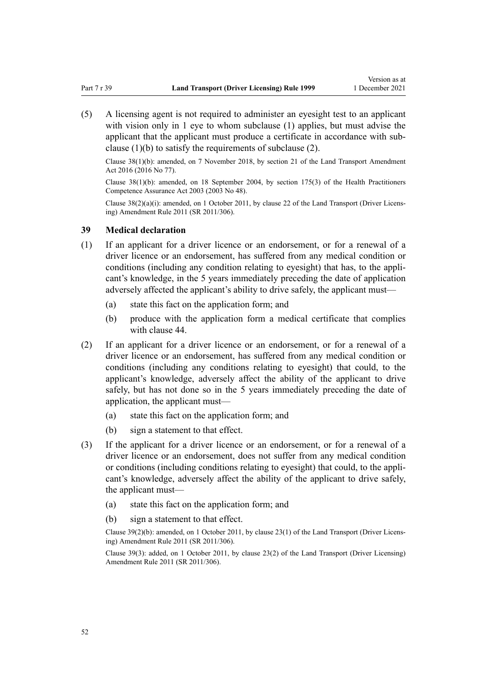(5) A licensing agent is not required to administer an eyesight test to an applicant with vision only in 1 eye to whom subclause (1) applies, but must advise the applicant that the applicant must produce a certificate in accordance with subclause (1)(b) to satisfy the requirements of subclause (2).

Clause 38(1)(b): amended, on 7 November 2018, by [section 21](http://legislation.govt.nz/pdflink.aspx?id=DLM6984133) of the Land Transport Amendment Act 2016 (2016 No 77).

Clause 38(1)(b): amended, on 18 September 2004, by [section 175\(3\)](http://legislation.govt.nz/pdflink.aspx?id=DLM205009) of the Health Practitioners Competence Assurance Act 2003 (2003 No 48).

Clause 38(2)(a)(i): amended, on 1 October 2011, by [clause 22](http://legislation.govt.nz/pdflink.aspx?id=DLM3956727) of the Land Transport (Driver Licens‐ ing) Amendment Rule 2011 (SR 2011/306).

## **39 Medical declaration**

- (1) If an applicant for a driver licence or an endorsement, or for a renewal of a driver licence or an endorsement, has suffered from any medical condition or conditions (including any condition relating to eyesight) that has, to the applicant's knowledge, in the 5 years immediately preceding the date of application adversely affected the applicant's ability to drive safely, the applicant must—
	- (a) state this fact on the application form; and
	- (b) produce with the application form a medical certificate that complies with [clause 44.](#page-54-0)
- (2) If an applicant for a driver licence or an endorsement, or for a renewal of a driver licence or an endorsement, has suffered from any medical condition or conditions (including any conditions relating to eyesight) that could, to the applicant's knowledge, adversely affect the ability of the applicant to drive safely, but has not done so in the 5 years immediately preceding the date of application, the applicant must—
	- (a) state this fact on the application form; and
	- (b) sign a statement to that effect.
- (3) If the applicant for a driver licence or an endorsement, or for a renewal of a driver licence or an endorsement, does not suffer from any medical condition or conditions (including conditions relating to eyesight) that could, to the appli‐ cant's knowledge, adversely affect the ability of the applicant to drive safely, the applicant must—
	- (a) state this fact on the application form; and
	- (b) sign a statement to that effect.

Clause 39(2)(b): amended, on 1 October 2011, by [clause 23\(1\)](http://legislation.govt.nz/pdflink.aspx?id=DLM3956728) of the Land Transport (Driver Licens‐ ing) Amendment Rule 2011 (SR 2011/306).

Clause 39(3): added, on 1 October 2011, by [clause 23\(2\)](http://legislation.govt.nz/pdflink.aspx?id=DLM3956728) of the Land Transport (Driver Licensing) Amendment Rule 2011 (SR 2011/306).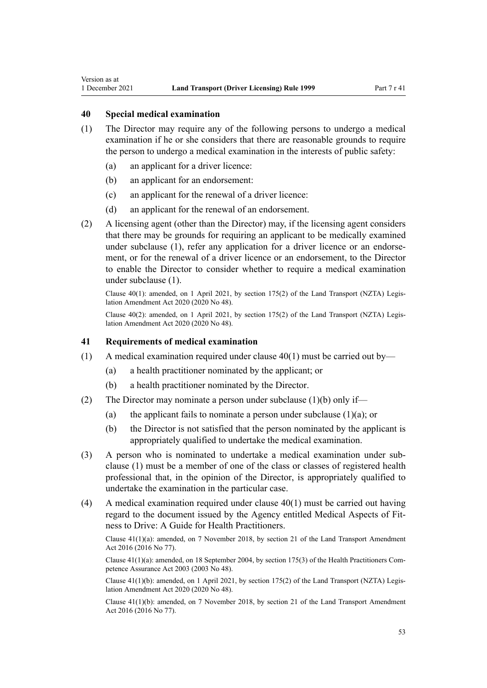# **40 Special medical examination**

<span id="page-52-0"></span>Version as at

- (1) The Director may require any of the following persons to undergo a medical examination if he or she considers that there are reasonable grounds to require the person to undergo a medical examination in the interests of public safety:
	- (a) an applicant for a driver licence:
	- (b) an applicant for an endorsement:
	- (c) an applicant for the renewal of a driver licence:
	- (d) an applicant for the renewal of an endorsement.
- (2) A licensing agent (other than the Director) may, if the licensing agent considers that there may be grounds for requiring an applicant to be medically examined under subclause (1), refer any application for a driver licence or an endorsement, or for the renewal of a driver licence or an endorsement, to the Director to enable the Director to consider whether to require a medical examination under subclause (1).

Clause  $40(1)$ : amended, on 1 April 2021, by [section 175\(2\)](http://legislation.govt.nz/pdflink.aspx?id=LMS286883) of the Land Transport (NZTA) Legislation Amendment Act 2020 (2020 No 48).

Clause 40(2): amended, on 1 April 2021, by [section 175\(2\)](http://legislation.govt.nz/pdflink.aspx?id=LMS286883) of the Land Transport (NZTA) Legis‐ lation Amendment Act 2020 (2020 No 48).

### **41 Requirements of medical examination**

- (1) A medical examination required under clause  $40(1)$  must be carried out by—
	- (a) a health practitioner nominated by the applicant; or
	- (b) a health practitioner nominated by the Director.
- (2) The Director may nominate a person under subclause (1)(b) only if—
	- (a) the applicant fails to nominate a person under subclause  $(1)(a)$ ; or
	- (b) the Director is not satisfied that the person nominated by the applicant is appropriately qualified to undertake the medical examination.
- (3) A person who is nominated to undertake a medical examination under sub‐ clause (1) must be a member of one of the class or classes of registered health professional that, in the opinion of the Director, is appropriately qualified to undertake the examination in the particular case.
- (4) A medical examination required under clause 40(1) must be carried out having regard to the document issued by the Agency entitled Medical Aspects of Fit‐ ness to Drive: A Guide for Health Practitioners.

Clause 41(1)(a): amended, on 7 November 2018, by [section 21](http://legislation.govt.nz/pdflink.aspx?id=DLM6984133) of the Land Transport Amendment Act 2016 (2016 No 77).

Clause  $41(1)(a)$ : amended, on 18 September 2004, by [section 175\(3\)](http://legislation.govt.nz/pdflink.aspx?id=DLM205009) of the Health Practitioners Competence Assurance Act 2003 (2003 No 48).

Clause 41(1)(b): amended, on 1 April 2021, by [section 175\(2\)](http://legislation.govt.nz/pdflink.aspx?id=LMS286883) of the Land Transport (NZTA) Legis‐ lation Amendment Act 2020 (2020 No 48).

Clause 41(1)(b): amended, on 7 November 2018, by [section 21](http://legislation.govt.nz/pdflink.aspx?id=DLM6984133) of the Land Transport Amendment Act 2016 (2016 No 77).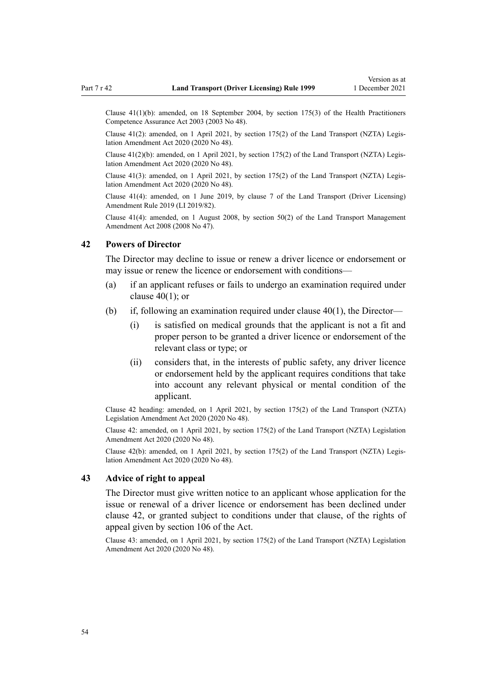Clause 41(1)(b): amended, on 18 September 2004, by [section 175\(3\)](http://legislation.govt.nz/pdflink.aspx?id=DLM205009) of the Health Practitioners Competence Assurance Act 2003 (2003 No 48).

Clause  $41(2)$ : amended, on 1 April 2021, by [section 175\(2\)](http://legislation.govt.nz/pdflink.aspx?id=LMS286883) of the Land Transport (NZTA) Legislation Amendment Act 2020 (2020 No 48).

Clause 41(2)(b): amended, on 1 April 2021, by [section 175\(2\)](http://legislation.govt.nz/pdflink.aspx?id=LMS286883) of the Land Transport (NZTA) Legis‐ lation Amendment Act 2020 (2020 No 48).

Clause 41(3): amended, on 1 April 2021, by [section 175\(2\)](http://legislation.govt.nz/pdflink.aspx?id=LMS286883) of the Land Transport (NZTA) Legis‐ lation Amendment Act 2020 (2020 No 48).

Clause 41(4): amended, on 1 June 2019, by [clause 7](http://legislation.govt.nz/pdflink.aspx?id=LMS136012) of the Land Transport (Driver Licensing) Amendment Rule 2019 (LI 2019/82).

Clause 41(4): amended, on 1 August 2008, by [section 50\(2\)](http://legislation.govt.nz/pdflink.aspx?id=DLM1313622) of the Land Transport Management Amendment Act 2008 (2008 No 47).

### **42 Powers of Director**

The Director may decline to issue or renew a driver licence or endorsement or may issue or renew the licence or endorsement with conditions—

- (a) if an applicant refuses or fails to undergo an examination required under [clause 40\(1\);](#page-52-0) or
- (b) if, following an examination required under [clause 40\(1\),](#page-52-0) the Director—
	- (i) is satisfied on medical grounds that the applicant is not a fit and proper person to be granted a driver licence or endorsement of the relevant class or type; or
	- (ii) considers that, in the interests of public safety, any driver licence or endorsement held by the applicant requires conditions that take into account any relevant physical or mental condition of the applicant.

Clause 42 heading: amended, on 1 April 2021, by [section 175\(2\)](http://legislation.govt.nz/pdflink.aspx?id=LMS286883) of the Land Transport (NZTA) Legislation Amendment Act 2020 (2020 No 48).

Clause 42: amended, on 1 April 2021, by [section 175\(2\)](http://legislation.govt.nz/pdflink.aspx?id=LMS286883) of the Land Transport (NZTA) Legislation Amendment Act 2020 (2020 No 48).

Clause 42(b): amended, on 1 April 2021, by [section 175\(2\)](http://legislation.govt.nz/pdflink.aspx?id=LMS286883) of the Land Transport (NZTA) Legis‐ lation Amendment Act 2020 (2020 No 48).

# **43 Advice of right to appeal**

The Director must give written notice to an applicant whose application for the issue or renewal of a driver licence or endorsement has been declined under clause 42, or granted subject to conditions under that clause, of the rights of appeal given by [section 106](http://legislation.govt.nz/pdflink.aspx?id=DLM435083) of the Act.

Clause 43: amended, on 1 April 2021, by [section 175\(2\)](http://legislation.govt.nz/pdflink.aspx?id=LMS286883) of the Land Transport (NZTA) Legislation Amendment Act 2020 (2020 No 48).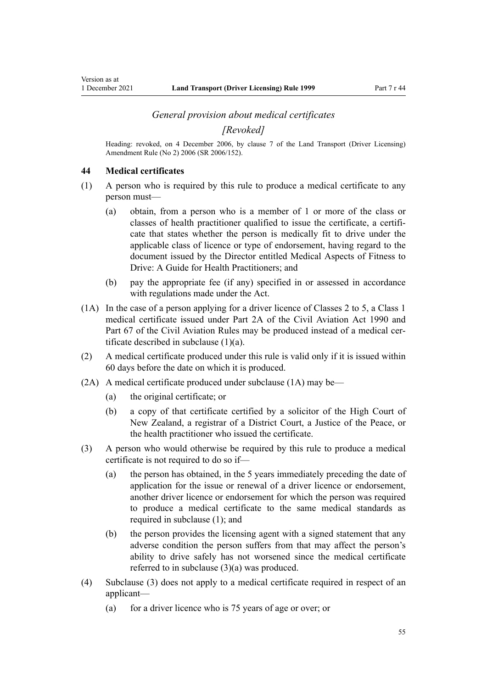# *General provision about medical certificates*

*[Revoked]*

<span id="page-54-0"></span>Heading: revoked, on 4 December 2006, by [clause 7](http://legislation.govt.nz/pdflink.aspx?id=DLM386144) of the Land Transport (Driver Licensing) Amendment Rule (No 2) 2006 (SR 2006/152).

### **44 Medical certificates**

- (1) A person who is required by this rule to produce a medical certificate to any person must—
	- (a) obtain, from a person who is a member of 1 or more of the class or classes of health practitioner qualified to issue the certificate, a certificate that states whether the person is medically fit to drive under the applicable class of licence or type of endorsement, having regard to the document issued by the Director entitled Medical Aspects of Fitness to Drive: A Guide for Health Practitioners; and
	- (b) pay the appropriate fee (if any) specified in or assessed in accordance with regulations made under the Act.
- (1A) In the case of a person applying for a driver licence of Classes 2 to 5, a Class 1 medical certificate issued under [Part 2A](http://legislation.govt.nz/pdflink.aspx?id=DLM216176) of the Civil Aviation Act 1990 and Part 67 of the Civil Aviation Rules may be produced instead of a medical certificate described in subclause (1)(a).
- (2) A medical certificate produced under this rule is valid only if it is issued within 60 days before the date on which it is produced.
- (2A) A medical certificate produced under subclause (1A) may be—
	- (a) the original certificate; or
	- (b) a copy of that certificate certified by a solicitor of the High Court of New Zealand, a registrar of a District Court, a Justice of the Peace, or the health practitioner who issued the certificate.
- (3) A person who would otherwise be required by this rule to produce a medical certificate is not required to do so if—
	- (a) the person has obtained, in the 5 years immediately preceding the date of application for the issue or renewal of a driver licence or endorsement, another driver licence or endorsement for which the person was required to produce a medical certificate to the same medical standards as required in subclause (1); and
	- (b) the person provides the licensing agent with a signed statement that any adverse condition the person suffers from that may affect the person's ability to drive safely has not worsened since the medical certificate referred to in subclause (3)(a) was produced.
- (4) Subclause (3) does not apply to a medical certificate required in respect of an applicant—
	- (a) for a driver licence who is 75 years of age or over; or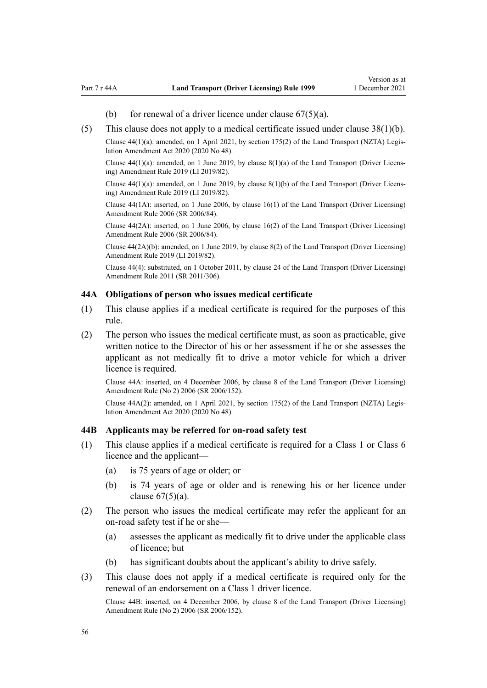- (b) for renewal of a driver licence under clause  $67(5)(a)$ .
- <span id="page-55-0"></span>(5) This clause does not apply to a medical certificate issued under [clause 38\(1\)\(b\).](#page-50-0)

Clause  $44(1)(a)$ : amended, on 1 April 2021, by [section 175\(2\)](http://legislation.govt.nz/pdflink.aspx?id=LMS286883) of the Land Transport (NZTA) Legislation Amendment Act 2020 (2020 No 48).

Clause 44(1)(a): amended, on 1 June 2019, by [clause 8\(1\)\(a\)](http://legislation.govt.nz/pdflink.aspx?id=LMS136013) of the Land Transport (Driver Licens‐ ing) Amendment Rule 2019 (LI 2019/82).

Clause  $44(1)(a)$ : amended, on 1 June 2019, by clause  $8(1)(b)$  of the Land Transport (Driver Licensing) Amendment Rule 2019 (LI 2019/82).

Clause 44(1A): inserted, on 1 June 2006, by [clause 16\(1\)](http://legislation.govt.nz/pdflink.aspx?id=DLM376105) of the Land Transport (Driver Licensing) Amendment Rule 2006 (SR 2006/84).

Clause 44(2A): inserted, on 1 June 2006, by [clause 16\(2\)](http://legislation.govt.nz/pdflink.aspx?id=DLM376105) of the Land Transport (Driver Licensing) Amendment Rule 2006 (SR 2006/84).

Clause 44(2A)(b): amended, on 1 June 2019, by [clause 8\(2\)](http://legislation.govt.nz/pdflink.aspx?id=LMS136013) of the Land Transport (Driver Licensing) Amendment Rule 2019 (LI 2019/82).

Clause 44(4): substituted, on 1 October 2011, by [clause 24](http://legislation.govt.nz/pdflink.aspx?id=DLM3956729) of the Land Transport (Driver Licensing) Amendment Rule 2011 (SR 2011/306).

### **44A Obligations of person who issues medical certificate**

- (1) This clause applies if a medical certificate is required for the purposes of this rule.
- (2) The person who issues the medical certificate must, as soon as practicable, give written notice to the Director of his or her assessment if he or she assesses the applicant as not medically fit to drive a motor vehicle for which a driver licence is required.

Clause 44A: inserted, on 4 December 2006, by [clause 8](http://legislation.govt.nz/pdflink.aspx?id=DLM386145) of the Land Transport (Driver Licensing) Amendment Rule (No 2) 2006 (SR 2006/152).

Clause 44A(2): amended, on 1 April 2021, by [section 175\(2\)](http://legislation.govt.nz/pdflink.aspx?id=LMS286883) of the Land Transport (NZTA) Legis‐ lation Amendment Act 2020 (2020 No 48).

### **44B Applicants may be referred for on-road safety test**

- (1) This clause applies if a medical certificate is required for a Class 1 or Class 6 licence and the applicant—
	- (a) is 75 years of age or older; or
	- (b) is 74 years of age or older and is renewing his or her licence under clause  $67(5)(a)$ .
- (2) The person who issues the medical certificate may refer the applicant for an on-road safety test if he or she—
	- (a) assesses the applicant as medically fit to drive under the applicable class of licence; but
	- (b) has significant doubts about the applicant's ability to drive safely.
- (3) This clause does not apply if a medical certificate is required only for the renewal of an endorsement on a Class 1 driver licence.

Clause 44B: inserted, on 4 December 2006, by [clause 8](http://legislation.govt.nz/pdflink.aspx?id=DLM386145) of the Land Transport (Driver Licensing) Amendment Rule (No 2) 2006 (SR 2006/152).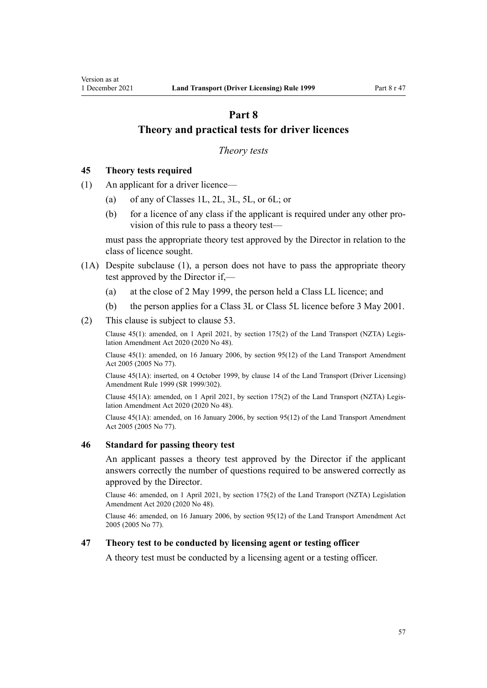# <span id="page-56-0"></span>**Part 8 Theory and practical tests for driver licences**

### *Theory tests*

# **45 Theory tests required**

- (1) An applicant for a driver licence—
	- (a) of any of Classes 1L, 2L, 3L, 5L, or 6L; or
	- (b) for a licence of any class if the applicant is required under any other provision of this rule to pass a theory test—

must pass the appropriate theory test approved by the Director in relation to the class of licence sought.

- (1A) Despite subclause (1), a person does not have to pass the appropriate theory test approved by the Director if,—
	- (a) at the close of 2 May 1999, the person held a Class LL licence; and
	- (b) the person applies for a Class 3L or Class 5L licence before 3 May 2001.
- (2) This clause is subject to [clause 53](#page-59-0).

Clause 45(1): amended, on 1 April 2021, by [section 175\(2\)](http://legislation.govt.nz/pdflink.aspx?id=LMS286883) of the Land Transport (NZTA) Legis‐ lation Amendment Act 2020 (2020 No 48).

Clause 45(1): amended, on 16 January 2006, by [section 95\(12\)](http://legislation.govt.nz/pdflink.aspx?id=DLM353501) of the Land Transport Amendment Act 2005 (2005 No 77).

Clause 45(1A): inserted, on 4 October 1999, by [clause 14](http://legislation.govt.nz/pdflink.aspx?id=DLM293682) of the Land Transport (Driver Licensing) Amendment Rule 1999 (SR 1999/302).

Clause 45(1A): amended, on 1 April 2021, by [section 175\(2\)](http://legislation.govt.nz/pdflink.aspx?id=LMS286883) of the Land Transport (NZTA) Legis‐ lation Amendment Act 2020 (2020 No 48).

Clause 45(1A): amended, on 16 January 2006, by [section 95\(12\)](http://legislation.govt.nz/pdflink.aspx?id=DLM353501) of the Land Transport Amendment Act 2005 (2005 No 77).

### **46 Standard for passing theory test**

An applicant passes a theory test approved by the Director if the applicant answers correctly the number of questions required to be answered correctly as approved by the Director.

Clause 46: amended, on 1 April 2021, by [section 175\(2\)](http://legislation.govt.nz/pdflink.aspx?id=LMS286883) of the Land Transport (NZTA) Legislation Amendment Act 2020 (2020 No 48).

Clause 46: amended, on 16 January 2006, by [section 95\(12\)](http://legislation.govt.nz/pdflink.aspx?id=DLM353501) of the Land Transport Amendment Act 2005 (2005 No 77).

# **47 Theory test to be conducted by licensing agent or testing officer**

A theory test must be conducted by a licensing agent or a testing officer.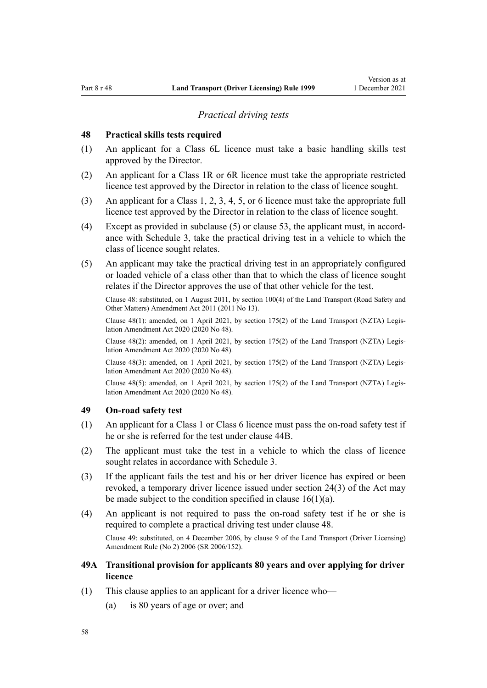## *Practical driving tests*

### <span id="page-57-0"></span>**48 Practical skills tests required**

- (1) An applicant for a Class 6L licence must take a basic handling skills test approved by the Director.
- (2) An applicant for a Class 1R or 6R licence must take the appropriate restricted licence test approved by the Director in relation to the class of licence sought.
- (3) An applicant for a Class 1, 2, 3, 4, 5, or 6 licence must take the appropriate full licence test approved by the Director in relation to the class of licence sought.
- (4) Except as provided in subclause  $(5)$  or [clause 53](#page-59-0), the applicant must, in accordance with [Schedule 3](#page-114-0), take the practical driving test in a vehicle to which the class of licence sought relates.
- (5) An applicant may take the practical driving test in an appropriately configured or loaded vehicle of a class other than that to which the class of licence sought relates if the Director approves the use of that other vehicle for the test.

Clause 48: substituted, on 1 August 2011, by [section 100\(4\)](http://legislation.govt.nz/pdflink.aspx?id=DLM3231293) of the Land Transport (Road Safety and Other Matters) Amendment Act 2011 (2011 No 13).

Clause 48(1): amended, on 1 April 2021, by [section 175\(2\)](http://legislation.govt.nz/pdflink.aspx?id=LMS286883) of the Land Transport (NZTA) Legis‐ lation Amendment Act 2020 (2020 No 48).

Clause 48(2): amended, on 1 April 2021, by [section 175\(2\)](http://legislation.govt.nz/pdflink.aspx?id=LMS286883) of the Land Transport (NZTA) Legis‐ lation Amendment Act 2020 (2020 No 48).

Clause 48(3): amended, on 1 April 2021, by [section 175\(2\)](http://legislation.govt.nz/pdflink.aspx?id=LMS286883) of the Land Transport (NZTA) Legis‐ lation Amendment Act 2020 (2020 No 48).

Clause 48(5): amended, on 1 April 2021, by [section 175\(2\)](http://legislation.govt.nz/pdflink.aspx?id=LMS286883) of the Land Transport (NZTA) Legis‐ lation Amendment Act 2020 (2020 No 48).

# **49 On-road safety test**

- (1) An applicant for a Class 1 or Class 6 licence must pass the on-road safety test if he or she is referred for the test under [clause 44B](#page-55-0).
- (2) The applicant must take the test in a vehicle to which the class of licence sought relates in accordance with [Schedule 3](#page-114-0).
- (3) If the applicant fails the test and his or her driver licence has expired or been revoked, a temporary driver licence issued under [section 24\(3\)](http://legislation.govt.nz/pdflink.aspx?id=DLM434553) of the Act may be made subject to the condition specified in clause  $16(1)(a)$ .
- (4) An applicant is not required to pass the on-road safety test if he or she is required to complete a practical driving test under clause 48. Clause 49: substituted, on 4 December 2006, by [clause 9](http://legislation.govt.nz/pdflink.aspx?id=DLM386148) of the Land Transport (Driver Licensing) Amendment Rule (No 2) 2006 (SR 2006/152).
- **49A Transitional provision for applicants 80 years and over applying for driver licence**
- (1) This clause applies to an applicant for a driver licence who—
	- (a) is 80 years of age or over; and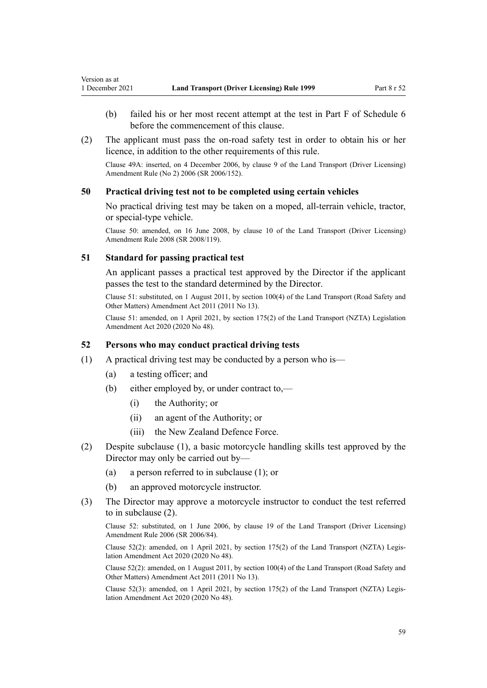- <span id="page-58-0"></span>(b) failed his or her most recent attempt at the test in Part F of [Schedule 6](#page-117-0) before the commencement of this clause.
- (2) The applicant must pass the on-road safety test in order to obtain his or her licence, in addition to the other requirements of this rule.

Clause 49A: inserted, on 4 December 2006, by [clause 9](http://legislation.govt.nz/pdflink.aspx?id=DLM386148) of the Land Transport (Driver Licensing) Amendment Rule (No 2) 2006 (SR 2006/152).

## **50 Practical driving test not to be completed using certain vehicles**

No practical driving test may be taken on a moped, all-terrain vehicle, tractor, or special-type vehicle.

Clause 50: amended, on 16 June 2008, by [clause 10](http://legislation.govt.nz/pdflink.aspx?id=DLM1317916) of the Land Transport (Driver Licensing) Amendment Rule 2008 (SR 2008/119).

### **51 Standard for passing practical test**

An applicant passes a practical test approved by the Director if the applicant passes the test to the standard determined by the Director.

Clause 51: substituted, on 1 August 2011, by [section 100\(4\)](http://legislation.govt.nz/pdflink.aspx?id=DLM3231293) of the Land Transport (Road Safety and Other Matters) Amendment Act 2011 (2011 No 13).

Clause 51: amended, on 1 April 2021, by [section 175\(2\)](http://legislation.govt.nz/pdflink.aspx?id=LMS286883) of the Land Transport (NZTA) Legislation Amendment Act 2020 (2020 No 48).

## **52 Persons who may conduct practical driving tests**

- (1) A practical driving test may be conducted by a person who is—
	- (a) a testing officer; and
	- (b) either employed by, or under contract to,—
		- (i) the Authority; or
		- (ii) an agent of the Authority; or
		- (iii) the New Zealand Defence Force.
- (2) Despite subclause (1), a basic motorcycle handling skills test approved by the Director may only be carried out by—
	- (a) a person referred to in subclause (1); or
	- (b) an approved motorcycle instructor.
- (3) The Director may approve a motorcycle instructor to conduct the test referred to in subclause (2).

Clause 52: substituted, on 1 June 2006, by [clause 19](http://legislation.govt.nz/pdflink.aspx?id=DLM376108) of the Land Transport (Driver Licensing) Amendment Rule 2006 (SR 2006/84).

Clause 52(2): amended, on 1 April 2021, by [section 175\(2\)](http://legislation.govt.nz/pdflink.aspx?id=LMS286883) of the Land Transport (NZTA) Legis‐ lation Amendment Act 2020 (2020 No 48).

Clause 52(2): amended, on 1 August 2011, by [section 100\(4\)](http://legislation.govt.nz/pdflink.aspx?id=DLM3231293) of the Land Transport (Road Safety and Other Matters) Amendment Act 2011 (2011 No 13).

Clause 52(3): amended, on 1 April 2021, by [section 175\(2\)](http://legislation.govt.nz/pdflink.aspx?id=LMS286883) of the Land Transport (NZTA) Legis‐ lation Amendment Act 2020 (2020 No 48).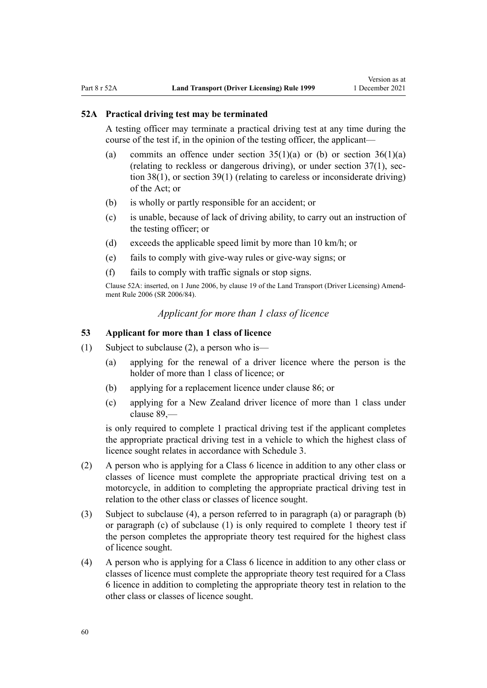### <span id="page-59-0"></span>**52A Practical driving test may be terminated**

A testing officer may terminate a practical driving test at any time during the course of the test if, in the opinion of the testing officer, the applicant—

- (a) commits an offence under section  $35(1)(a)$  or (b) or section  $36(1)(a)$ (relating to reckless or dangerous driving), or under section  $37(1)$ , sec[tion 38\(1\)](http://legislation.govt.nz/pdflink.aspx?id=DLM434659), or [section 39\(1\)](http://legislation.govt.nz/pdflink.aspx?id=DLM434662) (relating to careless or inconsiderate driving) of the Act; or
- (b) is wholly or partly responsible for an accident; or
- (c) is unable, because of lack of driving ability, to carry out an instruction of the testing officer; or
- (d) exceeds the applicable speed limit by more than 10 km/h; or
- (e) fails to comply with give-way rules or give-way signs; or
- (f) fails to comply with traffic signals or stop signs.

Clause 52A: inserted, on 1 June 2006, by [clause 19](http://legislation.govt.nz/pdflink.aspx?id=DLM376108) of the Land Transport (Driver Licensing) Amend‐ ment Rule 2006 (SR 2006/84).

# *Applicant for more than 1 class of licence*

# **53 Applicant for more than 1 class of licence**

- (1) Subject to subclause (2), a person who is—
	- (a) applying for the renewal of a driver licence where the person is the holder of more than 1 class of licence; or
	- (b) applying for a replacement licence under [clause 86](#page-87-0); or
	- (c) applying for a New Zealand driver licence of more than 1 class under [clause 89](#page-92-0),—

is only required to complete 1 practical driving test if the applicant completes the appropriate practical driving test in a vehicle to which the highest class of licence sought relates in accordance with [Schedule 3.](#page-114-0)

- (2) A person who is applying for a Class 6 licence in addition to any other class or classes of licence must complete the appropriate practical driving test on a motorcycle, in addition to completing the appropriate practical driving test in relation to the other class or classes of licence sought.
- (3) Subject to subclause (4), a person referred to in paragraph (a) or paragraph (b) or paragraph (c) of subclause (1) is only required to complete 1 theory test if the person completes the appropriate theory test required for the highest class of licence sought.
- (4) A person who is applying for a Class 6 licence in addition to any other class or classes of licence must complete the appropriate theory test required for a Class 6 licence in addition to completing the appropriate theory test in relation to the other class or classes of licence sought.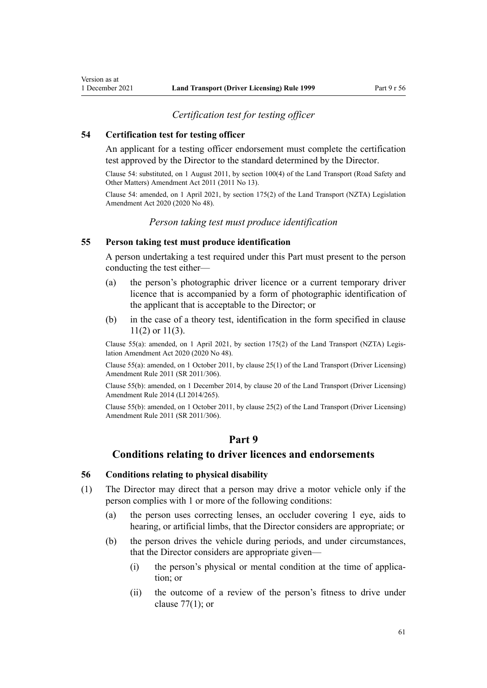# *Certification test for testing officer*

### <span id="page-60-0"></span>**54 Certification test for testing officer**

An applicant for a testing officer endorsement must complete the certification test approved by the Director to the standard determined by the Director.

Clause 54: substituted, on 1 August 2011, by [section 100\(4\)](http://legislation.govt.nz/pdflink.aspx?id=DLM3231293) of the Land Transport (Road Safety and Other Matters) Amendment Act 2011 (2011 No 13).

Clause 54: amended, on 1 April 2021, by [section 175\(2\)](http://legislation.govt.nz/pdflink.aspx?id=LMS286883) of the Land Transport (NZTA) Legislation Amendment Act 2020 (2020 No 48).

# *Person taking test must produce identification*

### **55 Person taking test must produce identification**

A person undertaking a test required under this Part must present to the person conducting the test either—

- (a) the person's photographic driver licence or a current temporary driver licence that is accompanied by a form of photographic identification of the applicant that is acceptable to the Director; or
- (b) in the case of a theory test, identification in the form specified in [clause](#page-22-0) [11\(2\) or 11\(3\).](#page-22-0)

Clause 55(a): amended, on 1 April 2021, by [section 175\(2\)](http://legislation.govt.nz/pdflink.aspx?id=LMS286883) of the Land Transport (NZTA) Legis‐ lation Amendment Act 2020 (2020 No 48).

Clause 55(a): amended, on 1 October 2011, by [clause 25\(1\)](http://legislation.govt.nz/pdflink.aspx?id=DLM3956730) of the Land Transport (Driver Licensing) Amendment Rule 2011 (SR 2011/306).

Clause 55(b): amended, on 1 December 2014, by [clause 20](http://legislation.govt.nz/pdflink.aspx?id=DLM6216934) of the Land Transport (Driver Licensing) Amendment Rule 2014 (LI 2014/265).

Clause 55(b): amended, on 1 October 2011, by [clause 25\(2\)](http://legislation.govt.nz/pdflink.aspx?id=DLM3956730) of the Land Transport (Driver Licensing) Amendment Rule 2011 (SR 2011/306).

# **Part 9**

# **Conditions relating to driver licences and endorsements**

### **56 Conditions relating to physical disability**

- (1) The Director may direct that a person may drive a motor vehicle only if the person complies with 1 or more of the following conditions:
	- (a) the person uses correcting lenses, an occluder covering 1 eye, aids to hearing, or artificial limbs, that the Director considers are appropriate; or
	- (b) the person drives the vehicle during periods, and under circumstances, that the Director considers are appropriate given—
		- (i) the person's physical or mental condition at the time of application; or
		- (ii) the outcome of a review of the person's fitness to drive under [clause 77\(1\);](#page-79-0) or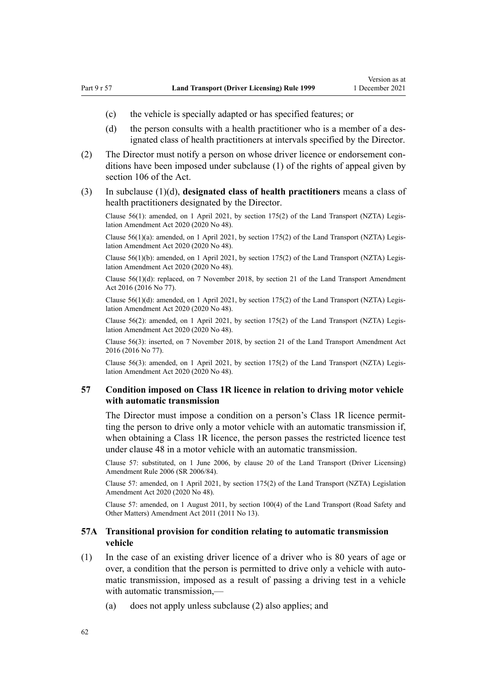- <span id="page-61-0"></span>(c) the vehicle is specially adapted or has specified features; or
- (d) the person consults with a health practitioner who is a member of a designated class of health practitioners at intervals specified by the Director.
- (2) The Director must notify a person on whose driver licence or endorsement con‐ ditions have been imposed under subclause (1) of the rights of appeal given by [section 106](http://legislation.govt.nz/pdflink.aspx?id=DLM435083) of the Act.
- (3) In subclause (1)(d), **designated class of health practitioners** means a class of health practitioners designated by the Director.

Clause 56(1): amended, on 1 April 2021, by [section 175\(2\)](http://legislation.govt.nz/pdflink.aspx?id=LMS286883) of the Land Transport (NZTA) Legis‐ lation Amendment Act 2020 (2020 No 48).

Clause 56(1)(a): amended, on 1 April 2021, by [section 175\(2\)](http://legislation.govt.nz/pdflink.aspx?id=LMS286883) of the Land Transport (NZTA) Legis‐ lation Amendment Act 2020 (2020 No 48).

Clause 56(1)(b): amended, on 1 April 2021, by [section 175\(2\)](http://legislation.govt.nz/pdflink.aspx?id=LMS286883) of the Land Transport (NZTA) Legis‐ lation Amendment Act 2020 (2020 No 48).

Clause 56(1)(d): replaced, on 7 November 2018, by [section 21](http://legislation.govt.nz/pdflink.aspx?id=DLM6984133) of the Land Transport Amendment Act 2016 (2016 No 77).

Clause  $56(1)(d)$ : amended, on 1 April 2021, by [section 175\(2\)](http://legislation.govt.nz/pdflink.aspx?id=LMS286883) of the Land Transport (NZTA) Legislation Amendment Act 2020 (2020 No 48).

Clause 56(2): amended, on 1 April 2021, by [section 175\(2\)](http://legislation.govt.nz/pdflink.aspx?id=LMS286883) of the Land Transport (NZTA) Legis‐ lation Amendment Act 2020 (2020 No 48).

Clause 56(3): inserted, on 7 November 2018, by [section 21](http://legislation.govt.nz/pdflink.aspx?id=DLM6984133) of the Land Transport Amendment Act 2016 (2016 No 77).

Clause 56(3): amended, on 1 April 2021, by [section 175\(2\)](http://legislation.govt.nz/pdflink.aspx?id=LMS286883) of the Land Transport (NZTA) Legis‐ lation Amendment Act 2020 (2020 No 48).

## **57 Condition imposed on Class 1R licence in relation to driving motor vehicle with automatic transmission**

The Director must impose a condition on a person's Class 1R licence permitting the person to drive only a motor vehicle with an automatic transmission if, when obtaining a Class 1R licence, the person passes the restricted licence test under [clause 48](#page-57-0) in a motor vehicle with an automatic transmission.

Clause 57: substituted, on 1 June 2006, by [clause 20](http://legislation.govt.nz/pdflink.aspx?id=DLM376111) of the Land Transport (Driver Licensing) Amendment Rule 2006 (SR 2006/84).

Clause 57: amended, on 1 April 2021, by [section 175\(2\)](http://legislation.govt.nz/pdflink.aspx?id=LMS286883) of the Land Transport (NZTA) Legislation Amendment Act 2020 (2020 No 48).

Clause 57: amended, on 1 August 2011, by [section 100\(4\)](http://legislation.govt.nz/pdflink.aspx?id=DLM3231293) of the Land Transport (Road Safety and Other Matters) Amendment Act 2011 (2011 No 13).

# **57A Transitional provision for condition relating to automatic transmission vehicle**

- (1) In the case of an existing driver licence of a driver who is 80 years of age or over, a condition that the person is permitted to drive only a vehicle with automatic transmission, imposed as a result of passing a driving test in a vehicle with automatic transmission,—
	- (a) does not apply unless subclause (2) also applies; and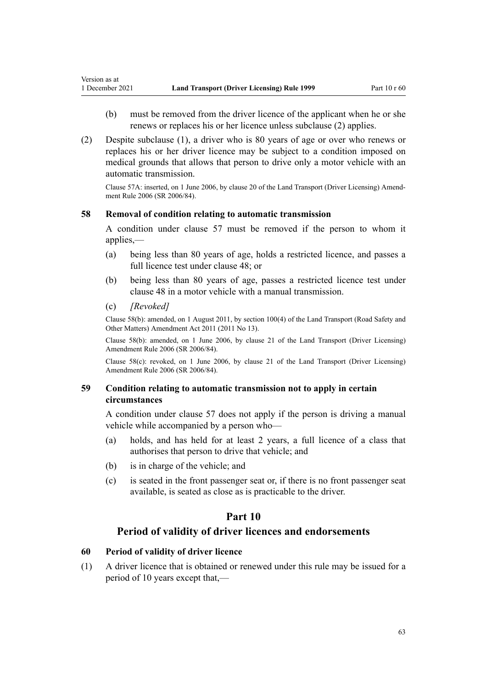- (b) must be removed from the driver licence of the applicant when he or she renews or replaces his or her licence unless subclause (2) applies.
- (2) Despite subclause (1), a driver who is 80 years of age or over who renews or replaces his or her driver licence may be subject to a condition imposed on medical grounds that allows that person to drive only a motor vehicle with an automatic transmission.

Clause 57A: inserted, on 1 June 2006, by [clause 20](http://legislation.govt.nz/pdflink.aspx?id=DLM376111) of the Land Transport (Driver Licensing) Amend‐ ment Rule 2006 (SR 2006/84).

## **58 Removal of condition relating to automatic transmission**

A condition under [clause 57](#page-61-0) must be removed if the person to whom it applies,—

- (a) being less than 80 years of age, holds a restricted licence, and passes a full licence test under [clause 48;](#page-57-0) or
- (b) being less than 80 years of age, passes a restricted licence test under [clause 48](#page-57-0) in a motor vehicle with a manual transmission.
- (c) *[Revoked]*

Version as at

Clause 58(b): amended, on 1 August 2011, by [section 100\(4\)](http://legislation.govt.nz/pdflink.aspx?id=DLM3231293) of the Land Transport (Road Safety and Other Matters) Amendment Act 2011 (2011 No 13).

Clause 58(b): amended, on 1 June 2006, by [clause 21](http://legislation.govt.nz/pdflink.aspx?id=DLM376114) of the Land Transport (Driver Licensing) Amendment Rule 2006 (SR 2006/84).

Clause 58(c): revoked, on 1 June 2006, by [clause 21](http://legislation.govt.nz/pdflink.aspx?id=DLM376114) of the Land Transport (Driver Licensing) Amendment Rule 2006 (SR 2006/84).

# **59 Condition relating to automatic transmission not to apply in certain circumstances**

A condition under [clause 57](#page-61-0) does not apply if the person is driving a manual vehicle while accompanied by a person who—

- (a) holds, and has held for at least 2 years, a full licence of a class that authorises that person to drive that vehicle; and
- (b) is in charge of the vehicle; and
- (c) is seated in the front passenger seat or, if there is no front passenger seat available, is seated as close as is practicable to the driver.

# **Part 10**

# **Period of validity of driver licences and endorsements**

# **60 Period of validity of driver licence**

(1) A driver licence that is obtained or renewed under this rule may be issued for a period of 10 years except that,—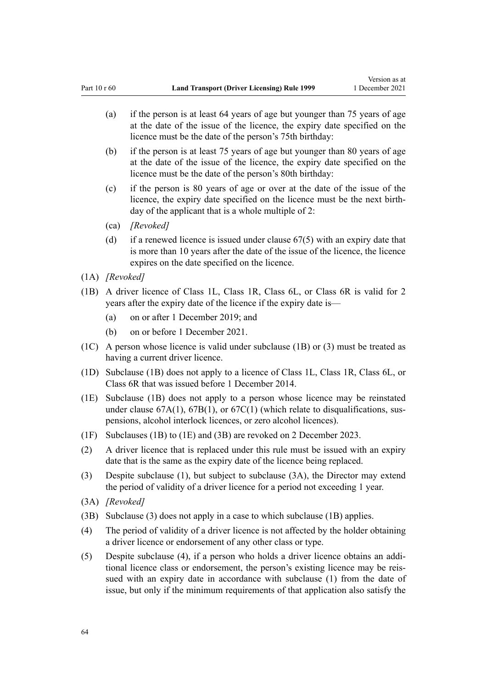- (a) if the person is at least 64 years of age but younger than 75 years of age at the date of the issue of the licence, the expiry date specified on the licence must be the date of the person's 75th birthday:
- (b) if the person is at least 75 years of age but younger than 80 years of age at the date of the issue of the licence, the expiry date specified on the licence must be the date of the person's 80th birthday:
- (c) if the person is 80 years of age or over at the date of the issue of the licence, the expiry date specified on the licence must be the next birth‐ day of the applicant that is a whole multiple of 2:
- (ca) *[Revoked]*
- (d) if a renewed licence is issued under [clause 67\(5\)](#page-69-0) with an expiry date that is more than 10 years after the date of the issue of the licence, the licence expires on the date specified on the licence.
- (1A) *[Revoked]*
- (1B) A driver licence of Class 1L, Class 1R, Class 6L, or Class 6R is valid for 2 years after the expiry date of the licence if the expiry date is—
	- (a) on or after 1 December 2019; and
	- (b) on or before 1 December 2021.
- (1C) A person whose licence is valid under subclause (1B) or (3) must be treated as having a current driver licence.
- (1D) Subclause (1B) does not apply to a licence of Class 1L, Class 1R, Class 6L, or Class 6R that was issued before 1 December 2014.
- (1E) Subclause (1B) does not apply to a person whose licence may be reinstated under clause  $67A(1)$ ,  $67B(1)$ , or  $67C(1)$  (which relate to disqualifications, suspensions, alcohol interlock licences, or zero alcohol licences).
- (1F) Subclauses (1B) to (1E) and (3B) are revoked on 2 December 2023.
- (2) A driver licence that is replaced under this rule must be issued with an expiry date that is the same as the expiry date of the licence being replaced.
- (3) Despite subclause (1), but subject to subclause (3A), the Director may extend the period of validity of a driver licence for a period not exceeding 1 year.
- (3A) *[Revoked]*
- (3B) Subclause (3) does not apply in a case to which subclause (1B) applies.
- (4) The period of validity of a driver licence is not affected by the holder obtaining a driver licence or endorsement of any other class or type.
- (5) Despite subclause (4), if a person who holds a driver licence obtains an addi‐ tional licence class or endorsement, the person's existing licence may be reis‐ sued with an expiry date in accordance with subclause (1) from the date of issue, but only if the minimum requirements of that application also satisfy the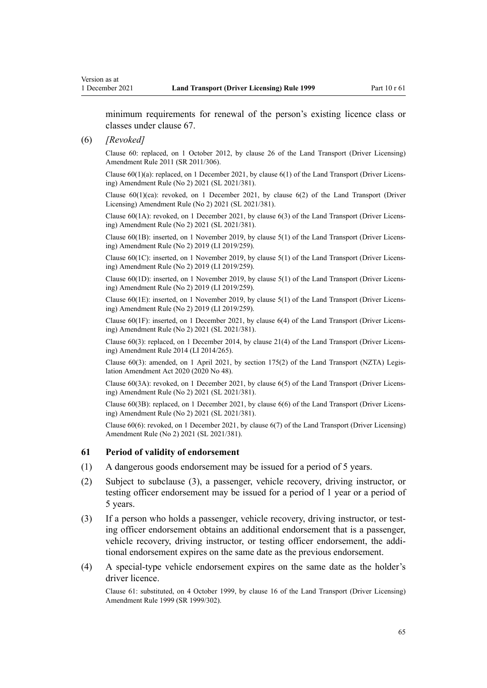minimum requirements for renewal of the person's existing licence class or classes under [clause 67](#page-69-0).

#### (6) *[Revoked]*

Clause 60: replaced, on 1 October 2012, by [clause 26](http://legislation.govt.nz/pdflink.aspx?id=DLM3956515) of the Land Transport (Driver Licensing) Amendment Rule 2011 (SR 2011/306).

Clause  $60(1)(a)$ : replaced, on 1 December 2021, by clause  $6(1)$  of the Land Transport (Driver Licensing) Amendment Rule (No 2) 2021 (SL 2021/381).

Clause  $60(1)(ca)$ : revoked, on 1 December 2021, by clause  $6(2)$  of the Land Transport (Driver Licensing) Amendment Rule (No 2) 2021 (SL 2021/381).

Clause 60(1A): revoked, on 1 December 2021, by [clause 6\(3\)](http://legislation.govt.nz/pdflink.aspx?id=LMS590843) of the Land Transport (Driver Licens‐ ing) Amendment Rule (No 2) 2021 (SL 2021/381).

Clause 60(1B): inserted, on 1 November 2019, by [clause 5\(1\)](http://legislation.govt.nz/pdflink.aspx?id=LMS264758) of the Land Transport (Driver Licens‐ ing) Amendment Rule (No 2) 2019 (LI 2019/259).

Clause 60(1C): inserted, on 1 November 2019, by [clause 5\(1\)](http://legislation.govt.nz/pdflink.aspx?id=LMS264758) of the Land Transport (Driver Licens‐ ing) Amendment Rule (No 2) 2019 (LI 2019/259).

Clause 60(1D): inserted, on 1 November 2019, by [clause 5\(1\)](http://legislation.govt.nz/pdflink.aspx?id=LMS264758) of the Land Transport (Driver Licens‐ ing) Amendment Rule (No 2) 2019 (LI 2019/259).

Clause 60(1E): inserted, on 1 November 2019, by [clause 5\(1\)](http://legislation.govt.nz/pdflink.aspx?id=LMS264758) of the Land Transport (Driver Licens‐ ing) Amendment Rule (No 2) 2019 (LI 2019/259).

Clause 60(1F): inserted, on 1 December 2021, by [clause 6\(4\)](http://legislation.govt.nz/pdflink.aspx?id=LMS590843) of the Land Transport (Driver Licens‐ ing) Amendment Rule (No 2) 2021 (SL 2021/381).

Clause 60(3): replaced, on 1 December 2014, by [clause 21\(4\)](http://legislation.govt.nz/pdflink.aspx?id=DLM6216935) of the Land Transport (Driver Licens‐ ing) Amendment Rule 2014 (LI 2014/265).

Clause 60(3): amended, on 1 April 2021, by [section 175\(2\)](http://legislation.govt.nz/pdflink.aspx?id=LMS286883) of the Land Transport (NZTA) Legis‐ lation Amendment Act 2020 (2020 No 48).

Clause 60(3A): revoked, on 1 December 2021, by [clause 6\(5\)](http://legislation.govt.nz/pdflink.aspx?id=LMS590843) of the Land Transport (Driver Licens‐ ing) Amendment Rule (No 2) 2021 (SL 2021/381).

Clause 60(3B): replaced, on 1 December 2021, by [clause 6\(6\)](http://legislation.govt.nz/pdflink.aspx?id=LMS590843) of the Land Transport (Driver Licens‐ ing) Amendment Rule (No 2) 2021 (SL 2021/381).

Clause 60(6): revoked, on 1 December 2021, by [clause 6\(7\)](http://legislation.govt.nz/pdflink.aspx?id=LMS590843) of the Land Transport (Driver Licensing) Amendment Rule (No 2) 2021 (SL 2021/381).

### **61 Period of validity of endorsement**

- (1) A dangerous goods endorsement may be issued for a period of 5 years.
- (2) Subject to subclause (3), a passenger, vehicle recovery, driving instructor, or testing officer endorsement may be issued for a period of 1 year or a period of 5 years.
- (3) If a person who holds a passenger, vehicle recovery, driving instructor, or test‐ ing officer endorsement obtains an additional endorsement that is a passenger, vehicle recovery, driving instructor, or testing officer endorsement, the addi‐ tional endorsement expires on the same date as the previous endorsement.
- (4) A special-type vehicle endorsement expires on the same date as the holder's driver licence.

Clause 61: substituted, on 4 October 1999, by [clause 16](http://legislation.govt.nz/pdflink.aspx?id=DLM293684) of the Land Transport (Driver Licensing) Amendment Rule 1999 (SR 1999/302).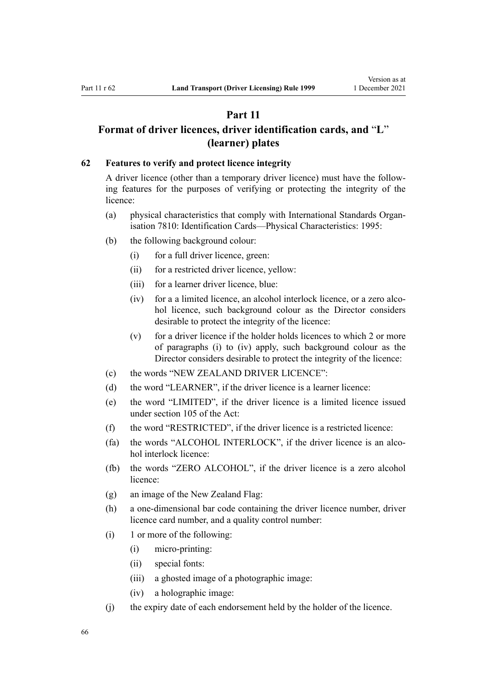# **Part 11**

# <span id="page-65-0"></span>**Format of driver licences, driver identification cards, and** "**L**" **(learner) plates**

## **62 Features to verify and protect licence integrity**

A driver licence (other than a temporary driver licence) must have the follow‐ ing features for the purposes of verifying or protecting the integrity of the licence:

- (a) physical characteristics that comply with International Standards Organ‐ isation 7810: Identification Cards—Physical Characteristics: 1995:
- (b) the following background colour:
	- (i) for a full driver licence, green:
	- (ii) for a restricted driver licence, yellow:
	- (iii) for a learner driver licence, blue:
	- (iv) for a a limited licence, an alcohol interlock licence, or a zero alcohol licence, such background colour as the Director considers desirable to protect the integrity of the licence:
	- (v) for a driver licence if the holder holds licences to which 2 or more of paragraphs (i) to (iv) apply, such background colour as the Director considers desirable to protect the integrity of the licence:
- (c) the words "NEW ZEALAND DRIVER LICENCE":
- (d) the word "LEARNER", if the driver licence is a learner licence:
- (e) the word "LIMITED", if the driver licence is a limited licence issued under [section 105](http://legislation.govt.nz/pdflink.aspx?id=DLM435080) of the Act:
- (f) the word "RESTRICTED", if the driver licence is a restricted licence:
- (fa) the words "ALCOHOL INTERLOCK", if the driver licence is an alcohol interlock licence:
- (fb) the words "ZERO ALCOHOL", if the driver licence is a zero alcohol licence:
- (g) an image of the New Zealand Flag:
- (h) a one-dimensional bar code containing the driver licence number, driver licence card number, and a quality control number:
- (i) 1 or more of the following:
	- (i) micro-printing:
	- (ii) special fonts:
	- (iii) a ghosted image of a photographic image:
	- (iv) a holographic image:
- (j) the expiry date of each endorsement held by the holder of the licence.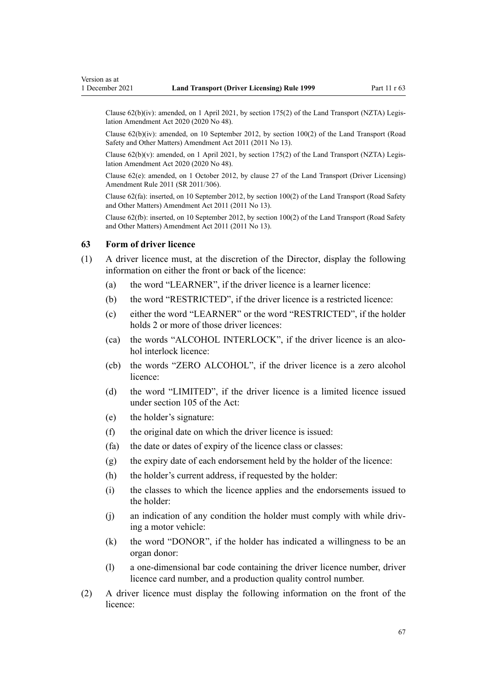Clause  $62(b)(iv)$ : amended, on 1 April 2021, by [section 175\(2\)](http://legislation.govt.nz/pdflink.aspx?id=LMS286883) of the Land Transport (NZTA) Legislation Amendment Act 2020 (2020 No 48).

Clause 62(b)(iv): amended, on 10 September 2012, by [section 100\(2\)](http://legislation.govt.nz/pdflink.aspx?id=DLM3231293) of the Land Transport (Road Safety and Other Matters) Amendment Act 2011 (2011 No 13).

Clause 62(b)(v): amended, on 1 April 2021, by [section 175\(2\)](http://legislation.govt.nz/pdflink.aspx?id=LMS286883) of the Land Transport (NZTA) Legis‐ lation Amendment Act 2020 (2020 No 48).

Clause 62(e): amended, on 1 October 2012, by [clause 27](http://legislation.govt.nz/pdflink.aspx?id=DLM3956517) of the Land Transport (Driver Licensing) Amendment Rule 2011 (SR 2011/306).

Clause 62(fa): inserted, on 10 September 2012, by [section 100\(2\)](http://legislation.govt.nz/pdflink.aspx?id=DLM3231293) of the Land Transport (Road Safety and Other Matters) Amendment Act 2011 (2011 No 13).

Clause 62(fb): inserted, on 10 September 2012, by [section 100\(2\)](http://legislation.govt.nz/pdflink.aspx?id=DLM3231293) of the Land Transport (Road Safety and Other Matters) Amendment Act 2011 (2011 No 13).

### **63 Form of driver licence**

- (1) A driver licence must, at the discretion of the Director, display the following information on either the front or back of the licence:
	- (a) the word "LEARNER", if the driver licence is a learner licence:
	- (b) the word "RESTRICTED", if the driver licence is a restricted licence:
	- (c) either the word "LEARNER" or the word "RESTRICTED", if the holder holds 2 or more of those driver licences:
	- (ca) the words "ALCOHOL INTERLOCK", if the driver licence is an alco‐ hol interlock licence:
	- (cb) the words "ZERO ALCOHOL", if the driver licence is a zero alcohol licence:
	- (d) the word "LIMITED", if the driver licence is a limited licence issued under [section 105](http://legislation.govt.nz/pdflink.aspx?id=DLM435080) of the Act:
	- (e) the holder's signature:
	- (f) the original date on which the driver licence is issued:
	- (fa) the date or dates of expiry of the licence class or classes:
	- (g) the expiry date of each endorsement held by the holder of the licence:
	- (h) the holder's current address, if requested by the holder:
	- (i) the classes to which the licence applies and the endorsements issued to the holder:
	- $(i)$  an indication of any condition the holder must comply with while driving a motor vehicle:
	- (k) the word "DONOR", if the holder has indicated a willingness to be an organ donor:
	- (l) a one-dimensional bar code containing the driver licence number, driver licence card number, and a production quality control number.
- (2) A driver licence must display the following information on the front of the licence: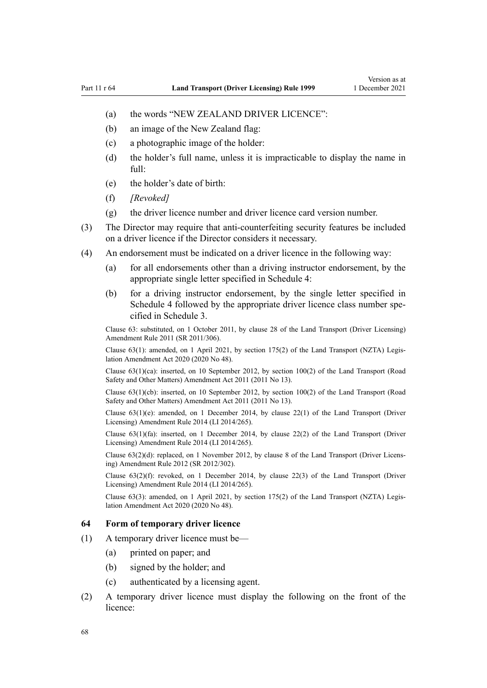- (a) the words "NEW ZEALAND DRIVER LICENCE":
- (b) an image of the New Zealand flag:
- (c) a photographic image of the holder:
- (d) the holder's full name, unless it is impracticable to display the name in full:
- (e) the holder's date of birth:
- (f) *[Revoked]*
- (g) the driver licence number and driver licence card version number.
- (3) The Director may require that anti-counterfeiting security features be included on a driver licence if the Director considers it necessary.
- (4) An endorsement must be indicated on a driver licence in the following way:
	- (a) for all endorsements other than a driving instructor endorsement, by the appropriate single letter specified in [Schedule 4](#page-117-0):
	- (b) for a driving instructor endorsement, by the single letter specified in [Schedule 4](#page-117-0) followed by the appropriate driver licence class number specified in [Schedule 3.](#page-114-0)

Clause 63: substituted, on 1 October 2011, by [clause 28](http://legislation.govt.nz/pdflink.aspx?id=DLM3956732) of the Land Transport (Driver Licensing) Amendment Rule 2011 (SR 2011/306).

Clause 63(1): amended, on 1 April 2021, by [section 175\(2\)](http://legislation.govt.nz/pdflink.aspx?id=LMS286883) of the Land Transport (NZTA) Legis‐ lation Amendment Act 2020 (2020 No 48).

Clause 63(1)(ca): inserted, on 10 September 2012, by [section 100\(2\)](http://legislation.govt.nz/pdflink.aspx?id=DLM3231293) of the Land Transport (Road Safety and Other Matters) Amendment Act 2011 (2011 No 13).

Clause 63(1)(cb): inserted, on 10 September 2012, by [section 100\(2\)](http://legislation.govt.nz/pdflink.aspx?id=DLM3231293) of the Land Transport (Road Safety and Other Matters) Amendment Act 2011 (2011 No 13).

Clause 63(1)(e): amended, on 1 December 2014, by [clause 22\(1\)](http://legislation.govt.nz/pdflink.aspx?id=DLM6216936) of the Land Transport (Driver Licensing) Amendment Rule 2014 (LI 2014/265).

Clause 63(1)(fa): inserted, on 1 December 2014, by [clause 22\(2\)](http://legislation.govt.nz/pdflink.aspx?id=DLM6216936) of the Land Transport (Driver Licensing) Amendment Rule 2014 (LI 2014/265).

Clause 63(2)(d): replaced, on 1 November 2012, by [clause 8](http://legislation.govt.nz/pdflink.aspx?id=DLM4773440) of the Land Transport (Driver Licens‐ ing) Amendment Rule 2012 (SR 2012/302).

Clause  $63(2)(f)$ : revoked, on 1 December 2014, by [clause 22\(3\)](http://legislation.govt.nz/pdflink.aspx?id=DLM6216936) of the Land Transport (Driver Licensing) Amendment Rule 2014 (LI 2014/265).

Clause 63(3): amended, on 1 April 2021, by [section 175\(2\)](http://legislation.govt.nz/pdflink.aspx?id=LMS286883) of the Land Transport (NZTA) Legis‐ lation Amendment Act 2020 (2020 No 48).

## **64 Form of temporary driver licence**

- (1) A temporary driver licence must be—
	- (a) printed on paper; and
	- (b) signed by the holder; and
	- (c) authenticated by a licensing agent.
- (2) A temporary driver licence must display the following on the front of the licence: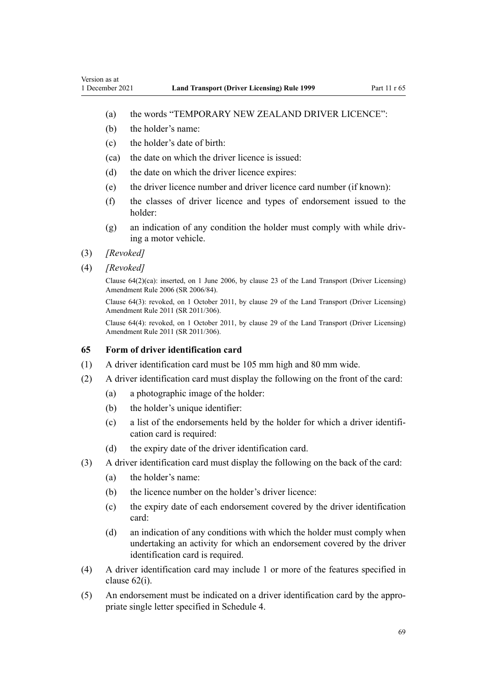- (a) the words "TEMPORARY NEW ZEALAND DRIVER LICENCE":
- (b) the holder's name:
- (c) the holder's date of birth:
- (ca) the date on which the driver licence is issued:
- (d) the date on which the driver licence expires:
- (e) the driver licence number and driver licence card number (if known):
- (f) the classes of driver licence and types of endorsement issued to the holder:
- (g) an indication of any condition the holder must comply with while driv‐ ing a motor vehicle.
- (3) *[Revoked]*
- (4) *[Revoked]*

Clause 64(2)(ca): inserted, on 1 June 2006, by [clause 23](http://legislation.govt.nz/pdflink.aspx?id=DLM376116) of the Land Transport (Driver Licensing) Amendment Rule 2006 (SR 2006/84).

Clause 64(3): revoked, on 1 October 2011, by [clause 29](http://legislation.govt.nz/pdflink.aspx?id=DLM3956734) of the Land Transport (Driver Licensing) Amendment Rule 2011 (SR 2011/306).

Clause 64(4): revoked, on 1 October 2011, by [clause 29](http://legislation.govt.nz/pdflink.aspx?id=DLM3956734) of the Land Transport (Driver Licensing) Amendment Rule 2011 (SR 2011/306).

### **65 Form of driver identification card**

- (1) A driver identification card must be 105 mm high and 80 mm wide.
- (2) A driver identification card must display the following on the front of the card:
	- (a) a photographic image of the holder:
	- (b) the holder's unique identifier:
	- (c) a list of the endorsements held by the holder for which a driver identifi‐ cation card is required:
	- (d) the expiry date of the driver identification card.
- (3) A driver identification card must display the following on the back of the card:
	- (a) the holder's name:
	- (b) the licence number on the holder's driver licence:
	- (c) the expiry date of each endorsement covered by the driver identification card:
	- (d) an indication of any conditions with which the holder must comply when undertaking an activity for which an endorsement covered by the driver identification card is required.
- (4) A driver identification card may include 1 or more of the features specified in [clause 62\(i\)](#page-65-0).
- (5) An endorsement must be indicated on a driver identification card by the appro‐ priate single letter specified in [Schedule 4](#page-117-0).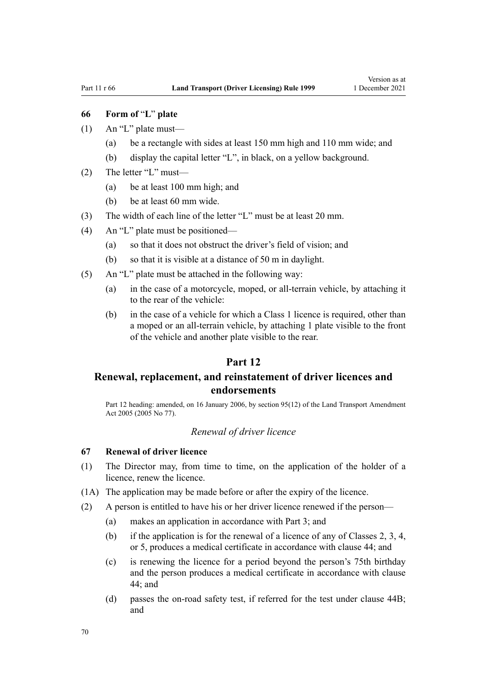# <span id="page-69-0"></span>**66 Form of** "**L**" **plate**

- $(1)$  An "L" plate must—
	- (a) be a rectangle with sides at least 150 mm high and 110 mm wide; and
	- (b) display the capital letter "L", in black, on a yellow background.
- (2) The letter "L" must—
	- (a) be at least 100 mm high; and
	- (b) be at least 60 mm wide.
- (3) The width of each line of the letter "L" must be at least 20 mm.
- (4) An "L" plate must be positioned—
	- (a) so that it does not obstruct the driver's field of vision; and
	- (b) so that it is visible at a distance of 50 m in daylight.
- (5) An "L" plate must be attached in the following way:
	- (a) in the case of a motorcycle, moped, or all-terrain vehicle, by attaching it to the rear of the vehicle:
	- (b) in the case of a vehicle for which a Class 1 licence is required, other than a moped or an all-terrain vehicle, by attaching 1 plate visible to the front of the vehicle and another plate visible to the rear.

# **Part 12**

# **Renewal, replacement, and reinstatement of driver licences and endorsements**

Part 12 heading: amended, on 16 January 2006, by [section 95\(12\)](http://legislation.govt.nz/pdflink.aspx?id=DLM353501) of the Land Transport Amendment Act 2005 (2005 No 77).

# *Renewal of driver licence*

# **67 Renewal of driver licence**

- (1) The Director may, from time to time, on the application of the holder of a licence, renew the licence.
- (1A) The application may be made before or after the expiry of the licence.
- (2) A person is entitled to have his or her driver licence renewed if the person—
	- (a) makes an application in accordance with [Part 3](#page-21-0); and
	- (b) if the application is for the renewal of a licence of any of Classes 2, 3, 4, or 5, produces a medical certificate in accordance with [clause 44](#page-54-0); and
	- (c) is renewing the licence for a period beyond the person's 75th birthday and the person produces a medical certificate in accordance with [clause](#page-54-0) [44;](#page-54-0) and
	- (d) passes the on-road safety test, if referred for the test under [clause 44B;](#page-55-0) and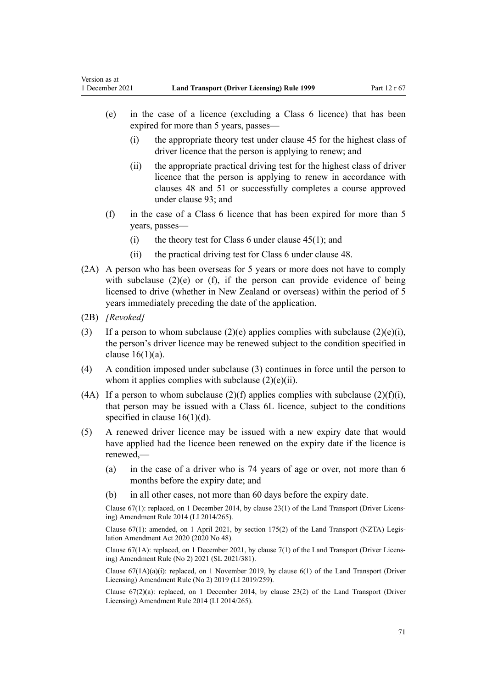- (e) in the case of a licence (excluding a Class 6 licence) that has been expired for more than 5 years, passes—
	- (i) the appropriate theory test under [clause 45](#page-56-0) for the highest class of driver licence that the person is applying to renew; and
	- (ii) the appropriate practical driving test for the highest class of driver licence that the person is applying to renew in accordance with [clauses 48](#page-57-0) and [51](#page-58-0) or successfully completes a course approved under [clause 93](#page-96-0); and
- (f) in the case of a Class 6 licence that has been expired for more than 5 years, passes—
	- (i) the theory test for Class 6 under clause  $45(1)$ ; and
	- (ii) the practical driving test for Class 6 under [clause 48](#page-57-0).
- (2A) A person who has been overseas for 5 years or more does not have to comply with subclause (2)(e) or (f), if the person can provide evidence of being licensed to drive (whether in New Zealand or overseas) within the period of 5 years immediately preceding the date of the application.
- (2B) *[Revoked]*

Version as at

- (3) If a person to whom subclause  $(2)(e)$  applies complies with subclause  $(2)(e)(i)$ , the person's driver licence may be renewed subject to the condition specified in clause  $16(1)(a)$ .
- (4) A condition imposed under subclause (3) continues in force until the person to whom it applies complies with subclause  $(2)(e)(ii)$ .
- (4A) If a person to whom subclause (2)(f) applies complies with subclause (2)(f)(i), that person may be issued with a Class 6L licence, subject to the conditions specified in [clause 16\(1\)\(d\)](#page-27-0).
- (5) A renewed driver licence may be issued with a new expiry date that would have applied had the licence been renewed on the expiry date if the licence is renewed,—
	- (a) in the case of a driver who is 74 years of age or over, not more than 6 months before the expiry date; and
	- (b) in all other cases, not more than 60 days before the expiry date.

Clause 67(1): replaced, on 1 December 2014, by [clause 23\(1\)](http://legislation.govt.nz/pdflink.aspx?id=DLM6216937) of the Land Transport (Driver Licens‐ ing) Amendment Rule 2014 (LI 2014/265).

Clause 67(1): amended, on 1 April 2021, by [section 175\(2\)](http://legislation.govt.nz/pdflink.aspx?id=LMS286883) of the Land Transport (NZTA) Legis‐ lation Amendment Act 2020 (2020 No 48).

Clause 67(1A): replaced, on 1 December 2021, by [clause 7\(1\)](http://legislation.govt.nz/pdflink.aspx?id=LMS590844) of the Land Transport (Driver Licens‐ ing) Amendment Rule (No 2) 2021 (SL 2021/381).

Clause  $67(1A)(a)(i)$ : replaced, on 1 November 2019, by clause  $6(1)$  of the Land Transport (Driver Licensing) Amendment Rule (No 2) 2019 (LI 2019/259).

Clause  $67(2)(a)$ : replaced, on 1 December 2014, by [clause 23\(2\)](http://legislation.govt.nz/pdflink.aspx?id=DLM6216937) of the Land Transport (Driver Licensing) Amendment Rule 2014 (LI 2014/265).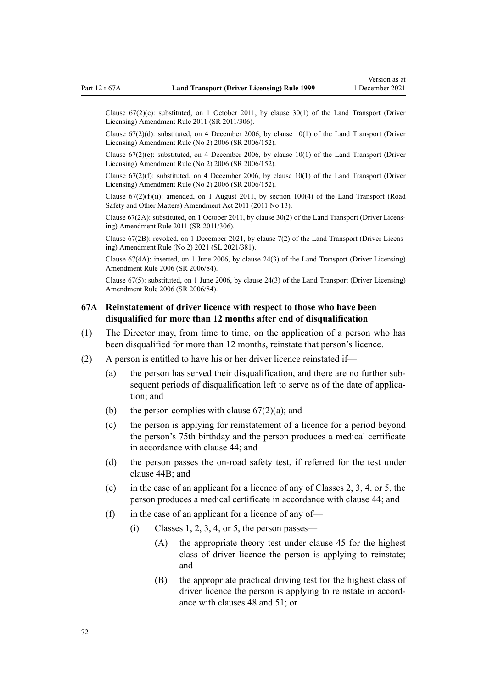<span id="page-71-0"></span>Clause  $67(2)(c)$ : substituted, on 1 October 2011, by [clause 30\(1\)](http://legislation.govt.nz/pdflink.aspx?id=DLM3956735) of the Land Transport (Driver Licensing) Amendment Rule 2011 (SR 2011/306).

Clause 67(2)(d): substituted, on 4 December 2006, by [clause 10\(1\)](http://legislation.govt.nz/pdflink.aspx?id=DLM386151) of the Land Transport (Driver Licensing) Amendment Rule (No 2) 2006 (SR 2006/152).

Clause 67(2)(e): substituted, on 4 December 2006, by [clause 10\(1\)](http://legislation.govt.nz/pdflink.aspx?id=DLM386151) of the Land Transport (Driver Licensing) Amendment Rule (No 2) 2006 (SR 2006/152).

Clause  $67(2)(f)$ : substituted, on 4 December 2006, by clause  $10(1)$  of the Land Transport (Driver Licensing) Amendment Rule (No 2) 2006 (SR 2006/152).

Clause  $67(2)(f)(ii)$ : amended, on 1 August 2011, by [section 100\(4\)](http://legislation.govt.nz/pdflink.aspx?id=DLM3231293) of the Land Transport (Road Safety and Other Matters) Amendment Act 2011 (2011 No 13).

Clause 67(2A): substituted, on 1 October 2011, by [clause 30\(2\)](http://legislation.govt.nz/pdflink.aspx?id=DLM3956735) of the Land Transport (Driver Licens‐ ing) Amendment Rule 2011 (SR 2011/306).

Clause 67(2B): revoked, on 1 December 2021, by [clause 7\(2\)](http://legislation.govt.nz/pdflink.aspx?id=LMS590844) of the Land Transport (Driver Licens‐ ing) Amendment Rule (No 2) 2021 (SL 2021/381).

Clause 67(4A): inserted, on 1 June 2006, by [clause 24\(3\)](http://legislation.govt.nz/pdflink.aspx?id=DLM376117) of the Land Transport (Driver Licensing) Amendment Rule 2006 (SR 2006/84).

Clause 67(5): substituted, on 1 June 2006, by [clause 24\(3\)](http://legislation.govt.nz/pdflink.aspx?id=DLM376117) of the Land Transport (Driver Licensing) Amendment Rule 2006 (SR 2006/84).

# **67A Reinstatement of driver licence with respect to those who have been disqualified for more than 12 months after end of disqualification**

- (1) The Director may, from time to time, on the application of a person who has been disqualified for more than 12 months, reinstate that person's licence.
- (2) A person is entitled to have his or her driver licence reinstated if—
	- (a) the person has served their disqualification, and there are no further sub‐ sequent periods of disqualification left to serve as of the date of application; and
	- (b) the person complies with clause  $67(2)(a)$ ; and
	- (c) the person is applying for reinstatement of a licence for a period beyond the person's 75th birthday and the person produces a medical certificate in accordance with [clause 44](#page-54-0); and
	- (d) the person passes the on-road safety test, if referred for the test under [clause 44B;](#page-55-0) and
	- (e) in the case of an applicant for a licence of any of Classes 2, 3, 4, or 5, the person produces a medical certificate in accordance with [clause 44](#page-54-0); and
	- (f) in the case of an applicant for a licence of any of-
		- $(i)$  Classes 1, 2, 3, 4, or 5, the person passes—
			- (A) the appropriate theory test under [clause 45](#page-56-0) for the highest class of driver licence the person is applying to reinstate; and
			- (B) the appropriate practical driving test for the highest class of driver licence the person is applying to reinstate in accordance with [clauses 48](#page-57-0) and [51;](#page-58-0) or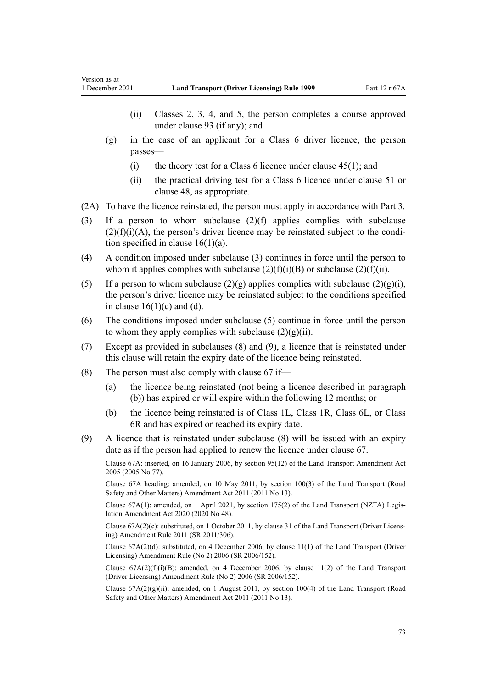- (ii) Classes 2, 3, 4, and 5, the person completes a course approved under [clause 93](#page-96-0) (if any); and
- (g) in the case of an applicant for a Class 6 driver licence, the person passes—
	- (i) the theory test for a Class 6 licence under clause  $45(1)$ ; and
	- (ii) the practical driving test for a Class 6 licence under [clause 51](#page-58-0) or [clause 48](#page-57-0), as appropriate.
- (2A) To have the licence reinstated, the person must apply in accordance with [Part 3](#page-21-0).
- (3) If a person to whom subclause (2)(f) applies complies with subclause  $(2)(f)(i)(A)$ , the person's driver licence may be reinstated subject to the condition specified in clause  $16(1)(a)$ .
- (4) A condition imposed under subclause (3) continues in force until the person to whom it applies complies with subclause  $(2)(f)(i)(B)$  or subclause  $(2)(f)(ii)$ .
- (5) If a person to whom subclause  $(2)(g)$  applies complies with subclause  $(2)(g)(i)$ , the person's driver licence may be reinstated subject to the conditions specified in clause  $16(1)(c)$  and (d).
- (6) The conditions imposed under subclause (5) continue in force until the person to whom they apply complies with subclause  $(2)(g)(ii)$ .
- (7) Except as provided in subclauses (8) and (9), a licence that is reinstated under this clause will retain the expiry date of the licence being reinstated.
- (8) The person must also comply with [clause 67](#page-69-0) if—
	- (a) the licence being reinstated (not being a licence described in paragraph (b)) has expired or will expire within the following 12 months; or
	- (b) the licence being reinstated is of Class 1L, Class 1R, Class 6L, or Class 6R and has expired or reached its expiry date.
- (9) A licence that is reinstated under subclause (8) will be issued with an expiry date as if the person had applied to renew the licence under [clause 67.](#page-69-0)

Clause 67A: inserted, on 16 January 2006, by [section 95\(12\)](http://legislation.govt.nz/pdflink.aspx?id=DLM353501) of the Land Transport Amendment Act 2005 (2005 No 77).

Clause 67A heading: amended, on 10 May 2011, by [section 100\(3\)](http://legislation.govt.nz/pdflink.aspx?id=DLM3231293) of the Land Transport (Road Safety and Other Matters) Amendment Act 2011 (2011 No 13).

Clause 67A(1): amended, on 1 April 2021, by [section 175\(2\)](http://legislation.govt.nz/pdflink.aspx?id=LMS286883) of the Land Transport (NZTA) Legis‐ lation Amendment Act 2020 (2020 No 48).

Clause 67A(2)(c): substituted, on 1 October 2011, by [clause 31](http://legislation.govt.nz/pdflink.aspx?id=DLM3956736) of the Land Transport (Driver Licens‐ ing) Amendment Rule 2011 (SR 2011/306).

Clause 67A(2)(d): substituted, on 4 December 2006, by [clause 11\(1\)](http://legislation.govt.nz/pdflink.aspx?id=DLM386152) of the Land Transport (Driver Licensing) Amendment Rule (No 2) 2006 (SR 2006/152).

Clause  $67A(2)(f)(i)(B)$ : amended, on 4 December 2006, by [clause 11\(2\)](http://legislation.govt.nz/pdflink.aspx?id=DLM386152) of the Land Transport (Driver Licensing) Amendment Rule (No 2) 2006 (SR 2006/152).

Clause  $67A(2)(g)(ii)$ : amended, on 1 August 2011, by [section 100\(4\)](http://legislation.govt.nz/pdflink.aspx?id=DLM3231293) of the Land Transport (Road Safety and Other Matters) Amendment Act 2011 (2011 No 13).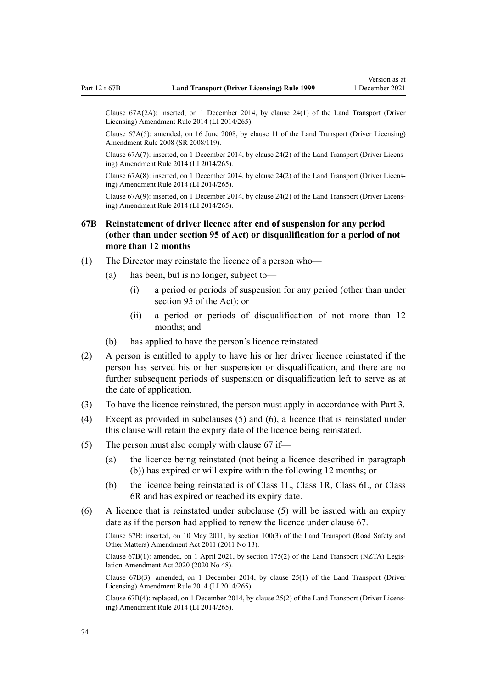Clause 67A(2A): inserted, on 1 December 2014, by [clause 24\(1\)](http://legislation.govt.nz/pdflink.aspx?id=DLM6216938) of the Land Transport (Driver Licensing) Amendment Rule 2014 (LI 2014/265).

Clause 67A(5): amended, on 16 June 2008, by [clause 11](http://legislation.govt.nz/pdflink.aspx?id=DLM1317917) of the Land Transport (Driver Licensing) Amendment Rule 2008 (SR 2008/119).

Clause 67A(7): inserted, on 1 December 2014, by [clause 24\(2\)](http://legislation.govt.nz/pdflink.aspx?id=DLM6216938) of the Land Transport (Driver Licens‐ ing) Amendment Rule 2014 (LI 2014/265).

Clause 67A(8): inserted, on 1 December 2014, by [clause 24\(2\)](http://legislation.govt.nz/pdflink.aspx?id=DLM6216938) of the Land Transport (Driver Licens‐ ing) Amendment Rule 2014 (LI 2014/265).

Clause 67A(9): inserted, on 1 December 2014, by [clause 24\(2\)](http://legislation.govt.nz/pdflink.aspx?id=DLM6216938) of the Land Transport (Driver Licens‐ ing) Amendment Rule 2014 (LI 2014/265).

# **67B Reinstatement of driver licence after end of suspension for any period (other than under section 95 of Act) or disqualification for a period of not more than 12 months**

- (1) The Director may reinstate the licence of a person who—
	- (a) has been, but is no longer, subject to—
		- (i) a period or periods of suspension for any period (other than under [section 95](http://legislation.govt.nz/pdflink.aspx?id=DLM435024) of the Act); or
		- (ii) a period or periods of disqualification of not more than 12 months; and
	- (b) has applied to have the person's licence reinstated.
- (2) A person is entitled to apply to have his or her driver licence reinstated if the person has served his or her suspension or disqualification, and there are no further subsequent periods of suspension or disqualification left to serve as at the date of application.
- (3) To have the licence reinstated, the person must apply in accordance with [Part 3](#page-21-0).
- (4) Except as provided in subclauses (5) and (6), a licence that is reinstated under this clause will retain the expiry date of the licence being reinstated.
- (5) The person must also comply with [clause 67](#page-69-0) if—
	- (a) the licence being reinstated (not being a licence described in paragraph (b)) has expired or will expire within the following 12 months; or
	- (b) the licence being reinstated is of Class 1L, Class 1R, Class 6L, or Class 6R and has expired or reached its expiry date.
- (6) A licence that is reinstated under subclause (5) will be issued with an expiry date as if the person had applied to renew the licence under [clause 67.](#page-69-0)

Clause 67B: inserted, on 10 May 2011, by [section 100\(3\)](http://legislation.govt.nz/pdflink.aspx?id=DLM3231293) of the Land Transport (Road Safety and Other Matters) Amendment Act 2011 (2011 No 13).

Clause 67B(1): amended, on 1 April 2021, by [section 175\(2\)](http://legislation.govt.nz/pdflink.aspx?id=LMS286883) of the Land Transport (NZTA) Legis‐ lation Amendment Act 2020 (2020 No 48).

Clause 67B(3): amended, on 1 December 2014, by [clause 25\(1\)](http://legislation.govt.nz/pdflink.aspx?id=DLM6216939) of the Land Transport (Driver Licensing) Amendment Rule 2014 (LI 2014/265).

Clause 67B(4): replaced, on 1 December 2014, by [clause 25\(2\)](http://legislation.govt.nz/pdflink.aspx?id=DLM6216939) of the Land Transport (Driver Licens‐ ing) Amendment Rule 2014 (LI 2014/265).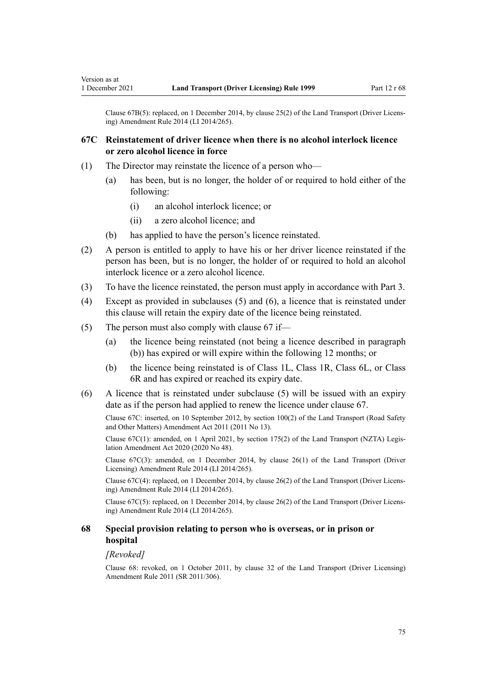Clause 67B(5): replaced, on 1 December 2014, by [clause 25\(2\)](http://legislation.govt.nz/pdflink.aspx?id=DLM6216939) of the Land Transport (Driver Licens‐ ing) Amendment Rule 2014 (LI 2014/265).

# **67C Reinstatement of driver licence when there is no alcohol interlock licence or zero alcohol licence in force**

- (1) The Director may reinstate the licence of a person who—
	- (a) has been, but is no longer, the holder of or required to hold either of the following:
		- (i) an alcohol interlock licence; or
		- (ii) a zero alcohol licence; and
	- (b) has applied to have the person's licence reinstated.
- (2) A person is entitled to apply to have his or her driver licence reinstated if the person has been, but is no longer, the holder of or required to hold an alcohol interlock licence or a zero alcohol licence.
- (3) To have the licence reinstated, the person must apply in accordance with [Part 3](#page-21-0).
- (4) Except as provided in subclauses (5) and (6), a licence that is reinstated under this clause will retain the expiry date of the licence being reinstated.
- (5) The person must also comply with [clause 67](#page-69-0) if—
	- (a) the licence being reinstated (not being a licence described in paragraph (b)) has expired or will expire within the following 12 months; or
	- (b) the licence being reinstated is of Class 1L, Class 1R, Class 6L, or Class 6R and has expired or reached its expiry date.
- (6) A licence that is reinstated under subclause (5) will be issued with an expiry date as if the person had applied to renew the licence under [clause 67.](#page-69-0)

Clause 67C: inserted, on 10 September 2012, by [section 100\(2\)](http://legislation.govt.nz/pdflink.aspx?id=DLM3231293) of the Land Transport (Road Safety and Other Matters) Amendment Act 2011 (2011 No 13).

Clause 67C(1): amended, on 1 April 2021, by [section 175\(2\)](http://legislation.govt.nz/pdflink.aspx?id=LMS286883) of the Land Transport (NZTA) Legis‐ lation Amendment Act 2020 (2020 No 48).

Clause 67C(3): amended, on 1 December 2014, by [clause 26\(1\)](http://legislation.govt.nz/pdflink.aspx?id=DLM6216940) of the Land Transport (Driver Licensing) Amendment Rule 2014 (LI 2014/265).

Clause 67C(4): replaced, on 1 December 2014, by [clause 26\(2\)](http://legislation.govt.nz/pdflink.aspx?id=DLM6216940) of the Land Transport (Driver Licens‐ ing) Amendment Rule 2014 (LI 2014/265).

Clause 67C(5): replaced, on 1 December 2014, by [clause 26\(2\)](http://legislation.govt.nz/pdflink.aspx?id=DLM6216940) of the Land Transport (Driver Licens‐ ing) Amendment Rule 2014 (LI 2014/265).

## **68 Special provision relating to person who is overseas, or in prison or hospital**

#### *[Revoked]*

Clause 68: revoked, on 1 October 2011, by [clause 32](http://legislation.govt.nz/pdflink.aspx?id=DLM3956737) of the Land Transport (Driver Licensing) Amendment Rule 2011 (SR 2011/306).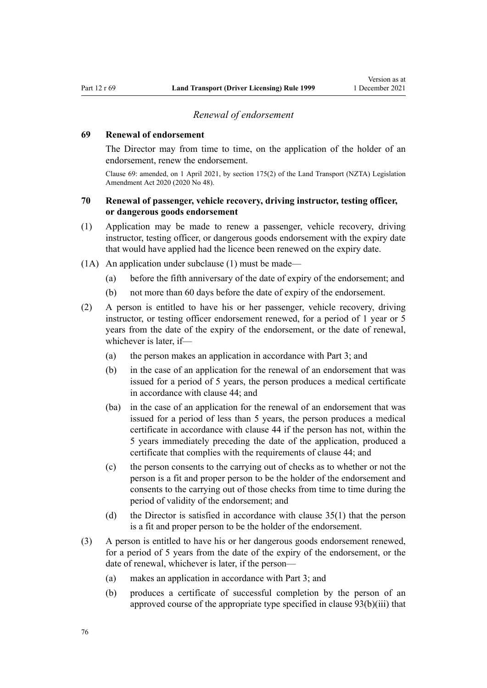## *Renewal of endorsement*

#### <span id="page-75-0"></span>**69 Renewal of endorsement**

The Director may from time to time, on the application of the holder of an endorsement, renew the endorsement.

Clause 69: amended, on 1 April 2021, by [section 175\(2\)](http://legislation.govt.nz/pdflink.aspx?id=LMS286883) of the Land Transport (NZTA) Legislation Amendment Act 2020 (2020 No 48).

## **70 Renewal of passenger, vehicle recovery, driving instructor, testing officer, or dangerous goods endorsement**

- (1) Application may be made to renew a passenger, vehicle recovery, driving instructor, testing officer, or dangerous goods endorsement with the expiry date that would have applied had the licence been renewed on the expiry date.
- (1A) An application under subclause (1) must be made—
	- (a) before the fifth anniversary of the date of expiry of the endorsement; and
	- (b) not more than 60 days before the date of expiry of the endorsement.
- (2) A person is entitled to have his or her passenger, vehicle recovery, driving instructor, or testing officer endorsement renewed, for a period of 1 year or 5 years from the date of the expiry of the endorsement, or the date of renewal, whichever is later, if—
	- (a) the person makes an application in accordance with [Part 3](#page-21-0); and
	- (b) in the case of an application for the renewal of an endorsement that was issued for a period of 5 years, the person produces a medical certificate in accordance with [clause 44](#page-54-0); and
	- (ba) in the case of an application for the renewal of an endorsement that was issued for a period of less than 5 years, the person produces a medical certificate in accordance with [clause 44](#page-54-0) if the person has not, within the 5 years immediately preceding the date of the application, produced a certificate that complies with the requirements of clause 44; and
	- (c) the person consents to the carrying out of checks as to whether or not the person is a fit and proper person to be the holder of the endorsement and consents to the carrying out of those checks from time to time during the period of validity of the endorsement; and
	- (d) the Director is satisfied in accordance with [clause 35\(1\)](#page-48-0) that the person is a fit and proper person to be the holder of the endorsement.
- (3) A person is entitled to have his or her dangerous goods endorsement renewed, for a period of 5 years from the date of the expiry of the endorsement, or the date of renewal, whichever is later, if the person—
	- (a) makes an application in accordance with [Part 3](#page-21-0); and
	- (b) produces a certificate of successful completion by the person of an approved course of the appropriate type specified in [clause 93\(b\)\(iii\)](#page-96-0) that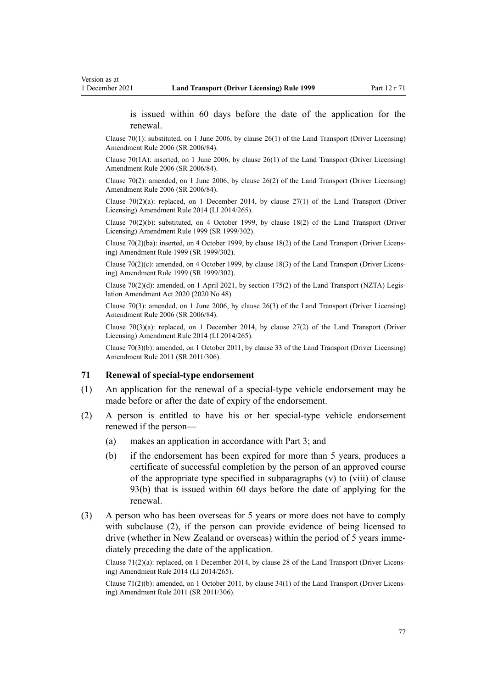<span id="page-76-0"></span>is issued within 60 days before the date of the application for the renewal.

Clause 70(1): substituted, on 1 June 2006, by [clause 26\(1\)](http://legislation.govt.nz/pdflink.aspx?id=DLM376119) of the Land Transport (Driver Licensing) Amendment Rule 2006 (SR 2006/84).

Clause 70(1A): inserted, on 1 June 2006, by [clause 26\(1\)](http://legislation.govt.nz/pdflink.aspx?id=DLM376119) of the Land Transport (Driver Licensing) Amendment Rule 2006 (SR 2006/84).

Clause 70(2): amended, on 1 June 2006, by [clause 26\(2\)](http://legislation.govt.nz/pdflink.aspx?id=DLM376119) of the Land Transport (Driver Licensing) Amendment Rule 2006 (SR 2006/84).

Clause  $70(2)(a)$ : replaced, on 1 December 2014, by clause  $27(1)$  of the Land Transport (Driver Licensing) Amendment Rule 2014 (LI 2014/265).

Clause  $70(2)(b)$ : substituted, on 4 October 1999, by [clause 18\(2\)](http://legislation.govt.nz/pdflink.aspx?id=DLM293687) of the Land Transport (Driver Licensing) Amendment Rule 1999 (SR 1999/302).

Clause 70(2)(ba): inserted, on 4 October 1999, by [clause 18\(2\)](http://legislation.govt.nz/pdflink.aspx?id=DLM293687) of the Land Transport (Driver Licens‐ ing) Amendment Rule 1999 (SR 1999/302).

Clause  $70(2)(c)$ : amended, on 4 October 1999, by [clause 18\(3\)](http://legislation.govt.nz/pdflink.aspx?id=DLM293687) of the Land Transport (Driver Licensing) Amendment Rule 1999 (SR 1999/302).

Clause 70(2)(d): amended, on 1 April 2021, by [section 175\(2\)](http://legislation.govt.nz/pdflink.aspx?id=LMS286883) of the Land Transport (NZTA) Legis‐ lation Amendment Act 2020 (2020 No 48).

Clause 70(3): amended, on 1 June 2006, by [clause 26\(3\)](http://legislation.govt.nz/pdflink.aspx?id=DLM376119) of the Land Transport (Driver Licensing) Amendment Rule 2006 (SR 2006/84).

Clause  $70(3)(a)$ : replaced, on 1 December 2014, by [clause 27\(2\)](http://legislation.govt.nz/pdflink.aspx?id=DLM6216941) of the Land Transport (Driver Licensing) Amendment Rule 2014 (LI 2014/265).

Clause 70(3)(b): amended, on 1 October 2011, by [clause 33](http://legislation.govt.nz/pdflink.aspx?id=DLM3956738) of the Land Transport (Driver Licensing) Amendment Rule 2011 (SR 2011/306).

#### **71 Renewal of special-type endorsement**

- (1) An application for the renewal of a special-type vehicle endorsement may be made before or after the date of expiry of the endorsement.
- (2) A person is entitled to have his or her special-type vehicle endorsement renewed if the person—
	- (a) makes an application in accordance with [Part 3](#page-21-0); and
	- (b) if the endorsement has been expired for more than 5 years, produces a certificate of successful completion by the person of an approved course of the appropriate type specified in subparagraphs (v) to (viii) of [clause](#page-96-0) [93\(b\)](#page-96-0) that is issued within 60 days before the date of applying for the renewal.
- (3) A person who has been overseas for 5 years or more does not have to comply with subclause (2), if the person can provide evidence of being licensed to drive (whether in New Zealand or overseas) within the period of 5 years immediately preceding the date of the application.

Clause 71(2)(a): replaced, on 1 December 2014, by [clause 28](http://legislation.govt.nz/pdflink.aspx?id=DLM6216942) of the Land Transport (Driver Licens‐ ing) Amendment Rule 2014 (LI 2014/265).

Clause 71(2)(b): amended, on 1 October 2011, by [clause 34\(1\)](http://legislation.govt.nz/pdflink.aspx?id=DLM3956739) of the Land Transport (Driver Licens‐ ing) Amendment Rule 2011 (SR 2011/306).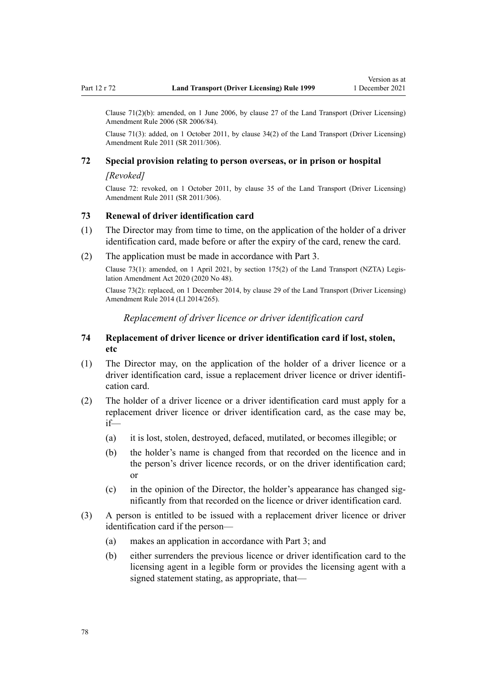<span id="page-77-0"></span>Clause 71(2)(b): amended, on 1 June 2006, by [clause 27](http://legislation.govt.nz/pdflink.aspx?id=DLM376120) of the Land Transport (Driver Licensing) Amendment Rule 2006 (SR 2006/84).

Clause 71(3): added, on 1 October 2011, by [clause 34\(2\)](http://legislation.govt.nz/pdflink.aspx?id=DLM3956739) of the Land Transport (Driver Licensing) Amendment Rule 2011 (SR 2011/306).

# **72 Special provision relating to person overseas, or in prison or hospital**

# *[Revoked]*

Clause 72: revoked, on 1 October 2011, by [clause 35](http://legislation.govt.nz/pdflink.aspx?id=DLM3956740) of the Land Transport (Driver Licensing) Amendment Rule 2011 (SR 2011/306).

#### **73 Renewal of driver identification card**

- (1) The Director may from time to time, on the application of the holder of a driver identification card, made before or after the expiry of the card, renew the card.
- (2) The application must be made in accordance with [Part 3.](#page-21-0)

Clause 73(1): amended, on 1 April 2021, by [section 175\(2\)](http://legislation.govt.nz/pdflink.aspx?id=LMS286883) of the Land Transport (NZTA) Legis‐ lation Amendment Act 2020 (2020 No 48).

Clause 73(2): replaced, on 1 December 2014, by [clause 29](http://legislation.govt.nz/pdflink.aspx?id=DLM6216943) of the Land Transport (Driver Licensing) Amendment Rule 2014 (LI 2014/265).

*Replacement of driver licence or driver identification card*

## **74 Replacement of driver licence or driver identification card if lost, stolen, etc**

- (1) The Director may, on the application of the holder of a driver licence or a driver identification card, issue a replacement driver licence or driver identification card.
- (2) The holder of a driver licence or a driver identification card must apply for a replacement driver licence or driver identification card, as the case may be, if—
	- (a) it is lost, stolen, destroyed, defaced, mutilated, or becomes illegible; or
	- (b) the holder's name is changed from that recorded on the licence and in the person's driver licence records, or on the driver identification card; or
	- (c) in the opinion of the Director, the holder's appearance has changed sig‐ nificantly from that recorded on the licence or driver identification card.
- (3) A person is entitled to be issued with a replacement driver licence or driver identification card if the person—
	- (a) makes an application in accordance with [Part 3](#page-21-0); and
	- (b) either surrenders the previous licence or driver identification card to the licensing agent in a legible form or provides the licensing agent with a signed statement stating, as appropriate, that—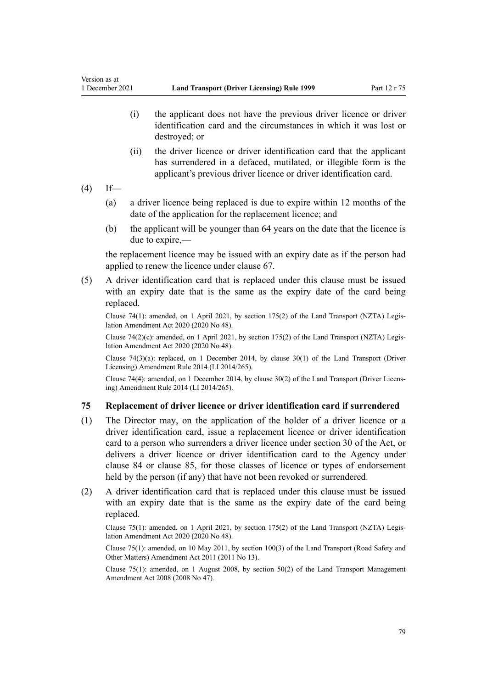- (i) the applicant does not have the previous driver licence or driver identification card and the circumstances in which it was lost or destroyed; or
- (ii) the driver licence or driver identification card that the applicant has surrendered in a defaced, mutilated, or illegible form is the applicant's previous driver licence or driver identification card.
- $(4)$  If—
	- (a) a driver licence being replaced is due to expire within 12 months of the date of the application for the replacement licence; and
	- (b) the applicant will be younger than 64 years on the date that the licence is due to expire,—

the replacement licence may be issued with an expiry date as if the person had applied to renew the licence under [clause 67](#page-69-0).

(5) A driver identification card that is replaced under this clause must be issued with an expiry date that is the same as the expiry date of the card being replaced.

Clause 74(1): amended, on 1 April 2021, by [section 175\(2\)](http://legislation.govt.nz/pdflink.aspx?id=LMS286883) of the Land Transport (NZTA) Legis‐ lation Amendment Act 2020 (2020 No 48).

Clause 74(2)(c): amended, on 1 April 2021, by [section 175\(2\)](http://legislation.govt.nz/pdflink.aspx?id=LMS286883) of the Land Transport (NZTA) Legislation Amendment Act 2020 (2020 No 48).

Clause 74(3)(a): replaced, on 1 December 2014, by [clause 30\(1\)](http://legislation.govt.nz/pdflink.aspx?id=DLM6216944) of the Land Transport (Driver Licensing) Amendment Rule 2014 (LI 2014/265).

Clause 74(4): amended, on 1 December 2014, by [clause 30\(2\)](http://legislation.govt.nz/pdflink.aspx?id=DLM6216944) of the Land Transport (Driver Licens‐ ing) Amendment Rule 2014 (LI 2014/265).

# **75 Replacement of driver licence or driver identification card if surrendered**

- (1) The Director may, on the application of the holder of a driver licence or a driver identification card, issue a replacement licence or driver identification card to a person who surrenders a driver licence under [section 30](http://legislation.govt.nz/pdflink.aspx?id=DLM434583) of the Act, or delivers a driver licence or driver identification card to the Agency under [clause 84](#page-85-0) or [clause 85,](#page-85-0) for those classes of licence or types of endorsement held by the person (if any) that have not been revoked or surrendered.
- (2) A driver identification card that is replaced under this clause must be issued with an expiry date that is the same as the expiry date of the card being replaced.

Clause 75(1): amended, on 1 April 2021, by [section 175\(2\)](http://legislation.govt.nz/pdflink.aspx?id=LMS286883) of the Land Transport (NZTA) Legis‐ lation Amendment Act 2020 (2020 No 48).

Clause 75(1): amended, on 10 May 2011, by [section 100\(3\)](http://legislation.govt.nz/pdflink.aspx?id=DLM3231293) of the Land Transport (Road Safety and Other Matters) Amendment Act 2011 (2011 No 13).

Clause 75(1): amended, on 1 August 2008, by [section 50\(2\)](http://legislation.govt.nz/pdflink.aspx?id=DLM1313622) of the Land Transport Management Amendment Act 2008 (2008 No 47).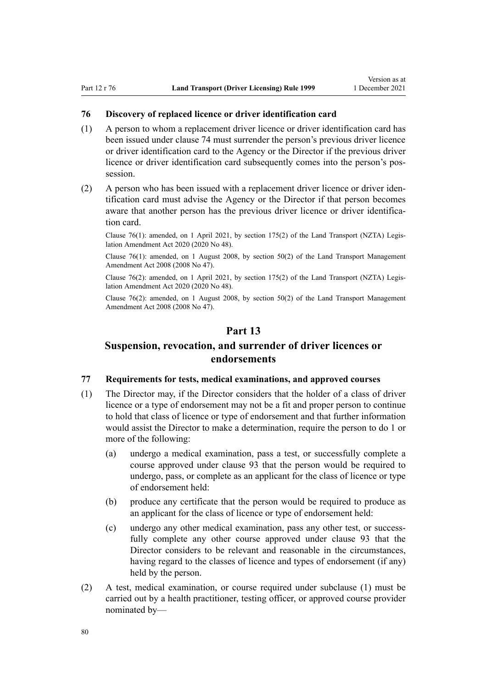## <span id="page-79-0"></span>**76 Discovery of replaced licence or driver identification card**

- (1) A person to whom a replacement driver licence or driver identification card has been issued under [clause 74](#page-77-0) must surrender the person's previous driver licence or driver identification card to the Agency or the Director if the previous driver licence or driver identification card subsequently comes into the person's pos‐ session.
- (2) A person who has been issued with a replacement driver licence or driver iden‐ tification card must advise the Agency or the Director if that person becomes aware that another person has the previous driver licence or driver identification card.

Clause 76(1): amended, on 1 April 2021, by [section 175\(2\)](http://legislation.govt.nz/pdflink.aspx?id=LMS286883) of the Land Transport (NZTA) Legis‐ lation Amendment Act 2020 (2020 No 48).

Clause  $76(1)$ : amended, on 1 August 2008, by section  $50(2)$  of the Land Transport Management Amendment Act 2008 (2008 No 47).

Clause 76(2): amended, on 1 April 2021, by [section 175\(2\)](http://legislation.govt.nz/pdflink.aspx?id=LMS286883) of the Land Transport (NZTA) Legis‐ lation Amendment Act 2020 (2020 No 48).

Clause 76(2): amended, on 1 August 2008, by [section 50\(2\)](http://legislation.govt.nz/pdflink.aspx?id=DLM1313622) of the Land Transport Management Amendment Act 2008 (2008 No 47).

# **Part 13**

# **Suspension, revocation, and surrender of driver licences or endorsements**

## **77 Requirements for tests, medical examinations, and approved courses**

- (1) The Director may, if the Director considers that the holder of a class of driver licence or a type of endorsement may not be a fit and proper person to continue to hold that class of licence or type of endorsement and that further information would assist the Director to make a determination, require the person to do 1 or more of the following:
	- (a) undergo a medical examination, pass a test, or successfully complete a course approved under [clause 93](#page-96-0) that the person would be required to undergo, pass, or complete as an applicant for the class of licence or type of endorsement held:
	- (b) produce any certificate that the person would be required to produce as an applicant for the class of licence or type of endorsement held:
	- (c) undergo any other medical examination, pass any other test, or successfully complete any other course approved under [clause 93](#page-96-0) that the Director considers to be relevant and reasonable in the circumstances, having regard to the classes of licence and types of endorsement (if any) held by the person.
- (2) A test, medical examination, or course required under subclause (1) must be carried out by a health practitioner, testing officer, or approved course provider nominated by—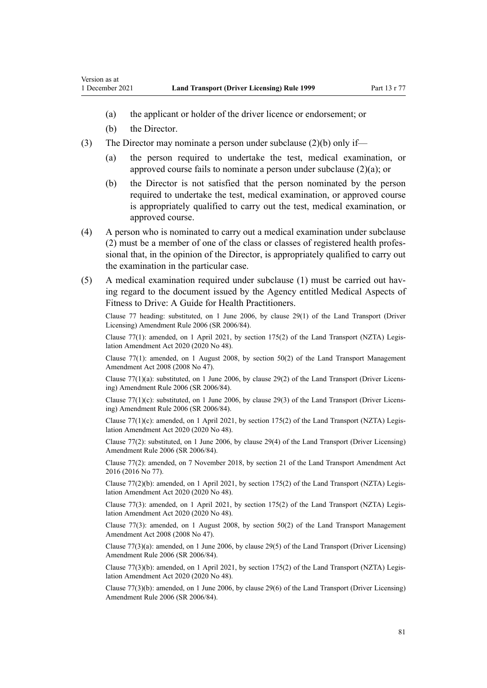- (a) the applicant or holder of the driver licence or endorsement; or
- (b) the Director.
- (3) The Director may nominate a person under subclause  $(2)(b)$  only if—
	- (a) the person required to undertake the test, medical examination, or approved course fails to nominate a person under subclause (2)(a); or
	- (b) the Director is not satisfied that the person nominated by the person required to undertake the test, medical examination, or approved course is appropriately qualified to carry out the test, medical examination, or approved course.
- (4) A person who is nominated to carry out a medical examination under subclause (2) must be a member of one of the class or classes of registered health profes‐ sional that, in the opinion of the Director, is appropriately qualified to carry out the examination in the particular case.
- (5) A medical examination required under subclause (1) must be carried out hav‐ ing regard to the document issued by the Agency entitled Medical Aspects of Fitness to Drive: A Guide for Health Practitioners.

Clause 77 heading: substituted, on 1 June 2006, by [clause 29\(1\)](http://legislation.govt.nz/pdflink.aspx?id=DLM376122) of the Land Transport (Driver Licensing) Amendment Rule 2006 (SR 2006/84).

Clause 77(1): amended, on 1 April 2021, by [section 175\(2\)](http://legislation.govt.nz/pdflink.aspx?id=LMS286883) of the Land Transport (NZTA) Legis‐ lation Amendment Act 2020 (2020 No 48).

Clause 77(1): amended, on 1 August 2008, by [section 50\(2\)](http://legislation.govt.nz/pdflink.aspx?id=DLM1313622) of the Land Transport Management Amendment Act 2008 (2008 No 47).

Clause 77(1)(a): substituted, on 1 June 2006, by [clause 29\(2\)](http://legislation.govt.nz/pdflink.aspx?id=DLM376122) of the Land Transport (Driver Licens‐ ing) Amendment Rule 2006 (SR 2006/84).

Clause 77(1)(c): substituted, on 1 June 2006, by [clause 29\(3\)](http://legislation.govt.nz/pdflink.aspx?id=DLM376122) of the Land Transport (Driver Licens‐ ing) Amendment Rule 2006 (SR 2006/84).

Clause 77(1)(c): amended, on 1 April 2021, by [section 175\(2\)](http://legislation.govt.nz/pdflink.aspx?id=LMS286883) of the Land Transport (NZTA) Legislation Amendment Act 2020 (2020 No 48).

Clause 77(2): substituted, on 1 June 2006, by [clause 29\(4\)](http://legislation.govt.nz/pdflink.aspx?id=DLM376122) of the Land Transport (Driver Licensing) Amendment Rule 2006 (SR 2006/84).

Clause 77(2): amended, on 7 November 2018, by [section 21](http://legislation.govt.nz/pdflink.aspx?id=DLM6984133) of the Land Transport Amendment Act 2016 (2016 No 77).

Clause 77(2)(b): amended, on 1 April 2021, by [section 175\(2\)](http://legislation.govt.nz/pdflink.aspx?id=LMS286883) of the Land Transport (NZTA) Legislation Amendment Act 2020 (2020 No 48).

Clause 77(3): amended, on 1 April 2021, by [section 175\(2\)](http://legislation.govt.nz/pdflink.aspx?id=LMS286883) of the Land Transport (NZTA) Legis‐ lation Amendment Act 2020 (2020 No 48).

Clause 77(3): amended, on 1 August 2008, by [section 50\(2\)](http://legislation.govt.nz/pdflink.aspx?id=DLM1313622) of the Land Transport Management Amendment Act 2008 (2008 No 47).

Clause 77(3)(a): amended, on 1 June 2006, by [clause 29\(5\)](http://legislation.govt.nz/pdflink.aspx?id=DLM376122) of the Land Transport (Driver Licensing) Amendment Rule 2006 (SR 2006/84).

Clause 77(3)(b): amended, on 1 April 2021, by [section 175\(2\)](http://legislation.govt.nz/pdflink.aspx?id=LMS286883) of the Land Transport (NZTA) Legis‐ lation Amendment Act 2020 (2020 No 48).

Clause 77(3)(b): amended, on 1 June 2006, by [clause 29\(6\)](http://legislation.govt.nz/pdflink.aspx?id=DLM376122) of the Land Transport (Driver Licensing) Amendment Rule 2006 (SR 2006/84).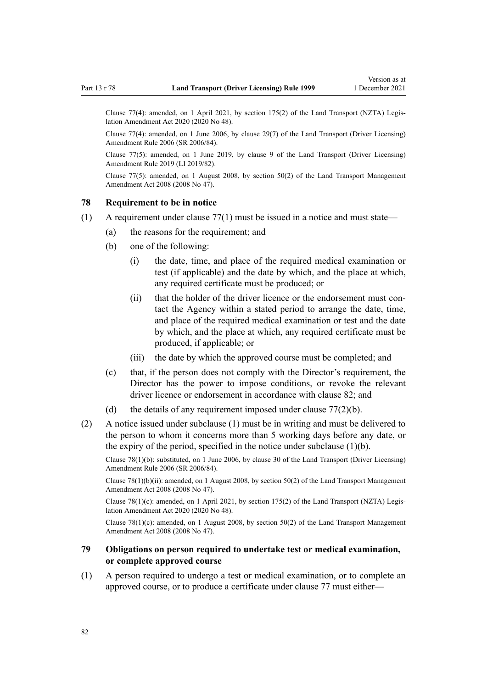<span id="page-81-0"></span>Clause 77(4): amended, on 1 April 2021, by [section 175\(2\)](http://legislation.govt.nz/pdflink.aspx?id=LMS286883) of the Land Transport (NZTA) Legis‐ lation Amendment Act 2020 (2020 No 48).

Clause 77(4): amended, on 1 June 2006, by [clause 29\(7\)](http://legislation.govt.nz/pdflink.aspx?id=DLM376122) of the Land Transport (Driver Licensing) Amendment Rule 2006 (SR 2006/84).

Clause 77(5): amended, on 1 June 2019, by [clause 9](http://legislation.govt.nz/pdflink.aspx?id=LMS136014) of the Land Transport (Driver Licensing) Amendment Rule 2019 (LI 2019/82).

Clause 77(5): amended, on 1 August 2008, by [section 50\(2\)](http://legislation.govt.nz/pdflink.aspx?id=DLM1313622) of the Land Transport Management Amendment Act 2008 (2008 No 47).

#### **78 Requirement to be in notice**

- $(1)$  A requirement under clause 77 $(1)$  must be issued in a notice and must state—
	- (a) the reasons for the requirement; and
	- (b) one of the following:
		- (i) the date, time, and place of the required medical examination or test (if applicable) and the date by which, and the place at which, any required certificate must be produced; or
		- (ii) that the holder of the driver licence or the endorsement must contact the Agency within a stated period to arrange the date, time, and place of the required medical examination or test and the date by which, and the place at which, any required certificate must be produced, if applicable; or
		- (iii) the date by which the approved course must be completed; and
	- (c) that, if the person does not comply with the Director's requirement, the Director has the power to impose conditions, or revoke the relevant driver licence or endorsement in accordance with [clause 82;](#page-83-0) and
	- (d) the details of any requirement imposed under clause  $77(2)(b)$ .
- (2) A notice issued under subclause (1) must be in writing and must be delivered to the person to whom it concerns more than 5 working days before any date, or the expiry of the period, specified in the notice under subclause  $(1)(b)$ .

Clause 78(1)(b): substituted, on 1 June 2006, by [clause 30](http://legislation.govt.nz/pdflink.aspx?id=DLM376123) of the Land Transport (Driver Licensing) Amendment Rule 2006 (SR 2006/84).

Clause 78(1)(b)(ii): amended, on 1 August 2008, by [section 50\(2\)](http://legislation.govt.nz/pdflink.aspx?id=DLM1313622) of the Land Transport Management Amendment Act 2008 (2008 No 47).

Clause 78(1)(c): amended, on 1 April 2021, by [section 175\(2\)](http://legislation.govt.nz/pdflink.aspx?id=LMS286883) of the Land Transport (NZTA) Legislation Amendment Act 2020 (2020 No 48).

Clause 78(1)(c): amended, on 1 August 2008, by [section 50\(2\)](http://legislation.govt.nz/pdflink.aspx?id=DLM1313622) of the Land Transport Management Amendment Act 2008 (2008 No 47).

## **79 Obligations on person required to undertake test or medical examination, or complete approved course**

(1) A person required to undergo a test or medical examination, or to complete an approved course, or to produce a certificate under [clause 77](#page-79-0) must either—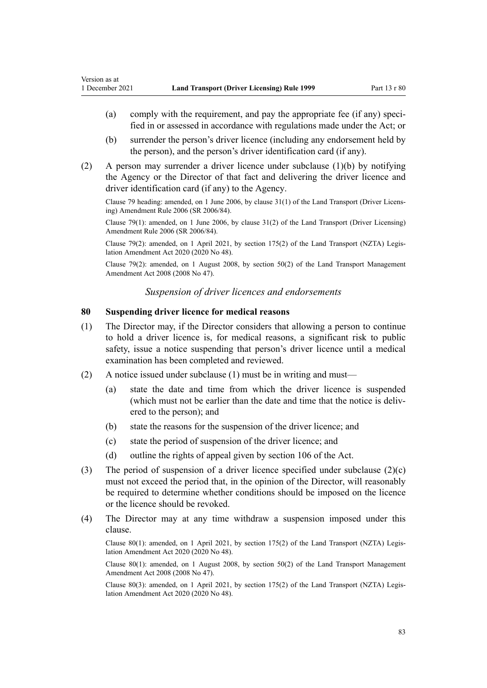- (a) comply with the requirement, and pay the appropriate fee (if any) specified in or assessed in accordance with regulations made under the Act; or
- (b) surrender the person's driver licence (including any endorsement held by the person), and the person's driver identification card (if any).
- (2) A person may surrender a driver licence under subclause (1)(b) by notifying the Agency or the Director of that fact and delivering the driver licence and driver identification card (if any) to the Agency.

Clause 79 heading: amended, on 1 June 2006, by [clause 31\(1\)](http://legislation.govt.nz/pdflink.aspx?id=DLM376124) of the Land Transport (Driver Licens‐ ing) Amendment Rule 2006 (SR 2006/84).

Clause 79(1): amended, on 1 June 2006, by [clause 31\(2\)](http://legislation.govt.nz/pdflink.aspx?id=DLM376124) of the Land Transport (Driver Licensing) Amendment Rule 2006 (SR 2006/84).

Clause 79(2): amended, on 1 April 2021, by [section 175\(2\)](http://legislation.govt.nz/pdflink.aspx?id=LMS286883) of the Land Transport (NZTA) Legis‐ lation Amendment Act 2020 (2020 No 48).

Clause 79(2): amended, on 1 August 2008, by [section 50\(2\)](http://legislation.govt.nz/pdflink.aspx?id=DLM1313622) of the Land Transport Management Amendment Act 2008 (2008 No 47).

## *Suspension of driver licences and endorsements*

## **80 Suspending driver licence for medical reasons**

- (1) The Director may, if the Director considers that allowing a person to continue to hold a driver licence is, for medical reasons, a significant risk to public safety, issue a notice suspending that person's driver licence until a medical examination has been completed and reviewed.
- (2) A notice issued under subclause (1) must be in writing and must—
	- (a) state the date and time from which the driver licence is suspended (which must not be earlier than the date and time that the notice is delivered to the person); and
	- (b) state the reasons for the suspension of the driver licence; and
	- (c) state the period of suspension of the driver licence; and
	- (d) outline the rights of appeal given by [section 106](http://legislation.govt.nz/pdflink.aspx?id=DLM435083) of the Act.
- (3) The period of suspension of a driver licence specified under subclause  $(2)(c)$ must not exceed the period that, in the opinion of the Director, will reasonably be required to determine whether conditions should be imposed on the licence or the licence should be revoked.
- (4) The Director may at any time withdraw a suspension imposed under this clause.

Clause 80(1): amended, on 1 April 2021, by [section 175\(2\)](http://legislation.govt.nz/pdflink.aspx?id=LMS286883) of the Land Transport (NZTA) Legis‐ lation Amendment Act 2020 (2020 No 48).

Clause 80(1): amended, on 1 August 2008, by [section 50\(2\)](http://legislation.govt.nz/pdflink.aspx?id=DLM1313622) of the Land Transport Management Amendment Act 2008 (2008 No 47).

Clause 80(3): amended, on 1 April 2021, by [section 175\(2\)](http://legislation.govt.nz/pdflink.aspx?id=LMS286883) of the Land Transport (NZTA) Legis‐ lation Amendment Act 2020 (2020 No 48).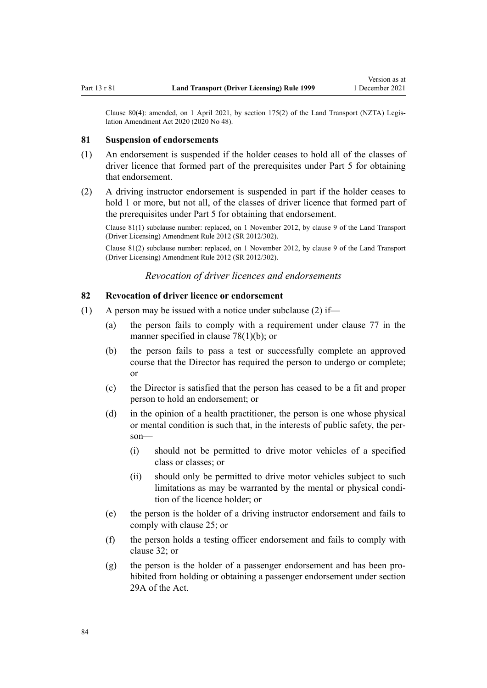<span id="page-83-0"></span>Clause 80(4): amended, on 1 April 2021, by [section 175\(2\)](http://legislation.govt.nz/pdflink.aspx?id=LMS286883) of the Land Transport (NZTA) Legislation Amendment Act 2020 (2020 No 48).

#### **81 Suspension of endorsements**

- (1) An endorsement is suspended if the holder ceases to hold all of the classes of driver licence that formed part of the prerequisites under [Part 5](#page-40-0) for obtaining that endorsement.
- (2) A driving instructor endorsement is suspended in part if the holder ceases to hold 1 or more, but not all, of the classes of driver licence that formed part of the prerequisites under [Part 5](#page-40-0) for obtaining that endorsement.

Clause 81(1) subclause number: replaced, on 1 November 2012, by [clause 9](http://legislation.govt.nz/pdflink.aspx?id=DLM4773441) of the Land Transport (Driver Licensing) Amendment Rule 2012 (SR 2012/302).

Clause 81(2) subclause number: replaced, on 1 November 2012, by [clause 9](http://legislation.govt.nz/pdflink.aspx?id=DLM4773441) of the Land Transport (Driver Licensing) Amendment Rule 2012 (SR 2012/302).

*Revocation of driver licences and endorsements*

### **82 Revocation of driver licence or endorsement**

- (1) A person may be issued with a notice under subclause (2) if—
	- (a) the person fails to comply with a requirement under [clause 77](#page-79-0) in the manner specified in [clause 78\(1\)\(b\);](#page-81-0) or
	- (b) the person fails to pass a test or successfully complete an approved course that the Director has required the person to undergo or complete; or
	- (c) the Director is satisfied that the person has ceased to be a fit and proper person to hold an endorsement; or
	- (d) in the opinion of a health practitioner, the person is one whose physical or mental condition is such that, in the interests of public safety, the per‐ son—
		- (i) should not be permitted to drive motor vehicles of a specified class or classes; or
		- (ii) should only be permitted to drive motor vehicles subject to such limitations as may be warranted by the mental or physical condition of the licence holder; or
	- (e) the person is the holder of a driving instructor endorsement and fails to comply with [clause 25](#page-42-0); or
	- (f) the person holds a testing officer endorsement and fails to comply with [clause 32](#page-46-0); or
	- (g) the person is the holder of a passenger endorsement and has been pro‐ hibited from holding or obtaining a passenger endorsement under [section](http://legislation.govt.nz/pdflink.aspx?id=DLM434566) [29A](http://legislation.govt.nz/pdflink.aspx?id=DLM434566) of the Act.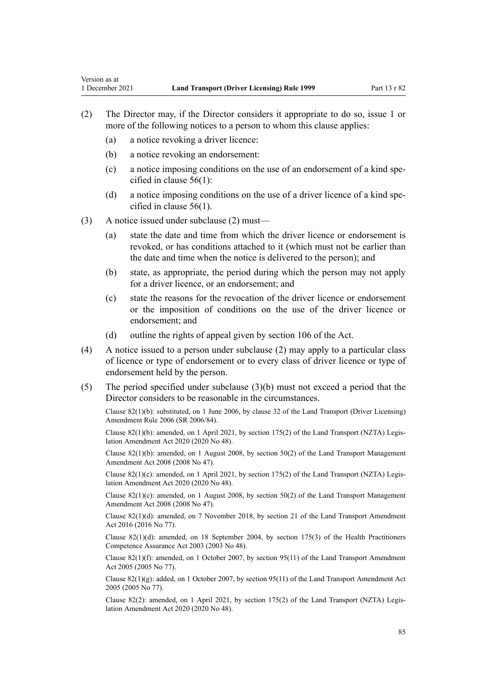- (2) The Director may, if the Director considers it appropriate to do so, issue 1 or more of the following notices to a person to whom this clause applies:
	- (a) a notice revoking a driver licence:

- (b) a notice revoking an endorsement:
- (c) a notice imposing conditions on the use of an endorsement of a kind specified in [clause 56\(1\):](#page-60-0)
- (d) a notice imposing conditions on the use of a driver licence of a kind specified in [clause 56\(1\).](#page-60-0)
- (3) A notice issued under subclause (2) must—
	- (a) state the date and time from which the driver licence or endorsement is revoked, or has conditions attached to it (which must not be earlier than the date and time when the notice is delivered to the person); and
	- (b) state, as appropriate, the period during which the person may not apply for a driver licence, or an endorsement; and
	- (c) state the reasons for the revocation of the driver licence or endorsement or the imposition of conditions on the use of the driver licence or endorsement; and
	- (d) outline the rights of appeal given by [section 106](http://legislation.govt.nz/pdflink.aspx?id=DLM435083) of the Act.
- (4) A notice issued to a person under subclause (2) may apply to a particular class of licence or type of endorsement or to every class of driver licence or type of endorsement held by the person.
- (5) The period specified under subclause (3)(b) must not exceed a period that the Director considers to be reasonable in the circumstances.

Clause 82(1)(b): substituted, on 1 June 2006, by [clause 32](http://legislation.govt.nz/pdflink.aspx?id=DLM376125) of the Land Transport (Driver Licensing) Amendment Rule 2006 (SR 2006/84).

Clause 82(1)(b): amended, on 1 April 2021, by [section 175\(2\)](http://legislation.govt.nz/pdflink.aspx?id=LMS286883) of the Land Transport (NZTA) Legis‐ lation Amendment Act 2020 (2020 No 48).

Clause 82(1)(b): amended, on 1 August 2008, by [section 50\(2\)](http://legislation.govt.nz/pdflink.aspx?id=DLM1313622) of the Land Transport Management Amendment Act 2008 (2008 No 47).

Clause 82(1)(c): amended, on 1 April 2021, by [section 175\(2\)](http://legislation.govt.nz/pdflink.aspx?id=LMS286883) of the Land Transport (NZTA) Legislation Amendment Act 2020 (2020 No 48).

Clause  $82(1)(c)$ : amended, on 1 August 2008, by [section 50\(2\)](http://legislation.govt.nz/pdflink.aspx?id=DLM1313622) of the Land Transport Management Amendment Act 2008 (2008 No 47).

Clause 82(1)(d): amended, on 7 November 2018, by [section 21](http://legislation.govt.nz/pdflink.aspx?id=DLM6984133) of the Land Transport Amendment Act 2016 (2016 No 77).

Clause 82(1)(d): amended, on 18 September 2004, by [section 175\(3\)](http://legislation.govt.nz/pdflink.aspx?id=DLM205009) of the Health Practitioners Competence Assurance Act 2003 (2003 No 48).

Clause 82(1)(f): amended, on 1 October 2007, by [section 95\(11\)](http://legislation.govt.nz/pdflink.aspx?id=DLM353501) of the Land Transport Amendment Act 2005 (2005 No 77).

Clause 82(1)(g): added, on 1 October 2007, by [section 95\(11\)](http://legislation.govt.nz/pdflink.aspx?id=DLM353501) of the Land Transport Amendment Act 2005 (2005 No 77).

Clause 82(2): amended, on 1 April 2021, by [section 175\(2\)](http://legislation.govt.nz/pdflink.aspx?id=LMS286883) of the Land Transport (NZTA) Legis‐ lation Amendment Act 2020 (2020 No 48).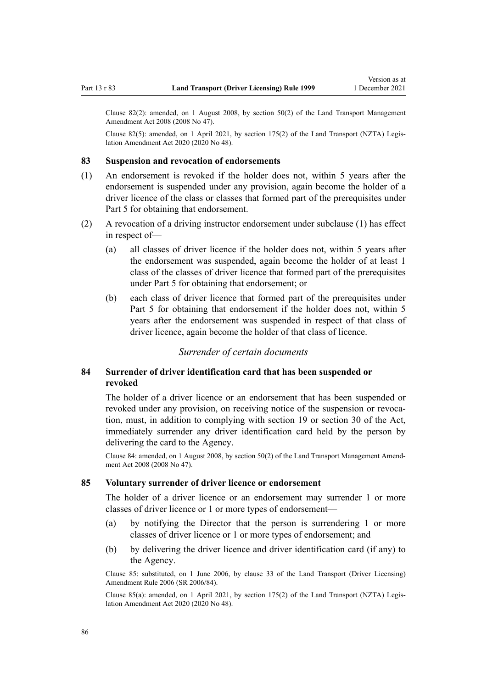<span id="page-85-0"></span>Clause 82(2): amended, on 1 August 2008, by [section 50\(2\)](http://legislation.govt.nz/pdflink.aspx?id=DLM1313622) of the Land Transport Management Amendment Act 2008 (2008 No 47).

Clause 82(5): amended, on 1 April 2021, by [section 175\(2\)](http://legislation.govt.nz/pdflink.aspx?id=LMS286883) of the Land Transport (NZTA) Legislation Amendment Act 2020 (2020 No 48).

#### **83 Suspension and revocation of endorsements**

- (1) An endorsement is revoked if the holder does not, within 5 years after the endorsement is suspended under any provision, again become the holder of a driver licence of the class or classes that formed part of the prerequisites under [Part 5](#page-40-0) for obtaining that endorsement.
- (2) A revocation of a driving instructor endorsement under subclause (1) has effect in respect of—
	- (a) all classes of driver licence if the holder does not, within 5 years after the endorsement was suspended, again become the holder of at least 1 class of the classes of driver licence that formed part of the prerequisites under [Part 5](#page-40-0) for obtaining that endorsement; or
	- (b) each class of driver licence that formed part of the prerequisites under [Part 5](#page-40-0) for obtaining that endorsement if the holder does not, within 5 years after the endorsement was suspended in respect of that class of driver licence, again become the holder of that class of licence.

## *Surrender of certain documents*

# **84 Surrender of driver identification card that has been suspended or revoked**

The holder of a driver licence or an endorsement that has been suspended or revoked under any provision, on receiving notice of the suspension or revocation, must, in addition to complying with [section 19](http://legislation.govt.nz/pdflink.aspx?id=DLM434536) or [section 30](http://legislation.govt.nz/pdflink.aspx?id=DLM434583) of the Act, immediately surrender any driver identification card held by the person by delivering the card to the Agency.

Clause 84: amended, on 1 August 2008, by [section 50\(2\)](http://legislation.govt.nz/pdflink.aspx?id=DLM1313622) of the Land Transport Management Amend‐ ment Act 2008 (2008 No 47).

## **85 Voluntary surrender of driver licence or endorsement**

The holder of a driver licence or an endorsement may surrender 1 or more classes of driver licence or 1 or more types of endorsement—

- (a) by notifying the Director that the person is surrendering 1 or more classes of driver licence or 1 or more types of endorsement; and
- (b) by delivering the driver licence and driver identification card (if any) to the Agency.

Clause 85: substituted, on 1 June 2006, by [clause 33](http://legislation.govt.nz/pdflink.aspx?id=DLM376126) of the Land Transport (Driver Licensing) Amendment Rule 2006 (SR 2006/84).

Clause 85(a): amended, on 1 April 2021, by [section 175\(2\)](http://legislation.govt.nz/pdflink.aspx?id=LMS286883) of the Land Transport (NZTA) Legis‐ lation Amendment Act 2020 (2020 No 48).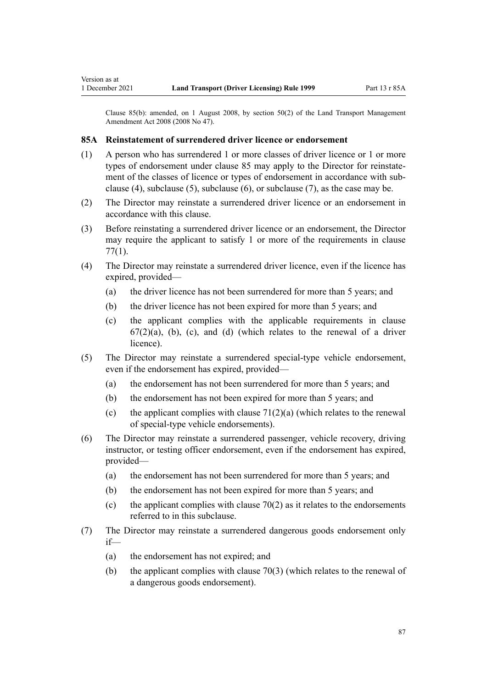Clause 85(b): amended, on 1 August 2008, by [section 50\(2\)](http://legislation.govt.nz/pdflink.aspx?id=DLM1313622) of the Land Transport Management Amendment Act 2008 (2008 No 47).

## **85A Reinstatement of surrendered driver licence or endorsement**

- (1) A person who has surrendered 1 or more classes of driver licence or 1 or more types of endorsement under [clause 85](#page-85-0) may apply to the Director for reinstatement of the classes of licence or types of endorsement in accordance with subclause (4), subclause (5), subclause (6), or subclause (7), as the case may be.
- (2) The Director may reinstate a surrendered driver licence or an endorsement in accordance with this clause.
- (3) Before reinstating a surrendered driver licence or an endorsement, the Director may require the applicant to satisfy 1 or more of the requirements in [clause](#page-79-0) [77\(1\)](#page-79-0).
- (4) The Director may reinstate a surrendered driver licence, even if the licence has expired, provided—
	- (a) the driver licence has not been surrendered for more than 5 years; and
	- (b) the driver licence has not been expired for more than 5 years; and
	- (c) the applicant complies with the applicable requirements in [clause](#page-69-0)  $67(2)(a)$ , (b), (c), and (d) (which relates to the renewal of a driver licence).
- (5) The Director may reinstate a surrendered special-type vehicle endorsement, even if the endorsement has expired, provided—
	- (a) the endorsement has not been surrendered for more than 5 years; and
	- (b) the endorsement has not been expired for more than 5 years; and
	- (c) the applicant complies with clause  $71(2)(a)$  (which relates to the renewal of special-type vehicle endorsements).
- (6) The Director may reinstate a surrendered passenger, vehicle recovery, driving instructor, or testing officer endorsement, even if the endorsement has expired, provided—
	- (a) the endorsement has not been surrendered for more than 5 years; and
	- (b) the endorsement has not been expired for more than 5 years; and
	- (c) the applicant complies with clause  $70(2)$  as it relates to the endorsements referred to in this subclause.
- (7) The Director may reinstate a surrendered dangerous goods endorsement only if—
	- (a) the endorsement has not expired; and
	- (b) the applicant complies with [clause 70\(3\)](#page-75-0) (which relates to the renewal of a dangerous goods endorsement).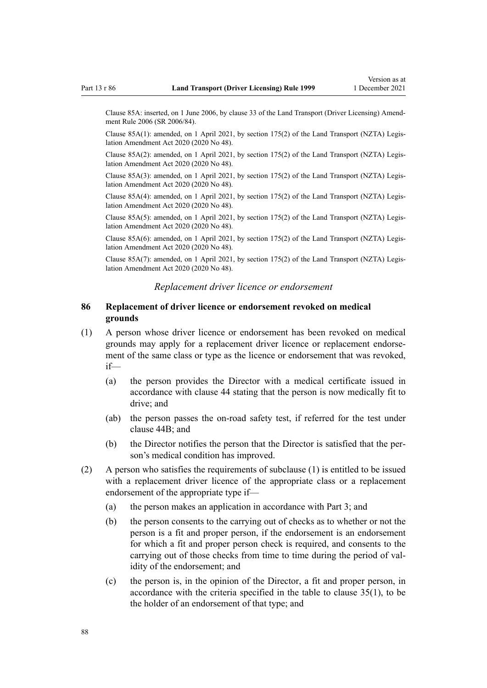Clause 85A: inserted, on 1 June 2006, by [clause 33](http://legislation.govt.nz/pdflink.aspx?id=DLM376126) of the Land Transport (Driver Licensing) Amend‐ ment Rule 2006 (SR 2006/84).

Clause 85A(1): amended, on 1 April 2021, by [section 175\(2\)](http://legislation.govt.nz/pdflink.aspx?id=LMS286883) of the Land Transport (NZTA) Legis‐ lation Amendment Act 2020 (2020 No 48).

Clause 85A(2): amended, on 1 April 2021, by [section 175\(2\)](http://legislation.govt.nz/pdflink.aspx?id=LMS286883) of the Land Transport (NZTA) Legis‐ lation Amendment Act 2020 (2020 No 48).

Clause 85A(3): amended, on 1 April 2021, by [section 175\(2\)](http://legislation.govt.nz/pdflink.aspx?id=LMS286883) of the Land Transport (NZTA) Legis‐ lation Amendment Act 2020 (2020 No 48).

Clause 85A(4): amended, on 1 April 2021, by [section 175\(2\)](http://legislation.govt.nz/pdflink.aspx?id=LMS286883) of the Land Transport (NZTA) Legis‐ lation Amendment Act 2020 (2020 No 48).

Clause 85A(5): amended, on 1 April 2021, by [section 175\(2\)](http://legislation.govt.nz/pdflink.aspx?id=LMS286883) of the Land Transport (NZTA) Legis‐ lation Amendment Act 2020 (2020 No 48).

Clause 85A(6): amended, on 1 April 2021, by [section 175\(2\)](http://legislation.govt.nz/pdflink.aspx?id=LMS286883) of the Land Transport (NZTA) Legis‐ lation Amendment Act 2020 (2020 No 48).

Clause 85A(7): amended, on 1 April 2021, by [section 175\(2\)](http://legislation.govt.nz/pdflink.aspx?id=LMS286883) of the Land Transport (NZTA) Legis‐ lation Amendment Act 2020 (2020 No 48).

#### *Replacement driver licence or endorsement*

### **86 Replacement of driver licence or endorsement revoked on medical grounds**

- (1) A person whose driver licence or endorsement has been revoked on medical grounds may apply for a replacement driver licence or replacement endorse‐ ment of the same class or type as the licence or endorsement that was revoked, if—
	- (a) the person provides the Director with a medical certificate issued in accordance with [clause 44](#page-54-0) stating that the person is now medically fit to drive; and
	- (ab) the person passes the on-road safety test, if referred for the test under [clause 44B;](#page-55-0) and
	- (b) the Director notifies the person that the Director is satisfied that the per‐ son's medical condition has improved.
- (2) A person who satisfies the requirements of subclause (1) is entitled to be issued with a replacement driver licence of the appropriate class or a replacement endorsement of the appropriate type if—
	- (a) the person makes an application in accordance with [Part 3](#page-21-0); and
	- (b) the person consents to the carrying out of checks as to whether or not the person is a fit and proper person, if the endorsement is an endorsement for which a fit and proper person check is required, and consents to the carrying out of those checks from time to time during the period of validity of the endorsement; and
	- (c) the person is, in the opinion of the Director, a fit and proper person, in accordance with the criteria specified in the table to [clause 35\(1\),](#page-48-0) to be the holder of an endorsement of that type; and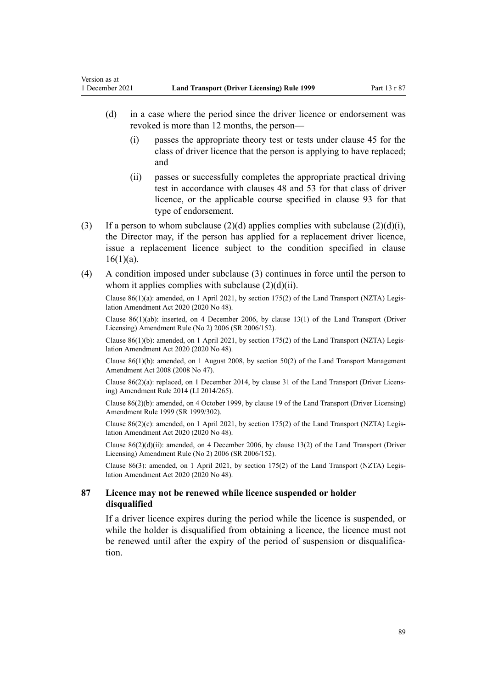- (d) in a case where the period since the driver licence or endorsement was revoked is more than 12 months, the person—
	- (i) passes the appropriate theory test or tests under [clause 45](#page-56-0) for the class of driver licence that the person is applying to have replaced; and
	- (ii) passes or successfully completes the appropriate practical driving test in accordance with [clauses 48](#page-57-0) and [53](#page-59-0) for that class of driver licence, or the applicable course specified in [clause 93](#page-96-0) for that type of endorsement.
- (3) If a person to whom subclause (2)(d) applies complies with subclause (2)(d)(i), the Director may, if the person has applied for a replacement driver licence, issue a replacement licence subject to the condition specified in [clause](#page-27-0)  $16(1)(a)$ .
- (4) A condition imposed under subclause (3) continues in force until the person to whom it applies complies with subclause  $(2)(d)(ii)$ .

Clause 86(1)(a): amended, on 1 April 2021, by [section 175\(2\)](http://legislation.govt.nz/pdflink.aspx?id=LMS286883) of the Land Transport (NZTA) Legis‐ lation Amendment Act 2020 (2020 No 48).

Clause 86(1)(ab): inserted, on 4 December 2006, by [clause 13\(1\)](http://legislation.govt.nz/pdflink.aspx?id=DLM386154) of the Land Transport (Driver Licensing) Amendment Rule (No 2) 2006 (SR 2006/152).

Clause  $86(1)(b)$ : amended, on 1 April 2021, by [section 175\(2\)](http://legislation.govt.nz/pdflink.aspx?id=LMS286883) of the Land Transport (NZTA) Legislation Amendment Act 2020 (2020 No 48).

Clause 86(1)(b): amended, on 1 August 2008, by [section 50\(2\)](http://legislation.govt.nz/pdflink.aspx?id=DLM1313622) of the Land Transport Management Amendment Act 2008 (2008 No 47).

Clause 86(2)(a): replaced, on 1 December 2014, by [clause 31](http://legislation.govt.nz/pdflink.aspx?id=DLM6216945) of the Land Transport (Driver Licens‐ ing) Amendment Rule 2014 (LI 2014/265).

Clause 86(2)(b): amended, on 4 October 1999, by [clause 19](http://legislation.govt.nz/pdflink.aspx?id=DLM293688) of the Land Transport (Driver Licensing) Amendment Rule 1999 (SR 1999/302).

Clause  $86(2)(c)$ : amended, on 1 April 2021, by [section 175\(2\)](http://legislation.govt.nz/pdflink.aspx?id=LMS286883) of the Land Transport (NZTA) Legislation Amendment Act 2020 (2020 No 48).

Clause  $86(2)(d)(ii)$ : amended, on 4 December 2006, by [clause 13\(2\)](http://legislation.govt.nz/pdflink.aspx?id=DLM386154) of the Land Transport (Driver Licensing) Amendment Rule (No 2) 2006 (SR 2006/152).

Clause 86(3): amended, on 1 April 2021, by [section 175\(2\)](http://legislation.govt.nz/pdflink.aspx?id=LMS286883) of the Land Transport (NZTA) Legis‐ lation Amendment Act 2020 (2020 No 48).

## **87 Licence may not be renewed while licence suspended or holder disqualified**

If a driver licence expires during the period while the licence is suspended, or while the holder is disqualified from obtaining a licence, the licence must not be renewed until after the expiry of the period of suspension or disqualification.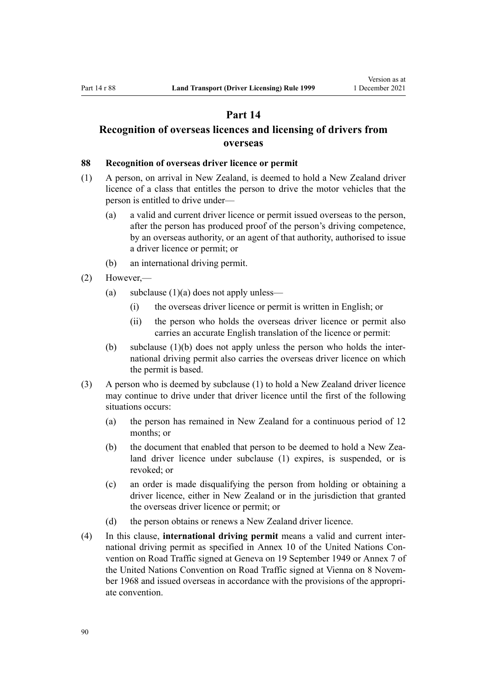# **Part 14**

# <span id="page-89-0"></span>**Recognition of overseas licences and licensing of drivers from overseas**

#### **88 Recognition of overseas driver licence or permit**

- (1) A person, on arrival in New Zealand, is deemed to hold a New Zealand driver licence of a class that entitles the person to drive the motor vehicles that the person is entitled to drive under—
	- (a) a valid and current driver licence or permit issued overseas to the person, after the person has produced proof of the person's driving competence, by an overseas authority, or an agent of that authority, authorised to issue a driver licence or permit; or
	- (b) an international driving permit.
- (2) However,—
	- (a) subclause  $(1)(a)$  does not apply unless—
		- (i) the overseas driver licence or permit is written in English; or
		- (ii) the person who holds the overseas driver licence or permit also carries an accurate English translation of the licence or permit:
	- (b) subclause  $(1)(b)$  does not apply unless the person who holds the international driving permit also carries the overseas driver licence on which the permit is based.
- (3) A person who is deemed by subclause (1) to hold a New Zealand driver licence may continue to drive under that driver licence until the first of the following situations occurs:
	- (a) the person has remained in New Zealand for a continuous period of 12 months; or
	- (b) the document that enabled that person to be deemed to hold a New Zealand driver licence under subclause (1) expires, is suspended, or is revoked; or
	- (c) an order is made disqualifying the person from holding or obtaining a driver licence, either in New Zealand or in the jurisdiction that granted the overseas driver licence or permit; or
	- (d) the person obtains or renews a New Zealand driver licence.
- (4) In this clause, **international driving permit** means a valid and current inter‐ national driving permit as specified in Annex 10 of the United Nations Convention on Road Traffic signed at Geneva on 19 September 1949 or Annex 7 of the United Nations Convention on Road Traffic signed at Vienna on 8 November 1968 and issued overseas in accordance with the provisions of the appropriate convention.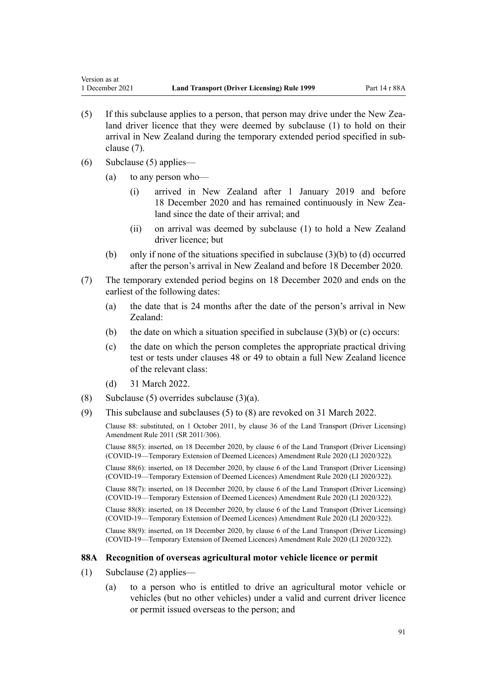- (5) If this subclause applies to a person, that person may drive under the New Zea‐ land driver licence that they were deemed by subclause (1) to hold on their arrival in New Zealand during the temporary extended period specified in sub‐ clause (7).
- (6) Subclause (5) applies—

- (a) to any person who—
	- (i) arrived in New Zealand after 1 January 2019 and before 18 December 2020 and has remained continuously in New Zealand since the date of their arrival; and
	- (ii) on arrival was deemed by subclause (1) to hold a New Zealand driver licence; but
- (b) only if none of the situations specified in subclause  $(3)(b)$  to  $(d)$  occurred after the person's arrival in New Zealand and before 18 December 2020.
- (7) The temporary extended period begins on 18 December 2020 and ends on the earliest of the following dates:
	- (a) the date that is 24 months after the date of the person's arrival in New Zealand:
	- (b) the date on which a situation specified in subclause  $(3)(b)$  or (c) occurs:
	- (c) the date on which the person completes the appropriate practical driving test or tests under [clauses 48](#page-57-0) or [49](#page-57-0) to obtain a full New Zealand licence of the relevant class:
	- (d) 31 March 2022.
- (8) Subclause (5) overrides subclause  $(3)(a)$ .
- (9) This subclause and subclauses (5) to (8) are revoked on 31 March 2022.

Clause 88: substituted, on 1 October 2011, by [clause 36](http://legislation.govt.nz/pdflink.aspx?id=DLM3956741) of the Land Transport (Driver Licensing) Amendment Rule 2011 (SR 2011/306).

Clause 88(5): inserted, on 18 December 2020, by [clause 6](http://legislation.govt.nz/pdflink.aspx?id=LMS436148) of the Land Transport (Driver Licensing) (COVID-19—Temporary Extension of Deemed Licences) Amendment Rule 2020 (LI 2020/322).

Clause 88(6): inserted, on 18 December 2020, by [clause 6](http://legislation.govt.nz/pdflink.aspx?id=LMS436148) of the Land Transport (Driver Licensing) (COVID-19—Temporary Extension of Deemed Licences) Amendment Rule 2020 (LI 2020/322).

Clause 88(7): inserted, on 18 December 2020, by [clause 6](http://legislation.govt.nz/pdflink.aspx?id=LMS436148) of the Land Transport (Driver Licensing) (COVID-19—Temporary Extension of Deemed Licences) Amendment Rule 2020 (LI 2020/322).

Clause 88(8): inserted, on 18 December 2020, by [clause 6](http://legislation.govt.nz/pdflink.aspx?id=LMS436148) of the Land Transport (Driver Licensing) (COVID-19—Temporary Extension of Deemed Licences) Amendment Rule 2020 (LI 2020/322).

Clause 88(9): inserted, on 18 December 2020, by [clause 6](http://legislation.govt.nz/pdflink.aspx?id=LMS436148) of the Land Transport (Driver Licensing) (COVID-19—Temporary Extension of Deemed Licences) Amendment Rule 2020 (LI 2020/322).

#### **88A Recognition of overseas agricultural motor vehicle licence or permit**

- (1) Subclause (2) applies—
	- (a) to a person who is entitled to drive an agricultural motor vehicle or vehicles (but no other vehicles) under a valid and current driver licence or permit issued overseas to the person; and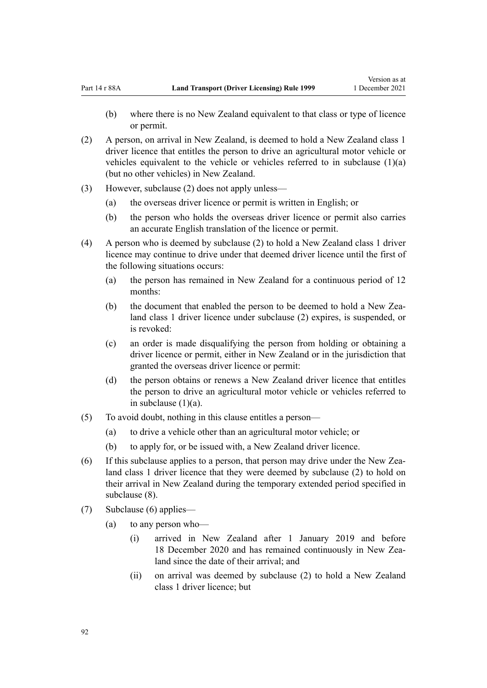- (b) where there is no New Zealand equivalent to that class or type of licence or permit.
- (2) A person, on arrival in New Zealand, is deemed to hold a New Zealand class 1 driver licence that entitles the person to drive an agricultural motor vehicle or vehicles equivalent to the vehicle or vehicles referred to in subclause  $(1)(a)$ (but no other vehicles) in New Zealand.
- (3) However, subclause (2) does not apply unless—
	- (a) the overseas driver licence or permit is written in English; or
	- (b) the person who holds the overseas driver licence or permit also carries an accurate English translation of the licence or permit.
- (4) A person who is deemed by subclause (2) to hold a New Zealand class 1 driver licence may continue to drive under that deemed driver licence until the first of the following situations occurs:
	- (a) the person has remained in New Zealand for a continuous period of 12 months:
	- (b) the document that enabled the person to be deemed to hold a New Zealand class 1 driver licence under subclause (2) expires, is suspended, or is revoked:
	- (c) an order is made disqualifying the person from holding or obtaining a driver licence or permit, either in New Zealand or in the jurisdiction that granted the overseas driver licence or permit:
	- (d) the person obtains or renews a New Zealand driver licence that entitles the person to drive an agricultural motor vehicle or vehicles referred to in subclause  $(1)(a)$ .
- (5) To avoid doubt, nothing in this clause entitles a person—
	- (a) to drive a vehicle other than an agricultural motor vehicle; or
	- (b) to apply for, or be issued with, a New Zealand driver licence.
- (6) If this subclause applies to a person, that person may drive under the New Zea‐ land class 1 driver licence that they were deemed by subclause (2) to hold on their arrival in New Zealand during the temporary extended period specified in subclause (8).
- (7) Subclause (6) applies—
	- (a) to any person who—
		- (i) arrived in New Zealand after 1 January 2019 and before 18 December 2020 and has remained continuously in New Zea‐ land since the date of their arrival; and
		- (ii) on arrival was deemed by subclause (2) to hold a New Zealand class 1 driver licence; but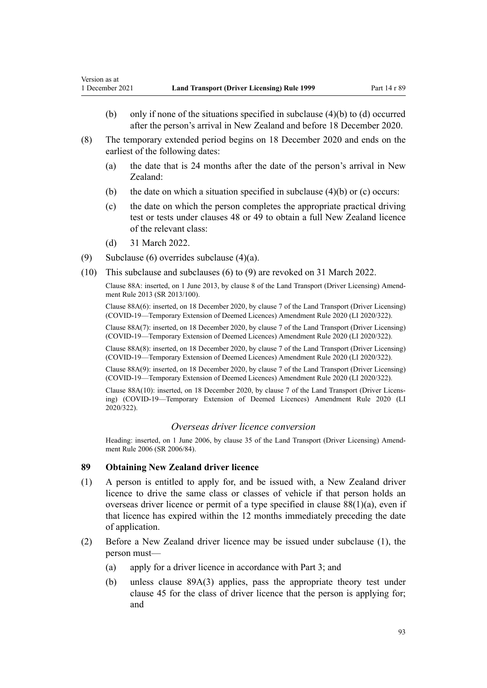- <span id="page-92-0"></span>(b) only if none of the situations specified in subclause (4)(b) to (d) occurred after the person's arrival in New Zealand and before 18 December 2020.
- (8) The temporary extended period begins on 18 December 2020 and ends on the earliest of the following dates:
	- (a) the date that is 24 months after the date of the person's arrival in New Zealand:
	- (b) the date on which a situation specified in subclause  $(4)(b)$  or (c) occurs:
	- (c) the date on which the person completes the appropriate practical driving test or tests under [clauses 48](#page-57-0) or [49](#page-57-0) to obtain a full New Zealand licence of the relevant class:
	- (d) 31 March 2022.
- (9) Subclause (6) overrides subclause (4)(a).
- (10) This subclause and subclauses (6) to (9) are revoked on 31 March 2022.

Clause 88A: inserted, on 1 June 2013, by [clause 8](http://legislation.govt.nz/pdflink.aspx?id=DLM5102244) of the Land Transport (Driver Licensing) Amend‐ ment Rule 2013 (SR 2013/100).

Clause 88A(6): inserted, on 18 December 2020, by [clause 7](http://legislation.govt.nz/pdflink.aspx?id=LMS436149) of the Land Transport (Driver Licensing) (COVID-19—Temporary Extension of Deemed Licences) Amendment Rule 2020 (LI 2020/322).

Clause 88A(7): inserted, on 18 December 2020, by [clause 7](http://legislation.govt.nz/pdflink.aspx?id=LMS436149) of the Land Transport (Driver Licensing) (COVID-19—Temporary Extension of Deemed Licences) Amendment Rule 2020 (LI 2020/322).

Clause 88A(8): inserted, on 18 December 2020, by [clause 7](http://legislation.govt.nz/pdflink.aspx?id=LMS436149) of the Land Transport (Driver Licensing) (COVID-19—Temporary Extension of Deemed Licences) Amendment Rule 2020 (LI 2020/322).

Clause 88A(9): inserted, on 18 December 2020, by [clause 7](http://legislation.govt.nz/pdflink.aspx?id=LMS436149) of the Land Transport (Driver Licensing) (COVID-19—Temporary Extension of Deemed Licences) Amendment Rule 2020 (LI 2020/322).

Clause 88A(10): inserted, on 18 December 2020, by [clause 7](http://legislation.govt.nz/pdflink.aspx?id=LMS436149) of the Land Transport (Driver Licens‐ ing) (COVID-19—Temporary Extension of Deemed Licences) Amendment Rule 2020 (LI 2020/322).

## *Overseas driver licence conversion*

Heading: inserted, on 1 June 2006, by [clause 35](http://legislation.govt.nz/pdflink.aspx?id=DLM376131) of the Land Transport (Driver Licensing) Amendment Rule 2006 (SR 2006/84).

#### **89 Obtaining New Zealand driver licence**

- (1) A person is entitled to apply for, and be issued with, a New Zealand driver licence to drive the same class or classes of vehicle if that person holds an overseas driver licence or permit of a type specified in [clause 88\(1\)\(a\),](#page-89-0) even if that licence has expired within the 12 months immediately preceding the date of application.
- (2) Before a New Zealand driver licence may be issued under subclause (1), the person must—
	- (a) apply for a driver licence in accordance with [Part 3;](#page-21-0) and
	- (b) unless [clause 89A\(3\)](#page-94-0) applies, pass the appropriate theory test under [clause 45](#page-56-0) for the class of driver licence that the person is applying for; and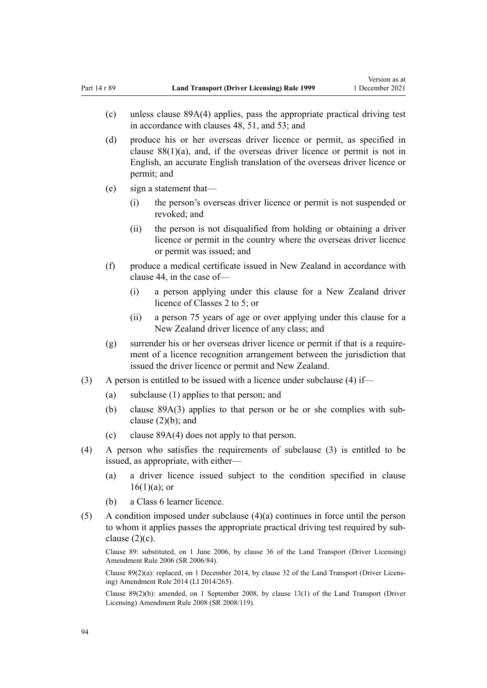- (c) unless [clause 89A\(4\)](#page-94-0) applies, pass the appropriate practical driving test in accordance with [clauses 48,](#page-57-0) [51,](#page-58-0) and [53](#page-59-0); and
- (d) produce his or her overseas driver licence or permit, as specified in [clause 88\(1\)\(a\)](#page-89-0), and, if the overseas driver licence or permit is not in English, an accurate English translation of the overseas driver licence or permit; and
- (e) sign a statement that—
	- (i) the person's overseas driver licence or permit is not suspended or revoked; and
	- (ii) the person is not disqualified from holding or obtaining a driver licence or permit in the country where the overseas driver licence or permit was issued; and
- (f) produce a medical certificate issued in New Zealand in accordance with [clause 44](#page-54-0), in the case of—
	- (i) a person applying under this clause for a New Zealand driver licence of Classes 2 to 5; or
	- (ii) a person 75 years of age or over applying under this clause for a New Zealand driver licence of any class; and
- $(g)$  surrender his or her overseas driver licence or permit if that is a requirement of a licence recognition arrangement between the jurisdiction that issued the driver licence or permit and New Zealand.
- (3) A person is entitled to be issued with a licence under subclause (4) if—
	- (a) subclause (1) applies to that person; and
	- (b) clause  $89A(3)$  applies to that person or he or she complies with subclause  $(2)(b)$ ; and
	- (c) [clause 89A\(4\)](#page-94-0) does not apply to that person.
- (4) A person who satisfies the requirements of subclause (3) is entitled to be issued, as appropriate, with either—
	- (a) a driver licence issued subject to the condition specified in [clause](#page-27-0)  $16(1)(a)$ ; or
	- (b) a Class 6 learner licence.
- (5) A condition imposed under subclause  $(4)(a)$  continues in force until the person to whom it applies passes the appropriate practical driving test required by subclause  $(2)(c)$ .

Clause 89: substituted, on 1 June 2006, by [clause 36](http://legislation.govt.nz/pdflink.aspx?id=DLM376133) of the Land Transport (Driver Licensing) Amendment Rule 2006 (SR 2006/84).

Clause 89(2)(a): replaced, on 1 December 2014, by [clause 32](http://legislation.govt.nz/pdflink.aspx?id=DLM6216946) of the Land Transport (Driver Licens‐ ing) Amendment Rule 2014 (LI 2014/265).

Clause 89(2)(b): amended, on 1 September 2008, by [clause 13\(1\)](http://legislation.govt.nz/pdflink.aspx?id=DLM1317919) of the Land Transport (Driver Licensing) Amendment Rule 2008 (SR 2008/119).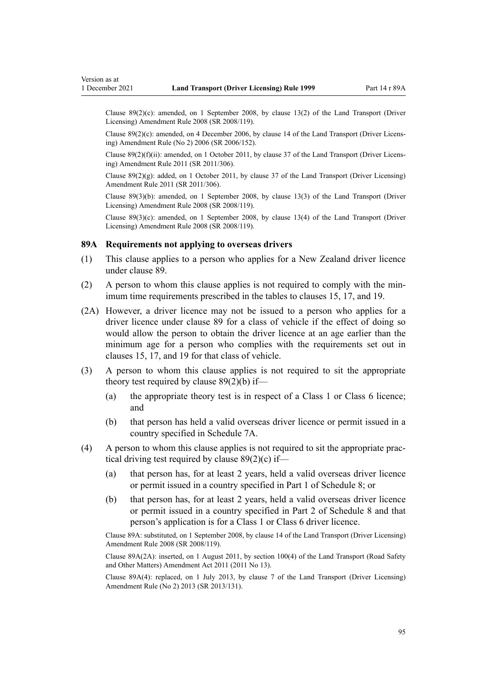<span id="page-94-0"></span>Clause  $89(2)(c)$ : amended, on 1 September 2008, by [clause 13\(2\)](http://legislation.govt.nz/pdflink.aspx?id=DLM1317919) of the Land Transport (Driver Licensing) Amendment Rule 2008 (SR 2008/119).

Clause  $89(2)(c)$ : amended, on 4 December 2006, by [clause 14](http://legislation.govt.nz/pdflink.aspx?id=DLM386155) of the Land Transport (Driver Licensing) Amendment Rule (No 2) 2006 (SR 2006/152).

Clause 89(2)(f)(ii): amended, on 1 October 2011, by [clause 37](http://legislation.govt.nz/pdflink.aspx?id=DLM3956744) of the Land Transport (Driver Licens‐ ing) Amendment Rule 2011 (SR 2011/306).

Clause  $89(2)(g)$ : added, on 1 October 2011, by [clause 37](http://legislation.govt.nz/pdflink.aspx?id=DLM3956744) of the Land Transport (Driver Licensing) Amendment Rule 2011 (SR 2011/306).

Clause 89(3)(b): amended, on 1 September 2008, by [clause 13\(3\)](http://legislation.govt.nz/pdflink.aspx?id=DLM1317919) of the Land Transport (Driver Licensing) Amendment Rule 2008 (SR 2008/119).

Clause 89(3)(c): amended, on 1 September 2008, by [clause 13\(4\)](http://legislation.govt.nz/pdflink.aspx?id=DLM1317919) of the Land Transport (Driver Licensing) Amendment Rule 2008 (SR 2008/119).

#### **89A Requirements not applying to overseas drivers**

- (1) This clause applies to a person who applies for a New Zealand driver licence under [clause 89](#page-92-0).
- (2) A person to whom this clause applies is not required to comply with the min‐ imum time requirements prescribed in the tables to [clauses 15,](#page-26-0) [17](#page-28-0), and [19.](#page-30-0)
- (2A) However, a driver licence may not be issued to a person who applies for a driver licence under [clause 89](#page-92-0) for a class of vehicle if the effect of doing so would allow the person to obtain the driver licence at an age earlier than the minimum age for a person who complies with the requirements set out in [clauses 15,](#page-26-0) [17](#page-28-0), and [19](#page-30-0) for that class of vehicle.
- (3) A person to whom this clause applies is not required to sit the appropriate theory test required by clause  $89(2)(b)$  if—
	- (a) the appropriate theory test is in respect of a Class 1 or Class 6 licence; and
	- (b) that person has held a valid overseas driver licence or permit issued in a country specified in [Schedule 7A.](#page-118-0)
- (4) A person to whom this clause applies is not required to sit the appropriate prac‐ tical driving test required by clause  $89(2)(c)$  if—
	- (a) that person has, for at least 2 years, held a valid overseas driver licence or permit issued in a country specified in [Part 1](#page-119-0) of Schedule 8; or
	- (b) that person has, for at least 2 years, held a valid overseas driver licence or permit issued in a country specified in [Part 2](#page-120-0) of Schedule 8 and that person's application is for a Class 1 or Class 6 driver licence.

Clause 89A: substituted, on 1 September 2008, by [clause 14](http://legislation.govt.nz/pdflink.aspx?id=DLM1317920) of the Land Transport (Driver Licensing) Amendment Rule 2008 (SR 2008/119).

Clause 89A(2A): inserted, on 1 August 2011, by [section 100\(4\)](http://legislation.govt.nz/pdflink.aspx?id=DLM3231293) of the Land Transport (Road Safety and Other Matters) Amendment Act 2011 (2011 No 13).

Clause 89A(4): replaced, on 1 July 2013, by [clause 7](http://legislation.govt.nz/pdflink.aspx?id=DLM5159812) of the Land Transport (Driver Licensing) Amendment Rule (No 2) 2013 (SR 2013/131).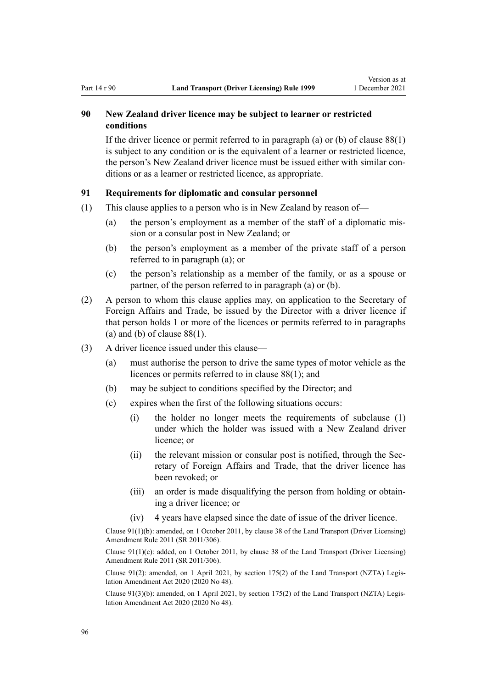# **90 New Zealand driver licence may be subject to learner or restricted conditions**

If the driver licence or permit referred to in paragraph (a) or (b) of [clause 88\(1\)](#page-89-0) is subject to any condition or is the equivalent of a learner or restricted licence, the person's New Zealand driver licence must be issued either with similar conditions or as a learner or restricted licence, as appropriate.

## **91 Requirements for diplomatic and consular personnel**

- (1) This clause applies to a person who is in New Zealand by reason of—
	- (a) the person's employment as a member of the staff of a diplomatic mis‐ sion or a consular post in New Zealand; or
	- (b) the person's employment as a member of the private staff of a person referred to in paragraph (a); or
	- (c) the person's relationship as a member of the family, or as a spouse or partner, of the person referred to in paragraph (a) or (b).
- (2) A person to whom this clause applies may, on application to the Secretary of Foreign Affairs and Trade, be issued by the Director with a driver licence if that person holds 1 or more of the licences or permits referred to in paragraphs (a) and (b) of clause  $88(1)$ .
- (3) A driver licence issued under this clause—
	- (a) must authorise the person to drive the same types of motor vehicle as the licences or permits referred to in [clause 88\(1\)](#page-89-0); and
	- (b) may be subject to conditions specified by the Director; and
	- (c) expires when the first of the following situations occurs:
		- (i) the holder no longer meets the requirements of subclause (1) under which the holder was issued with a New Zealand driver licence; or
		- (ii) the relevant mission or consular post is notified, through the Secretary of Foreign Affairs and Trade, that the driver licence has been revoked; or
		- (iii) an order is made disqualifying the person from holding or obtain‐ ing a driver licence; or
		- (iv) 4 years have elapsed since the date of issue of the driver licence.

Clause 91(1)(b): amended, on 1 October 2011, by [clause 38](http://legislation.govt.nz/pdflink.aspx?id=DLM3956745) of the Land Transport (Driver Licensing) Amendment Rule 2011 (SR 2011/306).

Clause  $91(1)(c)$ : added, on 1 October 2011, by [clause 38](http://legislation.govt.nz/pdflink.aspx?id=DLM3956745) of the Land Transport (Driver Licensing) Amendment Rule 2011 (SR 2011/306).

Clause 91(2): amended, on 1 April 2021, by [section 175\(2\)](http://legislation.govt.nz/pdflink.aspx?id=LMS286883) of the Land Transport (NZTA) Legis‐ lation Amendment Act 2020 (2020 No 48).

Clause 91(3)(b): amended, on 1 April 2021, by [section 175\(2\)](http://legislation.govt.nz/pdflink.aspx?id=LMS286883) of the Land Transport (NZTA) Legis‐ lation Amendment Act 2020 (2020 No 48).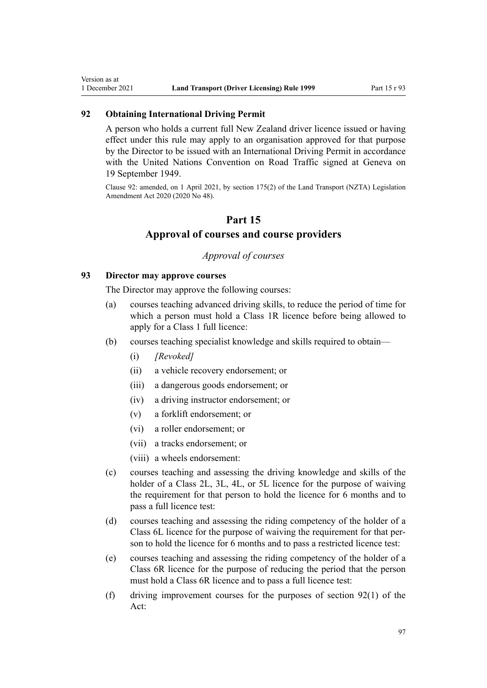# **92 Obtaining International Driving Permit**

<span id="page-96-0"></span>Version as at

A person who holds a current full New Zealand driver licence issued or having effect under this rule may apply to an organisation approved for that purpose by the Director to be issued with an International Driving Permit in accordance with the United Nations Convention on Road Traffic signed at Geneva on 19 September 1949.

Clause 92: amended, on 1 April 2021, by [section 175\(2\)](http://legislation.govt.nz/pdflink.aspx?id=LMS286883) of the Land Transport (NZTA) Legislation Amendment Act 2020 (2020 No 48).

# **Part 15**

# **Approval of courses and course providers**

# *Approval of courses*

## **93 Director may approve courses**

The Director may approve the following courses:

- (a) courses teaching advanced driving skills, to reduce the period of time for which a person must hold a Class 1R licence before being allowed to apply for a Class 1 full licence:
- (b) courses teaching specialist knowledge and skills required to obtain—
	- (i) *[Revoked]*
	- (ii) a vehicle recovery endorsement; or
	- (iii) a dangerous goods endorsement; or
	- (iv) a driving instructor endorsement; or
	- (v) a forklift endorsement; or
	- (vi) a roller endorsement; or
	- (vii) a tracks endorsement; or
	- (viii) a wheels endorsement:
- (c) courses teaching and assessing the driving knowledge and skills of the holder of a Class 2L, 3L, 4L, or 5L licence for the purpose of waiving the requirement for that person to hold the licence for 6 months and to pass a full licence test:
- (d) courses teaching and assessing the riding competency of the holder of a Class 6L licence for the purpose of waiving the requirement for that per‐ son to hold the licence for 6 months and to pass a restricted licence test:
- (e) courses teaching and assessing the riding competency of the holder of a Class 6R licence for the purpose of reducing the period that the person must hold a Class 6R licence and to pass a full licence test:
- (f) driving improvement courses for the purposes of [section 92\(1\)](http://legislation.govt.nz/pdflink.aspx?id=DLM435016) of the Act: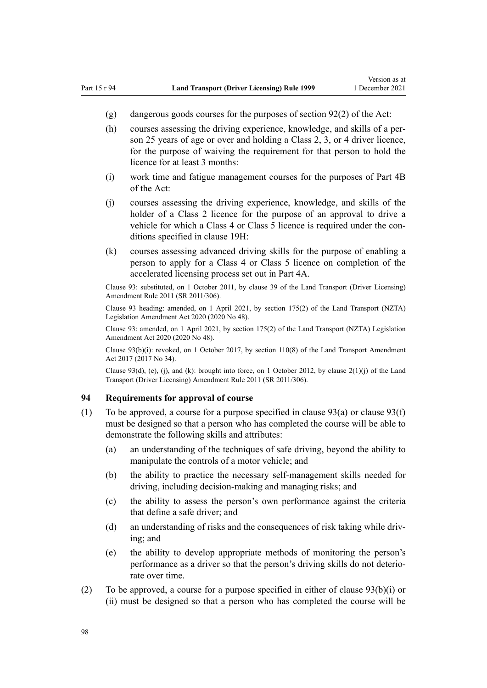- <span id="page-97-0"></span>(g) dangerous goods courses for the purposes of [section 92\(2\)](http://legislation.govt.nz/pdflink.aspx?id=DLM435016) of the Act:
- (h) courses assessing the driving experience, knowledge, and skills of a per‐ son 25 years of age or over and holding a Class 2, 3, or 4 driver licence, for the purpose of waiving the requirement for that person to hold the licence for at least 3 months:
- (i) work time and fatigue management courses for the purposes of [Part 4B](http://legislation.govt.nz/pdflink.aspx?id=DLM434620) of the Act:
- (j) courses assessing the driving experience, knowledge, and skills of the holder of a Class 2 licence for the purpose of an approval to drive a vehicle for which a Class 4 or Class 5 licence is required under the conditions specified in [clause 19H](#page-36-0):
- (k) courses assessing advanced driving skills for the purpose of enabling a person to apply for a Class 4 or Class 5 licence on completion of the accelerated licensing process set out in [Part 4A](#page-33-0).

Clause 93: substituted, on 1 October 2011, by [clause 39](http://legislation.govt.nz/pdflink.aspx?id=DLM3956519) of the Land Transport (Driver Licensing) Amendment Rule 2011 (SR 2011/306).

Clause 93 heading: amended, on 1 April 2021, by [section 175\(2\)](http://legislation.govt.nz/pdflink.aspx?id=LMS286883) of the Land Transport (NZTA) Legislation Amendment Act 2020 (2020 No 48).

Clause 93: amended, on 1 April 2021, by [section 175\(2\)](http://legislation.govt.nz/pdflink.aspx?id=LMS286883) of the Land Transport (NZTA) Legislation Amendment Act 2020 (2020 No 48).

Clause 93(b)(i): revoked, on 1 October 2017, by [section 110\(8\)](http://legislation.govt.nz/pdflink.aspx?id=DLM6960929) of the Land Transport Amendment Act 2017 (2017 No 34).

Clause 93(d), (e), (j), and (k): brought into force, on 1 October 2012, by clause  $2(1)(j)$  of the Land Transport (Driver Licensing) Amendment Rule 2011 (SR 2011/306).

## **94 Requirements for approval of course**

- (1) To be approved, a course for a purpose specified in clause  $93(a)$  or clause  $93(f)$ must be designed so that a person who has completed the course will be able to demonstrate the following skills and attributes:
	- (a) an understanding of the techniques of safe driving, beyond the ability to manipulate the controls of a motor vehicle; and
	- (b) the ability to practice the necessary self-management skills needed for driving, including decision-making and managing risks; and
	- (c) the ability to assess the person's own performance against the criteria that define a safe driver; and
	- (d) an understanding of risks and the consequences of risk taking while driving; and
	- (e) the ability to develop appropriate methods of monitoring the person's performance as a driver so that the person's driving skills do not deterio‐ rate over time.
- (2) To be approved, a course for a purpose specified in either of [clause 93\(b\)\(i\) or](#page-96-0) [\(ii\)](#page-96-0) must be designed so that a person who has completed the course will be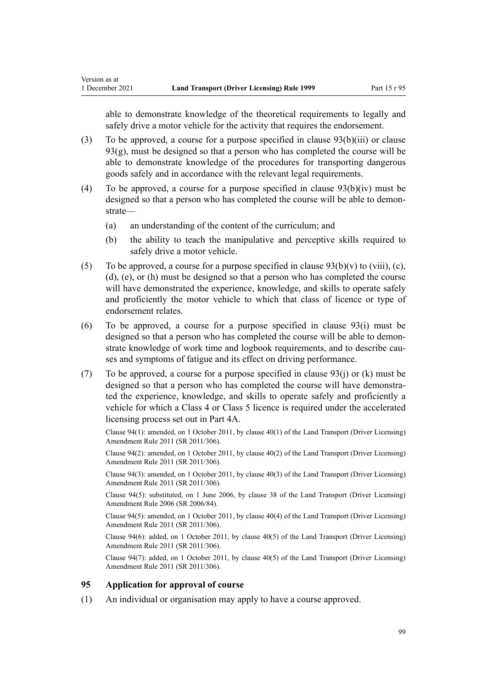<span id="page-98-0"></span>able to demonstrate knowledge of the theoretical requirements to legally and safely drive a motor vehicle for the activity that requires the endorsement.

- (3) To be approved, a course for a purpose specified in [clause 93\(b\)\(iii\)](#page-96-0) or clause  $93(g)$ , must be designed so that a person who has completed the course will be able to demonstrate knowledge of the procedures for transporting dangerous goods safely and in accordance with the relevant legal requirements.
- (4) To be approved, a course for a purpose specified in [clause 93\(b\)\(iv\)](#page-96-0) must be designed so that a person who has completed the course will be able to demonstrate—
	- (a) an understanding of the content of the curriculum; and
	- (b) the ability to teach the manipulative and perceptive skills required to safely drive a motor vehicle.
- (5) To be approved, a course for a purpose specified in clause  $93(b)(v)$  to (viii), (c), [\(d\), \(e\), or \(h\)](#page-96-0) must be designed so that a person who has completed the course will have demonstrated the experience, knowledge, and skills to operate safely and proficiently the motor vehicle to which that class of licence or type of endorsement relates.
- (6) To be approved, a course for a purpose specified in [clause 93\(i\)](#page-96-0) must be designed so that a person who has completed the course will be able to demonstrate knowledge of work time and logbook requirements, and to describe causes and symptoms of fatigue and its effect on driving performance.
- (7) To be approved, a course for a purpose specified in clause  $93(i)$  or (k) must be designed so that a person who has completed the course will have demonstra‐ ted the experience, knowledge, and skills to operate safely and proficiently a vehicle for which a Class 4 or Class 5 licence is required under the accelerated licensing process set out in [Part 4A](#page-33-0).

Clause 94(1): amended, on 1 October 2011, by [clause 40\(1\)](http://legislation.govt.nz/pdflink.aspx?id=DLM3956521) of the Land Transport (Driver Licensing) Amendment Rule 2011 (SR 2011/306).

Clause 94(2): amended, on 1 October 2011, by [clause 40\(2\)](http://legislation.govt.nz/pdflink.aspx?id=DLM3956521) of the Land Transport (Driver Licensing) Amendment Rule 2011 (SR 2011/306).

Clause 94(3): amended, on 1 October 2011, by [clause 40\(3\)](http://legislation.govt.nz/pdflink.aspx?id=DLM3956521) of the Land Transport (Driver Licensing) Amendment Rule 2011 (SR 2011/306).

Clause 94(5): substituted, on 1 June 2006, by [clause 38](http://legislation.govt.nz/pdflink.aspx?id=DLM376137) of the Land Transport (Driver Licensing) Amendment Rule 2006 (SR 2006/84).

Clause 94(5): amended, on 1 October 2011, by [clause 40\(4\)](http://legislation.govt.nz/pdflink.aspx?id=DLM3956521) of the Land Transport (Driver Licensing) Amendment Rule 2011 (SR 2011/306).

Clause 94(6): added, on 1 October 2011, by [clause 40\(5\)](http://legislation.govt.nz/pdflink.aspx?id=DLM3956521) of the Land Transport (Driver Licensing) Amendment Rule 2011 (SR 2011/306).

Clause 94(7): added, on 1 October 2011, by [clause 40\(5\)](http://legislation.govt.nz/pdflink.aspx?id=DLM3956521) of the Land Transport (Driver Licensing) Amendment Rule 2011 (SR 2011/306).

## **95 Application for approval of course**

(1) An individual or organisation may apply to have a course approved.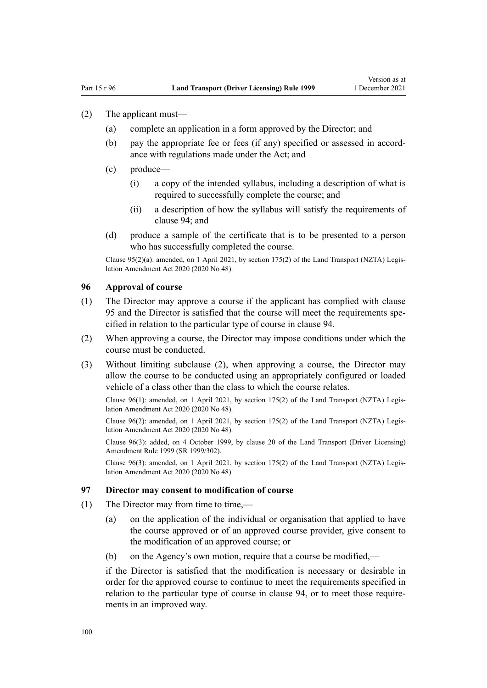- <span id="page-99-0"></span>(2) The applicant must—
	- (a) complete an application in a form approved by the Director; and
	- (b) pay the appropriate fee or fees (if any) specified or assessed in accordance with regulations made under the Act; and
	- (c) produce—
		- (i) a copy of the intended syllabus, including a description of what is required to successfully complete the course; and
		- (ii) a description of how the syllabus will satisfy the requirements of [clause 94](#page-97-0); and
	- (d) produce a sample of the certificate that is to be presented to a person who has successfully completed the course.

Clause 95(2)(a): amended, on 1 April 2021, by [section 175\(2\)](http://legislation.govt.nz/pdflink.aspx?id=LMS286883) of the Land Transport (NZTA) Legis‐ lation Amendment Act 2020 (2020 No 48).

#### **96 Approval of course**

- (1) The Director may approve a course if the applicant has complied with [clause](#page-98-0) [95](#page-98-0) and the Director is satisfied that the course will meet the requirements spe‐ cified in relation to the particular type of course in [clause 94.](#page-97-0)
- (2) When approving a course, the Director may impose conditions under which the course must be conducted.
- (3) Without limiting subclause (2), when approving a course, the Director may allow the course to be conducted using an appropriately configured or loaded vehicle of a class other than the class to which the course relates.

Clause 96(1): amended, on 1 April 2021, by [section 175\(2\)](http://legislation.govt.nz/pdflink.aspx?id=LMS286883) of the Land Transport (NZTA) Legis‐ lation Amendment Act 2020 (2020 No 48).

Clause  $96(2)$ : amended, on 1 April 2021, by [section 175\(2\)](http://legislation.govt.nz/pdflink.aspx?id=LMS286883) of the Land Transport (NZTA) Legislation Amendment Act 2020 (2020 No 48).

Clause 96(3): added, on 4 October 1999, by [clause 20](http://legislation.govt.nz/pdflink.aspx?id=DLM293689) of the Land Transport (Driver Licensing) Amendment Rule 1999 (SR 1999/302).

Clause 96(3): amended, on 1 April 2021, by [section 175\(2\)](http://legislation.govt.nz/pdflink.aspx?id=LMS286883) of the Land Transport (NZTA) Legis‐ lation Amendment Act 2020 (2020 No 48).

## **97 Director may consent to modification of course**

- (1) The Director may from time to time,—
	- (a) on the application of the individual or organisation that applied to have the course approved or of an approved course provider, give consent to the modification of an approved course; or
	- (b) on the Agency's own motion, require that a course be modified,—

if the Director is satisfied that the modification is necessary or desirable in order for the approved course to continue to meet the requirements specified in relation to the particular type of course in [clause 94](#page-97-0), or to meet those requirements in an improved way.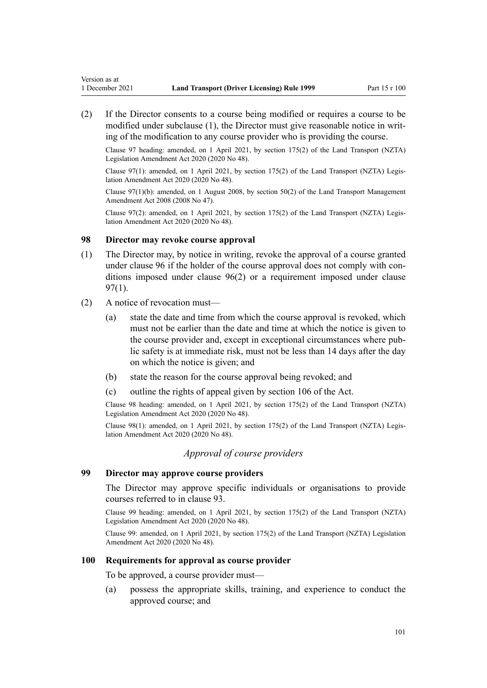<span id="page-100-0"></span>(2) If the Director consents to a course being modified or requires a course to be modified under subclause (1), the Director must give reasonable notice in writing of the modification to any course provider who is providing the course.

Clause 97 heading: amended, on 1 April 2021, by [section 175\(2\)](http://legislation.govt.nz/pdflink.aspx?id=LMS286883) of the Land Transport (NZTA) Legislation Amendment Act 2020 (2020 No 48).

Clause 97(1): amended, on 1 April 2021, by [section 175\(2\)](http://legislation.govt.nz/pdflink.aspx?id=LMS286883) of the Land Transport (NZTA) Legis‐ lation Amendment Act 2020 (2020 No 48).

Clause 97(1)(b): amended, on 1 August 2008, by [section 50\(2\)](http://legislation.govt.nz/pdflink.aspx?id=DLM1313622) of the Land Transport Management Amendment Act 2008 (2008 No 47).

Clause 97(2): amended, on 1 April 2021, by [section 175\(2\)](http://legislation.govt.nz/pdflink.aspx?id=LMS286883) of the Land Transport (NZTA) Legislation Amendment Act 2020 (2020 No 48).

## **98 Director may revoke course approval**

- (1) The Director may, by notice in writing, revoke the approval of a course granted under [clause 96](#page-99-0) if the holder of the course approval does not comply with conditions imposed under [clause 96\(2\)](#page-99-0) or a requirement imposed under [clause](#page-99-0) [97\(1\)](#page-99-0).
- (2) A notice of revocation must—
	- (a) state the date and time from which the course approval is revoked, which must not be earlier than the date and time at which the notice is given to the course provider and, except in exceptional circumstances where pub‐ lic safety is at immediate risk, must not be less than 14 days after the day on which the notice is given; and
	- (b) state the reason for the course approval being revoked; and
	- (c) outline the rights of appeal given by [section 106](http://legislation.govt.nz/pdflink.aspx?id=DLM435083) of the Act.

Clause 98 heading: amended, on 1 April 2021, by [section 175\(2\)](http://legislation.govt.nz/pdflink.aspx?id=LMS286883) of the Land Transport (NZTA) Legislation Amendment Act 2020 (2020 No 48).

Clause 98(1): amended, on 1 April 2021, by [section 175\(2\)](http://legislation.govt.nz/pdflink.aspx?id=LMS286883) of the Land Transport (NZTA) Legis‐ lation Amendment Act 2020 (2020 No 48).

## *Approval of course providers*

#### **99 Director may approve course providers**

The Director may approve specific individuals or organisations to provide courses referred to in [clause 93.](#page-96-0)

Clause 99 heading: amended, on 1 April 2021, by [section 175\(2\)](http://legislation.govt.nz/pdflink.aspx?id=LMS286883) of the Land Transport (NZTA) Legislation Amendment Act 2020 (2020 No 48).

Clause 99: amended, on 1 April 2021, by [section 175\(2\)](http://legislation.govt.nz/pdflink.aspx?id=LMS286883) of the Land Transport (NZTA) Legislation Amendment Act 2020 (2020 No 48).

#### **100 Requirements for approval as course provider**

To be approved, a course provider must—

(a) possess the appropriate skills, training, and experience to conduct the approved course; and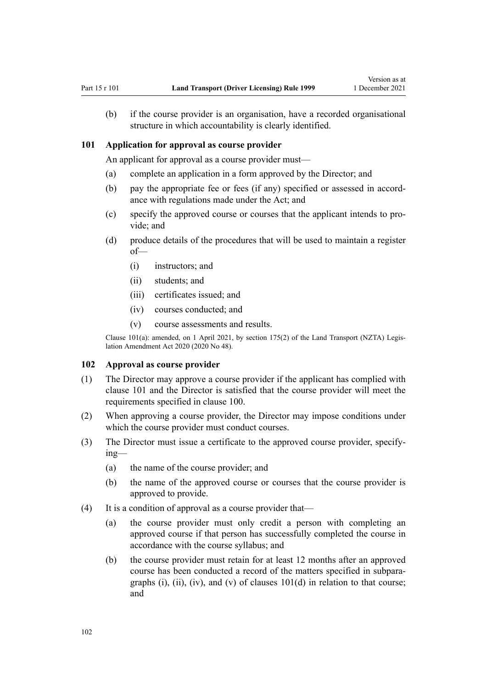<span id="page-101-0"></span>(b) if the course provider is an organisation, have a recorded organisational structure in which accountability is clearly identified.

#### **101 Application for approval as course provider**

An applicant for approval as a course provider must—

- (a) complete an application in a form approved by the Director; and
- (b) pay the appropriate fee or fees (if any) specified or assessed in accordance with regulations made under the Act; and
- (c) specify the approved course or courses that the applicant intends to pro‐ vide; and
- (d) produce details of the procedures that will be used to maintain a register of—
	- (i) instructors; and
	- (ii) students; and
	- (iii) certificates issued; and
	- (iv) courses conducted; and
	- (v) course assessments and results.

Clause 101(a): amended, on 1 April 2021, by [section 175\(2\)](http://legislation.govt.nz/pdflink.aspx?id=LMS286883) of the Land Transport (NZTA) Legislation Amendment Act 2020 (2020 No 48).

#### **102 Approval as course provider**

- (1) The Director may approve a course provider if the applicant has complied with clause 101 and the Director is satisfied that the course provider will meet the requirements specified in [clause 100](#page-100-0).
- (2) When approving a course provider, the Director may impose conditions under which the course provider must conduct courses.
- (3) The Director must issue a certificate to the approved course provider, specify‐ ing—
	- (a) the name of the course provider; and
	- (b) the name of the approved course or courses that the course provider is approved to provide.
- (4) It is a condition of approval as a course provider that—
	- (a) the course provider must only credit a person with completing an approved course if that person has successfully completed the course in accordance with the course syllabus; and
	- (b) the course provider must retain for at least 12 months after an approved course has been conducted a record of the matters specified in subpara‐ graphs  $(i)$ ,  $(ii)$ ,  $(iv)$ , and  $(v)$  of clauses  $101(d)$  in relation to that course; and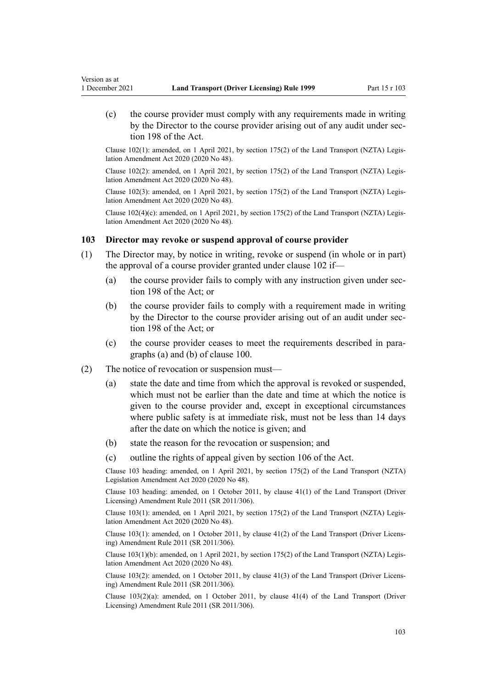(c) the course provider must comply with any requirements made in writing by the Director to the course provider arising out of any audit under sec[tion 198](http://legislation.govt.nz/pdflink.aspx?id=DLM435602) of the Act.

Clause 102(1): amended, on 1 April 2021, by [section 175\(2\)](http://legislation.govt.nz/pdflink.aspx?id=LMS286883) of the Land Transport (NZTA) Legis‐ lation Amendment Act 2020 (2020 No 48).

Clause 102(2): amended, on 1 April 2021, by [section 175\(2\)](http://legislation.govt.nz/pdflink.aspx?id=LMS286883) of the Land Transport (NZTA) Legis‐ lation Amendment Act 2020 (2020 No 48).

Clause 102(3): amended, on 1 April 2021, by [section 175\(2\)](http://legislation.govt.nz/pdflink.aspx?id=LMS286883) of the Land Transport (NZTA) Legis‐ lation Amendment Act 2020 (2020 No 48).

Clause  $102(4)(c)$ : amended, on 1 April 2021, by [section 175\(2\)](http://legislation.govt.nz/pdflink.aspx?id=LMS286883) of the Land Transport (NZTA) Legislation Amendment Act 2020 (2020 No 48).

#### **103 Director may revoke or suspend approval of course provider**

- (1) The Director may, by notice in writing, revoke or suspend (in whole or in part) the approval of a course provider granted under [clause 102](#page-101-0) if—
	- (a) the course provider fails to comply with any instruction given under sec[tion 198](http://legislation.govt.nz/pdflink.aspx?id=DLM435602) of the Act; or
	- (b) the course provider fails to comply with a requirement made in writing by the Director to the course provider arising out of an audit under sec[tion 198](http://legislation.govt.nz/pdflink.aspx?id=DLM435602) of the Act; or
	- (c) the course provider ceases to meet the requirements described in para‐ graphs (a) and (b) of [clause 100](#page-100-0).
- (2) The notice of revocation or suspension must—

Version as at

- (a) state the date and time from which the approval is revoked or suspended, which must not be earlier than the date and time at which the notice is given to the course provider and, except in exceptional circumstances where public safety is at immediate risk, must not be less than 14 days after the date on which the notice is given; and
- (b) state the reason for the revocation or suspension; and
- (c) outline the rights of appeal given by [section 106](http://legislation.govt.nz/pdflink.aspx?id=DLM435083) of the Act.

Clause 103 heading: amended, on 1 April 2021, by [section 175\(2\)](http://legislation.govt.nz/pdflink.aspx?id=LMS286883) of the Land Transport (NZTA) Legislation Amendment Act 2020 (2020 No 48).

Clause 103 heading: amended, on 1 October 2011, by [clause 41\(1\)](http://legislation.govt.nz/pdflink.aspx?id=DLM3956747) of the Land Transport (Driver Licensing) Amendment Rule 2011 (SR 2011/306).

Clause 103(1): amended, on 1 April 2021, by [section 175\(2\)](http://legislation.govt.nz/pdflink.aspx?id=LMS286883) of the Land Transport (NZTA) Legis‐ lation Amendment Act 2020 (2020 No 48).

Clause 103(1): amended, on 1 October 2011, by [clause 41\(2\)](http://legislation.govt.nz/pdflink.aspx?id=DLM3956747) of the Land Transport (Driver Licens‐ ing) Amendment Rule 2011 (SR 2011/306).

Clause  $103(1)(b)$ : amended, on 1 April 2021, by [section 175\(2\)](http://legislation.govt.nz/pdflink.aspx?id=LMS286883) of the Land Transport (NZTA) Legislation Amendment Act 2020 (2020 No 48).

Clause 103(2): amended, on 1 October 2011, by [clause 41\(3\)](http://legislation.govt.nz/pdflink.aspx?id=DLM3956747) of the Land Transport (Driver Licens‐ ing) Amendment Rule 2011 (SR 2011/306).

Clause 103(2)(a): amended, on 1 October 2011, by [clause 41\(4\)](http://legislation.govt.nz/pdflink.aspx?id=DLM3956747) of the Land Transport (Driver Licensing) Amendment Rule 2011 (SR 2011/306).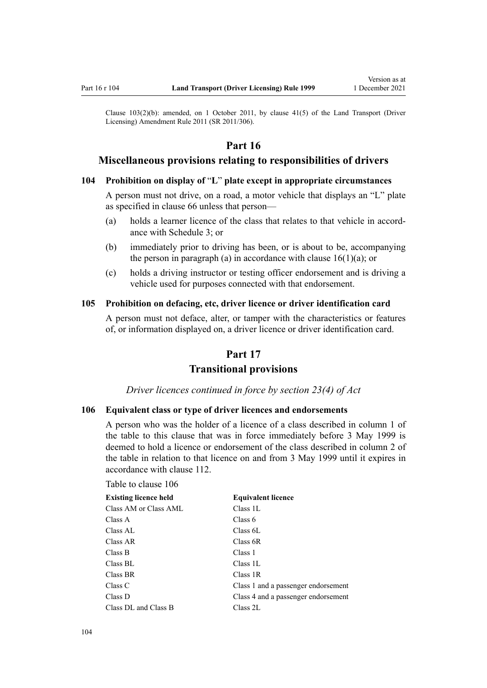<span id="page-103-0"></span>Clause  $103(2)(b)$ : amended, on 1 October 2011, by clause  $41(5)$  of the Land Transport (Driver Licensing) Amendment Rule 2011 (SR 2011/306).

# **Part 16**

# **Miscellaneous provisions relating to responsibilities of drivers**

## **104 Prohibition on display of** "**L**" **plate except in appropriate circumstances**

A person must not drive, on a road, a motor vehicle that displays an "L" plate as specified in [clause 66](#page-69-0) unless that person—

- (a) holds a learner licence of the class that relates to that vehicle in accord‐ ance with [Schedule 3](#page-114-0); or
- (b) immediately prior to driving has been, or is about to be, accompanying the person in paragraph (a) in accordance with clause  $16(1)(a)$ ; or
- (c) holds a driving instructor or testing officer endorsement and is driving a vehicle used for purposes connected with that endorsement.

## **105 Prohibition on defacing, etc, driver licence or driver identification card**

A person must not deface, alter, or tamper with the characteristics or features of, or information displayed on, a driver licence or driver identification card.

# **Part 17 Transitional provisions**

*Driver licences continued in force by section 23(4) of Act*

#### **106 Equivalent class or type of driver licences and endorsements**

A person who was the holder of a licence of a class described in column 1 of the table to this clause that was in force immediately before 3 May 1999 is deemed to hold a licence or endorsement of the class described in column 2 of the table in relation to that licence on and from 3 May 1999 until it expires in accordance with [clause 112.](#page-105-0)

Table to clause 106

| <b>Existing licence held</b> | <b>Equivalent licence</b>           |
|------------------------------|-------------------------------------|
| Class AM or Class AML        | Class 1L                            |
| Class A                      | Class 6                             |
| Class AL                     | Class 6L                            |
| Class AR                     | Class 6R                            |
| Class B                      | Class 1                             |
| Class BL                     | Class 1L                            |
| Class BR                     | Class 1R                            |
| Class C                      | Class 1 and a passenger endorsement |
| Class D                      | Class 4 and a passenger endorsement |
| Class DL and Class B         | Class 2L                            |
|                              |                                     |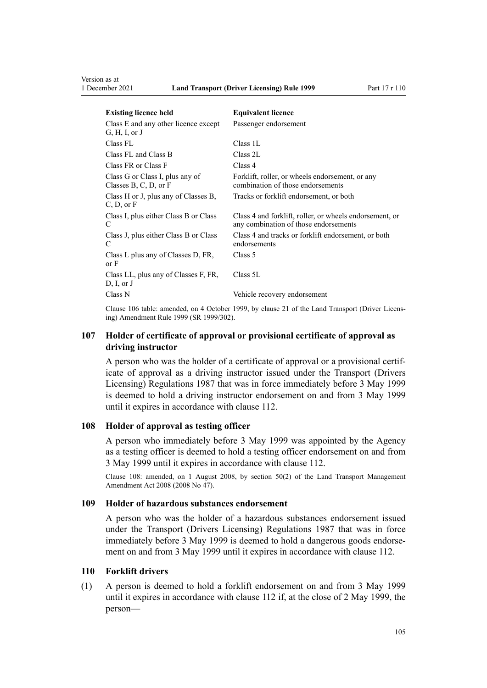<span id="page-104-0"></span>

| <b>Existing licence held</b>                               | <b>Equivalent licence</b>                                                                        |
|------------------------------------------------------------|--------------------------------------------------------------------------------------------------|
| Class E and any other licence except<br>G, H, I, or J      | Passenger endorsement                                                                            |
| Class FL                                                   | Class 1L                                                                                         |
| Class FL and Class B                                       | Class 2L                                                                                         |
| Class FR or Class F                                        | Class 4                                                                                          |
| Class G or Class I, plus any of<br>Classes B, C, D, or $F$ | Forklift, roller, or wheels endorsement, or any<br>combination of those endorsements             |
| Class H or J, plus any of Classes B,<br>C, D, or F         | Tracks or forklift endorsement, or both                                                          |
| Class I, plus either Class B or Class<br>C                 | Class 4 and forklift, roller, or wheels endorsement, or<br>any combination of those endorsements |
| Class J, plus either Class B or Class<br>C                 | Class 4 and tracks or forklift endorsement, or both<br>endorsements                              |
| Class L plus any of Classes D, FR,<br>or F                 | Class 5                                                                                          |
| Class LL, plus any of Classes F, FR,<br>D, I, or J         | Class 5L                                                                                         |
| Class N                                                    | Vehicle recovery endorsement                                                                     |

Clause 106 table: amended, on 4 October 1999, by [clause 21](http://legislation.govt.nz/pdflink.aspx?id=DLM293690) of the Land Transport (Driver Licens‐ ing) Amendment Rule 1999 (SR 1999/302).

# **107 Holder of certificate of approval or provisional certificate of approval as driving instructor**

A person who was the holder of a certificate of approval or a provisional certif‐ icate of approval as a driving instructor issued under the Transport (Drivers Licensing) Regulations 1987 that was in force immediately before 3 May 1999 is deemed to hold a driving instructor endorsement on and from 3 May 1999 until it expires in accordance with [clause 112.](#page-105-0)

#### **108 Holder of approval as testing officer**

A person who immediately before 3 May 1999 was appointed by the Agency as a testing officer is deemed to hold a testing officer endorsement on and from 3 May 1999 until it expires in accordance with [clause 112](#page-105-0).

Clause 108: amended, on 1 August 2008, by [section 50\(2\)](http://legislation.govt.nz/pdflink.aspx?id=DLM1313622) of the Land Transport Management Amendment Act 2008 (2008 No 47).

#### **109 Holder of hazardous substances endorsement**

A person who was the holder of a hazardous substances endorsement issued under the Transport (Drivers Licensing) Regulations 1987 that was in force immediately before 3 May 1999 is deemed to hold a dangerous goods endorsement on and from 3 May 1999 until it expires in accordance with [clause 112](#page-105-0).

# **110 Forklift drivers**

(1) A person is deemed to hold a forklift endorsement on and from 3 May 1999 until it expires in accordance with [clause 112](#page-105-0) if, at the close of 2 May 1999, the person—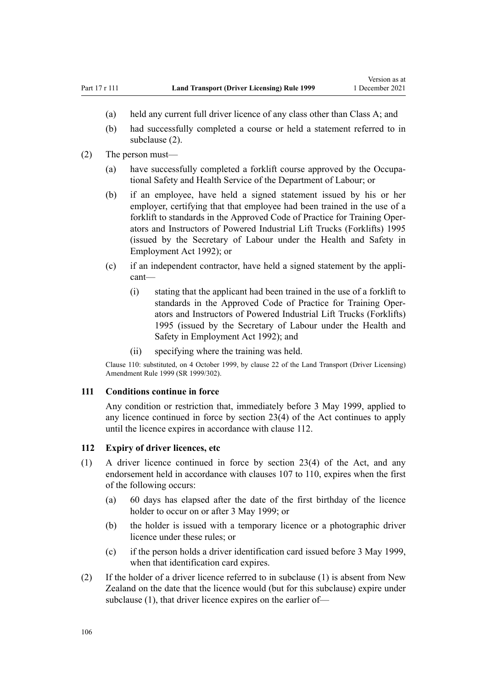- <span id="page-105-0"></span>(a) held any current full driver licence of any class other than Class A; and
- (b) had successfully completed a course or held a statement referred to in subclause (2).
- (2) The person must—
	- (a) have successfully completed a forklift course approved by the Occupational Safety and Health Service of the Department of Labour; or
	- (b) if an employee, have held a signed statement issued by his or her employer, certifying that that employee had been trained in the use of a forklift to standards in the Approved Code of Practice for Training Oper‐ ators and Instructors of Powered Industrial Lift Trucks (Forklifts) 1995 (issued by the Secretary of Labour under the [Health and Safety in](http://legislation.govt.nz/pdflink.aspx?id=DLM278828) [Employment Act 1992\)](http://legislation.govt.nz/pdflink.aspx?id=DLM278828); or
	- (c) if an independent contractor, have held a signed statement by the appli‐ cant—
		- (i) stating that the applicant had been trained in the use of a forklift to standards in the Approved Code of Practice for Training Oper‐ ators and Instructors of Powered Industrial Lift Trucks (Forklifts) 1995 (issued by the Secretary of Labour under the [Health and](http://legislation.govt.nz/pdflink.aspx?id=DLM278828) [Safety in Employment Act 1992](http://legislation.govt.nz/pdflink.aspx?id=DLM278828)); and
		- (ii) specifying where the training was held.

Clause 110: substituted, on 4 October 1999, by [clause 22](http://legislation.govt.nz/pdflink.aspx?id=DLM293692) of the Land Transport (Driver Licensing) Amendment Rule 1999 (SR 1999/302).

### **111 Conditions continue in force**

Any condition or restriction that, immediately before 3 May 1999, applied to any licence continued in force by [section 23\(4\)](http://legislation.govt.nz/pdflink.aspx?id=DLM434552) of the Act continues to apply until the licence expires in accordance with clause 112.

#### **112 Expiry of driver licences, etc**

- (1) A driver licence continued in force by [section 23\(4\)](http://legislation.govt.nz/pdflink.aspx?id=DLM434552) of the Act, and any endorsement held in accordance with [clauses 107 to 110](#page-104-0), expires when the first of the following occurs:
	- (a) 60 days has elapsed after the date of the first birthday of the licence holder to occur on or after 3 May 1999; or
	- (b) the holder is issued with a temporary licence or a photographic driver licence under these rules; or
	- (c) if the person holds a driver identification card issued before 3 May 1999, when that identification card expires.
- (2) If the holder of a driver licence referred to in subclause (1) is absent from New Zealand on the date that the licence would (but for this subclause) expire under subclause (1), that driver licence expires on the earlier of—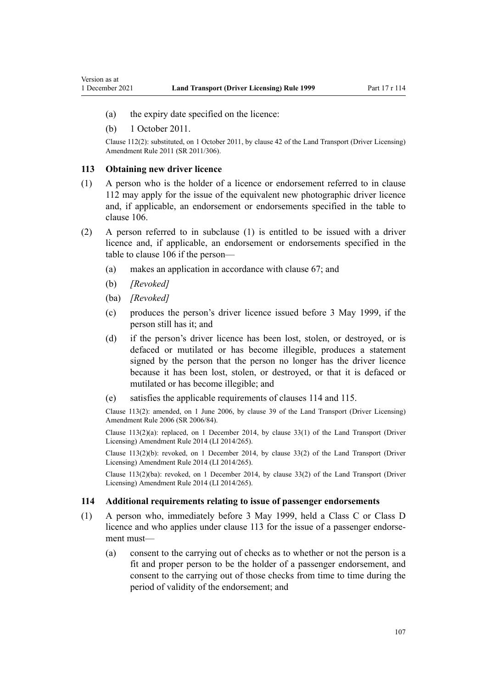- <span id="page-106-0"></span>(a) the expiry date specified on the licence:
- (b) 1 October 2011.

Clause 112(2): substituted, on 1 October 2011, by [clause 42](http://legislation.govt.nz/pdflink.aspx?id=DLM3956748) of the Land Transport (Driver Licensing) Amendment Rule 2011 (SR 2011/306).

#### **113 Obtaining new driver licence**

- (1) A person who is the holder of a licence or endorsement referred to in [clause](#page-105-0) [112](#page-105-0) may apply for the issue of the equivalent new photographic driver licence and, if applicable, an endorsement or endorsements specified in the table to [clause 106](#page-103-0).
- (2) A person referred to in subclause (1) is entitled to be issued with a driver licence and, if applicable, an endorsement or endorsements specified in the table to [clause 106](#page-103-0) if the person—
	- (a) makes an application in accordance with [clause 67;](#page-69-0) and
	- (b) *[Revoked]*
	- (ba) *[Revoked]*
	- (c) produces the person's driver licence issued before 3 May 1999, if the person still has it; and
	- (d) if the person's driver licence has been lost, stolen, or destroyed, or is defaced or mutilated or has become illegible, produces a statement signed by the person that the person no longer has the driver licence because it has been lost, stolen, or destroyed, or that it is defaced or mutilated or has become illegible; and
	- (e) satisfies the applicable requirements of clauses 114 and [115.](#page-107-0)

Clause 113(2): amended, on 1 June 2006, by [clause 39](http://legislation.govt.nz/pdflink.aspx?id=DLM376138) of the Land Transport (Driver Licensing) Amendment Rule 2006 (SR 2006/84).

Clause  $113(2)(a)$ : replaced, on 1 December 2014, by [clause 33\(1\)](http://legislation.govt.nz/pdflink.aspx?id=DLM6216947) of the Land Transport (Driver Licensing) Amendment Rule 2014 (LI 2014/265).

Clause 113(2)(b): revoked, on 1 December 2014, by [clause 33\(2\)](http://legislation.govt.nz/pdflink.aspx?id=DLM6216947) of the Land Transport (Driver Licensing) Amendment Rule 2014 (LI 2014/265).

Clause 113(2)(ba): revoked, on 1 December 2014, by [clause 33\(2\)](http://legislation.govt.nz/pdflink.aspx?id=DLM6216947) of the Land Transport (Driver Licensing) Amendment Rule 2014 (LI 2014/265).

#### **114 Additional requirements relating to issue of passenger endorsements**

- (1) A person who, immediately before 3 May 1999, held a Class C or Class D licence and who applies under clause 113 for the issue of a passenger endorsement must—
	- (a) consent to the carrying out of checks as to whether or not the person is a fit and proper person to be the holder of a passenger endorsement, and consent to the carrying out of those checks from time to time during the period of validity of the endorsement; and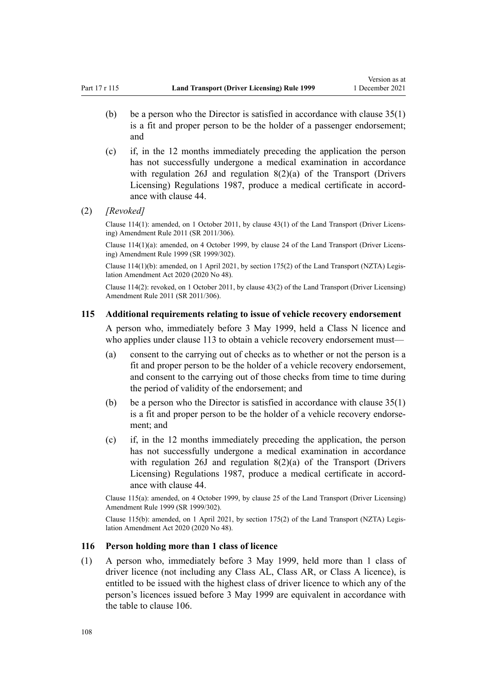- <span id="page-107-0"></span>(b) be a person who the Director is satisfied in accordance with clause  $35(1)$ is a fit and proper person to be the holder of a passenger endorsement; and
- (c) if, in the 12 months immediately preceding the application the person has not successfully undergone a medical examination in accordance with regulation 26J and regulation 8(2)(a) of the Transport (Drivers Licensing) Regulations 1987, produce a medical certificate in accord‐ ance with [clause 44.](#page-54-0)
- (2) *[Revoked]*

Clause 114(1): amended, on 1 October 2011, by [clause 43\(1\)](http://legislation.govt.nz/pdflink.aspx?id=DLM3956749) of the Land Transport (Driver Licens‐ ing) Amendment Rule 2011 (SR 2011/306).

Clause 114(1)(a): amended, on 4 October 1999, by [clause 24](http://legislation.govt.nz/pdflink.aspx?id=DLM293695) of the Land Transport (Driver Licens‐ ing) Amendment Rule 1999 (SR 1999/302).

Clause 114(1)(b): amended, on 1 April 2021, by [section 175\(2\)](http://legislation.govt.nz/pdflink.aspx?id=LMS286883) of the Land Transport (NZTA) Legis‐ lation Amendment Act 2020 (2020 No 48).

Clause 114(2): revoked, on 1 October 2011, by [clause 43\(2\)](http://legislation.govt.nz/pdflink.aspx?id=DLM3956749) of the Land Transport (Driver Licensing) Amendment Rule 2011 (SR 2011/306).

#### **115 Additional requirements relating to issue of vehicle recovery endorsement**

A person who, immediately before 3 May 1999, held a Class N licence and who applies under [clause 113](#page-106-0) to obtain a vehicle recovery endorsement must—

- (a) consent to the carrying out of checks as to whether or not the person is a fit and proper person to be the holder of a vehicle recovery endorsement, and consent to the carrying out of those checks from time to time during the period of validity of the endorsement; and
- (b) be a person who the Director is satisfied in accordance with clause  $35(1)$ is a fit and proper person to be the holder of a vehicle recovery endorsement; and
- (c) if, in the 12 months immediately preceding the application, the person has not successfully undergone a medical examination in accordance with regulation 26J and regulation 8(2)(a) of the Transport (Drivers Licensing) Regulations 1987, produce a medical certificate in accord‐ ance with [clause 44.](#page-54-0)

Clause 115(a): amended, on 4 October 1999, by [clause 25](http://legislation.govt.nz/pdflink.aspx?id=DLM293696) of the Land Transport (Driver Licensing) Amendment Rule 1999 (SR 1999/302).

Clause 115(b): amended, on 1 April 2021, by [section 175\(2\)](http://legislation.govt.nz/pdflink.aspx?id=LMS286883) of the Land Transport (NZTA) Legis‐ lation Amendment Act 2020 (2020 No 48).

#### **116 Person holding more than 1 class of licence**

(1) A person who, immediately before 3 May 1999, held more than 1 class of driver licence (not including any Class AL, Class AR, or Class A licence), is entitled to be issued with the highest class of driver licence to which any of the person's licences issued before 3 May 1999 are equivalent in accordance with the table to [clause 106](#page-103-0).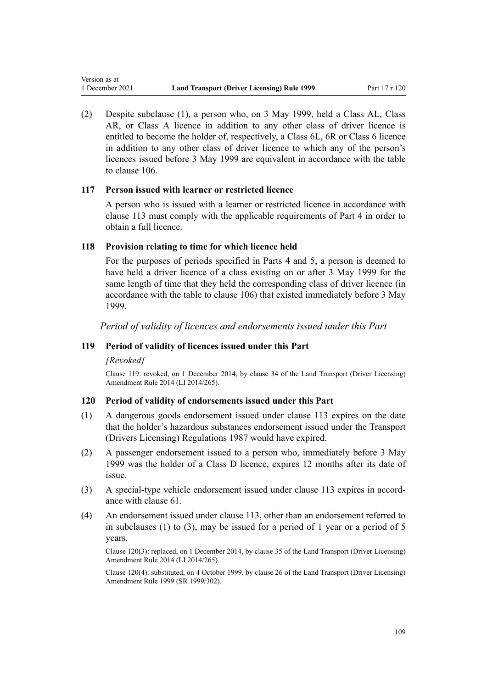(2) Despite subclause (1), a person who, on 3 May 1999, held a Class AL, Class AR, or Class A licence in addition to any other class of driver licence is entitled to become the holder of, respectively, a Class 6L, 6R or Class 6 licence in addition to any other class of driver licence to which any of the person's licences issued before 3 May 1999 are equivalent in accordance with the table to [clause 106.](#page-103-0)

#### **117 Person issued with learner or restricted licence**

A person who is issued with a learner or restricted licence in accordance with [clause 113](#page-106-0) must comply with the applicable requirements of [Part 4](#page-26-0) in order to obtain a full licence.

#### **118 Provision relating to time for which licence held**

For the purposes of periods specified in [Parts 4](#page-26-0) and [5](#page-40-0), a person is deemed to have held a driver licence of a class existing on or after 3 May 1999 for the same length of time that they held the corresponding class of driver licence (in accordance with the table to [clause 106\)](#page-103-0) that existed immediately before 3 May 1999.

*Period of validity of licences and endorsements issued under this Part*

### **119 Period of validity of licences issued under this Part**

#### *[Revoked]*

Version as at

Clause 119: revoked, on 1 December 2014, by [clause 34](http://legislation.govt.nz/pdflink.aspx?id=DLM6216948) of the Land Transport (Driver Licensing) Amendment Rule 2014 (LI 2014/265).

#### **120 Period of validity of endorsements issued under this Part**

- (1) A dangerous goods endorsement issued under [clause 113](#page-106-0) expires on the date that the holder's hazardous substances endorsement issued under the Transport (Drivers Licensing) Regulations 1987 would have expired.
- (2) A passenger endorsement issued to a person who, immediately before 3 May 1999 was the holder of a Class D licence, expires 12 months after its date of issue.
- (3) A special-type vehicle endorsement issued under [clause 113](#page-106-0) expires in accordance with [clause 61.](#page-64-0)
- (4) An endorsement issued under [clause 113](#page-106-0), other than an endorsement referred to in subclauses (1) to (3), may be issued for a period of 1 year or a period of 5 years.

Clause 120(3): replaced, on 1 December 2014, by [clause 35](http://legislation.govt.nz/pdflink.aspx?id=DLM6216949) of the Land Transport (Driver Licensing) Amendment Rule 2014 (LI 2014/265).

Clause 120(4): substituted, on 4 October 1999, by [clause 26](http://legislation.govt.nz/pdflink.aspx?id=DLM293697) of the Land Transport (Driver Licensing) Amendment Rule 1999 (SR 1999/302).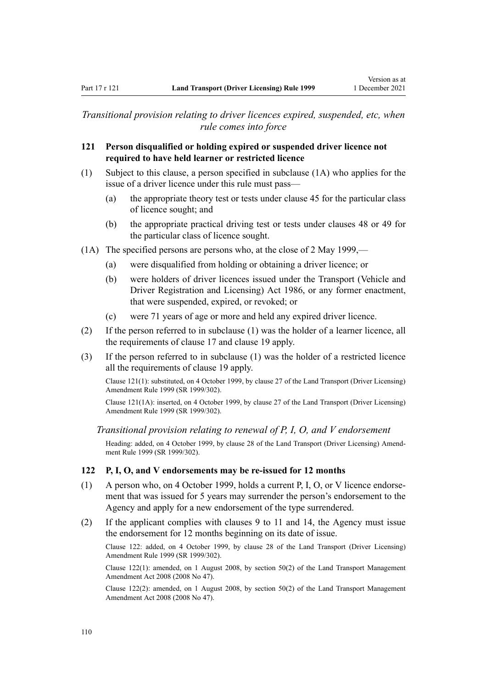*Transitional provision relating to driver licences expired, suspended, etc, when rule comes into force*

### **121 Person disqualified or holding expired or suspended driver licence not required to have held learner or restricted licence**

- (1) Subject to this clause, a person specified in subclause (1A) who applies for the issue of a driver licence under this rule must pass—
	- (a) the appropriate theory test or tests under [clause 45](#page-56-0) for the particular class of licence sought; and
	- (b) the appropriate practical driving test or tests under [clauses 48](#page-57-0) or [49](#page-57-0) for the particular class of licence sought.
- (1A) The specified persons are persons who, at the close of 2 May 1999,—
	- (a) were disqualified from holding or obtaining a driver licence; or
	- (b) were holders of driver licences issued under the [Transport \(Vehicle and](http://legislation.govt.nz/pdflink.aspx?id=DLM90414) [Driver Registration and Licensing\) Act 1986](http://legislation.govt.nz/pdflink.aspx?id=DLM90414), or any former enactment, that were suspended, expired, or revoked; or
	- (c) were 71 years of age or more and held any expired driver licence.
- (2) If the person referred to in subclause (1) was the holder of a learner licence, all the requirements of [clause 17](#page-28-0) and [clause 19](#page-30-0) apply.
- (3) If the person referred to in subclause (1) was the holder of a restricted licence all the requirements of [clause 19](#page-30-0) apply.

Clause 121(1): substituted, on 4 October 1999, by [clause 27](http://legislation.govt.nz/pdflink.aspx?id=DLM293698) of the Land Transport (Driver Licensing) Amendment Rule 1999 (SR 1999/302).

Clause 121(1A): inserted, on 4 October 1999, by [clause 27](http://legislation.govt.nz/pdflink.aspx?id=DLM293698) of the Land Transport (Driver Licensing) Amendment Rule 1999 (SR 1999/302).

*Transitional provision relating to renewal of P, I, O, and V endorsement*

Heading: added, on 4 October 1999, by [clause 28](http://legislation.govt.nz/pdflink.aspx?id=DLM293699) of the Land Transport (Driver Licensing) Amend‐ ment Rule 1999 (SR 1999/302).

### **122 P, I, O, and V endorsements may be re-issued for 12 months**

- (1) A person who, on 4 October 1999, holds a current P, I, O, or V licence endorse‐ ment that was issued for 5 years may surrender the person's endorsement to the Agency and apply for a new endorsement of the type surrendered.
- (2) If the applicant complies with [clauses 9 to 11](#page-21-0) and [14](#page-25-0), the Agency must issue the endorsement for 12 months beginning on its date of issue.

Clause 122: added, on 4 October 1999, by [clause 28](http://legislation.govt.nz/pdflink.aspx?id=DLM293699) of the Land Transport (Driver Licensing) Amendment Rule 1999 (SR 1999/302).

Clause 122(1): amended, on 1 August 2008, by [section 50\(2\)](http://legislation.govt.nz/pdflink.aspx?id=DLM1313622) of the Land Transport Management Amendment Act 2008 (2008 No 47).

Clause 122(2): amended, on 1 August 2008, by [section 50\(2\)](http://legislation.govt.nz/pdflink.aspx?id=DLM1313622) of the Land Transport Management Amendment Act 2008 (2008 No 47).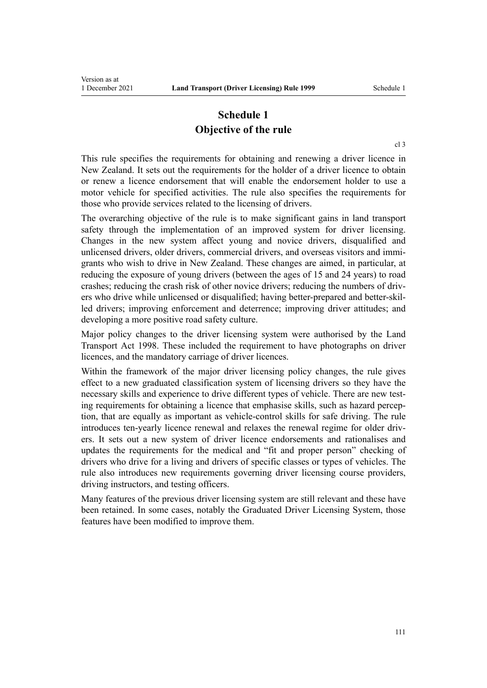# **Schedule 1 Objective of the rule**

[cl 3](#page-18-0)

This rule specifies the requirements for obtaining and renewing a driver licence in New Zealand. It sets out the requirements for the holder of a driver licence to obtain or renew a licence endorsement that will enable the endorsement holder to use a motor vehicle for specified activities. The rule also specifies the requirements for those who provide services related to the licensing of drivers.

The overarching objective of the rule is to make significant gains in land transport safety through the implementation of an improved system for driver licensing. Changes in the new system affect young and novice drivers, disqualified and unlicensed drivers, older drivers, commercial drivers, and overseas visitors and immigrants who wish to drive in New Zealand. These changes are aimed, in particular, at reducing the exposure of young drivers (between the ages of 15 and 24 years) to road crashes; reducing the crash risk of other novice drivers; reducing the numbers of driv‐ ers who drive while unlicensed or disqualified; having better-prepared and better-skil‐ led drivers; improving enforcement and deterrence; improving driver attitudes; and developing a more positive road safety culture.

Major policy changes to the driver licensing system were authorised by the [Land](http://legislation.govt.nz/pdflink.aspx?id=DLM433612) [Transport Act 1998.](http://legislation.govt.nz/pdflink.aspx?id=DLM433612) These included the requirement to have photographs on driver licences, and the mandatory carriage of driver licences.

Within the framework of the major driver licensing policy changes, the rule gives effect to a new graduated classification system of licensing drivers so they have the necessary skills and experience to drive different types of vehicle. There are new testing requirements for obtaining a licence that emphasise skills, such as hazard perception, that are equally as important as vehicle-control skills for safe driving. The rule introduces ten-yearly licence renewal and relaxes the renewal regime for older drivers. It sets out a new system of driver licence endorsements and rationalises and updates the requirements for the medical and "fit and proper person" checking of drivers who drive for a living and drivers of specific classes or types of vehicles. The rule also introduces new requirements governing driver licensing course providers, driving instructors, and testing officers.

Many features of the previous driver licensing system are still relevant and these have been retained. In some cases, notably the Graduated Driver Licensing System, those features have been modified to improve them.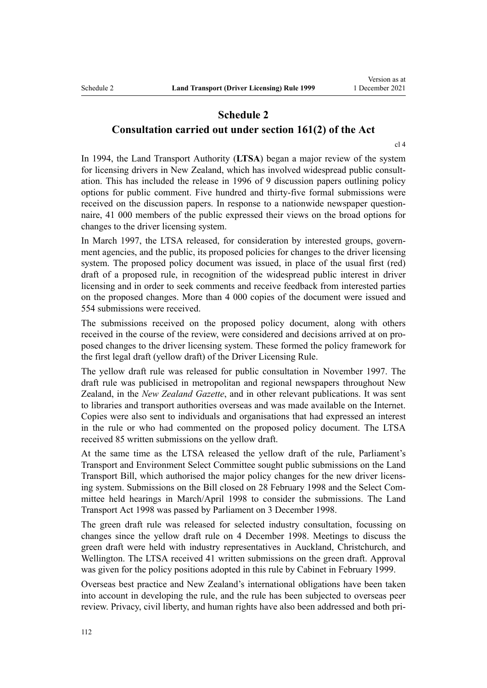### **Schedule 2 Consultation carried out under section 161(2) of the Act**

[cl 4](#page-19-0)

In 1994, the Land Transport Authority (**LTSA**) began a major review of the system for licensing drivers in New Zealand, which has involved widespread public consultation. This has included the release in 1996 of 9 discussion papers outlining policy options for public comment. Five hundred and thirty-five formal submissions were received on the discussion papers. In response to a nationwide newspaper question– naire, 41 000 members of the public expressed their views on the broad options for changes to the driver licensing system.

In March 1997, the LTSA released, for consideration by interested groups, government agencies, and the public, its proposed policies for changes to the driver licensing system. The proposed policy document was issued, in place of the usual first (red) draft of a proposed rule, in recognition of the widespread public interest in driver licensing and in order to seek comments and receive feedback from interested parties on the proposed changes. More than 4 000 copies of the document were issued and 554 submissions were received.

The submissions received on the proposed policy document, along with others received in the course of the review, were considered and decisions arrived at on pro‐ posed changes to the driver licensing system. These formed the policy framework for the first legal draft (yellow draft) of the Driver Licensing Rule.

The yellow draft rule was released for public consultation in November 1997. The draft rule was publicised in metropolitan and regional newspapers throughout New Zealand, in the *New Zealand Gazette*, and in other relevant publications. It was sent to libraries and transport authorities overseas and was made available on the Internet. Copies were also sent to individuals and organisations that had expressed an interest in the rule or who had commented on the proposed policy document. The LTSA received 85 written submissions on the yellow draft.

At the same time as the LTSA released the yellow draft of the rule, Parliament's Transport and Environment Select Committee sought public submissions on the Land Transport Bill, which authorised the major policy changes for the new driver licens‐ ing system. Submissions on the Bill closed on 28 February 1998 and the Select Committee held hearings in March/April 1998 to consider the submissions. The [Land](http://legislation.govt.nz/pdflink.aspx?id=DLM433612) [Transport Act 1998](http://legislation.govt.nz/pdflink.aspx?id=DLM433612) was passed by Parliament on 3 December 1998.

The green draft rule was released for selected industry consultation, focussing on changes since the yellow draft rule on 4 December 1998. Meetings to discuss the green draft were held with industry representatives in Auckland, Christchurch, and Wellington. The LTSA received 41 written submissions on the green draft. Approval was given for the policy positions adopted in this rule by Cabinet in February 1999.

Overseas best practice and New Zealand's international obligations have been taken into account in developing the rule, and the rule has been subjected to overseas peer review. Privacy, civil liberty, and human rights have also been addressed and both pri‐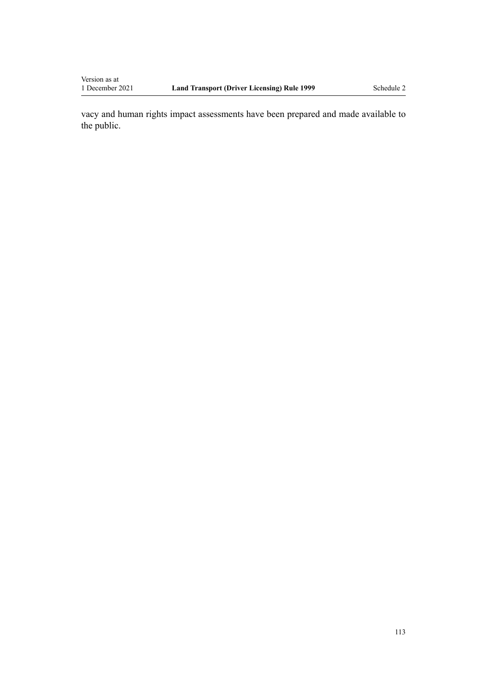Version as at<br>1 December 2021

vacy and human rights impact assessments have been prepared and made available to the public.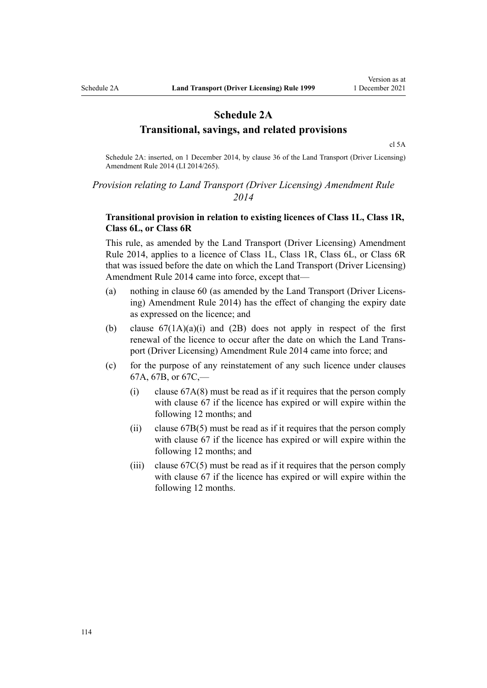## **Schedule 2A Transitional, savings, and related provisions**

[cl 5A](#page-20-0)

Schedule 2A: inserted, on 1 December 2014, by [clause 36](http://legislation.govt.nz/pdflink.aspx?id=DLM6216950) of the Land Transport (Driver Licensing) Amendment Rule 2014 (LI 2014/265).

### *Provision relating to Land Transport (Driver Licensing) Amendment Rule 2014*

### **Transitional provision in relation to existing licences of Class 1L, Class 1R, Class 6L, or Class 6R**

This rule, as amended by the [Land Transport \(Driver Licensing\) Amendment](http://legislation.govt.nz/pdflink.aspx?id=DLM6216900) [Rule 2014,](http://legislation.govt.nz/pdflink.aspx?id=DLM6216900) applies to a licence of Class 1L, Class 1R, Class 6L, or Class 6R that was issued before the date on which the Land Transport (Driver Licensing) Amendment Rule 2014 came into force, except that—

- (a) nothing in [clause 60](#page-62-0) (as amended by the [Land Transport \(Driver Licens‐](http://legislation.govt.nz/pdflink.aspx?id=DLM6216900) [ing\) Amendment Rule 2014](http://legislation.govt.nz/pdflink.aspx?id=DLM6216900)) has the effect of changing the expiry date as expressed on the licence; and
- (b) clause  $67(1A)(a)(i)$  and  $(2B)$  does not apply in respect of the first renewal of the licence to occur after the date on which the [Land Trans‐](http://legislation.govt.nz/pdflink.aspx?id=DLM6216900) [port \(Driver Licensing\) Amendment Rule 2014](http://legislation.govt.nz/pdflink.aspx?id=DLM6216900) came into force; and
- (c) for the purpose of any reinstatement of any such licence under [clauses](#page-71-0) [67A](#page-71-0), [67B,](#page-73-0) or [67C](#page-74-0),—
	- (i) [clause 67A\(8\)](#page-71-0) must be read as if it requires that the person comply with [clause 67](#page-69-0) if the licence has expired or will expire within the following 12 months; and
	- (ii) [clause 67B\(5\)](#page-73-0) must be read as if it requires that the person comply with [clause 67](#page-69-0) if the licence has expired or will expire within the following 12 months; and
	- (iii) clause  $67C(5)$  must be read as if it requires that the person comply with [clause 67](#page-69-0) if the licence has expired or will expire within the following 12 months.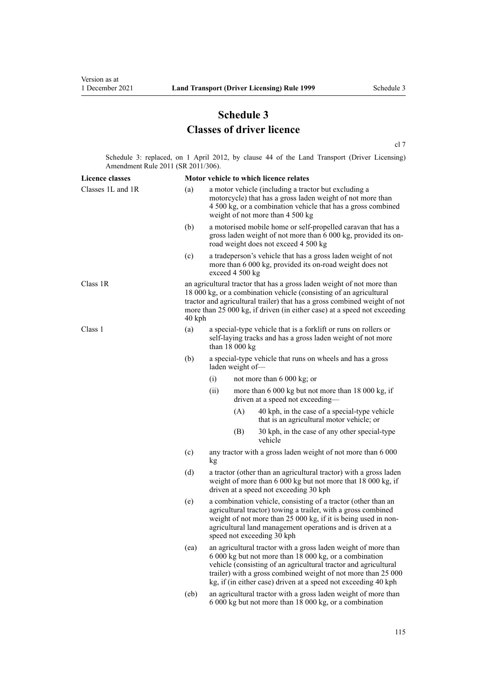# **Schedule 3 Classes of driver licence**

[cl 7](#page-20-0)

Schedule 3: replaced, on 1 April 2012, by [clause 44](http://legislation.govt.nz/pdflink.aspx?id=DLM3956523) of the Land Transport (Driver Licensing) Amendment Rule 2011 (SR 2011/306).

| <b>Licence classes</b> |      | Motor vehicle to which licence relates                                                                                                                                                                                                                                                                                         |                 |                                                                                                                          |  |
|------------------------|------|--------------------------------------------------------------------------------------------------------------------------------------------------------------------------------------------------------------------------------------------------------------------------------------------------------------------------------|-----------------|--------------------------------------------------------------------------------------------------------------------------|--|
| Classes 1L and 1R      | (a)  | a motor vehicle (including a tractor but excluding a<br>motorcycle) that has a gross laden weight of not more than<br>4 500 kg, or a combination vehicle that has a gross combined<br>weight of not more than 4 500 kg                                                                                                         |                 |                                                                                                                          |  |
|                        | (b)  | a motorised mobile home or self-propelled caravan that has a<br>gross laden weight of not more than 6 000 kg, provided its on-<br>road weight does not exceed 4 500 kg                                                                                                                                                         |                 |                                                                                                                          |  |
|                        | (c)  |                                                                                                                                                                                                                                                                                                                                | exceed 4 500 kg | a tradeperson's vehicle that has a gross laden weight of not<br>more than 6 000 kg, provided its on-road weight does not |  |
| Class 1R               |      | an agricultural tractor that has a gross laden weight of not more than<br>18 000 kg, or a combination vehicle (consisting of an agricultural<br>tractor and agricultural trailer) that has a gross combined weight of not<br>more than 25 000 kg, if driven (in either case) at a speed not exceeding<br>$40$ kph              |                 |                                                                                                                          |  |
| Class 1                | (a)  | a special-type vehicle that is a forklift or runs on rollers or<br>self-laying tracks and has a gross laden weight of not more<br>than $18000 kg$                                                                                                                                                                              |                 |                                                                                                                          |  |
|                        | (b)  | a special-type vehicle that runs on wheels and has a gross<br>laden weight of-                                                                                                                                                                                                                                                 |                 |                                                                                                                          |  |
|                        |      | (i)                                                                                                                                                                                                                                                                                                                            |                 | not more than 6 000 kg; or                                                                                               |  |
|                        |      | (ii)                                                                                                                                                                                                                                                                                                                           |                 | more than 6 000 kg but not more than 18 000 kg, if<br>driven at a speed not exceeding-                                   |  |
|                        |      |                                                                                                                                                                                                                                                                                                                                | (A)             | 40 kph, in the case of a special-type vehicle<br>that is an agricultural motor vehicle; or                               |  |
|                        |      |                                                                                                                                                                                                                                                                                                                                | (B)             | 30 kph, in the case of any other special-type<br>vehicle                                                                 |  |
|                        | (c)  | any tractor with a gross laden weight of not more than 6 000<br>kg                                                                                                                                                                                                                                                             |                 |                                                                                                                          |  |
|                        | (d)  | a tractor (other than an agricultural tractor) with a gross laden<br>weight of more than 6 000 kg but not more that 18 000 kg, if<br>driven at a speed not exceeding 30 kph                                                                                                                                                    |                 |                                                                                                                          |  |
|                        | (e)  | a combination vehicle, consisting of a tractor (other than an<br>agricultural tractor) towing a trailer, with a gross combined<br>weight of not more than 25 000 kg, if it is being used in non-<br>agricultural land management operations and is driven at a<br>speed not exceeding 30 kph                                   |                 |                                                                                                                          |  |
|                        | (ea) | an agricultural tractor with a gross laden weight of more than<br>6 000 kg but not more than 18 000 kg, or a combination<br>vehicle (consisting of an agricultural tractor and agricultural<br>trailer) with a gross combined weight of not more than 25 000<br>kg, if (in either case) driven at a speed not exceeding 40 kph |                 |                                                                                                                          |  |
|                        | (eb) | an agricultural tractor with a gross laden weight of more than<br>6 000 kg but not more than 18 000 kg, or a combination                                                                                                                                                                                                       |                 |                                                                                                                          |  |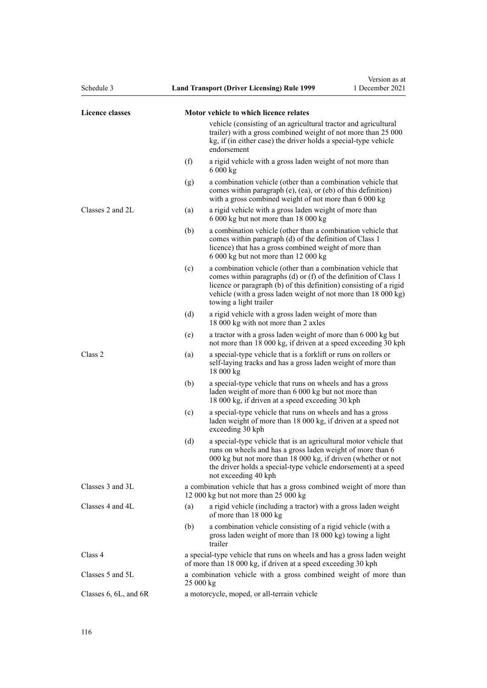| Schedule 3             |     | <b>Land Transport (Driver Licensing) Rule 1999</b>                                                                                                                                                                                                                                                    | Version as at<br>1 December 2021 |
|------------------------|-----|-------------------------------------------------------------------------------------------------------------------------------------------------------------------------------------------------------------------------------------------------------------------------------------------------------|----------------------------------|
| <b>Licence classes</b> |     | Motor vehicle to which licence relates                                                                                                                                                                                                                                                                |                                  |
|                        |     | vehicle (consisting of an agricultural tractor and agricultural<br>trailer) with a gross combined weight of not more than 25 000<br>kg, if (in either case) the driver holds a special-type vehicle<br>endorsement                                                                                    |                                  |
|                        | (f) | a rigid vehicle with a gross laden weight of not more than<br>6 000 kg                                                                                                                                                                                                                                |                                  |
|                        | (g) | a combination vehicle (other than a combination vehicle that<br>comes within paragraph $(e)$ , $(ea)$ , or $(eb)$ of this definition)<br>with a gross combined weight of not more than 6 000 kg                                                                                                       |                                  |
| Classes 2 and 2L       | (a) | a rigid vehicle with a gross laden weight of more than<br>6 000 kg but not more than 18 000 kg                                                                                                                                                                                                        |                                  |
|                        | (b) | a combination vehicle (other than a combination vehicle that<br>comes within paragraph (d) of the definition of Class 1<br>licence) that has a gross combined weight of more than<br>6 000 kg but not more than 12 000 kg                                                                             |                                  |
|                        | (c) | a combination vehicle (other than a combination vehicle that<br>comes within paragraphs $(d)$ or $(f)$ of the definition of Class 1<br>licence or paragraph (b) of this definition) consisting of a rigid<br>vehicle (with a gross laden weight of not more than 18 000 kg)<br>towing a light trailer |                                  |
|                        | (d) | a rigid vehicle with a gross laden weight of more than<br>18 000 kg with not more than 2 axles                                                                                                                                                                                                        |                                  |
|                        | (e) | a tractor with a gross laden weight of more than 6 000 kg but<br>not more than 18 000 kg, if driven at a speed exceeding 30 kph                                                                                                                                                                       |                                  |
| Class 2                | (a) | a special-type vehicle that is a forklift or runs on rollers or<br>self-laying tracks and has a gross laden weight of more than<br>18000 kg                                                                                                                                                           |                                  |
|                        | (b) | a special-type vehicle that runs on wheels and has a gross<br>laden weight of more than 6 000 kg but not more than<br>18 000 kg, if driven at a speed exceeding 30 kph                                                                                                                                |                                  |
|                        | (c) | a special-type vehicle that runs on wheels and has a gross<br>laden weight of more than 18 000 kg, if driven at a speed not<br>exceeding 30 kph                                                                                                                                                       |                                  |
|                        | (d) | a special-type vehicle that is an agricultural motor vehicle that<br>runs on wheels and has a gross laden weight of more than 6<br>000 kg but not more than 18 000 kg, if driven (whether or not<br>the driver holds a special-type vehicle endorsement) at a speed<br>not exceeding 40 kph           |                                  |
| Classes 3 and 3L       |     | a combination vehicle that has a gross combined weight of more than<br>12 000 kg but not more than 25 000 kg                                                                                                                                                                                          |                                  |
| Classes 4 and 4L       | (a) | a rigid vehicle (including a tractor) with a gross laden weight<br>of more than 18 000 kg                                                                                                                                                                                                             |                                  |
|                        | (b) | a combination vehicle consisting of a rigid vehicle (with a<br>gross laden weight of more than 18 000 kg) towing a light<br>trailer                                                                                                                                                                   |                                  |
| Class 4                |     | a special-type vehicle that runs on wheels and has a gross laden weight<br>of more than 18 000 kg, if driven at a speed exceeding 30 kph                                                                                                                                                              |                                  |
| Classes 5 and 5L       |     | a combination vehicle with a gross combined weight of more than<br>25 000 kg                                                                                                                                                                                                                          |                                  |
| Classes 6, 6L, and 6R  |     | a motorcycle, moped, or all-terrain vehicle                                                                                                                                                                                                                                                           |                                  |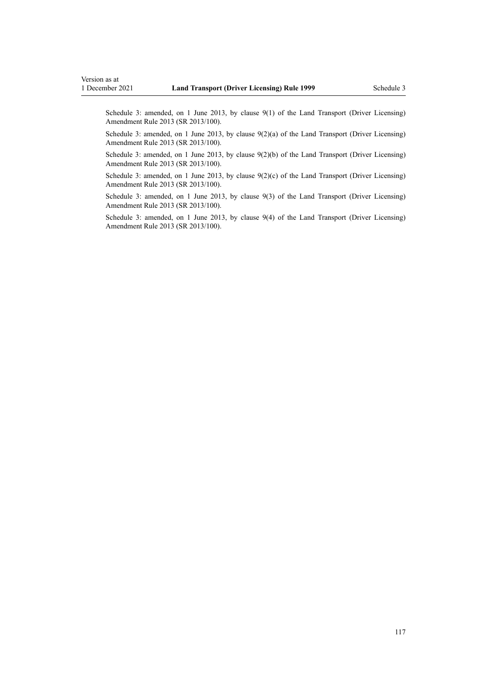Schedule 3: amended, on 1 June 2013, by [clause 9\(1\)](http://legislation.govt.nz/pdflink.aspx?id=DLM5102246) of the Land Transport (Driver Licensing) Amendment Rule 2013 (SR 2013/100).

Schedule 3: amended, on 1 June 2013, by [clause 9\(2\)\(a\)](http://legislation.govt.nz/pdflink.aspx?id=DLM5102246) of the Land Transport (Driver Licensing) Amendment Rule 2013 (SR 2013/100).

Schedule 3: amended, on 1 June 2013, by [clause 9\(2\)\(b\)](http://legislation.govt.nz/pdflink.aspx?id=DLM5102246) of the Land Transport (Driver Licensing) Amendment Rule 2013 (SR 2013/100).

Schedule 3: amended, on 1 June 2013, by clause  $9(2)(c)$  of the Land Transport (Driver Licensing) Amendment Rule 2013 (SR 2013/100).

Schedule 3: amended, on 1 June 2013, by [clause 9\(3\)](http://legislation.govt.nz/pdflink.aspx?id=DLM5102246) of the Land Transport (Driver Licensing) Amendment Rule 2013 (SR 2013/100).

Schedule 3: amended, on 1 June 2013, by [clause 9\(4\)](http://legislation.govt.nz/pdflink.aspx?id=DLM5102246) of the Land Transport (Driver Licensing) Amendment Rule 2013 (SR 2013/100).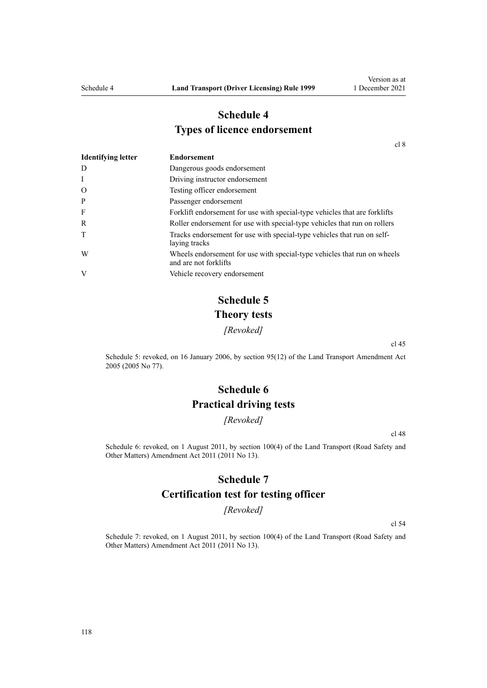# **Schedule 4 Types of licence endorsement**

[cl 8](#page-20-0)

| <b>Identifying letter</b> | <b>Endorsement</b>                                                                                |
|---------------------------|---------------------------------------------------------------------------------------------------|
| D                         | Dangerous goods endorsement                                                                       |
| I                         | Driving instructor endorsement                                                                    |
| $\mathcal{O}$             | Testing officer endorsement                                                                       |
| P                         | Passenger endorsement                                                                             |
| F                         | Forklift endorsement for use with special-type vehicles that are forklifts                        |
| R                         | Roller endorsement for use with special-type vehicles that run on rollers                         |
| T                         | Tracks endorsement for use with special-type vehicles that run on self-<br>laying tracks          |
| W                         | Wheels endorsement for use with special-type vehicles that run on wheels<br>and are not forklifts |
| V                         | Vehicle recovery endorsement                                                                      |

# **Schedule 5 Theory tests**

*[Revoked]*

[cl 45](#page-56-0)

Schedule 5: revoked, on 16 January 2006, by [section 95\(12\)](http://legislation.govt.nz/pdflink.aspx?id=DLM353501) of the Land Transport Amendment Act 2005 (2005 No 77).

# **Schedule 6 Practical driving tests**

*[Revoked]*

[cl 48](#page-57-0)

Schedule 6: revoked, on 1 August 2011, by [section 100\(4\)](http://legislation.govt.nz/pdflink.aspx?id=DLM3231293) of the Land Transport (Road Safety and Other Matters) Amendment Act 2011 (2011 No 13).

### **Schedule 7**

### **Certification test for testing officer**

*[Revoked]*

[cl 54](#page-60-0)

Schedule 7: revoked, on 1 August 2011, by [section 100\(4\)](http://legislation.govt.nz/pdflink.aspx?id=DLM3231293) of the Land Transport (Road Safety and Other Matters) Amendment Act 2011 (2011 No 13).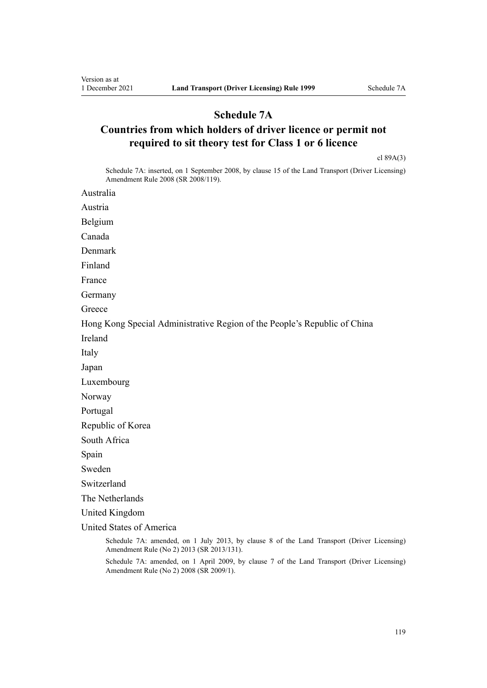## **Schedule 7A**

# **Countries from which holders of driver licence or permit not required to sit theory test for Class 1 or 6 licence**

[cl 89A\(3\)](#page-94-0)

Schedule 7A: inserted, on 1 September 2008, by [clause 15](http://legislation.govt.nz/pdflink.aspx?id=DLM1317922) of the Land Transport (Driver Licensing) Amendment Rule 2008 (SR 2008/119).

Australia

Austria

Belgium

Canada

Denmark

Finland

France

Germany

**Greece** 

Hong Kong Special Administrative Region of the People's Republic of China

Ireland

Italy

Japan

Luxembourg

Norway

Portugal

Republic of Korea

South Africa

Spain

Sweden

Switzerland

The Netherlands

United Kingdom

United States of America

Schedule 7A: amended, on 1 July 2013, by [clause 8](http://legislation.govt.nz/pdflink.aspx?id=DLM5159813) of the Land Transport (Driver Licensing) Amendment Rule (No 2) 2013 (SR 2013/131).

Schedule 7A: amended, on 1 April 2009, by [clause 7](http://legislation.govt.nz/pdflink.aspx?id=DLM1783613) of the Land Transport (Driver Licensing) Amendment Rule (No 2) 2008 (SR 2009/1).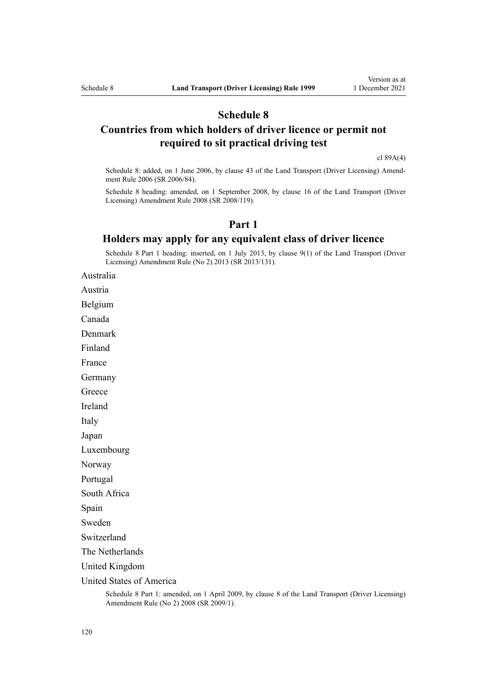### **Schedule 8**

## **Countries from which holders of driver licence or permit not required to sit practical driving test**

[cl 89A\(4\)](#page-94-0)

Schedule 8: added, on 1 June 2006, by [clause 43](http://legislation.govt.nz/pdflink.aspx?id=DLM376146) of the Land Transport (Driver Licensing) Amend‐ ment Rule 2006 (SR 2006/84).

Schedule 8 heading: amended, on 1 September 2008, by [clause 16](http://legislation.govt.nz/pdflink.aspx?id=DLM1317923) of the Land Transport (Driver Licensing) Amendment Rule 2008 (SR 2008/119).

### **Part 1**

### **Holders may apply for any equivalent class of driver licence**

Schedule 8 Part 1 heading: inserted, on 1 July 2013, by [clause 9\(1\)](http://legislation.govt.nz/pdflink.aspx?id=DLM5159814) of the Land Transport (Driver Licensing) Amendment Rule (No 2) 2013 (SR 2013/131).

Australia

Austria

Belgium

Canada

Denmark

Finland

France

Germany

**Greece** 

Ireland

Italy

Japan

Luxembourg

Norway

Portugal

South Africa

Spain

Sweden

Switzerland

The Netherlands

United Kingdom

United States of America

Schedule 8 Part 1: amended, on 1 April 2009, by [clause 8](http://legislation.govt.nz/pdflink.aspx?id=DLM1783614) of the Land Transport (Driver Licensing) Amendment Rule (No 2) 2008 (SR 2009/1).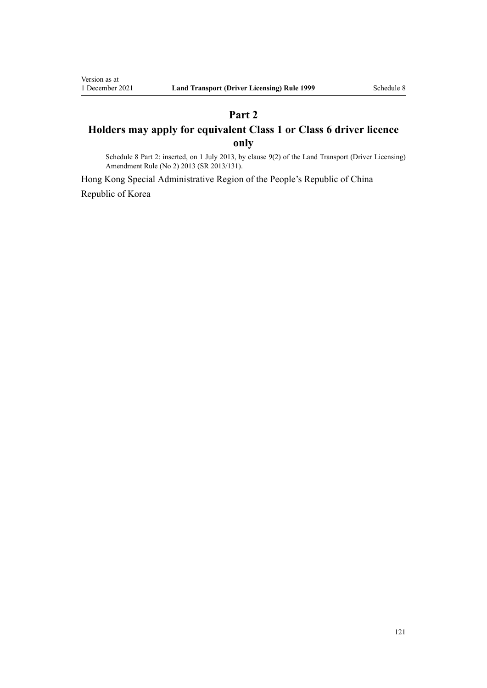# **Part 2 Holders may apply for equivalent Class 1 or Class 6 driver licence only**

Schedule 8 Part 2: inserted, on 1 July 2013, by [clause 9\(2\)](http://legislation.govt.nz/pdflink.aspx?id=DLM5159814) of the Land Transport (Driver Licensing) Amendment Rule (No 2) 2013 (SR 2013/131).

Hong Kong Special Administrative Region of the People's Republic of China Republic of Korea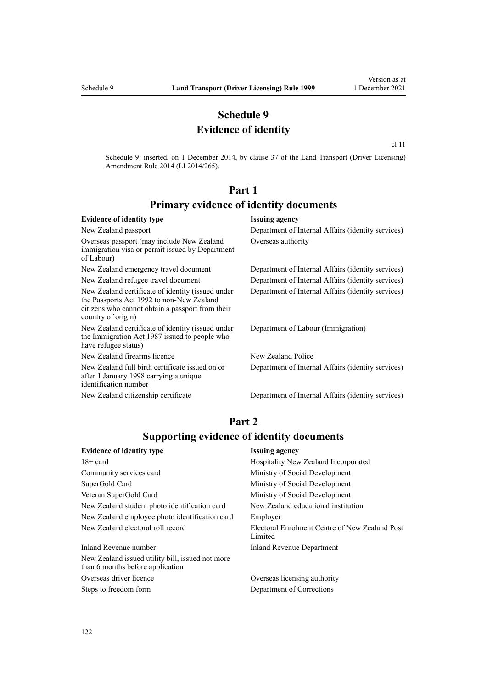## **Schedule 9 Evidence of identity**

[cl 11](#page-22-0)

Schedule 9: inserted, on 1 December 2014, by [clause 37](http://legislation.govt.nz/pdflink.aspx?id=DLM6216951) of the Land Transport (Driver Licensing) Amendment Rule 2014 (LI 2014/265).

# **Part 1 Primary evidence of identity documents**

#### **Evidence of identity type Issuing agency** New Zealand passport Department of Internal Affairs (identity services) Overseas passport (may include New Zealand immigration visa or permit issued by Department of Labour) Overseas authority New Zealand emergency travel document Department of Internal Affairs (identity services) New Zealand refugee travel document Department of Internal Affairs (identity services) New Zealand certificate of identity (issued under the [Passports Act 1992](http://legislation.govt.nz/pdflink.aspx?id=DLM277432) to non-New Zealand citizens who cannot obtain a passport from their country of origin) Department of Internal Affairs (identity services) New Zealand certificate of identity (issued under the [Immigration Act 1987](http://legislation.govt.nz/pdflink.aspx?id=DLM108017) issued to people who have refugee status) Department of Labour (Immigration) New Zealand firearms licence New Zealand Police New Zealand full birth certificate issued on or after 1 January 1998 carrying a unique identification number Department of Internal Affairs (identity services) New Zealand citizenship certificate Department of Internal Affairs (identity services)

## **Part 2 Supporting evidence of identity documents**

| <b>Evidence of identity type</b>                                                     | <b>Issuing agency</b>                                     |
|--------------------------------------------------------------------------------------|-----------------------------------------------------------|
| $18 + \text{card}$                                                                   | Hospitality New Zealand Incorporated                      |
| Community services card                                                              | Ministry of Social Development                            |
| SuperGold Card                                                                       | Ministry of Social Development                            |
| Veteran SuperGold Card                                                               | Ministry of Social Development                            |
| New Zealand student photo identification card                                        | New Zealand educational institution                       |
| New Zealand employee photo identification card                                       | Employer                                                  |
| New Zealand electoral roll record                                                    | Electoral Enrolment Centre of New Zealand Post<br>Limited |
| Inland Revenue number                                                                | Inland Revenue Department                                 |
| New Zealand issued utility bill, issued not more<br>than 6 months before application |                                                           |

Overseas driver licence Overseas licensing authority Steps to freedom form Department of Corrections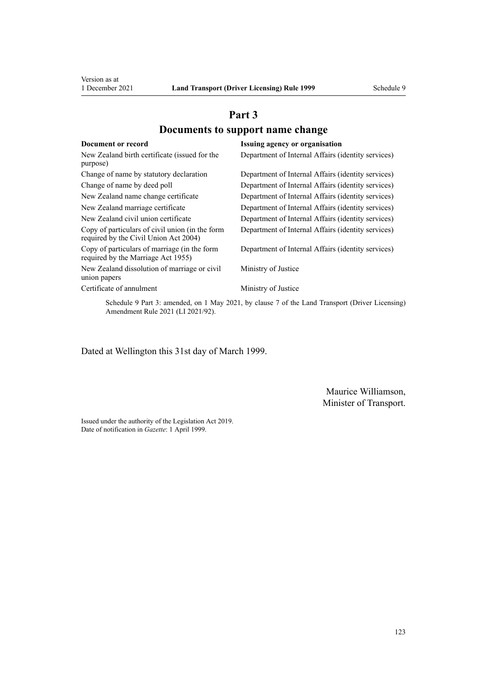# **Part 3 Documents to support name change**

| Document or record                                                                       | Issuing agency or organisation                                                                |
|------------------------------------------------------------------------------------------|-----------------------------------------------------------------------------------------------|
| New Zealand birth certificate (issued for the<br>purpose)                                | Department of Internal Affairs (identity services)                                            |
| Change of name by statutory declaration                                                  | Department of Internal Affairs (identity services)                                            |
| Change of name by deed poll                                                              | Department of Internal Affairs (identity services)                                            |
| New Zealand name change certificate                                                      | Department of Internal Affairs (identity services)                                            |
| New Zealand marriage certificate                                                         | Department of Internal Affairs (identity services)                                            |
| New Zealand civil union certificate                                                      | Department of Internal Affairs (identity services)                                            |
| Copy of particulars of civil union (in the form<br>required by the Civil Union Act 2004) | Department of Internal Affairs (identity services)                                            |
| Copy of particulars of marriage (in the form<br>required by the Marriage Act 1955)       | Department of Internal Affairs (identity services)                                            |
| New Zealand dissolution of marriage or civil<br>union papers                             | Ministry of Justice                                                                           |
| Certificate of annulment                                                                 | Ministry of Justice                                                                           |
|                                                                                          | Schedule 9 Part 3: amended, on 1 May 2021, by clause 7 of the Land Transport (Driver Licensin |

Schedule 9 Part 3: amended, on 1 May 2021, by [clause 7](http://legislation.govt.nz/pdflink.aspx?id=LMS453279) of the Land Transport (Driver Licensing) Amendment Rule 2021 (LI 2021/92).

Dated at Wellington this 31st day of March 1999.

Maurice Williamson, Minister of Transport.

Issued under the authority of the [Legislation Act 2019](http://legislation.govt.nz/pdflink.aspx?id=DLM7298104). Date of notification in *Gazette*: 1 April 1999.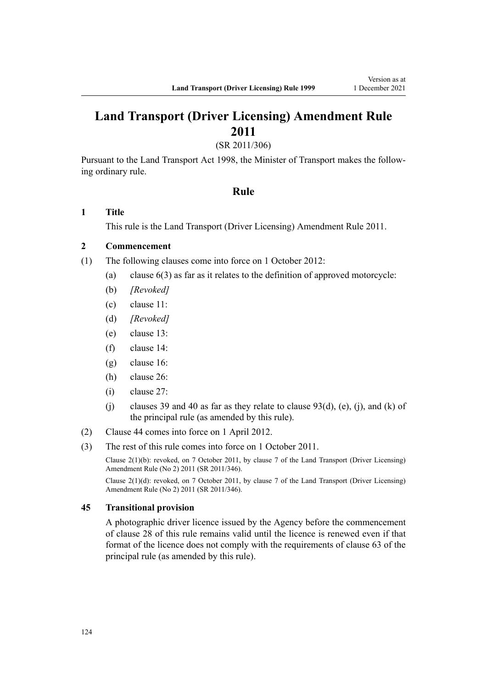# **Land Transport (Driver Licensing) Amendment Rule 2011**

(SR 2011/306)

Pursuant to the Land Transport Act 1998, the Minister of Transport makes the follow‐ ing ordinary rule.

#### **Rule**

#### **1 Title**

This rule is the [Land Transport \(Driver Licensing\) Amendment Rule 2011](http://legislation.govt.nz/pdflink.aspx?id=DLM3956573).

### **2 Commencement**

- (1) The following clauses come into force on 1 October 2012:
	- (a) clause 6(3) as far as it relates to the definition of approved motorcycle:
	- (b) *[Revoked]*
	- (c) clause 11:
	- (d) *[Revoked]*
	- (e) clause 13:
	- (f) clause 14:
	- (g) clause 16:
	- (h) clause 26:
	- (i) clause 27:
	- (j) clauses 39 and 40 as far as they relate to clause  $93(d)$ , (e), (j), and (k) of the principal rule (as amended by this rule).
- (2) Clause 44 comes into force on 1 April 2012.
- (3) The rest of this rule comes into force on 1 October 2011.

Clause 2(1)(b): revoked, on 7 October 2011, by [clause 7](http://legislation.govt.nz/pdflink.aspx?id=DLM4067013) of the Land Transport (Driver Licensing) Amendment Rule (No 2) 2011 (SR 2011/346).

Clause 2(1)(d): revoked, on 7 October 2011, by [clause 7](http://legislation.govt.nz/pdflink.aspx?id=DLM4067013) of the Land Transport (Driver Licensing) Amendment Rule (No 2) 2011 (SR 2011/346).

#### **45 Transitional provision**

A photographic driver licence issued by the Agency before the commencement of clause 28 of this rule remains valid until the licence is renewed even if that format of the licence does not comply with the requirements of clause 63 of the principal rule (as amended by this rule).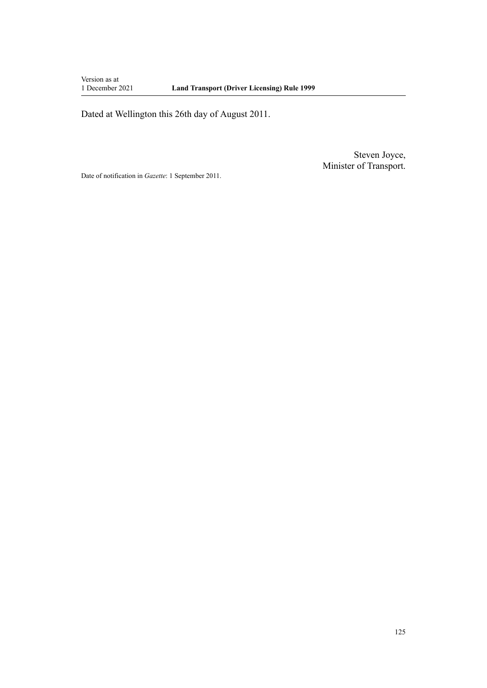Version as at<br>1 December 2021

Dated at Wellington this 26th day of August 2011.

Steven Joyce, Minister of Transport.

Date of notification in *Gazette*: 1 September 2011.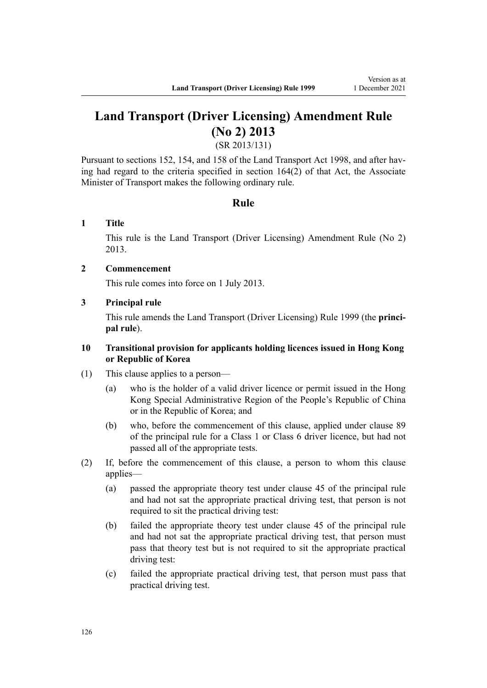# **Land Transport (Driver Licensing) Amendment Rule (No 2) 2013**

(SR 2013/131)

Pursuant to sections 152, 154, and 158 of the Land Transport Act 1998, and after having had regard to the criteria specified in section 164(2) of that Act, the Associate Minister of Transport makes the following ordinary rule.

### **Rule**

### **1 Title**

This rule is the [Land Transport \(Driver Licensing\) Amendment Rule \(No 2\)](http://legislation.govt.nz/pdflink.aspx?id=DLM5159800) [2013](http://legislation.govt.nz/pdflink.aspx?id=DLM5159800).

### **2 Commencement**

This rule comes into force on 1 July 2013.

### **3 Principal rule**

This rule amends the Land Transport (Driver Licensing) Rule 1999 (the **princi‐ pal rule**).

### **10 Transitional provision for applicants holding licences issued in Hong Kong or Republic of Korea**

- (1) This clause applies to a person—
	- (a) who is the holder of a valid driver licence or permit issued in the Hong Kong Special Administrative Region of the People's Republic of China or in the Republic of Korea; and
	- (b) who, before the commencement of this clause, applied under clause 89 of the principal rule for a Class 1 or Class 6 driver licence, but had not passed all of the appropriate tests.
- (2) If, before the commencement of this clause, a person to whom this clause applies—
	- (a) passed the appropriate theory test under clause 45 of the principal rule and had not sat the appropriate practical driving test, that person is not required to sit the practical driving test:
	- (b) failed the appropriate theory test under clause 45 of the principal rule and had not sat the appropriate practical driving test, that person must pass that theory test but is not required to sit the appropriate practical driving test:
	- (c) failed the appropriate practical driving test, that person must pass that practical driving test.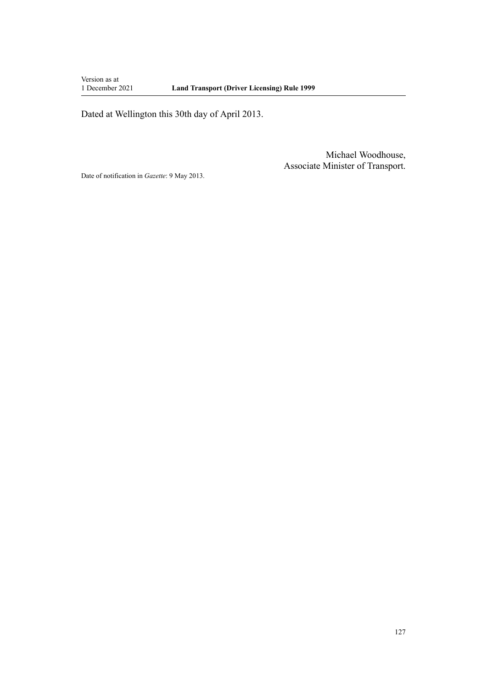Version as at<br>1 December 2021

Dated at Wellington this 30th day of April 2013.

Michael Woodhouse, Associate Minister of Transport.

Date of notification in *Gazette*: 9 May 2013.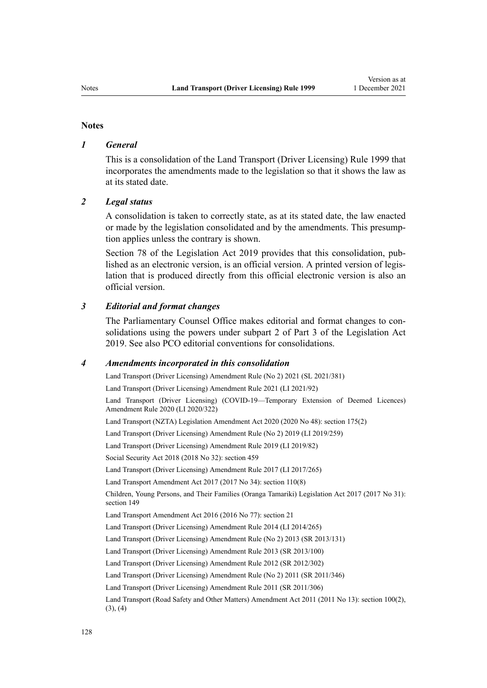#### **Notes**

#### *1 General*

This is a consolidation of the Land Transport (Driver Licensing) Rule 1999 that incorporates the amendments made to the legislation so that it shows the law as at its stated date.

#### *2 Legal status*

A consolidation is taken to correctly state, as at its stated date, the law enacted or made by the legislation consolidated and by the amendments. This presump‐ tion applies unless the contrary is shown.

[Section 78](http://legislation.govt.nz/pdflink.aspx?id=DLM7298365) of the Legislation Act 2019 provides that this consolidation, published as an electronic version, is an official version. A printed version of legis‐ lation that is produced directly from this official electronic version is also an official version.

#### *3 Editorial and format changes*

The Parliamentary Counsel Office makes editorial and format changes to con‐ solidations using the powers under [subpart 2](http://legislation.govt.nz/pdflink.aspx?id=DLM7298371) of Part 3 of the Legislation Act 2019. See also [PCO editorial conventions for consolidations](http://www.pco.govt.nz/editorial-conventions/).

#### *4 Amendments incorporated in this consolidation*

[Land Transport \(Driver Licensing\) Amendment Rule \(No 2\) 2021](http://legislation.govt.nz/pdflink.aspx?id=LMS590835) (SL 2021/381) [Land Transport \(Driver Licensing\) Amendment Rule 2021](http://legislation.govt.nz/pdflink.aspx?id=LMS453263) (LI 2021/92) [Land Transport \(Driver Licensing\) \(COVID-19—Temporary Extension of Deemed Licences\)](http://legislation.govt.nz/pdflink.aspx?id=LMS436139) [Amendment Rule 2020](http://legislation.govt.nz/pdflink.aspx?id=LMS436139) (LI 2020/322) Land Transport (NZTA) Legislation Amendment Act 2020 (2020 No 48): [section 175\(2\)](http://legislation.govt.nz/pdflink.aspx?id=LMS286883) [Land Transport \(Driver Licensing\) Amendment Rule \(No 2\) 2019](http://legislation.govt.nz/pdflink.aspx?id=LMS264750) (LI 2019/259) [Land Transport \(Driver Licensing\) Amendment Rule 2019](http://legislation.govt.nz/pdflink.aspx?id=LMS135998) (LI 2019/82) Social Security Act 2018 (2018 No 32): [section 459](http://legislation.govt.nz/pdflink.aspx?id=DLM6784038) [Land Transport \(Driver Licensing\) Amendment Rule 2017](http://legislation.govt.nz/pdflink.aspx?id=DLM7420922) (LI 2017/265) Land Transport Amendment Act 2017 (2017 No 34): [section 110\(8\)](http://legislation.govt.nz/pdflink.aspx?id=DLM6960929) Children, Young Persons, and Their Families (Oranga Tamariki) Legislation Act 2017 (2017 No 31): [section 149](http://legislation.govt.nz/pdflink.aspx?id=DLM7287401) Land Transport Amendment Act 2016 (2016 No 77): [section 21](http://legislation.govt.nz/pdflink.aspx?id=DLM6984133) [Land Transport \(Driver Licensing\) Amendment Rule 2014](http://legislation.govt.nz/pdflink.aspx?id=DLM6216900) (LI 2014/265) [Land Transport \(Driver Licensing\) Amendment Rule \(No 2\) 2013](http://legislation.govt.nz/pdflink.aspx?id=DLM5159800) (SR 2013/131) [Land Transport \(Driver Licensing\) Amendment Rule 2013](http://legislation.govt.nz/pdflink.aspx?id=DLM5102226) (SR 2013/100) [Land Transport \(Driver Licensing\) Amendment Rule 2012](http://legislation.govt.nz/pdflink.aspx?id=DLM4773428) (SR 2012/302) [Land Transport \(Driver Licensing\) Amendment Rule \(No 2\) 2011](http://legislation.govt.nz/pdflink.aspx?id=DLM4067006) (SR 2011/346) [Land Transport \(Driver Licensing\) Amendment Rule 2011](http://legislation.govt.nz/pdflink.aspx?id=DLM3956573) (SR 2011/306) Land Transport (Road Safety and Other Matters) Amendment Act 2011 (2011 No 13): [section 100\(2\),](http://legislation.govt.nz/pdflink.aspx?id=DLM3231293)  $(3), (4)$